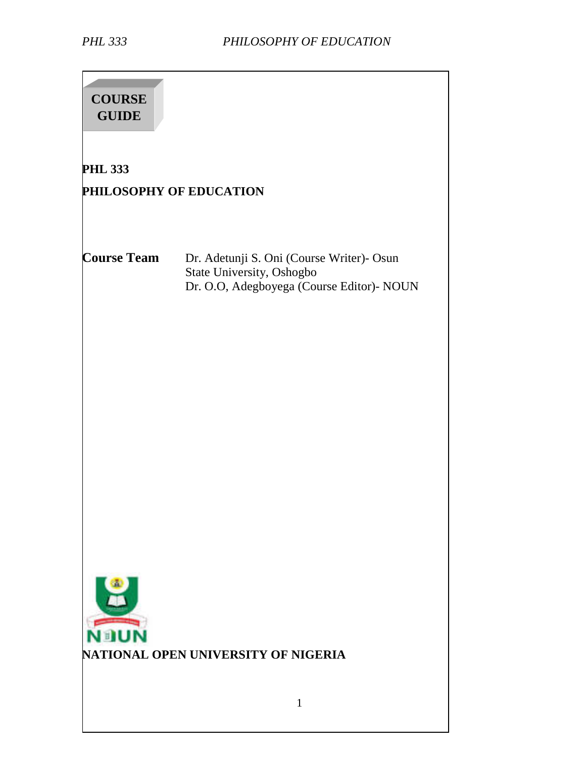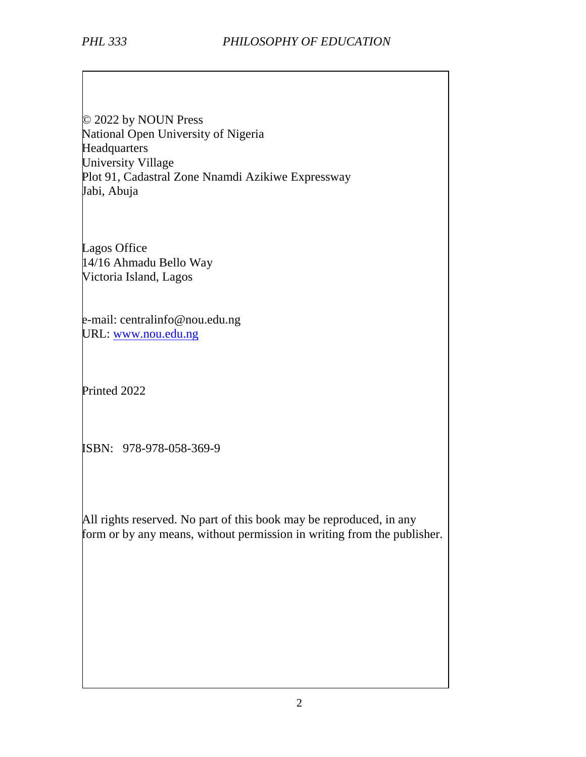© 2022 by NOUN Press National Open University of Nigeria **Headquarters** University Village Plot 91, Cadastral Zone Nnamdi Azikiwe Expressway Jabi, Abuja

Lagos Office 14/16 Ahmadu Bello Way Victoria Island, Lagos

e-mail: centralinfo@nou.edu.ng URL: www.nou.edu.ng

Printed 2022

ISBN: 978-978-058-369-9

All rights reserved. No part of this book may be reproduced, in any form or by any means, without permission in writing from the publisher.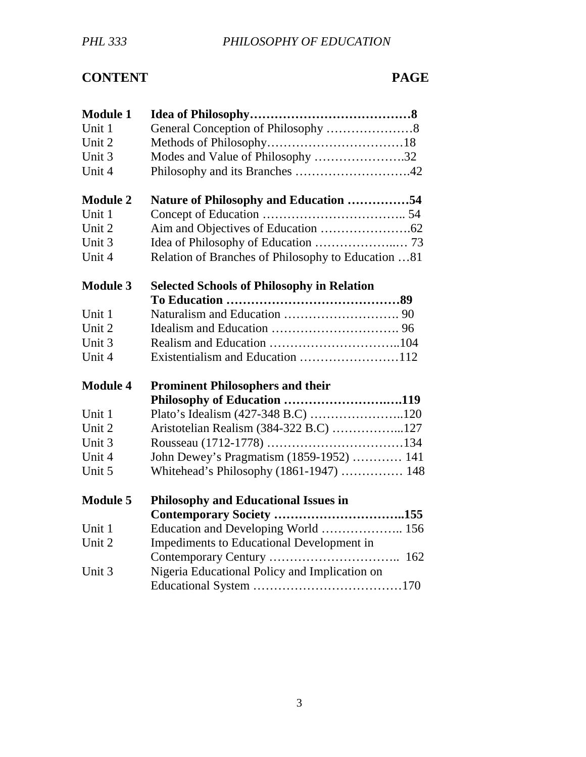# **CONTENT PAGE**

| <b>Module 1</b> |                                                    |
|-----------------|----------------------------------------------------|
| Unit 1          |                                                    |
| Unit 2          |                                                    |
| Unit 3          | Modes and Value of Philosophy 32                   |
| Unit 4          |                                                    |
| <b>Module 2</b> | Nature of Philosophy and Education 54              |
| Unit 1          |                                                    |
| Unit 2          |                                                    |
| Unit 3          |                                                    |
| Unit 4          | Relation of Branches of Philosophy to Education 81 |
| <b>Module 3</b> | <b>Selected Schools of Philosophy in Relation</b>  |
|                 |                                                    |
| Unit 1          |                                                    |
| Unit 2          |                                                    |
| Unit 3          |                                                    |
| Unit 4          |                                                    |
| <b>Module 4</b> | <b>Prominent Philosophers and their</b>            |
|                 | Philosophy of Education 119                        |
| Unit 1          |                                                    |
| Unit 2          | Aristotelian Realism (384-322 B.C) 127             |
| Unit 3          |                                                    |
| Unit 4          | John Dewey's Pragmatism (1859-1952)  141           |
| Unit 5          | Whitehead's Philosophy (1861-1947)  148            |
| <b>Module 5</b> | <b>Philosophy and Educational Issues in</b>        |
|                 |                                                    |
| Unit 1          | Education and Developing World  156                |
| Unit 2          | Impediments to Educational Development in          |
|                 |                                                    |
| Unit 3          | Nigeria Educational Policy and Implication on      |
|                 |                                                    |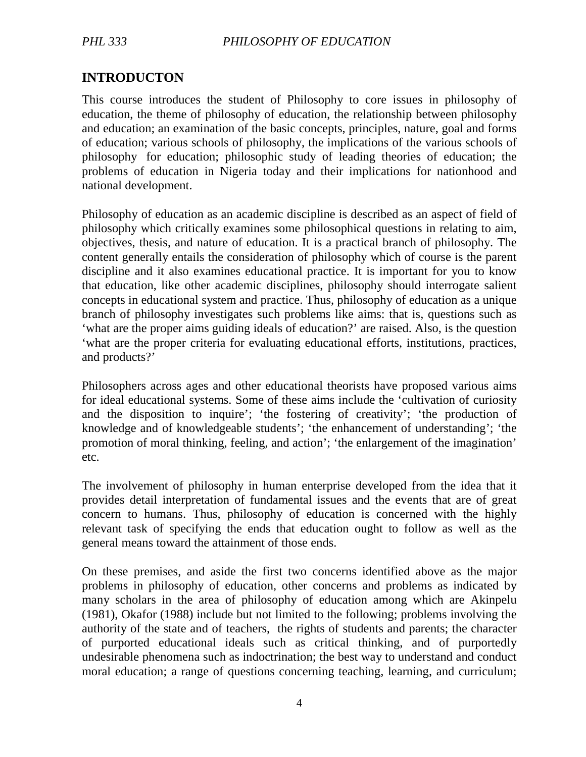## **INTRODUCTON**

This course introduces the student of Philosophy to core issues in philosophy of education, the theme of philosophy of education, the relationship between philosophy and education; an examination of the basic concepts, principles, nature, goal and forms of education; various schools of philosophy, the implications of the various schools of philosophy for education; philosophic study of leading theories of education; the problems of education in Nigeria today and their implications for nationhood and national development.

Philosophy of education as an academic discipline is described as an aspect of field of philosophy which critically examines some philosophical questions in relating to aim, objectives, thesis, and nature of education. It is a practical branch of philosophy. The content generally entails the consideration of philosophy which of course is the parent discipline and it also examines educational practice. It is important for you to know that education, like other academic disciplines, philosophy should interrogate salient concepts in educational system and practice. Thus, philosophy of education as a unique branch of philosophy investigates such problems like aims: that is, questions such as 'what are the proper aims guiding ideals of education?' are raised. Also, is the question 'what are the proper criteria for evaluating educational efforts, institutions, practices, and products?'

Philosophers across ages and other educational theorists have proposed various aims for ideal educational systems. Some of these aims include the 'cultivation of curiosity and the disposition to inquire'; 'the fostering of creativity'; 'the production of knowledge and of knowledgeable students'; 'the enhancement of understanding'; 'the promotion of moral thinking, feeling, and action'; 'the enlargement of the imagination' etc.

The involvement of philosophy in human enterprise developed from the idea that it provides detail interpretation of fundamental issues and the events that are of great concern to humans. Thus, philosophy of education is concerned with the highly relevant task of specifying the ends that education ought to follow as well as the general means toward the attainment of those ends.

On these premises, and aside the first two concerns identified above as the major problems in philosophy of education, other concerns and problems as indicated by many scholars in the area of philosophy of education among which are Akinpelu (1981), Okafor (1988) include but not limited to the following; problems involving the authority of the state and of teachers, the rights of students and parents; the character of purported educational ideals such as critical thinking, and of purportedly undesirable phenomena such as indoctrination; the best way to understand and conduct moral education; a range of questions concerning teaching, learning, and curriculum;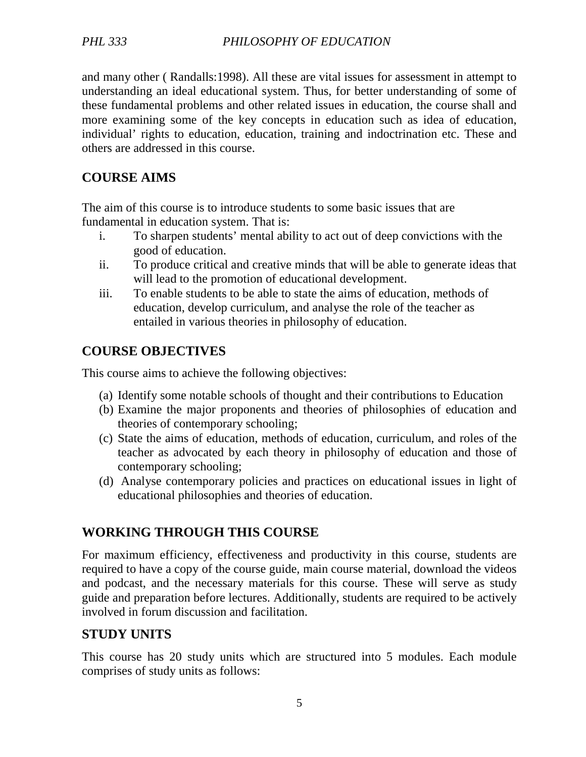and many other ( Randalls:1998). All these are vital issues for assessment in attempt to understanding an ideal educational system. Thus, for better understanding of some of these fundamental problems and other related issues in education, the course shall and more examining some of the key concepts in education such as idea of education, individual' rights to education, education, training and indoctrination etc. These and others are addressed in this course.

# **COURSE AIMS**

The aim of this course is to introduce students to some basic issues that are fundamental in education system. That is:

- i. To sharpen students' mental ability to act out of deep convictions with the good of education.
- ii. To produce critical and creative minds that will be able to generate ideas that will lead to the promotion of educational development.
- iii. To enable students to be able to state the aims of education, methods of education, develop curriculum, and analyse the role of the teacher as entailed in various theories in philosophy of education.

# **COURSE OBJECTIVES**

This course aims to achieve the following objectives:

- (a) Identify some notable schools of thought and their contributions to Education
- (b) Examine the major proponents and theories of philosophies of education and theories of contemporary schooling;
- (c) State the aims of education, methods of education, curriculum, and roles of the teacher as advocated by each theory in philosophy of education and those of contemporary schooling;
- (d) Analyse contemporary policies and practices on educational issues in light of educational philosophies and theories of education.

# **WORKING THROUGH THIS COURSE**

For maximum efficiency, effectiveness and productivity in this course, students are required to have a copy of the course guide, main course material, download the videos and podcast, and the necessary materials for this course. These will serve as study guide and preparation before lectures. Additionally, students are required to be actively involved in forum discussion and facilitation.

# **STUDY UNITS**

This course has 20 study units which are structured into 5 modules. Each module comprises of study units as follows: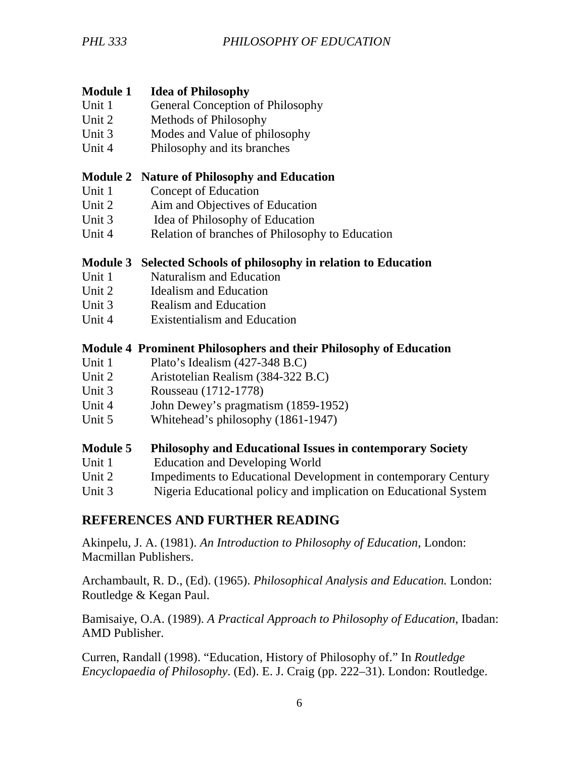## **Module 1 Idea of Philosophy**

- Unit 1 General Conception of Philosophy
- Unit 2 Methods of Philosophy
- Unit 3 Modes and Value of philosophy
- Unit 4 Philosophy and its branches

## **Module 2 Nature of Philosophy and Education**

- Unit 1 Concept of Education
- Unit 2 Aim and Objectives of Education
- Unit 3 Idea of Philosophy of Education
- Unit 4 Relation of branches of Philosophy to Education

## **Module 3 Selected Schools of philosophy in relation to Education**

- Unit 1 Naturalism and Education
- Unit 2 Idealism and Education
- Unit 3 Realism and Education
- Unit 4 Existentialism and Education

## **Module 4 Prominent Philosophers and their Philosophy of Education**

- Unit 1 Plato's Idealism (427-348 B.C)
- Unit 2 Aristotelian Realism (384-322 B.C)
- Unit 3 Rousseau (1712-1778)
- Unit 4 John Dewey's pragmatism (1859-1952)
- Unit 5 Whitehead's philosophy (1861-1947)

#### **Module 5 Philosophy and Educational Issues in contemporary Society**

- Unit 1 Education and Developing World
- Unit 2 Impediments to Educational Development in contemporary Century
- Unit 3 Nigeria Educational policy and implication on Educational System

## **REFERENCES AND FURTHER READING**

Akinpelu, J. A. (1981). *An Introduction to Philosophy of Education*, London: Macmillan Publishers.

Archambault, R. D., (Ed). (1965). *Philosophical Analysis and Education.* London: Routledge & Kegan Paul.

Bamisaiye, O.A. (1989). *A Practical Approach to Philosophy of Education*, Ibadan: AMD Publisher.

Curren, Randall (1998). "Education, History of Philosophy of." In *Routledge Encyclopaedia of Philosophy*. (Ed). E. J. Craig (pp. 222–31). London: Routledge.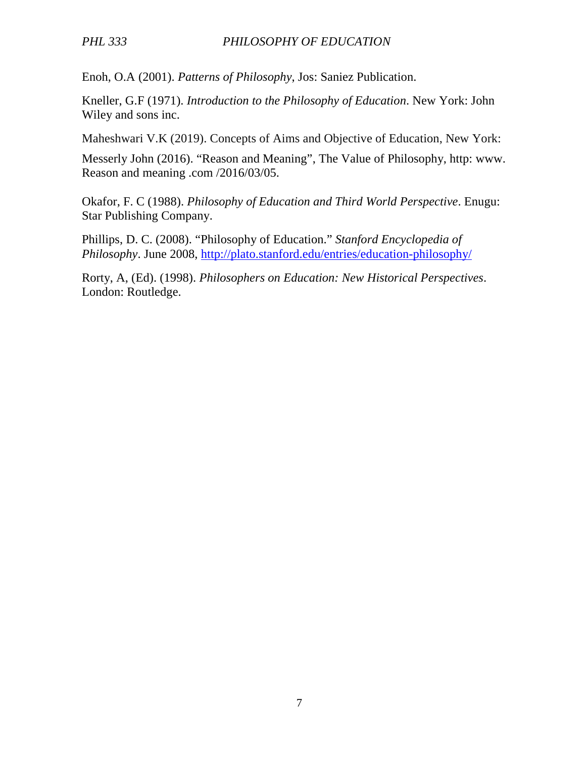Enoh, O.A (2001). *Patterns of Philosophy*, Jos: Saniez Publication.

Kneller, G.F (1971). *Introduction to the Philosophy of Education*. New York: John Wiley and sons inc.

Maheshwari V.K (2019). Concepts of Aims and Objective of Education, New York:

Messerly John (2016). "Reason and Meaning", The Value of Philosophy, http: www. Reason and meaning .com /2016/03/05.

Okafor, F. C (1988). *Philosophy of Education and Third World Perspective*. Enugu: Star Publishing Company.

Phillips, D. C. (2008). "Philosophy of Education." *Stanford Encyclopedia of Philosophy*. June 2008, http://plato.stanford.edu/entries/education-philosophy/

Rorty, A, (Ed). (1998). *Philosophers on Education: New Historical Perspectives*. London: Routledge.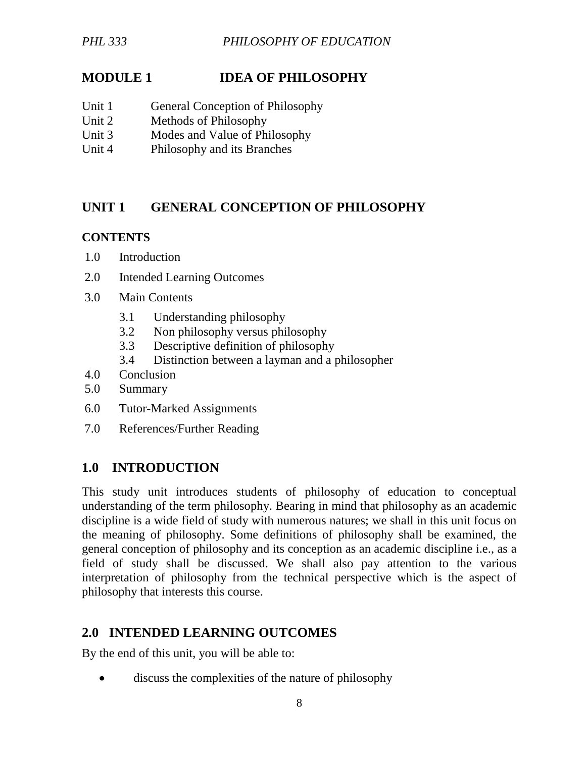## **MODULE 1 IDEA OF PHILOSOPHY**

- Unit 1 General Conception of Philosophy
- Unit 2 Methods of Philosophy
- Unit 3 Modes and Value of Philosophy
- Unit 4 Philosophy and its Branches

## **UNIT 1 GENERAL CONCEPTION OF PHILOSOPHY**

#### **CONTENTS**

- 1.0 Introduction
- 2.0 Intended Learning Outcomes
- 3.0 Main Contents
	- 3.1 Understanding philosophy
	- 3.2 Non philosophy versus philosophy
	- 3.3 Descriptive definition of philosophy
	- 3.4 Distinction between a layman and a philosopher
- 4.0 Conclusion
- 5.0 Summary
- 6.0 Tutor-Marked Assignments
- 7.0 References/Further Reading

## **1.0 INTRODUCTION**

This study unit introduces students of philosophy of education to conceptual understanding of the term philosophy. Bearing in mind that philosophy as an academic discipline is a wide field of study with numerous natures; we shall in this unit focus on the meaning of philosophy. Some definitions of philosophy shall be examined, the general conception of philosophy and its conception as an academic discipline i.e., as a field of study shall be discussed. We shall also pay attention to the various interpretation of philosophy from the technical perspective which is the aspect of philosophy that interests this course.

## **2.0 INTENDED LEARNING OUTCOMES**

By the end of this unit, you will be able to:

discuss the complexities of the nature of philosophy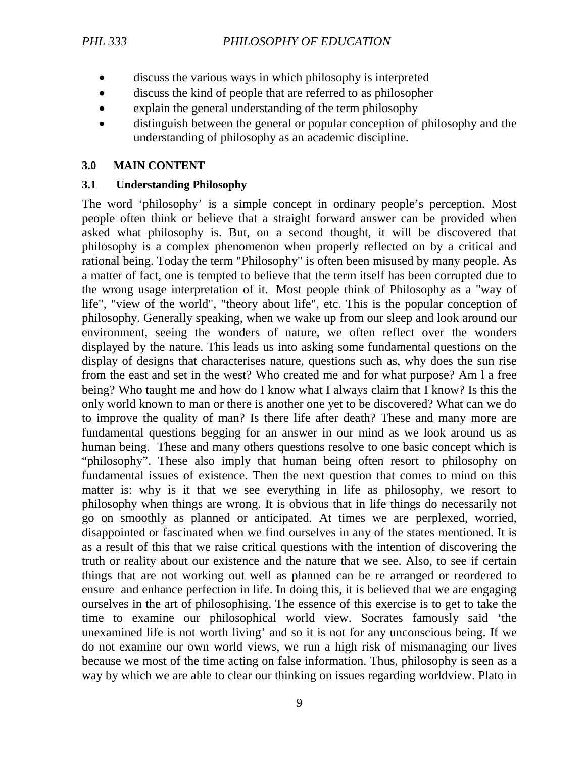- discuss the various ways in which philosophy is interpreted
- discuss the kind of people that are referred to as philosopher
- explain the general understanding of the term philosophy
- distinguish between the general or popular conception of philosophy and the understanding of philosophy as an academic discipline.

## **3.0 MAIN CONTENT**

## **3.1 Understanding Philosophy**

The word 'philosophy' is a simple concept in ordinary people's perception. Most people often think or believe that a straight forward answer can be provided when asked what philosophy is. But, on a second thought, it will be discovered that philosophy is a complex phenomenon when properly reflected on by a critical and rational being. Today the term "Philosophy" is often been misused by many people. As a matter of fact, one is tempted to believe that the term itself has been corrupted due to the wrong usage interpretation of it. Most people think of Philosophy as a "way of life", "view of the world", "theory about life", etc. This is the popular conception of philosophy. Generally speaking, when we wake up from our sleep and look around our environment, seeing the wonders of nature, we often reflect over the wonders displayed by the nature. This leads us into asking some fundamental questions on the display of designs that characterises nature, questions such as, why does the sun rise from the east and set in the west? Who created me and for what purpose? Am l a free being? Who taught me and how do I know what I always claim that I know? Is this the only world known to man or there is another one yet to be discovered? What can we do to improve the quality of man? Is there life after death? These and many more are fundamental questions begging for an answer in our mind as we look around us as human being. These and many others questions resolve to one basic concept which is "philosophy". These also imply that human being often resort to philosophy on fundamental issues of existence. Then the next question that comes to mind on this matter is: why is it that we see everything in life as philosophy, we resort to philosophy when things are wrong. It is obvious that in life things do necessarily not go on smoothly as planned or anticipated. At times we are perplexed, worried, disappointed or fascinated when we find ourselves in any of the states mentioned. It is as a result of this that we raise critical questions with the intention of discovering the truth or reality about our existence and the nature that we see. Also, to see if certain things that are not working out well as planned can be re arranged or reordered to ensure and enhance perfection in life. In doing this, it is believed that we are engaging ourselves in the art of philosophising. The essence of this exercise is to get to take the time to examine our philosophical world view. Socrates famously said 'the unexamined life is not worth living' and so it is not for any unconscious being. If we do not examine our own world views, we run a high risk of mismanaging our lives because we most of the time acting on false information. Thus, philosophy is seen as a way by which we are able to clear our thinking on issues regarding worldview. Plato in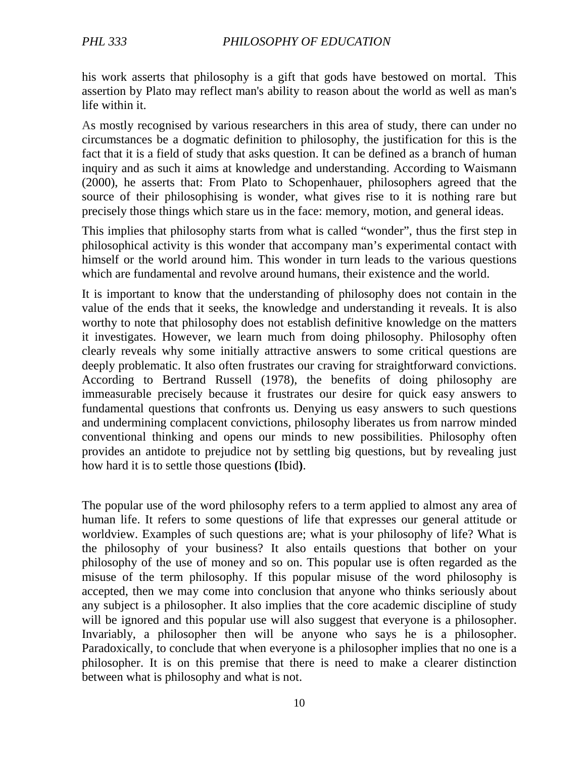his work asserts that philosophy is a gift that gods have bestowed on mortal. This assertion by Plato may reflect man's ability to reason about the world as well as man's life within it.

As mostly recognised by various researchers in this area of study, there can under no circumstances be a dogmatic definition to philosophy, the justification for this is the fact that it is a field of study that asks question. It can be defined as a branch of human inquiry and as such it aims at knowledge and understanding. According to Waismann (2000), he asserts that: From Plato to Schopenhauer, philosophers agreed that the source of their philosophising is wonder, what gives rise to it is nothing rare but precisely those things which stare us in the face: memory, motion, and general ideas.

This implies that philosophy starts from what is called "wonder", thus the first step in philosophical activity is this wonder that accompany man's experimental contact with himself or the world around him. This wonder in turn leads to the various questions which are fundamental and revolve around humans, their existence and the world.

It is important to know that the understanding of philosophy does not contain in the value of the ends that it seeks, the knowledge and understanding it reveals. It is also worthy to note that philosophy does not establish definitive knowledge on the matters it investigates. However, we learn much from doing philosophy. Philosophy often clearly reveals why some initially attractive answers to some critical questions are deeply problematic. It also often frustrates our craving for straightforward convictions. According to Bertrand Russell (1978), the benefits of doing philosophy are immeasurable precisely because it frustrates our desire for quick easy answers to fundamental questions that confronts us. Denying us easy answers to such questions and undermining complacent convictions, philosophy liberates us from narrow minded conventional thinking and opens our minds to new possibilities. Philosophy often provides an antidote to prejudice not by settling big questions, but by revealing just how hard it is to settle those questions **(**Ibid**)**.

The popular use of the word philosophy refers to a term applied to almost any area of human life. It refers to some questions of life that expresses our general attitude or worldview. Examples of such questions are; what is your philosophy of life? What is the philosophy of your business? It also entails questions that bother on your philosophy of the use of money and so on. This popular use is often regarded as the misuse of the term philosophy. If this popular misuse of the word philosophy is accepted, then we may come into conclusion that anyone who thinks seriously about any subject is a philosopher. It also implies that the core academic discipline of study will be ignored and this popular use will also suggest that everyone is a philosopher. Invariably, a philosopher then will be anyone who says he is a philosopher. Paradoxically, to conclude that when everyone is a philosopher implies that no one is a philosopher. It is on this premise that there is need to make a clearer distinction between what is philosophy and what is not.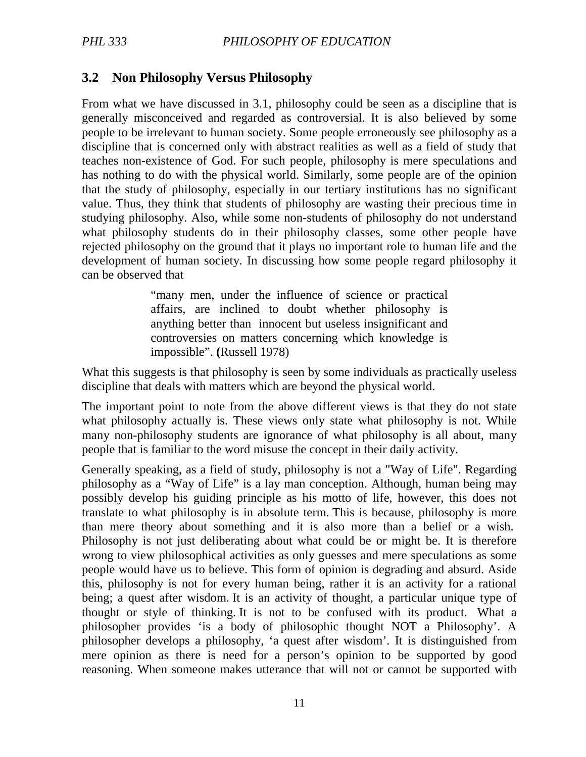## **3.2 Non Philosophy Versus Philosophy**

From what we have discussed in 3.1, philosophy could be seen as a discipline that is generally misconceived and regarded as controversial. It is also believed by some people to be irrelevant to human society. Some people erroneously see philosophy as a discipline that is concerned only with abstract realities as well as a field of study that teaches non-existence of God. For such people, philosophy is mere speculations and has nothing to do with the physical world. Similarly, some people are of the opinion that the study of philosophy, especially in our tertiary institutions has no significant value. Thus, they think that students of philosophy are wasting their precious time in studying philosophy. Also, while some non-students of philosophy do not understand what philosophy students do in their philosophy classes, some other people have rejected philosophy on the ground that it plays no important role to human life and the development of human society. In discussing how some people regard philosophy it can be observed that

> "many men, under the influence of science or practical affairs, are inclined to doubt whether philosophy is anything better than innocent but useless insignificant and controversies on matters concerning which knowledge is impossible". **(**Russell 1978)

What this suggests is that philosophy is seen by some individuals as practically useless discipline that deals with matters which are beyond the physical world.

The important point to note from the above different views is that they do not state what philosophy actually is. These views only state what philosophy is not. While many non-philosophy students are ignorance of what philosophy is all about, many people that is familiar to the word misuse the concept in their daily activity.

Generally speaking, as a field of study, philosophy is not a "Way of Life". Regarding philosophy as a "Way of Life" is a lay man conception. Although, human being may possibly develop his guiding principle as his motto of life, however, this does not translate to what philosophy is in absolute term. This is because, philosophy is more than mere theory about something and it is also more than a belief or a wish. Philosophy is not just deliberating about what could be or might be. It is therefore wrong to view philosophical activities as only guesses and mere speculations as some people would have us to believe. This form of opinion is degrading and absurd. Aside this, philosophy is not for every human being, rather it is an activity for a rational being; a quest after wisdom. It is an activity of thought, a particular unique type of thought or style of thinking. It is not to be confused with its product. What a philosopher provides 'is a body of philosophic thought NOT a Philosophy'. A philosopher develops a philosophy, 'a quest after wisdom'. It is distinguished from mere opinion as there is need for a person's opinion to be supported by good reasoning. When someone makes utterance that will not or cannot be supported with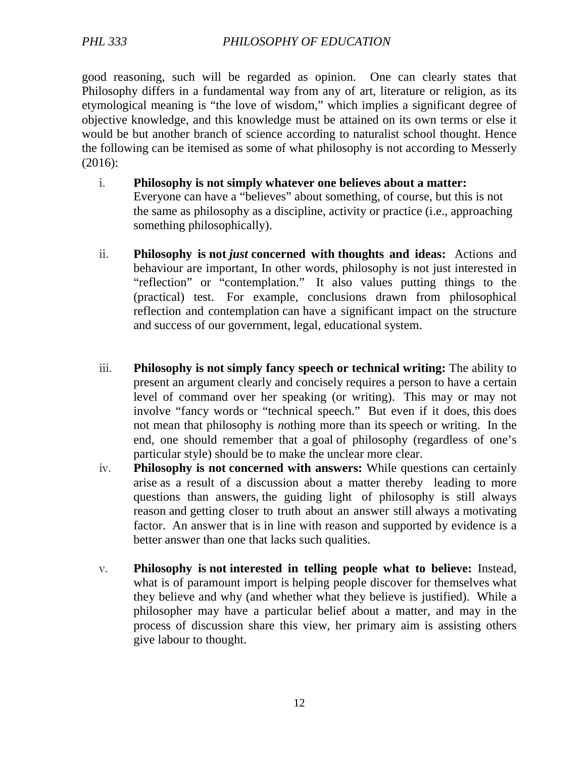good reasoning, such will be regarded as opinion. One can clearly states that Philosophy differs in a fundamental way from any of art, literature or religion, as its etymological meaning is "the love of wisdom," which implies a significant degree of objective knowledge, and this knowledge must be attained on its own terms or else it would be but another branch of science according to naturalist school thought. Hence the following can be itemised as some of what philosophy is not according to Messerly (2016):

- i. **Philosophy is not simply whatever one believes about a matter:** Everyone can have a "believes" about something, of course, but this is not the same as philosophy as a discipline, activity or practice (i.e., approaching something philosophically).
- ii. **Philosophy is not** *just* **concerned with thoughts and ideas:** Actions and behaviour are important, In other words, philosophy is not just interested in "reflection" or "contemplation." It also values putting things to the (practical) test. For example, conclusions drawn from philosophical reflection and contemplation can have a significant impact on the structure and success of our government, legal, educational system.
- iii. **Philosophy is not simply fancy speech or technical writing:** The ability to present an argument clearly and concisely requires a person to have a certain level of command over her speaking (or writing). This may or may not involve "fancy words or "technical speech." But even if it does, this does not mean that philosophy is *n*othing more than its speech or writing. In the end, one should remember that a goal of philosophy (regardless of one's particular style) should be to make the unclear more clear.
- iv. **Philosophy is not concerned with answers:** While questions can certainly arise as a result of a discussion about a matter thereby leading to more questions than answers, the guiding light of philosophy is still always reason and getting closer to truth about an answer still always a motivating factor. An answer that is in line with reason and supported by evidence is a better answer than one that lacks such qualities.
- v. **Philosophy is not interested in telling people what to believe:** Instead, what is of paramount import is helping people discover for themselves what they believe and why (and whether what they believe is justified). While a philosopher may have a particular belief about a matter, and may in the process of discussion share this view, her primary aim is assisting others give labour to thought.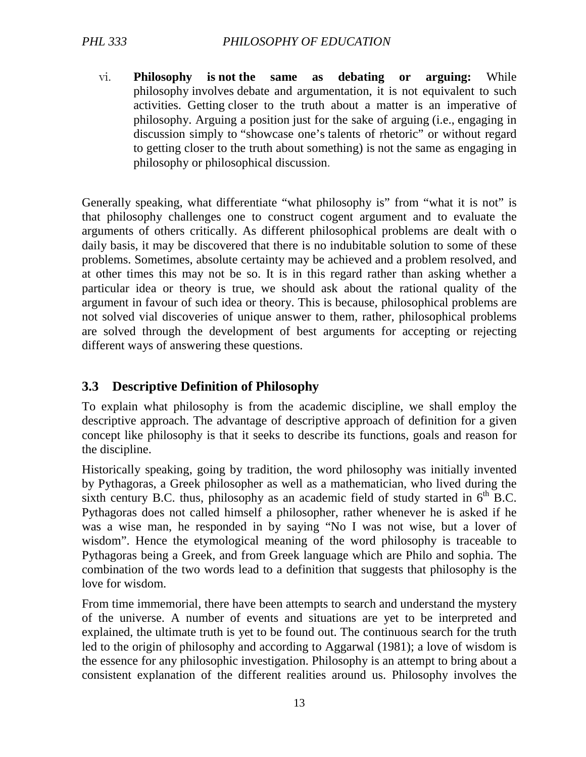vi. **Philosophy is not the same as debating or arguing:** While philosophy involves debate and argumentation, it is not equivalent to such activities. Getting closer to the truth about a matter is an imperative of philosophy. Arguing a position just for the sake of arguing (i.e., engaging in discussion simply to "showcase one's talents of rhetoric" or without regard to getting closer to the truth about something) is not the same as engaging in philosophy or philosophical discussion.

Generally speaking, what differentiate "what philosophy is" from "what it is not" is that philosophy challenges one to construct cogent argument and to evaluate the arguments of others critically. As different philosophical problems are dealt with o daily basis, it may be discovered that there is no indubitable solution to some of these problems. Sometimes, absolute certainty may be achieved and a problem resolved, and at other times this may not be so. It is in this regard rather than asking whether a particular idea or theory is true, we should ask about the rational quality of the argument in favour of such idea or theory. This is because, philosophical problems are not solved vial discoveries of unique answer to them, rather, philosophical problems are solved through the development of best arguments for accepting or rejecting different ways of answering these questions.

## **3.3 Descriptive Definition of Philosophy**

To explain what philosophy is from the academic discipline, we shall employ the descriptive approach. The advantage of descriptive approach of definition for a given concept like philosophy is that it seeks to describe its functions, goals and reason for the discipline.

Historically speaking, going by tradition, the word philosophy was initially invented by Pythagoras, a Greek philosopher as well as a mathematician, who lived during the sixth century B.C. thus, philosophy as an academic field of study started in  $6<sup>th</sup>$  B.C. Pythagoras does not called himself a philosopher, rather whenever he is asked if he was a wise man, he responded in by saying "No I was not wise, but a lover of wisdom". Hence the etymological meaning of the word philosophy is traceable to Pythagoras being a Greek, and from Greek language which are Philo and sophia. The combination of the two words lead to a definition that suggests that philosophy is the love for wisdom.

From time immemorial, there have been attempts to search and understand the mystery of the universe. A number of events and situations are yet to be interpreted and explained, the ultimate truth is yet to be found out. The continuous search for the truth led to the origin of philosophy and according to Aggarwal (1981); a love of wisdom is the essence for any philosophic investigation. Philosophy is an attempt to bring about a consistent explanation of the different realities around us. Philosophy involves the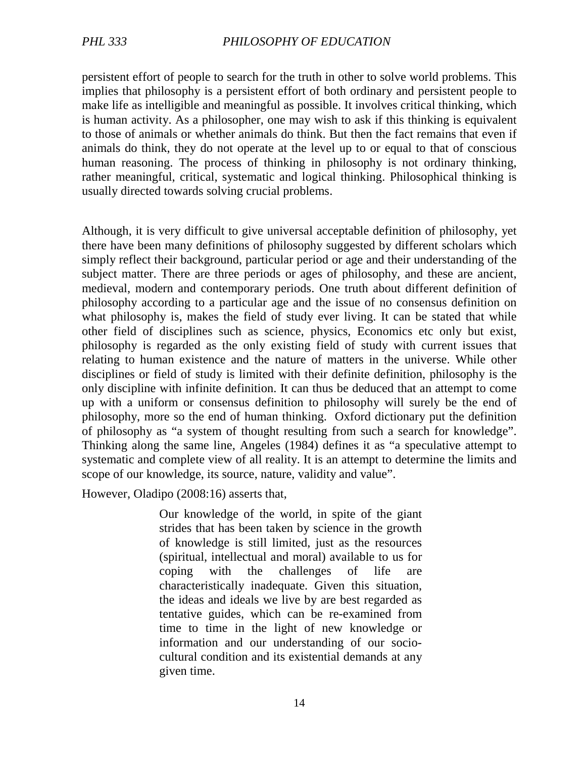persistent effort of people to search for the truth in other to solve world problems. This implies that philosophy is a persistent effort of both ordinary and persistent people to make life as intelligible and meaningful as possible. It involves critical thinking, which is human activity. As a philosopher, one may wish to ask if this thinking is equivalent to those of animals or whether animals do think. But then the fact remains that even if animals do think, they do not operate at the level up to or equal to that of conscious human reasoning. The process of thinking in philosophy is not ordinary thinking, rather meaningful, critical, systematic and logical thinking. Philosophical thinking is usually directed towards solving crucial problems.

Although, it is very difficult to give universal acceptable definition of philosophy, yet there have been many definitions of philosophy suggested by different scholars which simply reflect their background, particular period or age and their understanding of the subject matter. There are three periods or ages of philosophy, and these are ancient, medieval, modern and contemporary periods. One truth about different definition of philosophy according to a particular age and the issue of no consensus definition on what philosophy is, makes the field of study ever living. It can be stated that while other field of disciplines such as science, physics, Economics etc only but exist, philosophy is regarded as the only existing field of study with current issues that relating to human existence and the nature of matters in the universe. While other disciplines or field of study is limited with their definite definition, philosophy is the only discipline with infinite definition. It can thus be deduced that an attempt to come up with a uniform or consensus definition to philosophy will surely be the end of philosophy, more so the end of human thinking. Oxford dictionary put the definition of philosophy as "a system of thought resulting from such a search for knowledge". Thinking along the same line, Angeles (1984) defines it as "a speculative attempt to systematic and complete view of all reality. It is an attempt to determine the limits and scope of our knowledge, its source, nature, validity and value".

However, Oladipo (2008:16) asserts that,

Our knowledge of the world, in spite of the giant strides that has been taken by science in the growth of knowledge is still limited, just as the resources (spiritual, intellectual and moral) available to us for coping with the challenges of life are characteristically inadequate. Given this situation, the ideas and ideals we live by are best regarded as tentative guides, which can be re-examined from time to time in the light of new knowledge or information and our understanding of our sociocultural condition and its existential demands at any given time.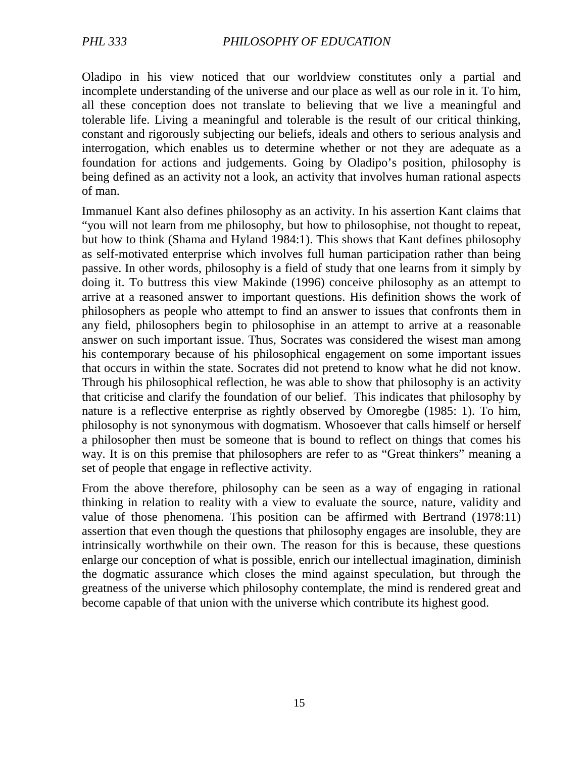Oladipo in his view noticed that our worldview constitutes only a partial and incomplete understanding of the universe and our place as well as our role in it. To him, all these conception does not translate to believing that we live a meaningful and tolerable life. Living a meaningful and tolerable is the result of our critical thinking, constant and rigorously subjecting our beliefs, ideals and others to serious analysis and interrogation, which enables us to determine whether or not they are adequate as a foundation for actions and judgements. Going by Oladipo's position, philosophy is being defined as an activity not a look, an activity that involves human rational aspects of man.

Immanuel Kant also defines philosophy as an activity. In his assertion Kant claims that "you will not learn from me philosophy, but how to philosophise, not thought to repeat, but how to think (Shama and Hyland 1984:1). This shows that Kant defines philosophy as self-motivated enterprise which involves full human participation rather than being passive. In other words, philosophy is a field of study that one learns from it simply by doing it. To buttress this view Makinde (1996) conceive philosophy as an attempt to arrive at a reasoned answer to important questions. His definition shows the work of philosophers as people who attempt to find an answer to issues that confronts them in any field, philosophers begin to philosophise in an attempt to arrive at a reasonable answer on such important issue. Thus, Socrates was considered the wisest man among his contemporary because of his philosophical engagement on some important issues that occurs in within the state. Socrates did not pretend to know what he did not know. Through his philosophical reflection, he was able to show that philosophy is an activity that criticise and clarify the foundation of our belief. This indicates that philosophy by nature is a reflective enterprise as rightly observed by Omoregbe (1985: 1). To him, philosophy is not synonymous with dogmatism. Whosoever that calls himself or herself a philosopher then must be someone that is bound to reflect on things that comes his way. It is on this premise that philosophers are refer to as "Great thinkers" meaning a set of people that engage in reflective activity.

From the above therefore, philosophy can be seen as a way of engaging in rational thinking in relation to reality with a view to evaluate the source, nature, validity and value of those phenomena. This position can be affirmed with Bertrand (1978:11) assertion that even though the questions that philosophy engages are insoluble, they are intrinsically worthwhile on their own. The reason for this is because, these questions enlarge our conception of what is possible, enrich our intellectual imagination, diminish the dogmatic assurance which closes the mind against speculation, but through the greatness of the universe which philosophy contemplate, the mind is rendered great and become capable of that union with the universe which contribute its highest good.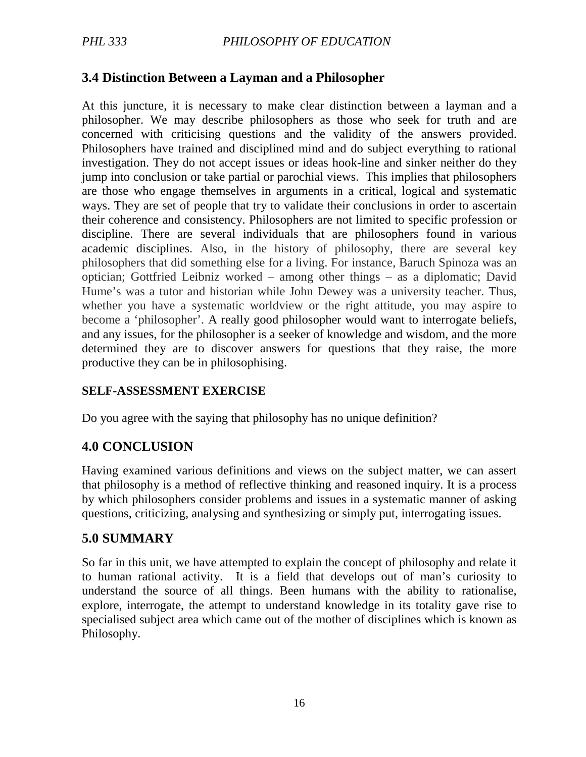## **3.4 Distinction Between a Layman and a Philosopher**

At this juncture, it is necessary to make clear distinction between a layman and a philosopher. We may describe philosophers as those who seek for truth and are concerned with criticising questions and the validity of the answers provided. Philosophers have trained and disciplined mind and do subject everything to rational investigation. They do not accept issues or ideas hook-line and sinker neither do they jump into conclusion or take partial or parochial views. This implies that philosophers are those who engage themselves in arguments in a critical, logical and systematic ways. They are set of people that try to validate their conclusions in order to ascertain their coherence and consistency. Philosophers are not limited to specific profession or discipline. There are several individuals that are philosophers found in various academic disciplines. Also, in the history of philosophy, there are several key philosophers that did something else for a living. For instance, Baruch Spinoza was an optician; Gottfried Leibniz worked – among other things – as a diplomatic; David Hume's was a tutor and historian while John Dewey was a university teacher. Thus, whether you have a systematic worldview or the right attitude, you may aspire to become a 'philosopher'. A really good philosopher would want to interrogate beliefs, and any issues, for the philosopher is a seeker of knowledge and wisdom, and the more determined they are to discover answers for questions that they raise, the more productive they can be in philosophising.

#### **SELF-ASSESSMENT EXERCISE**

Do you agree with the saying that philosophy has no unique definition?

## **4.0 CONCLUSION**

Having examined various definitions and views on the subject matter, we can assert that philosophy is a method of reflective thinking and reasoned inquiry. It is a process by which philosophers consider problems and issues in a systematic manner of asking questions, criticizing, analysing and synthesizing or simply put, interrogating issues.

## **5.0 SUMMARY**

So far in this unit, we have attempted to explain the concept of philosophy and relate it to human rational activity. It is a field that develops out of man's curiosity to understand the source of all things. Been humans with the ability to rationalise, explore, interrogate, the attempt to understand knowledge in its totality gave rise to specialised subject area which came out of the mother of disciplines which is known as Philosophy.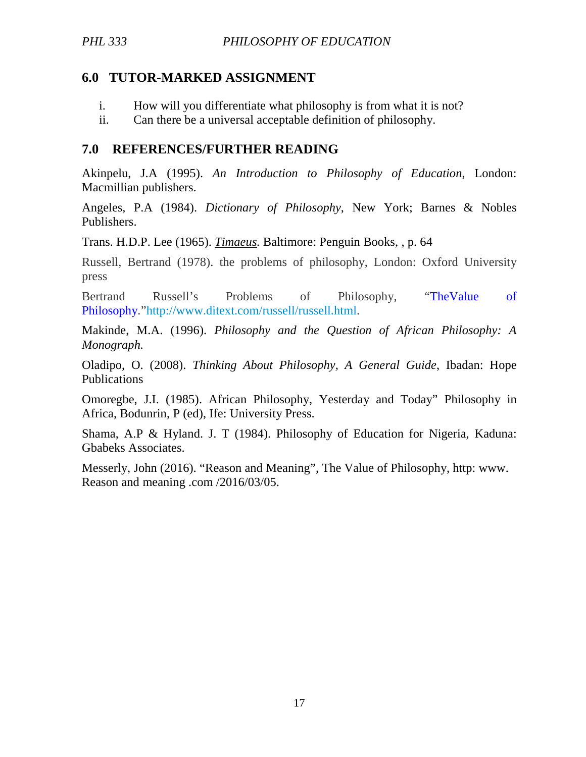## **6.0 TUTOR-MARKED ASSIGNMENT**

- i. How will you differentiate what philosophy is from what it is not?
- ii. Can there be a universal acceptable definition of philosophy.

## **7.0 REFERENCES/FURTHER READING**

Akinpelu, J.A (1995). *An Introduction to Philosophy of Education*, London: Macmillian publishers.

Angeles, P.A (1984). *Dictionary of Philosophy*, New York; Barnes & Nobles Publishers.

Trans. H.D.P. Lee (1965). *Timaeus.* Baltimore: Penguin Books, , p. 64

Russell, Bertrand (1978). the problems of philosophy, London: Oxford University press

Bertrand Russell's Problems of Philosophy, "TheValue of Philosophy."http://www.ditext.com/russell/russell.html.

Makinde, M.A. (1996). *Philosophy and the Question of African Philosophy: A Monograph.* 

Oladipo, O. (2008). *Thinking About Philosophy, A General Guide*, Ibadan: Hope Publications

Omoregbe, J.I. (1985). African Philosophy, Yesterday and Today" Philosophy in Africa, Bodunrin, P (ed), Ife: University Press.

Shama, A.P & Hyland. J. T (1984). Philosophy of Education for Nigeria, Kaduna: Gbabeks Associates.

Messerly, John (2016). "Reason and Meaning", The Value of Philosophy, http: www. Reason and meaning .com /2016/03/05.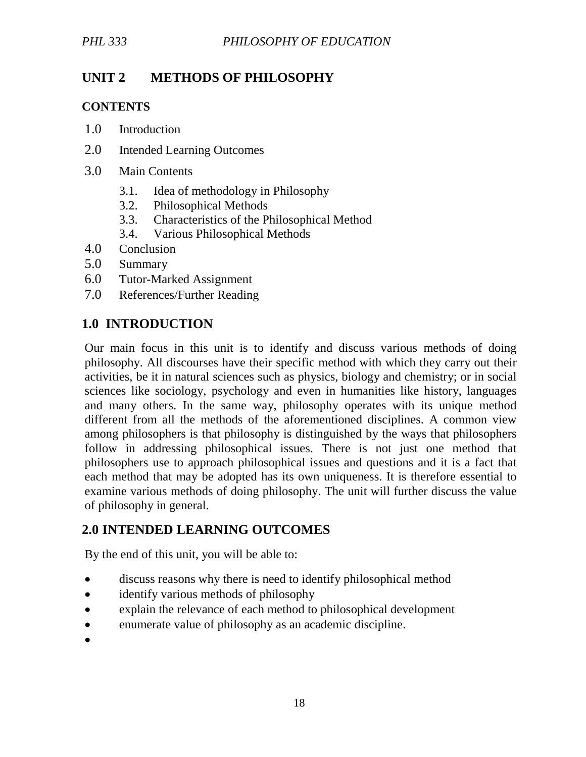# **UNIT 2 METHODS OF PHILOSOPHY**

#### **CONTENTS**

- 1.0 Introduction
- 2.0 Intended Learning Outcomes
- 3.0 Main Contents
	- 3.1. Idea of methodology in Philosophy
	- 3.2. Philosophical Methods
	- 3.3. Characteristics of the Philosophical Method
	- 3.4. Various Philosophical Methods
- 4.0 Conclusion
- 5.0 Summary
- 6.0 Tutor-Marked Assignment
- 7.0 References/Further Reading

## **1.0 INTRODUCTION**

Our main focus in this unit is to identify and discuss various methods of doing philosophy. All discourses have their specific method with which they carry out their activities, be it in natural sciences such as physics, biology and chemistry; or in social sciences like sociology, psychology and even in humanities like history, languages and many others. In the same way, philosophy operates with its unique method different from all the methods of the aforementioned disciplines. A common view among philosophers is that philosophy is distinguished by the ways that philosophers follow in addressing philosophical issues. There is not just one method that philosophers use to approach philosophical issues and questions and it is a fact that each method that may be adopted has its own uniqueness. It is therefore essential to examine various methods of doing philosophy. The unit will further discuss the value of philosophy in general.

# **2.0 INTENDED LEARNING OUTCOMES**

By the end of this unit, you will be able to:

- discuss reasons why there is need to identify philosophical method
- identify various methods of philosophy
- explain the relevance of each method to philosophical development
- enumerate value of philosophy as an academic discipline.

 $\bullet$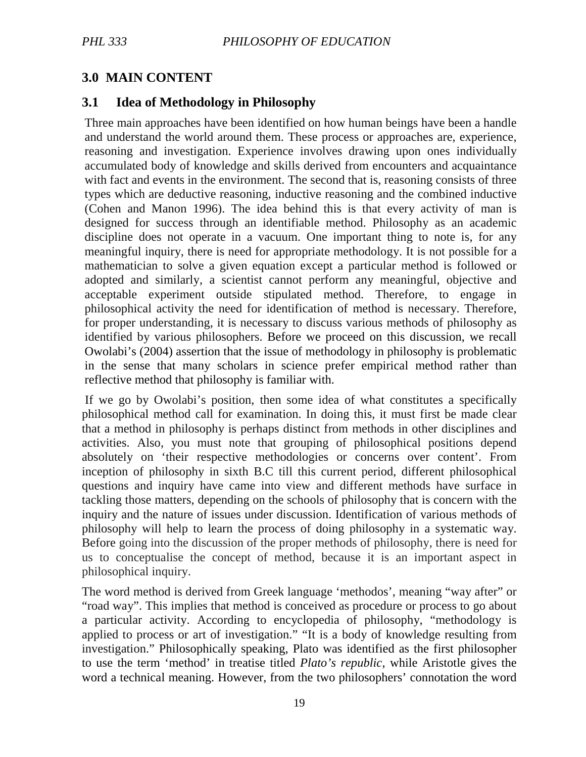# **3.0 MAIN CONTENT**

## **3.1 Idea of Methodology in Philosophy**

Three main approaches have been identified on how human beings have been a handle and understand the world around them. These process or approaches are, experience, reasoning and investigation. Experience involves drawing upon ones individually accumulated body of knowledge and skills derived from encounters and acquaintance with fact and events in the environment. The second that is, reasoning consists of three types which are deductive reasoning, inductive reasoning and the combined inductive (Cohen and Manon 1996). The idea behind this is that every activity of man is designed for success through an identifiable method. Philosophy as an academic discipline does not operate in a vacuum. One important thing to note is, for any meaningful inquiry, there is need for appropriate methodology. It is not possible for a mathematician to solve a given equation except a particular method is followed or adopted and similarly, a scientist cannot perform any meaningful, objective and acceptable experiment outside stipulated method. Therefore, to engage in philosophical activity the need for identification of method is necessary. Therefore, for proper understanding, it is necessary to discuss various methods of philosophy as identified by various philosophers. Before we proceed on this discussion, we recall Owolabi's (2004) assertion that the issue of methodology in philosophy is problematic in the sense that many scholars in science prefer empirical method rather than reflective method that philosophy is familiar with.

 If we go by Owolabi's position, then some idea of what constitutes a specifically philosophical method call for examination. In doing this, it must first be made clear that a method in philosophy is perhaps distinct from methods in other disciplines and activities. Also, you must note that grouping of philosophical positions depend absolutely on 'their respective methodologies or concerns over content'. From inception of philosophy in sixth B.C till this current period, different philosophical questions and inquiry have came into view and different methods have surface in tackling those matters, depending on the schools of philosophy that is concern with the inquiry and the nature of issues under discussion. Identification of various methods of philosophy will help to learn the process of doing philosophy in a systematic way. Before going into the discussion of the proper methods of philosophy, there is need for us to conceptualise the concept of method, because it is an important aspect in philosophical inquiry.

The word method is derived from Greek language 'methodos', meaning "way after" or "road way". This implies that method is conceived as procedure or process to go about a particular activity. According to encyclopedia of philosophy, "methodology is applied to process or art of investigation." "It is a body of knowledge resulting from investigation." Philosophically speaking, Plato was identified as the first philosopher to use the term 'method' in treatise titled *Plato's republic*, while Aristotle gives the word a technical meaning. However, from the two philosophers' connotation the word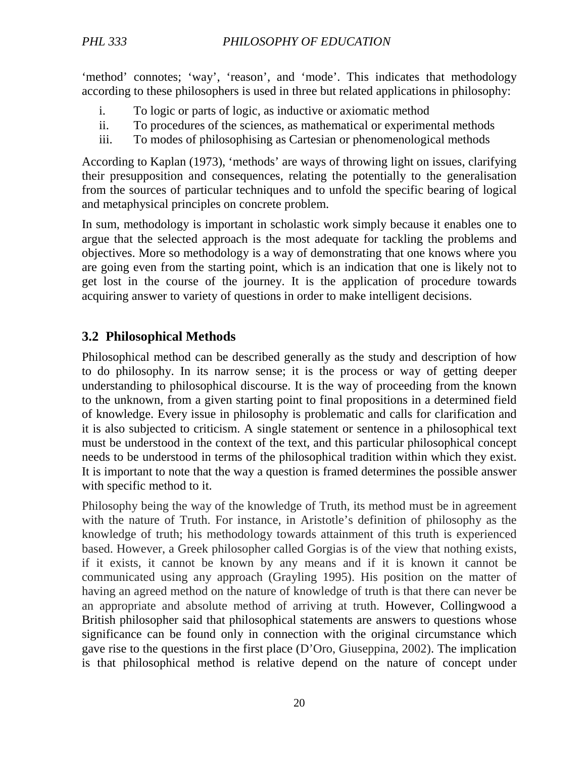'method' connotes; 'way', 'reason', and 'mode'. This indicates that methodology according to these philosophers is used in three but related applications in philosophy:

- i. To logic or parts of logic, as inductive or axiomatic method
- ii. To procedures of the sciences, as mathematical or experimental methods
- iii. To modes of philosophising as Cartesian or phenomenological methods

According to Kaplan (1973), 'methods' are ways of throwing light on issues, clarifying their presupposition and consequences, relating the potentially to the generalisation from the sources of particular techniques and to unfold the specific bearing of logical and metaphysical principles on concrete problem.

In sum, methodology is important in scholastic work simply because it enables one to argue that the selected approach is the most adequate for tackling the problems and objectives. More so methodology is a way of demonstrating that one knows where you are going even from the starting point, which is an indication that one is likely not to get lost in the course of the journey. It is the application of procedure towards acquiring answer to variety of questions in order to make intelligent decisions.

## **3.2 Philosophical Methods**

Philosophical method can be described generally as the study and description of how to do philosophy. In its narrow sense; it is the process or way of getting deeper understanding to philosophical discourse. It is the way of proceeding from the known to the unknown, from a given starting point to final propositions in a determined field of knowledge. Every issue in philosophy is problematic and calls for clarification and it is also subjected to criticism. A single statement or sentence in a philosophical text must be understood in the context of the text, and this particular philosophical concept needs to be understood in terms of the philosophical tradition within which they exist. It is important to note that the way a question is framed determines the possible answer with specific method to it.

Philosophy being the way of the knowledge of Truth, its method must be in agreement with the nature of Truth. For instance, in Aristotle's definition of philosophy as the knowledge of truth; his methodology towards attainment of this truth is experienced based. However, a Greek philosopher called Gorgias is of the view that nothing exists, if it exists, it cannot be known by any means and if it is known it cannot be communicated using any approach (Grayling 1995). His position on the matter of having an agreed method on the nature of knowledge of truth is that there can never be an appropriate and absolute method of arriving at truth. However, Collingwood a British philosopher said that philosophical statements are answers to questions whose significance can be found only in connection with the original circumstance which gave rise to the questions in the first place (D'Oro, Giuseppina, 2002). The implication is that philosophical method is relative depend on the nature of concept under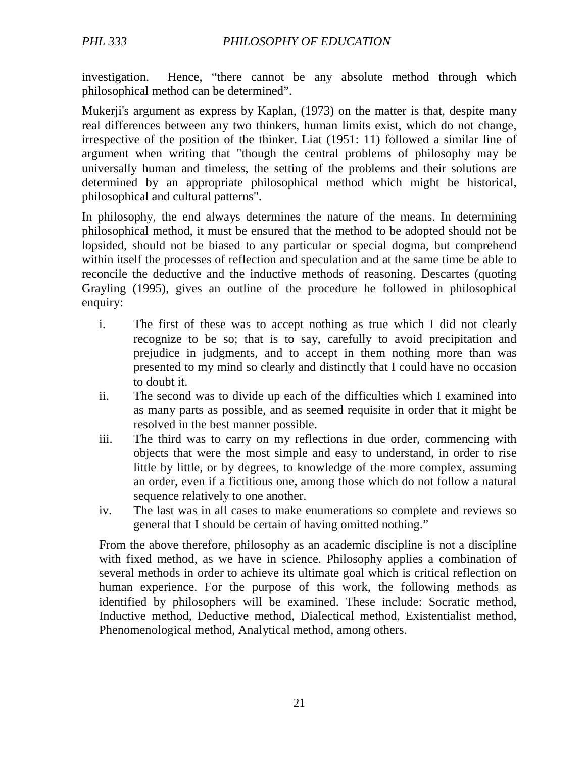investigation. Hence, "there cannot be any absolute method through which philosophical method can be determined".

Mukerji's argument as express by Kaplan, (1973) on the matter is that, despite many real differences between any two thinkers, human limits exist, which do not change, irrespective of the position of the thinker. Liat (1951: 11) followed a similar line of argument when writing that "though the central problems of philosophy may be universally human and timeless, the setting of the problems and their solutions are determined by an appropriate philosophical method which might be historical, philosophical and cultural patterns".

In philosophy, the end always determines the nature of the means. In determining philosophical method, it must be ensured that the method to be adopted should not be lopsided, should not be biased to any particular or special dogma, but comprehend within itself the processes of reflection and speculation and at the same time be able to reconcile the deductive and the inductive methods of reasoning. Descartes (quoting Grayling (1995), gives an outline of the procedure he followed in philosophical enquiry:

- i. The first of these was to accept nothing as true which I did not clearly recognize to be so; that is to say, carefully to avoid precipitation and prejudice in judgments, and to accept in them nothing more than was presented to my mind so clearly and distinctly that I could have no occasion to doubt it.
- ii. The second was to divide up each of the difficulties which I examined into as many parts as possible, and as seemed requisite in order that it might be resolved in the best manner possible.
- iii. The third was to carry on my reflections in due order, commencing with objects that were the most simple and easy to understand, in order to rise little by little, or by degrees, to knowledge of the more complex, assuming an order, even if a fictitious one, among those which do not follow a natural sequence relatively to one another.
- iv. The last was in all cases to make enumerations so complete and reviews so general that I should be certain of having omitted nothing."

From the above therefore, philosophy as an academic discipline is not a discipline with fixed method, as we have in science. Philosophy applies a combination of several methods in order to achieve its ultimate goal which is critical reflection on human experience. For the purpose of this work, the following methods as identified by philosophers will be examined. These include: Socratic method, Inductive method, Deductive method, Dialectical method, Existentialist method, Phenomenological method, Analytical method, among others.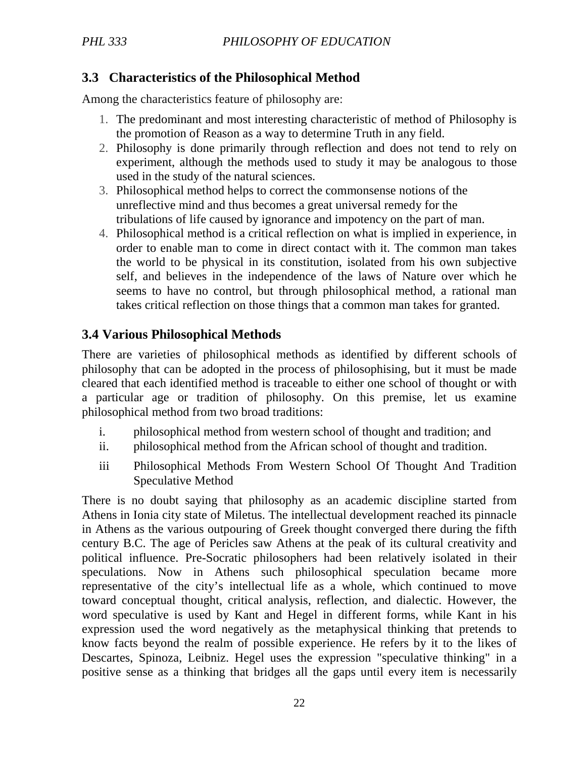## **3.3 Characteristics of the Philosophical Method**

Among the characteristics feature of philosophy are:

- 1. The predominant and most interesting characteristic of method of Philosophy is the promotion of Reason as a way to determine Truth in any field.
- 2. Philosophy is done primarily through reflection and does not tend to rely on experiment, although the methods used to study it may be analogous to those used in the study of the natural sciences.
- 3. Philosophical method helps to correct the commonsense notions of the unreflective mind and thus becomes a great universal remedy for the tribulations of life caused by ignorance and impotency on the part of man.
- 4. Philosophical method is a critical reflection on what is implied in experience, in order to enable man to come in direct contact with it. The common man takes the world to be physical in its constitution, isolated from his own subjective self, and believes in the independence of the laws of Nature over which he seems to have no control, but through philosophical method, a rational man takes critical reflection on those things that a common man takes for granted.

## **3.4 Various Philosophical Methods**

There are varieties of philosophical methods as identified by different schools of philosophy that can be adopted in the process of philosophising, but it must be made cleared that each identified method is traceable to either one school of thought or with a particular age or tradition of philosophy. On this premise, let us examine philosophical method from two broad traditions:

- i. philosophical method from western school of thought and tradition; and
- ii. philosophical method from the African school of thought and tradition.
- iii Philosophical Methods From Western School Of Thought And Tradition Speculative Method

There is no doubt saying that philosophy as an academic discipline started from Athens in Ionia city state of Miletus. The intellectual development reached its pinnacle in Athens as the various outpouring of Greek thought converged there during the fifth century B.C. The age of Pericles saw Athens at the peak of its cultural creativity and political influence. Pre-Socratic philosophers had been relatively isolated in their speculations. Now in Athens such philosophical speculation became more representative of the city's intellectual life as a whole, which continued to move toward conceptual thought, critical analysis, reflection, and dialectic. However, the word speculative is used by Kant and Hegel in different forms, while Kant in his expression used the word negatively as the metaphysical thinking that pretends to know facts beyond the realm of possible experience. He refers by it to the likes of Descartes, Spinoza, Leibniz. Hegel uses the expression "speculative thinking" in a positive sense as a thinking that bridges all the gaps until every item is necessarily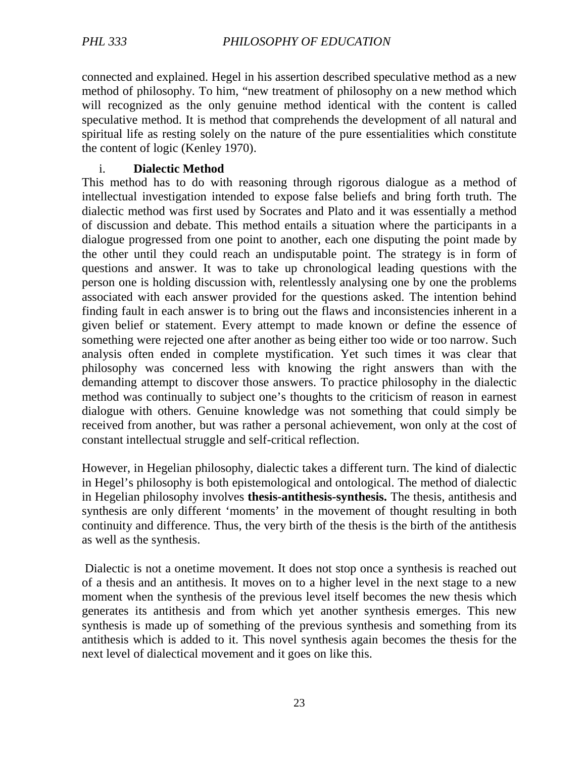connected and explained. Hegel in his assertion described speculative method as a new method of philosophy. To him, "new treatment of philosophy on a new method which will recognized as the only genuine method identical with the content is called speculative method. It is method that comprehends the development of all natural and spiritual life as resting solely on the nature of the pure essentialities which constitute the content of logic (Kenley 1970).

#### i. **Dialectic Method**

This method has to do with reasoning through rigorous dialogue as a method of intellectual investigation intended to expose false beliefs and bring forth truth. The dialectic method was first used by Socrates and Plato and it was essentially a method of discussion and debate. This method entails a situation where the participants in a dialogue progressed from one point to another, each one disputing the point made by the other until they could reach an undisputable point. The strategy is in form of questions and answer. It was to take up chronological leading questions with the person one is holding discussion with, relentlessly analysing one by one the problems associated with each answer provided for the questions asked. The intention behind finding fault in each answer is to bring out the flaws and inconsistencies inherent in a given belief or statement. Every attempt to made known or define the essence of something were rejected one after another as being either too wide or too narrow. Such analysis often ended in complete mystification. Yet such times it was clear that philosophy was concerned less with knowing the right answers than with the demanding attempt to discover those answers. To practice philosophy in the dialectic method was continually to subject one's thoughts to the criticism of reason in earnest dialogue with others. Genuine knowledge was not something that could simply be received from another, but was rather a personal achievement, won only at the cost of constant intellectual struggle and self-critical reflection.

However, in Hegelian philosophy, dialectic takes a different turn. The kind of dialectic in Hegel's philosophy is both epistemological and ontological. The method of dialectic in Hegelian philosophy involves **thesis-antithesis-synthesis.** The thesis, antithesis and synthesis are only different 'moments' in the movement of thought resulting in both continuity and difference. Thus, the very birth of the thesis is the birth of the antithesis as well as the synthesis.

 Dialectic is not a onetime movement. It does not stop once a synthesis is reached out of a thesis and an antithesis. It moves on to a higher level in the next stage to a new moment when the synthesis of the previous level itself becomes the new thesis which generates its antithesis and from which yet another synthesis emerges. This new synthesis is made up of something of the previous synthesis and something from its antithesis which is added to it. This novel synthesis again becomes the thesis for the next level of dialectical movement and it goes on like this.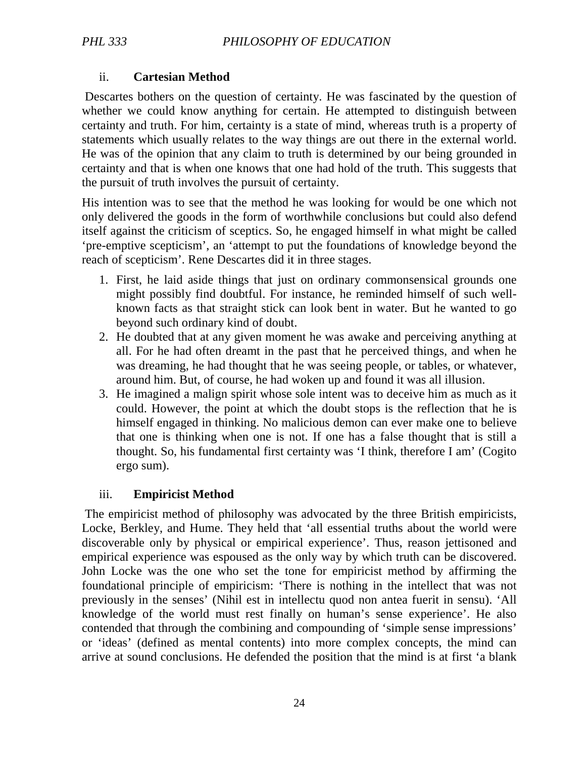#### ii. **Cartesian Method**

 Descartes bothers on the question of certainty. He was fascinated by the question of whether we could know anything for certain. He attempted to distinguish between certainty and truth. For him, certainty is a state of mind, whereas truth is a property of statements which usually relates to the way things are out there in the external world. He was of the opinion that any claim to truth is determined by our being grounded in certainty and that is when one knows that one had hold of the truth. This suggests that the pursuit of truth involves the pursuit of certainty.

His intention was to see that the method he was looking for would be one which not only delivered the goods in the form of worthwhile conclusions but could also defend itself against the criticism of sceptics. So, he engaged himself in what might be called 'pre-emptive scepticism', an 'attempt to put the foundations of knowledge beyond the reach of scepticism'. Rene Descartes did it in three stages.

- 1. First, he laid aside things that just on ordinary commonsensical grounds one might possibly find doubtful. For instance, he reminded himself of such wellknown facts as that straight stick can look bent in water. But he wanted to go beyond such ordinary kind of doubt.
- 2. He doubted that at any given moment he was awake and perceiving anything at all. For he had often dreamt in the past that he perceived things, and when he was dreaming, he had thought that he was seeing people, or tables, or whatever, around him. But, of course, he had woken up and found it was all illusion.
- 3. He imagined a malign spirit whose sole intent was to deceive him as much as it could. However, the point at which the doubt stops is the reflection that he is himself engaged in thinking. No malicious demon can ever make one to believe that one is thinking when one is not. If one has a false thought that is still a thought. So, his fundamental first certainty was 'I think, therefore I am' (Cogito ergo sum).

#### iii. **Empiricist Method**

 The empiricist method of philosophy was advocated by the three British empiricists, Locke, Berkley, and Hume. They held that 'all essential truths about the world were discoverable only by physical or empirical experience'. Thus, reason jettisoned and empirical experience was espoused as the only way by which truth can be discovered. John Locke was the one who set the tone for empiricist method by affirming the foundational principle of empiricism: 'There is nothing in the intellect that was not previously in the senses' (Nihil est in intellectu quod non antea fuerit in sensu). 'All knowledge of the world must rest finally on human's sense experience'. He also contended that through the combining and compounding of 'simple sense impressions' or 'ideas' (defined as mental contents) into more complex concepts, the mind can arrive at sound conclusions. He defended the position that the mind is at first 'a blank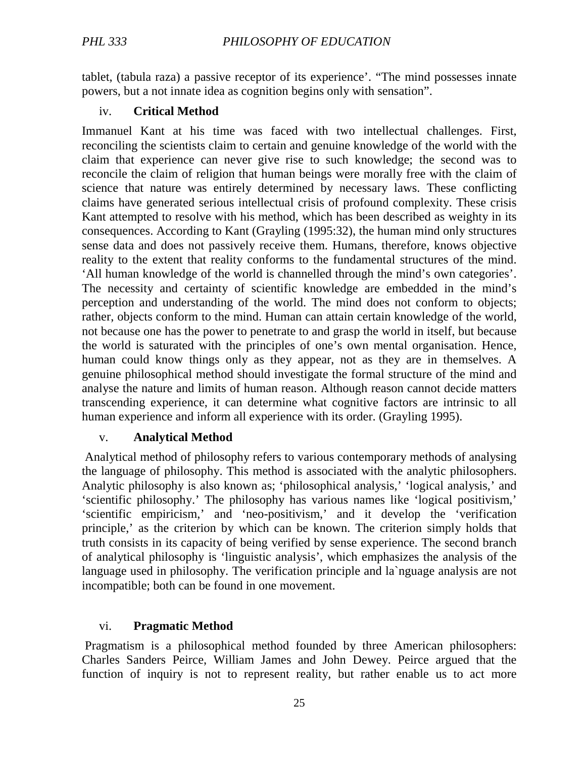tablet, (tabula raza) a passive receptor of its experience'. "The mind possesses innate powers, but a not innate idea as cognition begins only with sensation".

#### iv. **Critical Method**

Immanuel Kant at his time was faced with two intellectual challenges. First, reconciling the scientists claim to certain and genuine knowledge of the world with the claim that experience can never give rise to such knowledge; the second was to reconcile the claim of religion that human beings were morally free with the claim of science that nature was entirely determined by necessary laws. These conflicting claims have generated serious intellectual crisis of profound complexity. These crisis Kant attempted to resolve with his method, which has been described as weighty in its consequences. According to Kant (Grayling (1995:32), the human mind only structures sense data and does not passively receive them. Humans, therefore, knows objective reality to the extent that reality conforms to the fundamental structures of the mind. 'All human knowledge of the world is channelled through the mind's own categories'. The necessity and certainty of scientific knowledge are embedded in the mind's perception and understanding of the world. The mind does not conform to objects; rather, objects conform to the mind. Human can attain certain knowledge of the world, not because one has the power to penetrate to and grasp the world in itself, but because the world is saturated with the principles of one's own mental organisation. Hence, human could know things only as they appear, not as they are in themselves. A genuine philosophical method should investigate the formal structure of the mind and analyse the nature and limits of human reason. Although reason cannot decide matters transcending experience, it can determine what cognitive factors are intrinsic to all human experience and inform all experience with its order. (Grayling 1995).

#### v. **Analytical Method**

 Analytical method of philosophy refers to various contemporary methods of analysing the language of philosophy. This method is associated with the analytic philosophers. Analytic philosophy is also known as; 'philosophical analysis,' 'logical analysis,' and 'scientific philosophy.' The philosophy has various names like 'logical positivism,' 'scientific empiricism,' and 'neo-positivism,' and it develop the 'verification principle,' as the criterion by which can be known. The criterion simply holds that truth consists in its capacity of being verified by sense experience. The second branch of analytical philosophy is 'linguistic analysis', which emphasizes the analysis of the language used in philosophy. The verification principle and la`nguage analysis are not incompatible; both can be found in one movement.

#### vi. **Pragmatic Method**

 Pragmatism is a philosophical method founded by three American philosophers: Charles Sanders Peirce, William James and John Dewey. Peirce argued that the function of inquiry is not to represent reality, but rather enable us to act more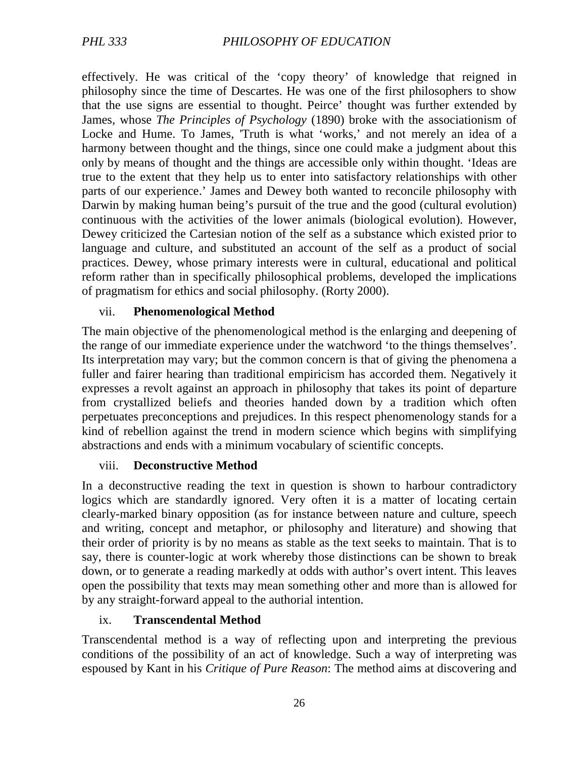effectively. He was critical of the 'copy theory' of knowledge that reigned in philosophy since the time of Descartes. He was one of the first philosophers to show that the use signs are essential to thought. Peirce' thought was further extended by James, whose *The Principles of Psychology* (1890) broke with the associationism of Locke and Hume. To James, 'Truth is what 'works,' and not merely an idea of a harmony between thought and the things, since one could make a judgment about this only by means of thought and the things are accessible only within thought. 'Ideas are true to the extent that they help us to enter into satisfactory relationships with other parts of our experience.' James and Dewey both wanted to reconcile philosophy with Darwin by making human being's pursuit of the true and the good (cultural evolution) continuous with the activities of the lower animals (biological evolution). However, Dewey criticized the Cartesian notion of the self as a substance which existed prior to language and culture, and substituted an account of the self as a product of social practices. Dewey, whose primary interests were in cultural, educational and political reform rather than in specifically philosophical problems, developed the implications of pragmatism for ethics and social philosophy. (Rorty 2000).

#### vii. **Phenomenological Method**

The main objective of the phenomenological method is the enlarging and deepening of the range of our immediate experience under the watchword 'to the things themselves'. Its interpretation may vary; but the common concern is that of giving the phenomena a fuller and fairer hearing than traditional empiricism has accorded them. Negatively it expresses a revolt against an approach in philosophy that takes its point of departure from crystallized beliefs and theories handed down by a tradition which often perpetuates preconceptions and prejudices. In this respect phenomenology stands for a kind of rebellion against the trend in modern science which begins with simplifying abstractions and ends with a minimum vocabulary of scientific concepts.

#### viii. **Deconstructive Method**

In a deconstructive reading the text in question is shown to harbour contradictory logics which are standardly ignored. Very often it is a matter of locating certain clearly-marked binary opposition (as for instance between nature and culture, speech and writing, concept and metaphor, or philosophy and literature) and showing that their order of priority is by no means as stable as the text seeks to maintain. That is to say, there is counter-logic at work whereby those distinctions can be shown to break down, or to generate a reading markedly at odds with author's overt intent. This leaves open the possibility that texts may mean something other and more than is allowed for by any straight-forward appeal to the authorial intention.

#### ix. **Transcendental Method**

Transcendental method is a way of reflecting upon and interpreting the previous conditions of the possibility of an act of knowledge. Such a way of interpreting was espoused by Kant in his *Critique of Pure Reason*: The method aims at discovering and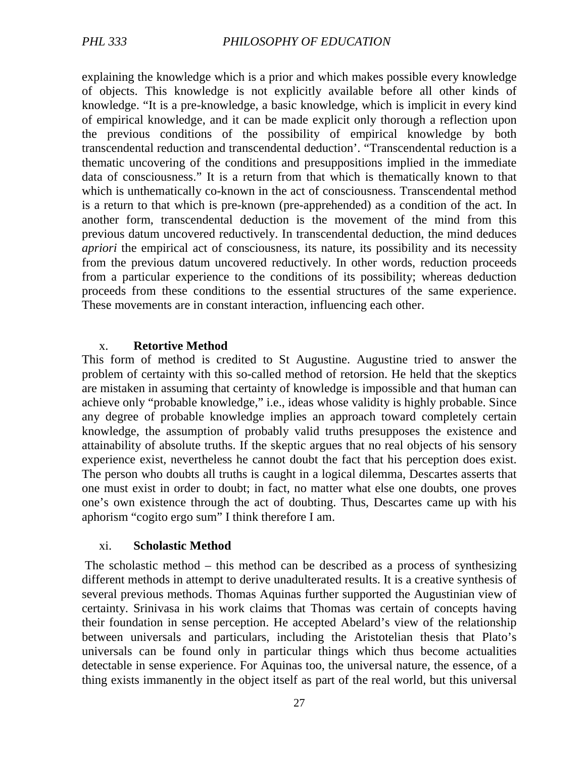explaining the knowledge which is a prior and which makes possible every knowledge of objects. This knowledge is not explicitly available before all other kinds of knowledge. "It is a pre-knowledge, a basic knowledge, which is implicit in every kind of empirical knowledge, and it can be made explicit only thorough a reflection upon the previous conditions of the possibility of empirical knowledge by both transcendental reduction and transcendental deduction'. "Transcendental reduction is a thematic uncovering of the conditions and presuppositions implied in the immediate data of consciousness." It is a return from that which is thematically known to that which is unthematically co-known in the act of consciousness. Transcendental method is a return to that which is pre-known (pre-apprehended) as a condition of the act. In another form, transcendental deduction is the movement of the mind from this previous datum uncovered reductively. In transcendental deduction, the mind deduces *apriori* the empirical act of consciousness, its nature, its possibility and its necessity from the previous datum uncovered reductively. In other words, reduction proceeds from a particular experience to the conditions of its possibility; whereas deduction proceeds from these conditions to the essential structures of the same experience. These movements are in constant interaction, influencing each other.

#### x. **Retortive Method**

This form of method is credited to St Augustine. Augustine tried to answer the problem of certainty with this so-called method of retorsion. He held that the skeptics are mistaken in assuming that certainty of knowledge is impossible and that human can achieve only "probable knowledge," i.e., ideas whose validity is highly probable. Since any degree of probable knowledge implies an approach toward completely certain knowledge, the assumption of probably valid truths presupposes the existence and attainability of absolute truths. If the skeptic argues that no real objects of his sensory experience exist, nevertheless he cannot doubt the fact that his perception does exist. The person who doubts all truths is caught in a logical dilemma, Descartes asserts that one must exist in order to doubt; in fact, no matter what else one doubts, one proves one's own existence through the act of doubting. Thus, Descartes came up with his aphorism "cogito ergo sum" I think therefore I am.

#### xi. **Scholastic Method**

 The scholastic method – this method can be described as a process of synthesizing different methods in attempt to derive unadulterated results. It is a creative synthesis of several previous methods. Thomas Aquinas further supported the Augustinian view of certainty. Srinivasa in his work claims that Thomas was certain of concepts having their foundation in sense perception. He accepted Abelard's view of the relationship between universals and particulars, including the Aristotelian thesis that Plato's universals can be found only in particular things which thus become actualities detectable in sense experience. For Aquinas too, the universal nature, the essence, of a thing exists immanently in the object itself as part of the real world, but this universal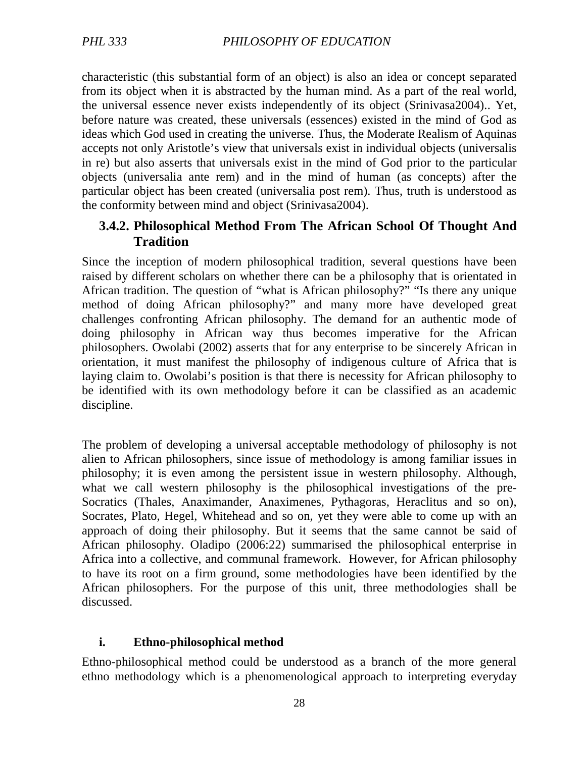characteristic (this substantial form of an object) is also an idea or concept separated from its object when it is abstracted by the human mind. As a part of the real world, the universal essence never exists independently of its object (Srinivasa2004).. Yet, before nature was created, these universals (essences) existed in the mind of God as ideas which God used in creating the universe. Thus, the Moderate Realism of Aquinas accepts not only Aristotle's view that universals exist in individual objects (universalis in re) but also asserts that universals exist in the mind of God prior to the particular objects (universalia ante rem) and in the mind of human (as concepts) after the particular object has been created (universalia post rem). Thus, truth is understood as the conformity between mind and object (Srinivasa2004).

## **3.4.2. Philosophical Method From The African School Of Thought And Tradition**

Since the inception of modern philosophical tradition, several questions have been raised by different scholars on whether there can be a philosophy that is orientated in African tradition. The question of "what is African philosophy?" "Is there any unique method of doing African philosophy?" and many more have developed great challenges confronting African philosophy. The demand for an authentic mode of doing philosophy in African way thus becomes imperative for the African philosophers. Owolabi (2002) asserts that for any enterprise to be sincerely African in orientation, it must manifest the philosophy of indigenous culture of Africa that is laying claim to. Owolabi's position is that there is necessity for African philosophy to be identified with its own methodology before it can be classified as an academic discipline.

The problem of developing a universal acceptable methodology of philosophy is not alien to African philosophers, since issue of methodology is among familiar issues in philosophy; it is even among the persistent issue in western philosophy. Although, what we call western philosophy is the philosophical investigations of the pre-Socratics (Thales, Anaximander, Anaximenes, Pythagoras, Heraclitus and so on), Socrates, Plato, Hegel, Whitehead and so on, yet they were able to come up with an approach of doing their philosophy. But it seems that the same cannot be said of African philosophy. Oladipo (2006:22) summarised the philosophical enterprise in Africa into a collective, and communal framework. However, for African philosophy to have its root on a firm ground, some methodologies have been identified by the African philosophers. For the purpose of this unit, three methodologies shall be discussed.

## **i. Ethno-philosophical method**

Ethno-philosophical method could be understood as a branch of the more general ethno methodology which is a phenomenological approach to interpreting everyday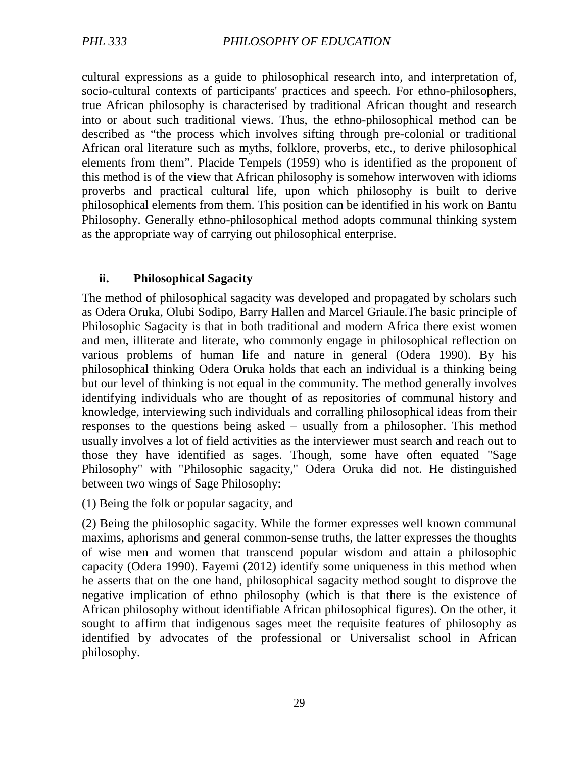cultural expressions as a guide to philosophical research into, and interpretation of, socio‐cultural contexts of participants' practices and speech. For ethno-philosophers, true African philosophy is characterised by traditional African thought and research into or about such traditional views. Thus, the ethno-philosophical method can be described as "the process which involves sifting through pre-colonial or traditional African oral literature such as myths, folklore, proverbs, etc., to derive philosophical elements from them". Placide Tempels (1959) who is identified as the proponent of this method is of the view that African philosophy is somehow interwoven with idioms proverbs and practical cultural life, upon which philosophy is built to derive philosophical elements from them. This position can be identified in his work on Bantu Philosophy. Generally ethno-philosophical method adopts communal thinking system as the appropriate way of carrying out philosophical enterprise.

#### **ii. Philosophical Sagacity**

The method of philosophical sagacity was developed and propagated by scholars such as Odera Oruka, Olubi Sodipo, Barry Hallen and Marcel Griaule.The basic principle of Philosophic Sagacity is that in both traditional and modern Africa there exist women and men, illiterate and literate, who commonly engage in philosophical reflection on various problems of human life and nature in general (Odera 1990). By his philosophical thinking Odera Oruka holds that each an individual is a thinking being but our level of thinking is not equal in the community. The method generally involves identifying individuals who are thought of as repositories of communal history and knowledge, interviewing such individuals and corralling philosophical ideas from their responses to the questions being asked – usually from a philosopher. This method usually involves a lot of field activities as the interviewer must search and reach out to those they have identified as sages. Though, some have often equated "Sage Philosophy" with "Philosophic sagacity," Odera Oruka did not. He distinguished between two wings of Sage Philosophy:

(1) Being the folk or popular sagacity, and

(2) Being the philosophic sagacity. While the former expresses well known communal maxims, aphorisms and general common-sense truths, the latter expresses the thoughts of wise men and women that transcend popular wisdom and attain a philosophic capacity (Odera 1990). Fayemi (2012) identify some uniqueness in this method when he asserts that on the one hand, philosophical sagacity method sought to disprove the negative implication of ethno philosophy (which is that there is the existence of African philosophy without identifiable African philosophical figures). On the other, it sought to affirm that indigenous sages meet the requisite features of philosophy as identified by advocates of the professional or Universalist school in African philosophy.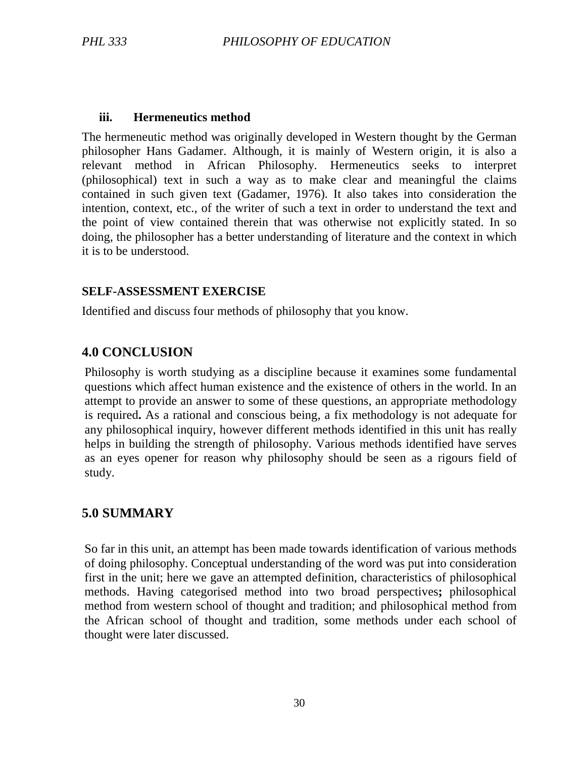#### **iii. Hermeneutics method**

The hermeneutic method was originally developed in Western thought by the German philosopher Hans Gadamer. Although, it is mainly of Western origin, it is also a relevant method in African Philosophy. Hermeneutics seeks to interpret (philosophical) text in such a way as to make clear and meaningful the claims contained in such given text (Gadamer, 1976). It also takes into consideration the intention, context, etc., of the writer of such a text in order to understand the text and the point of view contained therein that was otherwise not explicitly stated. In so doing, the philosopher has a better understanding of literature and the context in which it is to be understood.

#### **SELF-ASSESSMENT EXERCISE**

Identified and discuss four methods of philosophy that you know.

#### **4.0 CONCLUSION**

Philosophy is worth studying as a discipline because it examines some fundamental questions which affect human existence and the existence of others in the world. In an attempt to provide an answer to some of these questions, an appropriate methodology is required**.** As a rational and conscious being, a fix methodology is not adequate for any philosophical inquiry, however different methods identified in this unit has really helps in building the strength of philosophy. Various methods identified have serves as an eyes opener for reason why philosophy should be seen as a rigours field of study.

#### **5.0 SUMMARY**

So far in this unit, an attempt has been made towards identification of various methods of doing philosophy. Conceptual understanding of the word was put into consideration first in the unit; here we gave an attempted definition, characteristics of philosophical methods. Having categorised method into two broad perspectives**;** philosophical method from western school of thought and tradition; and philosophical method from the African school of thought and tradition, some methods under each school of thought were later discussed.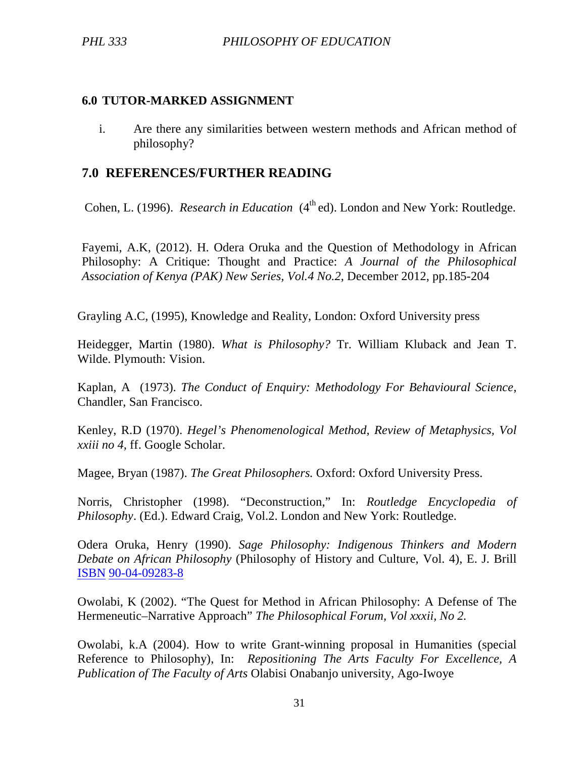#### **6.0 TUTOR-MARKED ASSIGNMENT**

i. Are there any similarities between western methods and African method of philosophy?

## **7.0 REFERENCES/FURTHER READING**

Cohen, L. (1996). *Research in Education* (4<sup>th</sup> ed). London and New York: Routledge.

Fayemi, A.K, (2012). H. Odera Oruka and the Question of Methodology in African Philosophy: A Critique: Thought and Practice: *A Journal of the Philosophical Association of Kenya (PAK) New Series, Vol.4 No.2*, December 2012, pp.185-204

Grayling A.C, (1995), Knowledge and Reality, London: Oxford University press

Heidegger, Martin (1980). *What is Philosophy?* Tr. William Kluback and Jean T. Wilde. Plymouth: Vision.

Kaplan, A (1973). *The Conduct of Enquiry: Methodology For Behavioural Science*, Chandler, San Francisco.

Kenley, R.D (1970). *Hegel's Phenomenological Method, Review of Metaphysics, Vol xxiii no 4,* ff. Google Scholar.

Magee, Bryan (1987). *The Great Philosophers.* Oxford: Oxford University Press.

Norris, Christopher (1998). "Deconstruction," In: *Routledge Encyclopedia of Philosophy*. (Ed.). Edward Craig, Vol.2. London and New York: Routledge.

Odera Oruka, Henry (1990). *Sage Philosophy: Indigenous Thinkers and Modern Debate on African Philosophy* (Philosophy of History and Culture, Vol. 4), E. J. Brill ISBN 90-04-09283-8

Owolabi, K (2002). "The Quest for Method in African Philosophy: A Defense of The Hermeneutic–Narrative Approach" *The Philosophical Forum, Vol xxxii, No 2.*

Owolabi, k.A (2004). How to write Grant-winning proposal in Humanities (special Reference to Philosophy), In: *Repositioning The Arts Faculty For Excellence, A Publication of The Faculty of Arts* Olabisi Onabanjo university, Ago-Iwoye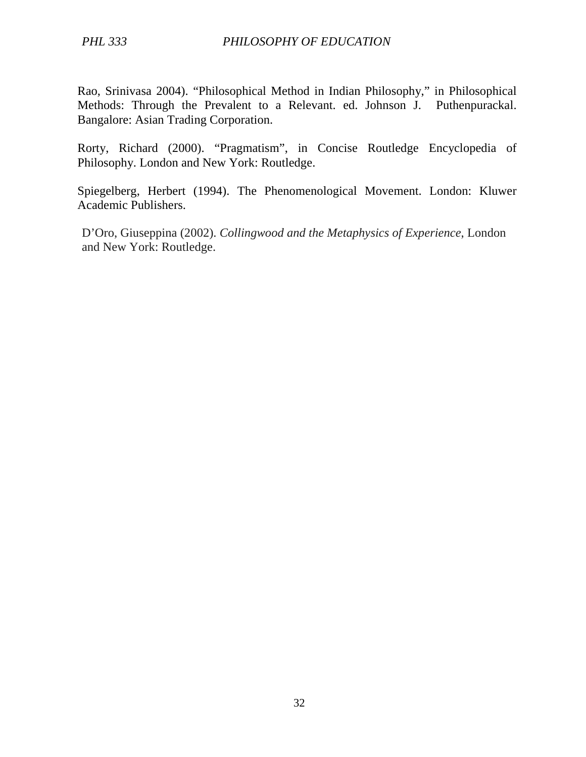Rao, Srinivasa 2004). "Philosophical Method in Indian Philosophy," in Philosophical Methods: Through the Prevalent to a Relevant. ed. Johnson J. Puthenpurackal. Bangalore: Asian Trading Corporation.

Rorty, Richard (2000). "Pragmatism", in Concise Routledge Encyclopedia of Philosophy. London and New York: Routledge.

Spiegelberg, Herbert (1994). The Phenomenological Movement. London: Kluwer Academic Publishers.

D'Oro, Giuseppina (2002). *Collingwood and the Metaphysics of Experience*, London and New York: Routledge.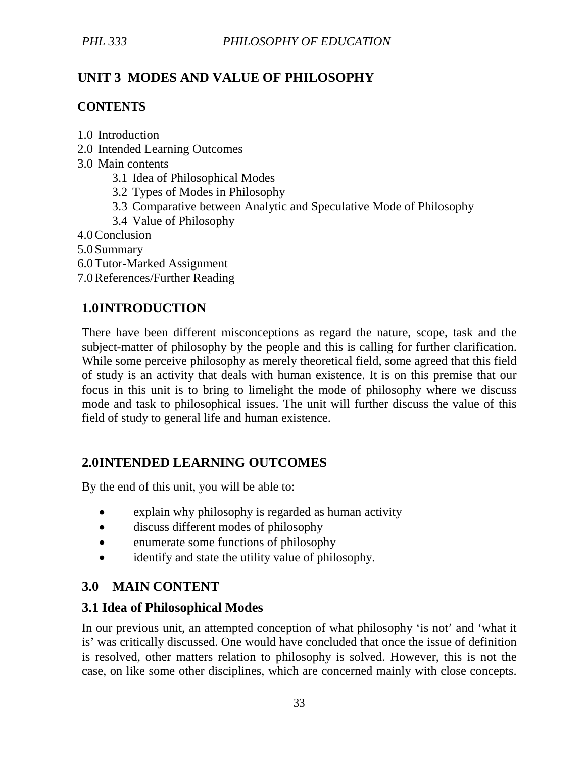# **UNIT 3 MODES AND VALUE OF PHILOSOPHY**

## **CONTENTS**

1.0 Introduction

- 2.0 Intended Learning Outcomes
- 3.0 Main contents
	- 3.1 Idea of Philosophical Modes
	- 3.2 Types of Modes in Philosophy
	- 3.3 Comparative between Analytic and Speculative Mode of Philosophy
	- 3.4 Value of Philosophy

4.0Conclusion

5.0 Summary

- 6.0Tutor-Marked Assignment
- 7.0References/Further Reading

# **1.0INTRODUCTION**

There have been different misconceptions as regard the nature, scope, task and the subject-matter of philosophy by the people and this is calling for further clarification. While some perceive philosophy as merely theoretical field, some agreed that this field of study is an activity that deals with human existence. It is on this premise that our focus in this unit is to bring to limelight the mode of philosophy where we discuss mode and task to philosophical issues. The unit will further discuss the value of this field of study to general life and human existence.

## **2.0INTENDED LEARNING OUTCOMES**

By the end of this unit, you will be able to:

- explain why philosophy is regarded as human activity
- discuss different modes of philosophy
- enumerate some functions of philosophy
- identify and state the utility value of philosophy.

## **3.0 MAIN CONTENT**

## **3.1 Idea of Philosophical Modes**

In our previous unit, an attempted conception of what philosophy 'is not' and 'what it is' was critically discussed. One would have concluded that once the issue of definition is resolved, other matters relation to philosophy is solved. However, this is not the case, on like some other disciplines, which are concerned mainly with close concepts.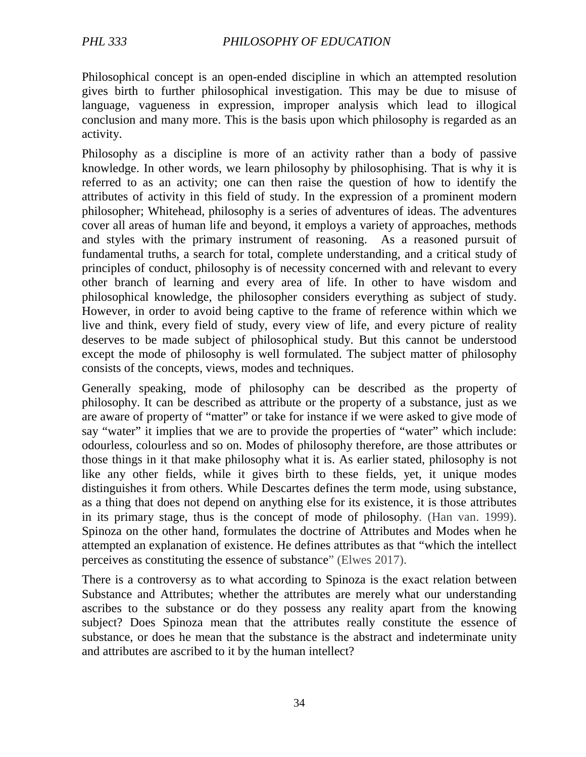Philosophical concept is an open-ended discipline in which an attempted resolution gives birth to further philosophical investigation. This may be due to misuse of language, vagueness in expression, improper analysis which lead to illogical conclusion and many more. This is the basis upon which philosophy is regarded as an activity.

Philosophy as a discipline is more of an activity rather than a body of passive knowledge. In other words, we learn philosophy by philosophising. That is why it is referred to as an activity; one can then raise the question of how to identify the attributes of activity in this field of study. In the expression of a prominent modern philosopher; Whitehead, philosophy is a series of adventures of ideas. The adventures cover all areas of human life and beyond, it employs a variety of approaches, methods and styles with the primary instrument of reasoning. As a reasoned pursuit of fundamental truths, a search for total, complete understanding, and a critical study of principles of conduct, philosophy is of necessity concerned with and relevant to every other branch of learning and every area of life. In other to have wisdom and philosophical knowledge, the philosopher considers everything as subject of study. However, in order to avoid being captive to the frame of reference within which we live and think, every field of study, every view of life, and every picture of reality deserves to be made subject of philosophical study. But this cannot be understood except the mode of philosophy is well formulated. The subject matter of philosophy consists of the concepts, views, modes and techniques.

Generally speaking, mode of philosophy can be described as the property of philosophy. It can be described as attribute or the property of a substance, just as we are aware of property of "matter" or take for instance if we were asked to give mode of say "water" it implies that we are to provide the properties of "water" which include: odourless, colourless and so on. Modes of philosophy therefore, are those attributes or those things in it that make philosophy what it is. As earlier stated, philosophy is not like any other fields, while it gives birth to these fields, yet, it unique modes distinguishes it from others. While Descartes defines the term mode, using substance, as a thing that does not depend on anything else for its existence, it is those attributes in its primary stage, thus is the concept of mode of philosophy. (Han van. 1999). Spinoza on the other hand, formulates the doctrine of Attributes and Modes when he attempted an explanation of existence. He defines attributes as that "which the intellect perceives as constituting the essence of substance" (Elwes 2017).

There is a controversy as to what according to Spinoza is the exact relation between Substance and Attributes; whether the attributes are merely what our understanding ascribes to the substance or do they possess any reality apart from the knowing subject? Does Spinoza mean that the attributes really constitute the essence of substance, or does he mean that the substance is the abstract and indeterminate unity and attributes are ascribed to it by the human intellect?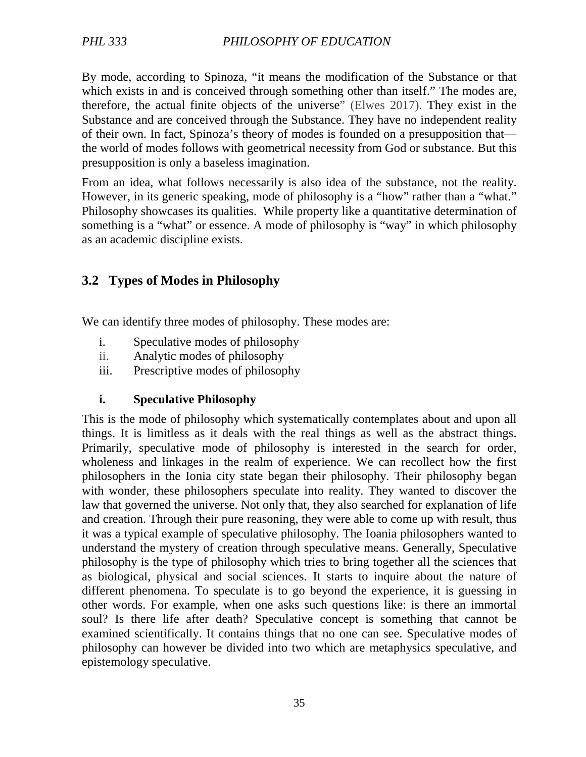By mode, according to Spinoza, "it means the modification of the Substance or that which exists in and is conceived through something other than itself." The modes are, therefore, the actual finite objects of the universe" (Elwes 2017). They exist in the Substance and are conceived through the Substance. They have no independent reality of their own. In fact, Spinoza's theory of modes is founded on a presupposition that the world of modes follows with geometrical necessity from God or substance. But this presupposition is only a baseless imagination.

From an idea, what follows necessarily is also idea of the substance, not the reality. However, in its generic speaking, mode of philosophy is a "how" rather than a "what." Philosophy showcases its qualities. While property like a quantitative determination of something is a "what" or essence. A mode of philosophy is "way" in which philosophy as an academic discipline exists.

## **3.2 Types of Modes in Philosophy**

We can identify three modes of philosophy. These modes are:

- i. Speculative modes of philosophy
- ii. Analytic modes of philosophy
- iii. Prescriptive modes of philosophy

#### **i. Speculative Philosophy**

This is the mode of philosophy which systematically contemplates about and upon all things. It is limitless as it deals with the real things as well as the abstract things. Primarily, speculative mode of philosophy is interested in the search for order, wholeness and linkages in the realm of experience. We can recollect how the first philosophers in the Ionia city state began their philosophy. Their philosophy began with wonder, these philosophers speculate into reality. They wanted to discover the law that governed the universe. Not only that, they also searched for explanation of life and creation. Through their pure reasoning, they were able to come up with result, thus it was a typical example of speculative philosophy. The Ioania philosophers wanted to understand the mystery of creation through speculative means. Generally, Speculative philosophy is the type of philosophy which tries to bring together all the sciences that as biological, physical and social sciences. It starts to inquire about the nature of different phenomena. To speculate is to go beyond the experience, it is guessing in other words. For example, when one asks such questions like: is there an immortal soul? Is there life after death? Speculative concept is something that cannot be examined scientifically. It contains things that no one can see. Speculative modes of philosophy can however be divided into two which are metaphysics speculative, and epistemology speculative.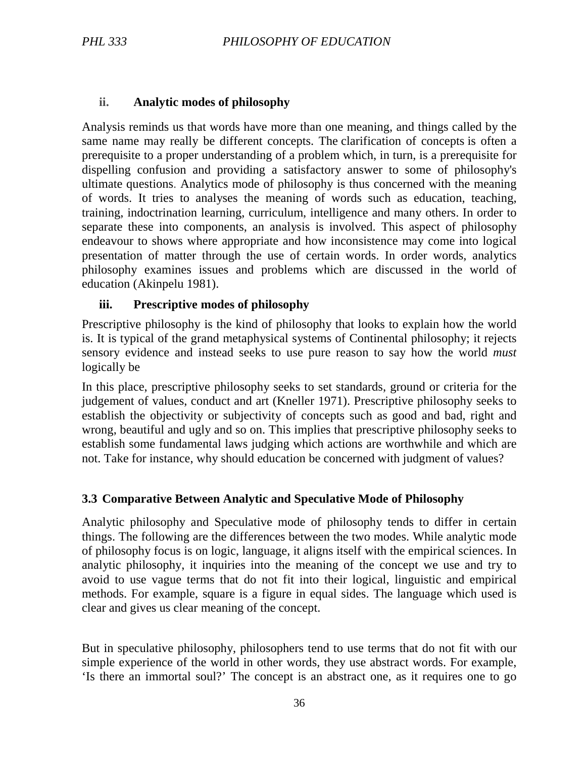#### **ii. Analytic modes of philosophy**

Analysis reminds us that words have more than one meaning, and things called by the same name may really be different concepts. The clarification of concepts is often a prerequisite to a proper understanding of a problem which, in turn, is a prerequisite for dispelling confusion and providing a satisfactory answer to some of philosophy's ultimate questions. Analytics mode of philosophy is thus concerned with the meaning of words. It tries to analyses the meaning of words such as education, teaching, training, indoctrination learning, curriculum, intelligence and many others. In order to separate these into components, an analysis is involved. This aspect of philosophy endeavour to shows where appropriate and how inconsistence may come into logical presentation of matter through the use of certain words. In order words, analytics philosophy examines issues and problems which are discussed in the world of education (Akinpelu 1981).

#### **iii. Prescriptive modes of philosophy**

Prescriptive philosophy is the kind of philosophy that looks to explain how the world is. It is typical of the grand metaphysical systems of Continental philosophy; it rejects sensory evidence and instead seeks to use pure reason to say how the world *must*  logically be

In this place, prescriptive philosophy seeks to set standards, ground or criteria for the judgement of values, conduct and art (Kneller 1971). Prescriptive philosophy seeks to establish the objectivity or subjectivity of concepts such as good and bad, right and wrong, beautiful and ugly and so on. This implies that prescriptive philosophy seeks to establish some fundamental laws judging which actions are worthwhile and which are not. Take for instance, why should education be concerned with judgment of values?

## **3.3 Comparative Between Analytic and Speculative Mode of Philosophy**

Analytic philosophy and Speculative mode of philosophy tends to differ in certain things. The following are the differences between the two modes. While analytic mode of philosophy focus is on logic, language, it aligns itself with the empirical sciences. In analytic philosophy, it inquiries into the meaning of the concept we use and try to avoid to use vague terms that do not fit into their logical, linguistic and empirical methods. For example, square is a figure in equal sides. The language which used is clear and gives us clear meaning of the concept.

But in speculative philosophy, philosophers tend to use terms that do not fit with our simple experience of the world in other words, they use abstract words. For example, 'Is there an immortal soul?' The concept is an abstract one, as it requires one to go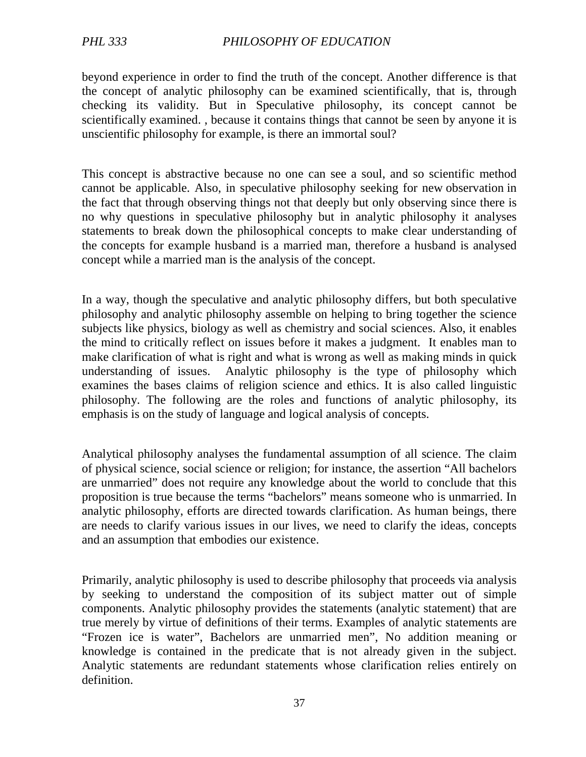beyond experience in order to find the truth of the concept. Another difference is that the concept of analytic philosophy can be examined scientifically, that is, through checking its validity. But in Speculative philosophy, its concept cannot be scientifically examined. , because it contains things that cannot be seen by anyone it is unscientific philosophy for example, is there an immortal soul?

This concept is abstractive because no one can see a soul, and so scientific method cannot be applicable. Also, in speculative philosophy seeking for new observation in the fact that through observing things not that deeply but only observing since there is no why questions in speculative philosophy but in analytic philosophy it analyses statements to break down the philosophical concepts to make clear understanding of the concepts for example husband is a married man, therefore a husband is analysed concept while a married man is the analysis of the concept.

In a way, though the speculative and analytic philosophy differs, but both speculative philosophy and analytic philosophy assemble on helping to bring together the science subjects like physics, biology as well as chemistry and social sciences. Also, it enables the mind to critically reflect on issues before it makes a judgment. It enables man to make clarification of what is right and what is wrong as well as making minds in quick understanding of issues. Analytic philosophy is the type of philosophy which examines the bases claims of religion science and ethics. It is also called linguistic philosophy. The following are the roles and functions of analytic philosophy, its emphasis is on the study of language and logical analysis of concepts.

Analytical philosophy analyses the fundamental assumption of all science. The claim of physical science, social science or religion; for instance, the assertion "All bachelors are unmarried" does not require any knowledge about the world to conclude that this proposition is true because the terms "bachelors" means someone who is unmarried. In analytic philosophy, efforts are directed towards clarification. As human beings, there are needs to clarify various issues in our lives, we need to clarify the ideas, concepts and an assumption that embodies our existence.

Primarily, analytic philosophy is used to describe philosophy that proceeds via analysis by seeking to understand the composition of its subject matter out of simple components. Analytic philosophy provides the statements (analytic statement) that are true merely by virtue of definitions of their terms. Examples of analytic statements are "Frozen ice is water", Bachelors are unmarried men", No addition meaning or knowledge is contained in the predicate that is not already given in the subject. Analytic statements are redundant statements whose clarification relies entirely on definition.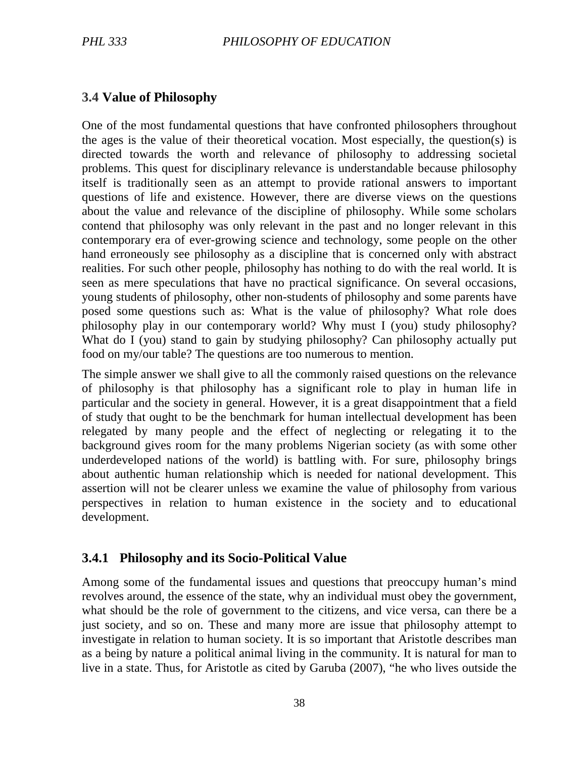### **3.4 Value of Philosophy**

One of the most fundamental questions that have confronted philosophers throughout the ages is the value of their theoretical vocation. Most especially, the question(s) is directed towards the worth and relevance of philosophy to addressing societal problems. This quest for disciplinary relevance is understandable because philosophy itself is traditionally seen as an attempt to provide rational answers to important questions of life and existence. However, there are diverse views on the questions about the value and relevance of the discipline of philosophy. While some scholars contend that philosophy was only relevant in the past and no longer relevant in this contemporary era of ever-growing science and technology, some people on the other hand erroneously see philosophy as a discipline that is concerned only with abstract realities. For such other people, philosophy has nothing to do with the real world. It is seen as mere speculations that have no practical significance. On several occasions, young students of philosophy, other non-students of philosophy and some parents have posed some questions such as: What is the value of philosophy? What role does philosophy play in our contemporary world? Why must I (you) study philosophy? What do I (you) stand to gain by studying philosophy? Can philosophy actually put food on my/our table? The questions are too numerous to mention.

The simple answer we shall give to all the commonly raised questions on the relevance of philosophy is that philosophy has a significant role to play in human life in particular and the society in general. However, it is a great disappointment that a field of study that ought to be the benchmark for human intellectual development has been relegated by many people and the effect of neglecting or relegating it to the background gives room for the many problems Nigerian society (as with some other underdeveloped nations of the world) is battling with. For sure, philosophy brings about authentic human relationship which is needed for national development. This assertion will not be clearer unless we examine the value of philosophy from various perspectives in relation to human existence in the society and to educational development.

## **3.4.1 Philosophy and its Socio-Political Value**

Among some of the fundamental issues and questions that preoccupy human's mind revolves around, the essence of the state, why an individual must obey the government, what should be the role of government to the citizens, and vice versa, can there be a just society, and so on. These and many more are issue that philosophy attempt to investigate in relation to human society. It is so important that Aristotle describes man as a being by nature a political animal living in the community. It is natural for man to live in a state. Thus, for Aristotle as cited by Garuba (2007), "he who lives outside the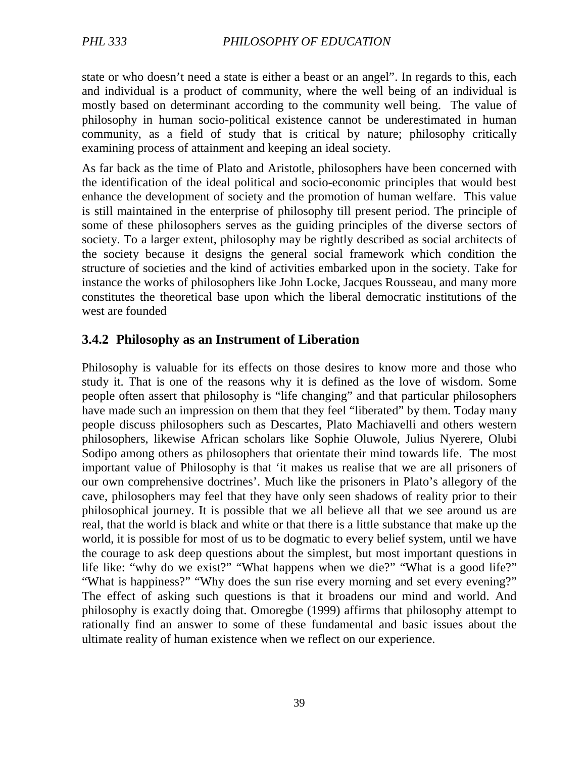state or who doesn't need a state is either a beast or an angel". In regards to this, each and individual is a product of community, where the well being of an individual is mostly based on determinant according to the community well being. The value of philosophy in human socio-political existence cannot be underestimated in human community, as a field of study that is critical by nature; philosophy critically examining process of attainment and keeping an ideal society.

As far back as the time of Plato and Aristotle, philosophers have been concerned with the identification of the ideal political and socio-economic principles that would best enhance the development of society and the promotion of human welfare. This value is still maintained in the enterprise of philosophy till present period. The principle of some of these philosophers serves as the guiding principles of the diverse sectors of society. To a larger extent, philosophy may be rightly described as social architects of the society because it designs the general social framework which condition the structure of societies and the kind of activities embarked upon in the society. Take for instance the works of philosophers like John Locke, Jacques Rousseau, and many more constitutes the theoretical base upon which the liberal democratic institutions of the west are founded

### **3.4.2 Philosophy as an Instrument of Liberation**

Philosophy is valuable for its effects on those desires to know more and those who study it. That is one of the reasons why it is defined as the love of wisdom. Some people often assert that philosophy is "life changing" and that particular philosophers have made such an impression on them that they feel "liberated" by them. Today many people discuss philosophers such as Descartes, Plato Machiavelli and others western philosophers, likewise African scholars like Sophie Oluwole, Julius Nyerere, Olubi Sodipo among others as philosophers that orientate their mind towards life. The most important value of Philosophy is that 'it makes us realise that we are all prisoners of our own comprehensive doctrines'. Much like the prisoners in Plato's allegory of the cave, philosophers may feel that they have only seen shadows of reality prior to their philosophical journey. It is possible that we all believe all that we see around us are real, that the world is black and white or that there is a little substance that make up the world, it is possible for most of us to be dogmatic to every belief system, until we have the courage to ask deep questions about the simplest, but most important questions in life like: "why do we exist?" "What happens when we die?" "What is a good life?" "What is happiness?" "Why does the sun rise every morning and set every evening?" The effect of asking such questions is that it broadens our mind and world. And philosophy is exactly doing that. Omoregbe (1999) affirms that philosophy attempt to rationally find an answer to some of these fundamental and basic issues about the ultimate reality of human existence when we reflect on our experience.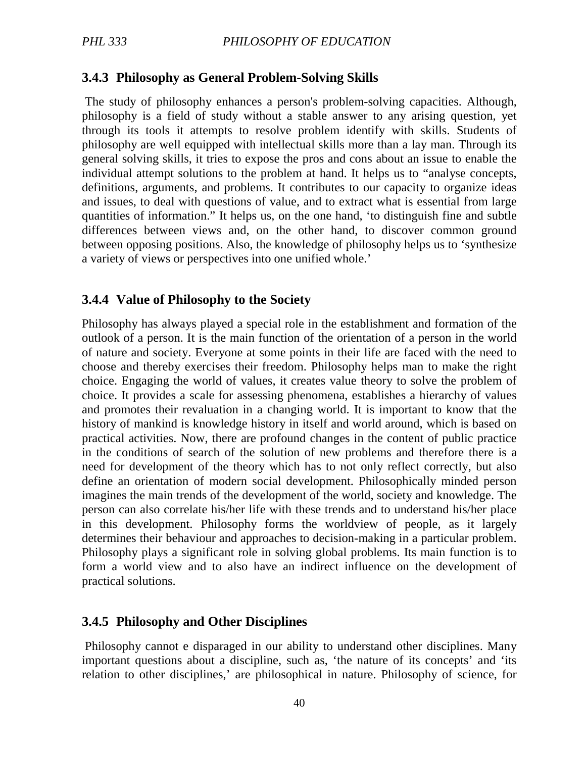### **3.4.3 Philosophy as General Problem-Solving Skills**

 The study of philosophy enhances a person's problem-solving capacities. Although, philosophy is a field of study without a stable answer to any arising question, yet through its tools it attempts to resolve problem identify with skills. Students of philosophy are well equipped with intellectual skills more than a lay man. Through its general solving skills, it tries to expose the pros and cons about an issue to enable the individual attempt solutions to the problem at hand. It helps us to "analyse concepts, definitions, arguments, and problems. It contributes to our capacity to organize ideas and issues, to deal with questions of value, and to extract what is essential from large quantities of information." It helps us, on the one hand, 'to distinguish fine and subtle differences between views and, on the other hand, to discover common ground between opposing positions. Also, the knowledge of philosophy helps us to 'synthesize a variety of views or perspectives into one unified whole.'

#### **3.4.4 Value of Philosophy to the Society**

Philosophy has always played a special role in the establishment and formation of the outlook of a person. It is the main function of the orientation of a person in the world of nature and society. Everyone at some points in their life are faced with the need to choose and thereby exercises their freedom. Philosophy helps man to make the right choice. Engaging the world of values, it creates value theory to solve the problem of choice. It provides a scale for assessing phenomena, establishes a hierarchy of values and promotes their revaluation in a changing world. It is important to know that the history of mankind is knowledge history in itself and world around, which is based on practical activities. Now, there are profound changes in the content of public practice in the conditions of search of the solution of new problems and therefore there is a need for development of the theory which has to not only reflect correctly, but also define an orientation of modern social development. Philosophically minded person imagines the main trends of the development of the world, society and knowledge. The person can also correlate his/her life with these trends and to understand his/her place in this development. Philosophy forms the worldview of people, as it largely determines their behaviour and approaches to decision-making in a particular problem. Philosophy plays a significant role in solving global problems. Its main function is to form a world view and to also have an indirect influence on the development of practical solutions.

#### **3.4.5 Philosophy and Other Disciplines**

 Philosophy cannot e disparaged in our ability to understand other disciplines. Many important questions about a discipline, such as, 'the nature of its concepts' and 'its relation to other disciplines,' are philosophical in nature. Philosophy of science, for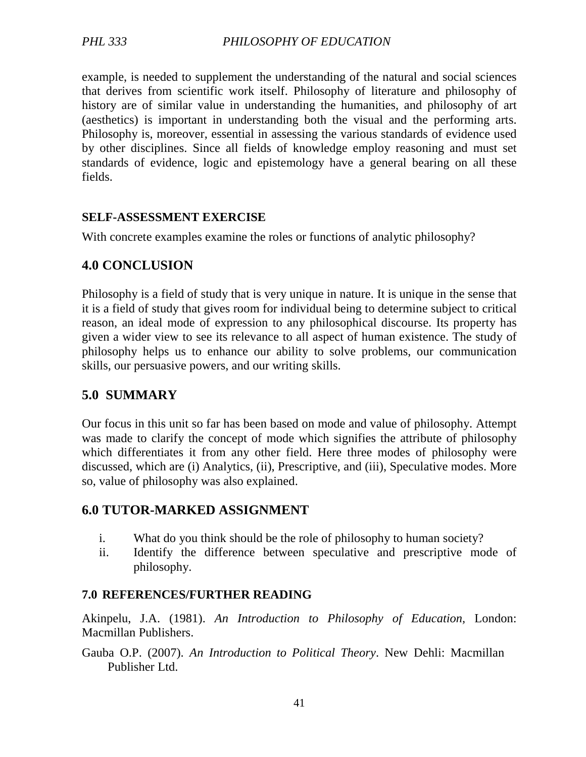example, is needed to supplement the understanding of the natural and social sciences that derives from scientific work itself. Philosophy of literature and philosophy of history are of similar value in understanding the humanities, and philosophy of art (aesthetics) is important in understanding both the visual and the performing arts. Philosophy is, moreover, essential in assessing the various standards of evidence used by other disciplines. Since all fields of knowledge employ reasoning and must set standards of evidence, logic and epistemology have a general bearing on all these fields.

### **SELF-ASSESSMENT EXERCISE**

With concrete examples examine the roles or functions of analytic philosophy?

## **4.0 CONCLUSION**

Philosophy is a field of study that is very unique in nature. It is unique in the sense that it is a field of study that gives room for individual being to determine subject to critical reason, an ideal mode of expression to any philosophical discourse. Its property has given a wider view to see its relevance to all aspect of human existence. The study of philosophy helps us to enhance our ability to solve problems, our communication skills, our persuasive powers, and our writing skills.

## **5.0 SUMMARY**

Our focus in this unit so far has been based on mode and value of philosophy. Attempt was made to clarify the concept of mode which signifies the attribute of philosophy which differentiates it from any other field. Here three modes of philosophy were discussed, which are (i) Analytics, (ii), Prescriptive, and (iii), Speculative modes. More so, value of philosophy was also explained.

## **6.0 TUTOR-MARKED ASSIGNMENT**

- i. What do you think should be the role of philosophy to human society?
- ii. Identify the difference between speculative and prescriptive mode of philosophy.

## **7.0 REFERENCES/FURTHER READING**

Akinpelu, J.A. (1981). *An Introduction to Philosophy of Education,* London: Macmillan Publishers.

Gauba O.P. (2007). *An Introduction to Political Theory*. New Dehli: Macmillan Publisher Ltd.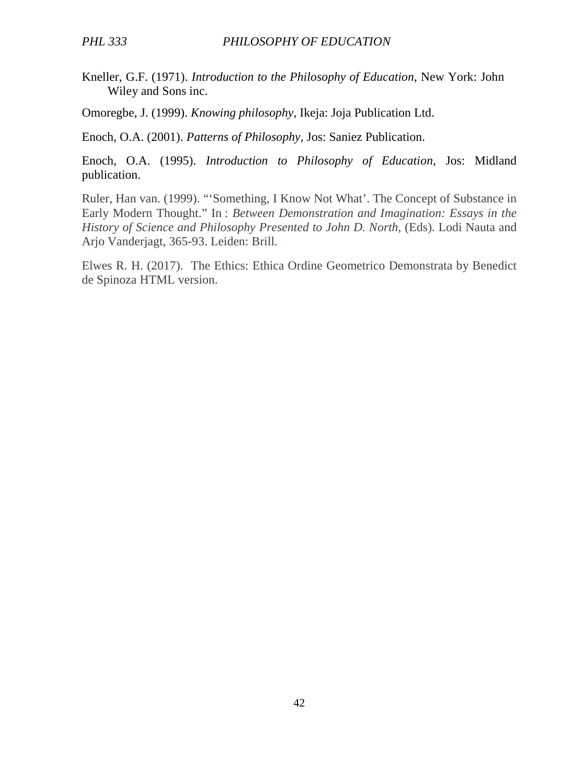Kneller, G.F. (1971). *Introduction to the Philosophy of Education*, New York: John Wiley and Sons inc.

Omoregbe, J. (1999). *Knowing philosophy*, Ikeja: Joja Publication Ltd.

Enoch, O.A. (2001). *Patterns of Philosophy*, Jos: Saniez Publication.

Enoch, O.A. (1995). *Introduction to Philosophy of Education*, Jos: Midland publication.

Ruler, Han van. (1999). "'Something, I Know Not What'. The Concept of Substance in Early Modern Thought." In : *Between Demonstration and Imagination: Essays in the History of Science and Philosophy Presented to John D. North*, (Eds). Lodi Nauta and Arjo Vanderjagt, 365-93. Leiden: Brill.

Elwes R. H. (2017). The Ethics: Ethica Ordine Geometrico Demonstrata by Benedict de Spinoza HTML version.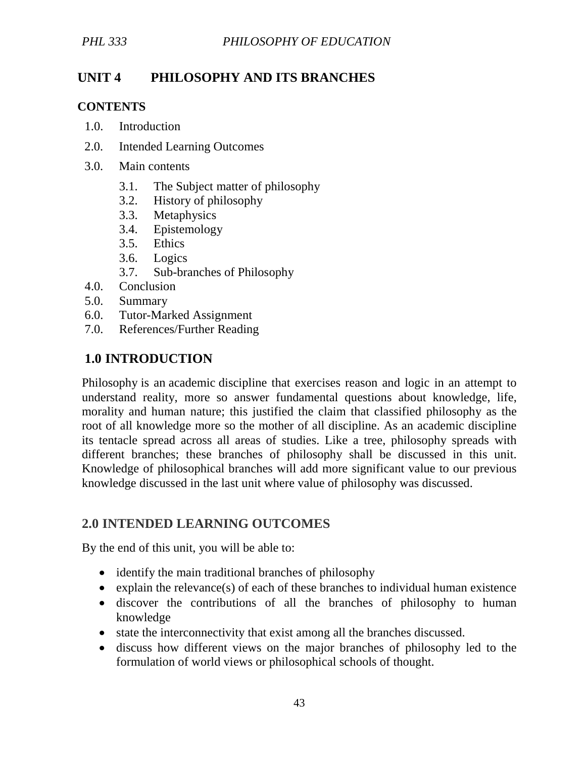# **UNIT 4 PHILOSOPHY AND ITS BRANCHES**

### **CONTENTS**

- 1.0. Introduction
- 2.0. Intended Learning Outcomes
- 3.0. Main contents
	- 3.1. The Subject matter of philosophy
	- 3.2. History of philosophy
	- 3.3. Metaphysics
	- 3.4. Epistemology
	- 3.5. Ethics
	- 3.6. Logics
	- 3.7. Sub-branches of Philosophy
- 4.0. Conclusion
- 5.0. Summary
- 6.0. Tutor-Marked Assignment
- 7.0. References/Further Reading

## **1.0 INTRODUCTION**

Philosophy is an academic discipline that exercises reason and logic in an attempt to understand reality, more so answer fundamental questions about knowledge, life, morality and human nature; this justified the claim that classified philosophy as the root of all knowledge more so the mother of all discipline. As an academic discipline its tentacle spread across all areas of studies. Like a tree, philosophy spreads with different branches; these branches of philosophy shall be discussed in this unit. Knowledge of philosophical branches will add more significant value to our previous knowledge discussed in the last unit where value of philosophy was discussed.

## **2.0 INTENDED LEARNING OUTCOMES**

By the end of this unit, you will be able to:

- identify the main traditional branches of philosophy
- explain the relevance(s) of each of these branches to individual human existence
- discover the contributions of all the branches of philosophy to human knowledge
- state the interconnectivity that exist among all the branches discussed.
- discuss how different views on the major branches of philosophy led to the formulation of world views or philosophical schools of thought.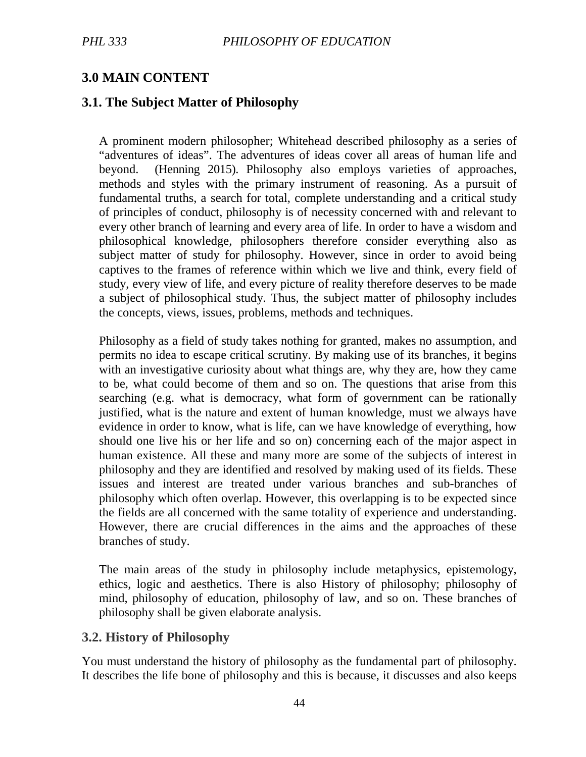## **3.0 MAIN CONTENT**

### **3.1. The Subject Matter of Philosophy**

A prominent modern philosopher; Whitehead described philosophy as a series of "adventures of ideas". The adventures of ideas cover all areas of human life and beyond. (Henning 2015). Philosophy also employs varieties of approaches, methods and styles with the primary instrument of reasoning. As a pursuit of fundamental truths, a search for total, complete understanding and a critical study of principles of conduct, philosophy is of necessity concerned with and relevant to every other branch of learning and every area of life. In order to have a wisdom and philosophical knowledge, philosophers therefore consider everything also as subject matter of study for philosophy. However, since in order to avoid being captives to the frames of reference within which we live and think, every field of study, every view of life, and every picture of reality therefore deserves to be made a subject of philosophical study. Thus, the subject matter of philosophy includes the concepts, views, issues, problems, methods and techniques.

Philosophy as a field of study takes nothing for granted, makes no assumption, and permits no idea to escape critical scrutiny. By making use of its branches, it begins with an investigative curiosity about what things are, why they are, how they came to be, what could become of them and so on. The questions that arise from this searching (e.g. what is democracy, what form of government can be rationally justified, what is the nature and extent of human knowledge, must we always have evidence in order to know, what is life, can we have knowledge of everything, how should one live his or her life and so on) concerning each of the major aspect in human existence. All these and many more are some of the subjects of interest in philosophy and they are identified and resolved by making used of its fields. These issues and interest are treated under various branches and sub-branches of philosophy which often overlap. However, this overlapping is to be expected since the fields are all concerned with the same totality of experience and understanding. However, there are crucial differences in the aims and the approaches of these branches of study.

The main areas of the study in philosophy include metaphysics, epistemology, ethics, logic and aesthetics. There is also History of philosophy; philosophy of mind, philosophy of education, philosophy of law, and so on. These branches of philosophy shall be given elaborate analysis.

#### **3.2. History of Philosophy**

You must understand the history of philosophy as the fundamental part of philosophy. It describes the life bone of philosophy and this is because, it discusses and also keeps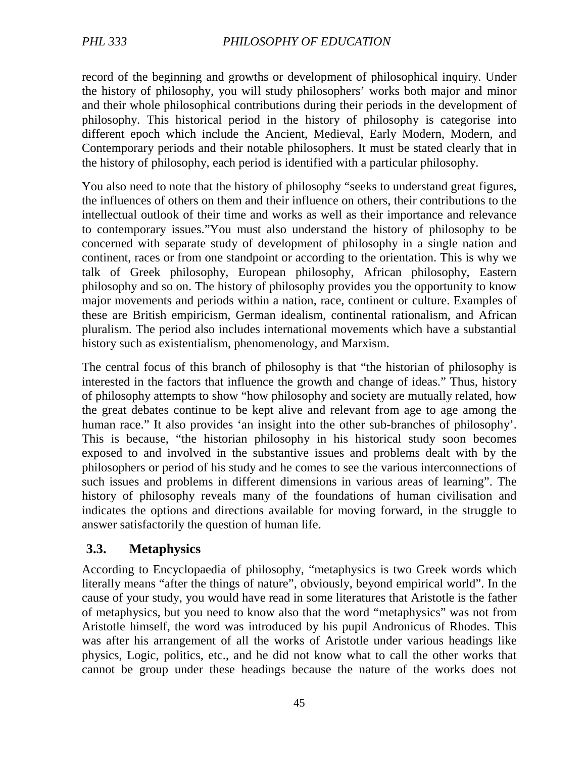record of the beginning and growths or development of philosophical inquiry. Under the history of philosophy, you will study philosophers' works both major and minor and their whole philosophical contributions during their periods in the development of philosophy. This historical period in the history of philosophy is categorise into different epoch which include the Ancient, Medieval, Early Modern, Modern, and Contemporary periods and their notable philosophers. It must be stated clearly that in the history of philosophy, each period is identified with a particular philosophy.

You also need to note that the history of philosophy "seeks to understand great figures, the influences of others on them and their influence on others, their contributions to the intellectual outlook of their time and works as well as their importance and relevance to contemporary issues."You must also understand the history of philosophy to be concerned with separate study of development of philosophy in a single nation and continent, races or from one standpoint or according to the orientation. This is why we talk of Greek philosophy, European philosophy, African philosophy, Eastern philosophy and so on. The history of philosophy provides you the opportunity to know major movements and periods within a nation, race, continent or culture. Examples of these are British empiricism, German idealism, continental rationalism, and African pluralism. The period also includes international movements which have a substantial history such as existentialism, phenomenology, and Marxism.

The central focus of this branch of philosophy is that "the historian of philosophy is interested in the factors that influence the growth and change of ideas." Thus, history of philosophy attempts to show "how philosophy and society are mutually related, how the great debates continue to be kept alive and relevant from age to age among the human race." It also provides 'an insight into the other sub-branches of philosophy'. This is because, "the historian philosophy in his historical study soon becomes exposed to and involved in the substantive issues and problems dealt with by the philosophers or period of his study and he comes to see the various interconnections of such issues and problems in different dimensions in various areas of learning". The history of philosophy reveals many of the foundations of human civilisation and indicates the options and directions available for moving forward, in the struggle to answer satisfactorily the question of human life.

## **3.3. Metaphysics**

According to Encyclopaedia of philosophy, "metaphysics is two Greek words which literally means "after the things of nature", obviously, beyond empirical world". In the cause of your study, you would have read in some literatures that Aristotle is the father of metaphysics, but you need to know also that the word "metaphysics" was not from Aristotle himself, the word was introduced by his pupil Andronicus of Rhodes. This was after his arrangement of all the works of Aristotle under various headings like physics, Logic, politics, etc., and he did not know what to call the other works that cannot be group under these headings because the nature of the works does not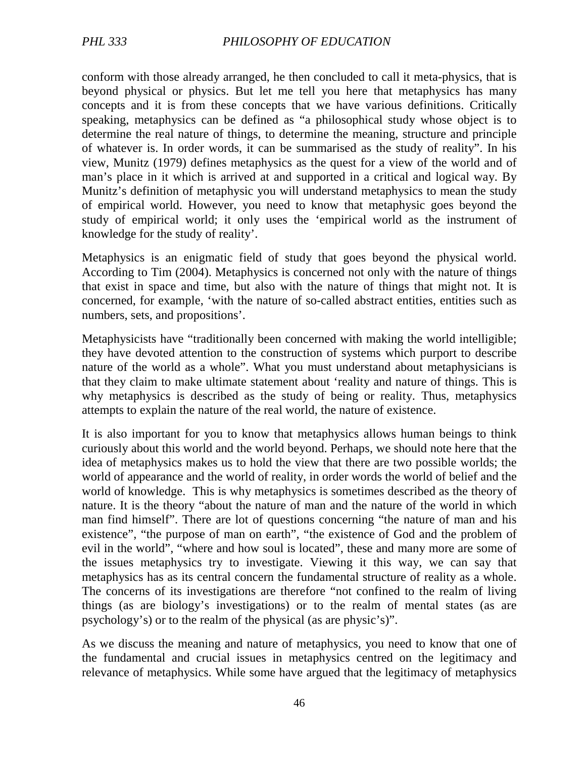conform with those already arranged, he then concluded to call it meta-physics, that is beyond physical or physics. But let me tell you here that metaphysics has many concepts and it is from these concepts that we have various definitions. Critically speaking, metaphysics can be defined as "a philosophical study whose object is to determine the real nature of things, to determine the meaning, structure and principle of whatever is. In order words, it can be summarised as the study of reality". In his view, Munitz (1979) defines metaphysics as the quest for a view of the world and of man's place in it which is arrived at and supported in a critical and logical way. By Munitz's definition of metaphysic you will understand metaphysics to mean the study of empirical world. However, you need to know that metaphysic goes beyond the study of empirical world; it only uses the 'empirical world as the instrument of knowledge for the study of reality'.

Metaphysics is an enigmatic field of study that goes beyond the physical world. According to Tim (2004). Metaphysics is concerned not only with the nature of things that exist in space and time, but also with the nature of things that might not. It is concerned, for example, 'with the nature of so-called abstract entities, entities such as numbers, sets, and propositions'.

Metaphysicists have "traditionally been concerned with making the world intelligible; they have devoted attention to the construction of systems which purport to describe nature of the world as a whole". What you must understand about metaphysicians is that they claim to make ultimate statement about 'reality and nature of things. This is why metaphysics is described as the study of being or reality. Thus, metaphysics attempts to explain the nature of the real world, the nature of existence.

It is also important for you to know that metaphysics allows human beings to think curiously about this world and the world beyond. Perhaps, we should note here that the idea of metaphysics makes us to hold the view that there are two possible worlds; the world of appearance and the world of reality, in order words the world of belief and the world of knowledge. This is why metaphysics is sometimes described as the theory of nature. It is the theory "about the nature of man and the nature of the world in which man find himself". There are lot of questions concerning "the nature of man and his existence", "the purpose of man on earth", "the existence of God and the problem of evil in the world", "where and how soul is located", these and many more are some of the issues metaphysics try to investigate. Viewing it this way, we can say that metaphysics has as its central concern the fundamental structure of reality as a whole. The concerns of its investigations are therefore "not confined to the realm of living things (as are biology's investigations) or to the realm of mental states (as are psychology's) or to the realm of the physical (as are physic's)".

As we discuss the meaning and nature of metaphysics, you need to know that one of the fundamental and crucial issues in metaphysics centred on the legitimacy and relevance of metaphysics. While some have argued that the legitimacy of metaphysics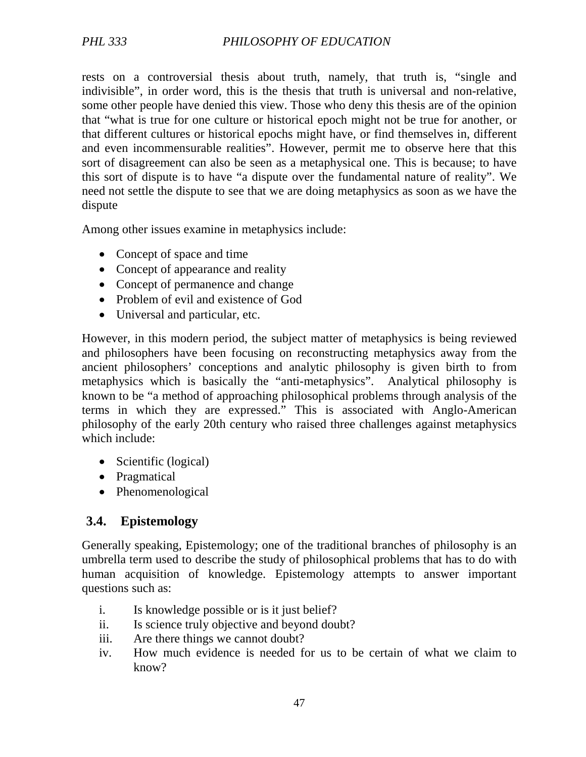rests on a controversial thesis about truth, namely, that truth is, "single and indivisible", in order word, this is the thesis that truth is universal and non-relative, some other people have denied this view. Those who deny this thesis are of the opinion that "what is true for one culture or historical epoch might not be true for another, or that different cultures or historical epochs might have, or find themselves in, different and even incommensurable realities". However, permit me to observe here that this sort of disagreement can also be seen as a metaphysical one. This is because; to have this sort of dispute is to have "a dispute over the fundamental nature of reality". We need not settle the dispute to see that we are doing metaphysics as soon as we have the dispute

Among other issues examine in metaphysics include:

- Concept of space and time
- Concept of appearance and reality
- Concept of permanence and change
- Problem of evil and existence of God
- Universal and particular, etc.

However, in this modern period, the subject matter of metaphysics is being reviewed and philosophers have been focusing on reconstructing metaphysics away from the ancient philosophers' conceptions and analytic philosophy is given birth to from metaphysics which is basically the "anti-metaphysics". Analytical philosophy is known to be "a method of approaching philosophical problems through analysis of the terms in which they are expressed." This is associated with Anglo-American philosophy of the early 20th century who raised three challenges against metaphysics which include:

- Scientific (logical)
- Pragmatical
- Phenomenological

## **3.4. Epistemology**

Generally speaking, Epistemology; one of the traditional branches of philosophy is an umbrella term used to describe the study of philosophical problems that has to do with human acquisition of knowledge. Epistemology attempts to answer important questions such as:

- i. Is knowledge possible or is it just belief?
- ii. Is science truly objective and beyond doubt?
- iii. Are there things we cannot doubt?
- iv. How much evidence is needed for us to be certain of what we claim to know?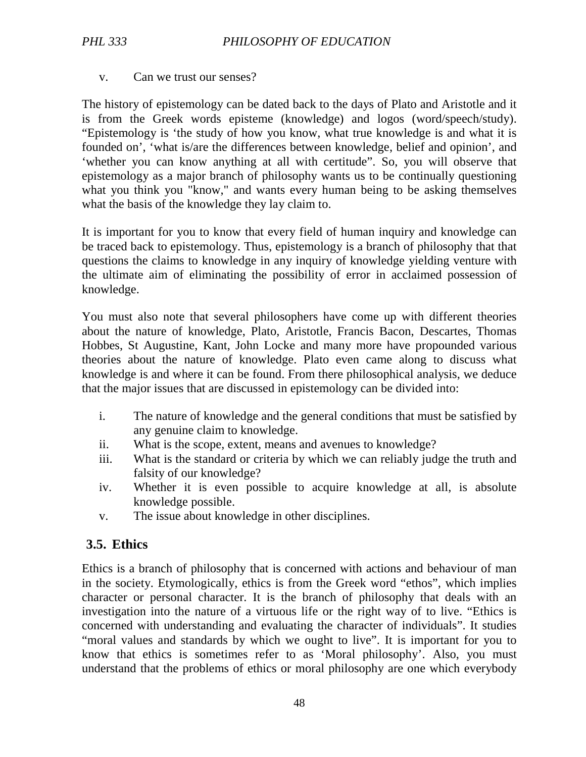v. Can we trust our senses?

The history of epistemology can be dated back to the days of Plato and Aristotle and it is from the Greek words episteme (knowledge) and logos (word/speech/study). "Epistemology is 'the study of how you know, what true knowledge is and what it is founded on', 'what is/are the differences between knowledge, belief and opinion', and 'whether you can know anything at all with certitude". So, you will observe that epistemology as a major branch of philosophy wants us to be continually questioning what you think you "know," and wants every human being to be asking themselves what the basis of the knowledge they lay claim to.

It is important for you to know that every field of human inquiry and knowledge can be traced back to epistemology. Thus, epistemology is a branch of philosophy that that questions the claims to knowledge in any inquiry of knowledge yielding venture with the ultimate aim of eliminating the possibility of error in acclaimed possession of knowledge.

You must also note that several philosophers have come up with different theories about the nature of knowledge, Plato, Aristotle, Francis Bacon, Descartes, Thomas Hobbes, St Augustine, Kant, John Locke and many more have propounded various theories about the nature of knowledge. Plato even came along to discuss what knowledge is and where it can be found. From there philosophical analysis, we deduce that the major issues that are discussed in epistemology can be divided into:

- i. The nature of knowledge and the general conditions that must be satisfied by any genuine claim to knowledge.
- ii. What is the scope, extent, means and avenues to knowledge?
- iii. What is the standard or criteria by which we can reliably judge the truth and falsity of our knowledge?
- iv. Whether it is even possible to acquire knowledge at all, is absolute knowledge possible.
- v. The issue about knowledge in other disciplines.

## **3.5. Ethics**

Ethics is a branch of philosophy that is concerned with actions and behaviour of man in the society. Etymologically, ethics is from the Greek word "ethos", which implies character or personal character. It is the branch of philosophy that deals with an investigation into the nature of a virtuous life or the right way of to live. "Ethics is concerned with understanding and evaluating the character of individuals". It studies "moral values and standards by which we ought to live". It is important for you to know that ethics is sometimes refer to as 'Moral philosophy'. Also, you must understand that the problems of ethics or moral philosophy are one which everybody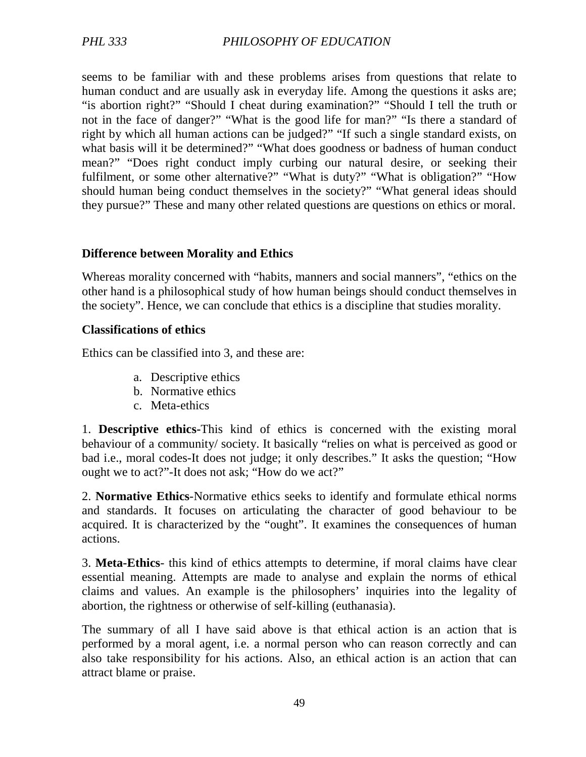seems to be familiar with and these problems arises from questions that relate to human conduct and are usually ask in everyday life. Among the questions it asks are; "is abortion right?" "Should I cheat during examination?" "Should I tell the truth or not in the face of danger?" "What is the good life for man?" "Is there a standard of right by which all human actions can be judged?" "If such a single standard exists, on what basis will it be determined?" "What does goodness or badness of human conduct mean?" "Does right conduct imply curbing our natural desire, or seeking their fulfilment, or some other alternative?" "What is duty?" "What is obligation?" "How should human being conduct themselves in the society?" "What general ideas should they pursue?" These and many other related questions are questions on ethics or moral.

#### **Difference between Morality and Ethics**

Whereas morality concerned with "habits, manners and social manners", "ethics on the other hand is a philosophical study of how human beings should conduct themselves in the society". Hence, we can conclude that ethics is a discipline that studies morality.

#### **Classifications of ethics**

Ethics can be classified into 3, and these are:

- a. Descriptive ethics
- b. Normative ethics
- c. Meta-ethics

1. **Descriptive ethics-**This kind of ethics is concerned with the existing moral behaviour of a community/ society. It basically "relies on what is perceived as good or bad i.e., moral codes-It does not judge; it only describes." It asks the question; "How ought we to act?"-It does not ask; "How do we act?"

2. **Normative Ethics**-Normative ethics seeks to identify and formulate ethical norms and standards. It focuses on articulating the character of good behaviour to be acquired. It is characterized by the "ought". It examines the consequences of human actions.

3. **Meta-Ethics**- this kind of ethics attempts to determine, if moral claims have clear essential meaning. Attempts are made to analyse and explain the norms of ethical claims and values. An example is the philosophers' inquiries into the legality of abortion, the rightness or otherwise of self-killing (euthanasia).

The summary of all I have said above is that ethical action is an action that is performed by a moral agent, i.e. a normal person who can reason correctly and can also take responsibility for his actions. Also, an ethical action is an action that can attract blame or praise.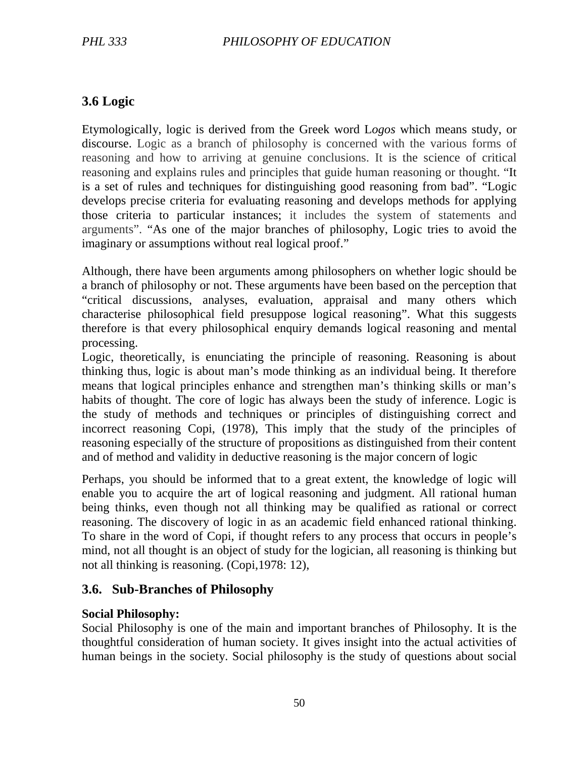# **3.6 Logic**

Etymologically, logic is derived from the Greek word L*ogos* which means study, or discourse. Logic as a branch of philosophy is concerned with the various forms of reasoning and how to arriving at genuine conclusions. It is the science of critical reasoning and explains rules and principles that guide human reasoning or thought. "It is a set of rules and techniques for distinguishing good reasoning from bad". "Logic develops precise criteria for evaluating reasoning and develops methods for applying those criteria to particular instances; it includes the system of statements and arguments". "As one of the major branches of philosophy, Logic tries to avoid the imaginary or assumptions without real logical proof."

Although, there have been arguments among philosophers on whether logic should be a branch of philosophy or not. These arguments have been based on the perception that "critical discussions, analyses, evaluation, appraisal and many others which characterise philosophical field presuppose logical reasoning". What this suggests therefore is that every philosophical enquiry demands logical reasoning and mental processing.

Logic, theoretically, is enunciating the principle of reasoning. Reasoning is about thinking thus, logic is about man's mode thinking as an individual being. It therefore means that logical principles enhance and strengthen man's thinking skills or man's habits of thought. The core of logic has always been the study of inference. Logic is the study of methods and techniques or principles of distinguishing correct and incorrect reasoning Copi, (1978), This imply that the study of the principles of reasoning especially of the structure of propositions as distinguished from their content and of method and validity in deductive reasoning is the major concern of logic

Perhaps, you should be informed that to a great extent, the knowledge of logic will enable you to acquire the art of logical reasoning and judgment. All rational human being thinks, even though not all thinking may be qualified as rational or correct reasoning. The discovery of logic in as an academic field enhanced rational thinking. To share in the word of Copi, if thought refers to any process that occurs in people's mind, not all thought is an object of study for the logician, all reasoning is thinking but not all thinking is reasoning. (Copi,1978: 12),

## **3.6. Sub-Branches of Philosophy**

## **Social Philosophy:**

Social Philosophy is one of the main and important branches of Philosophy. It is the thoughtful consideration of human society. It gives insight into the actual activities of human beings in the society. Social philosophy is the study of questions about social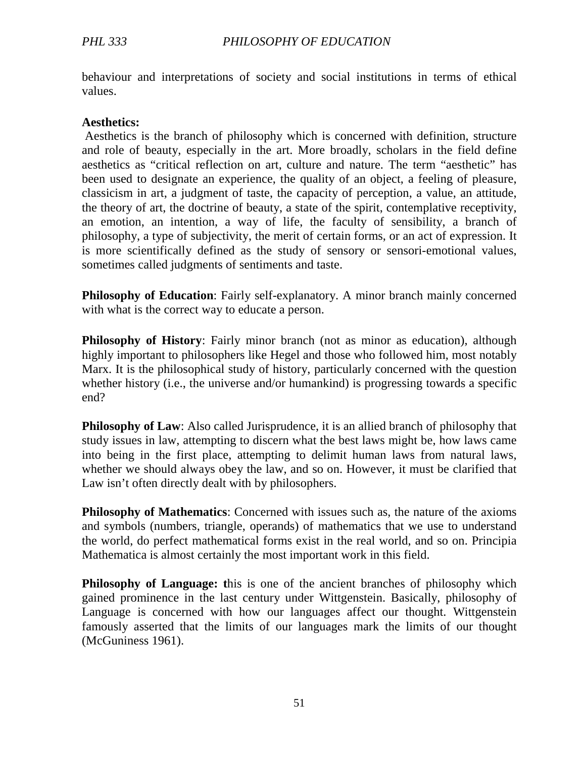behaviour and interpretations of society and social institutions in terms of ethical values.

#### **Aesthetics:**

 Aesthetics is the branch of philosophy which is concerned with definition, structure and role of beauty, especially in the art. More broadly, scholars in the field define aesthetics as "critical reflection on art, culture and nature. The term "aesthetic" has been used to designate an experience, the quality of an object, a feeling of pleasure, classicism in art, a judgment of taste, the capacity of perception, a value, an attitude, the theory of art, the doctrine of beauty, a state of the spirit, contemplative receptivity, an emotion, an intention, a way of life, the faculty of sensibility, a branch of philosophy, a type of subjectivity, the merit of certain forms, or an act of expression. It is more scientifically defined as the study of sensory or sensori-emotional values, sometimes called judgments of sentiments and taste.

**Philosophy of Education**: Fairly self-explanatory. A minor branch mainly concerned with what is the correct way to educate a person.

**Philosophy of History**: Fairly minor branch (not as minor as education), although highly important to philosophers like Hegel and those who followed him, most notably Marx. It is the philosophical study of history, particularly concerned with the question whether history (i.e., the universe and/or humankind) is progressing towards a specific end?

**Philosophy of Law**: Also called Jurisprudence, it is an allied branch of philosophy that study issues in law, attempting to discern what the best laws might be, how laws came into being in the first place, attempting to delimit human laws from natural laws, whether we should always obey the law, and so on. However, it must be clarified that Law isn't often directly dealt with by philosophers.

**Philosophy of Mathematics**: Concerned with issues such as, the nature of the axioms and symbols (numbers, triangle, operands) of mathematics that we use to understand the world, do perfect mathematical forms exist in the real world, and so on. Principia Mathematica is almost certainly the most important work in this field.

**Philosophy of Language: t**his is one of the ancient branches of philosophy which gained prominence in the last century under Wittgenstein. Basically, philosophy of Language is concerned with how our languages affect our thought. Wittgenstein famously asserted that the limits of our languages mark the limits of our thought (McGuniness 1961).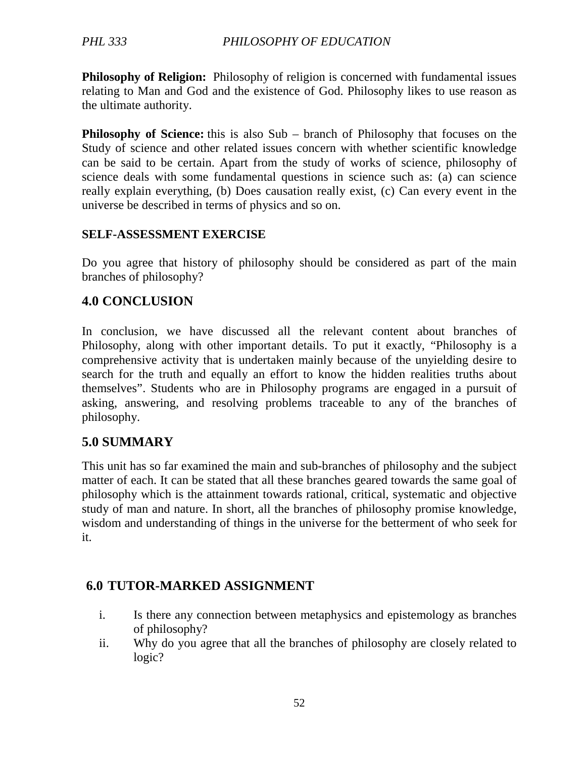**Philosophy of Religion:** Philosophy of religion is concerned with fundamental issues relating to Man and God and the existence of God. Philosophy likes to use reason as the ultimate authority.

**Philosophy of Science:** this is also Sub – branch of Philosophy that focuses on the Study of science and other related issues concern with whether scientific knowledge can be said to be certain. Apart from the study of works of science, philosophy of science deals with some fundamental questions in science such as: (a) can science really explain everything, (b) Does causation really exist, (c) Can every event in the universe be described in terms of physics and so on.

#### **SELF-ASSESSMENT EXERCISE**

Do you agree that history of philosophy should be considered as part of the main branches of philosophy?

## **4.0 CONCLUSION**

In conclusion, we have discussed all the relevant content about branches of Philosophy, along with other important details. To put it exactly, "Philosophy is a comprehensive activity that is undertaken mainly because of the unyielding desire to search for the truth and equally an effort to know the hidden realities truths about themselves". Students who are in Philosophy programs are engaged in a pursuit of asking, answering, and resolving problems traceable to any of the branches of philosophy.

## **5.0 SUMMARY**

This unit has so far examined the main and sub-branches of philosophy and the subject matter of each. It can be stated that all these branches geared towards the same goal of philosophy which is the attainment towards rational, critical, systematic and objective study of man and nature. In short, all the branches of philosophy promise knowledge, wisdom and understanding of things in the universe for the betterment of who seek for it.

## **6.0 TUTOR-MARKED ASSIGNMENT**

- i. Is there any connection between metaphysics and epistemology as branches of philosophy?
- ii. Why do you agree that all the branches of philosophy are closely related to logic?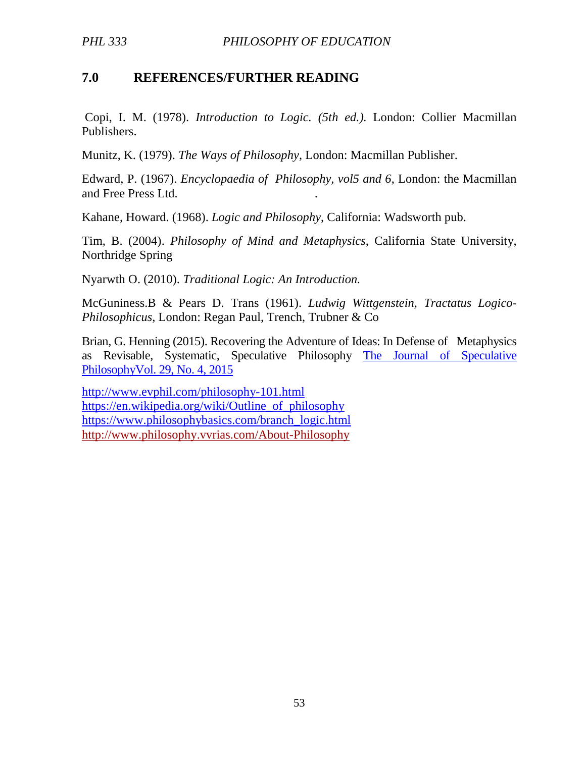## **7.0 REFERENCES/FURTHER READING**

 Copi, I. M. (1978). *Introduction to Logic. (5th ed.).* London: Collier Macmillan Publishers.

Munitz, K. (1979). *The Ways of Philosophy,* London: Macmillan Publisher.

Edward, P. (1967). *Encyclopaedia of Philosophy, vol5 and 6*, London: the Macmillan and Free Press Ltd. .

Kahane, Howard. (1968). *Logic and Philosophy*, California: Wadsworth pub.

Tim, B. (2004). *Philosophy of Mind and Metaphysics,* California State University, Northridge Spring

Nyarwth O. (2010). *Traditional Logic: An Introduction.*

McGuniness.B & Pears D. Trans (1961). *Ludwig Wittgenstein, Tractatus Logico-Philosophicus,* London: Regan Paul, Trench, Trubner & Co

Brian, G. Henning (2015). Recovering the Adventure of Ideas: In Defense of Metaphysics as Revisable, Systematic, Speculative Philosophy The Journal of Speculative PhilosophyVol. 29, No. 4, 2015

http://www.evphil.com/philosophy-101.html https://en.wikipedia.org/wiki/Outline\_of\_philosophy https://www.philosophybasics.com/branch\_logic.html http://www.philosophy.vvrias.com/About-Philosophy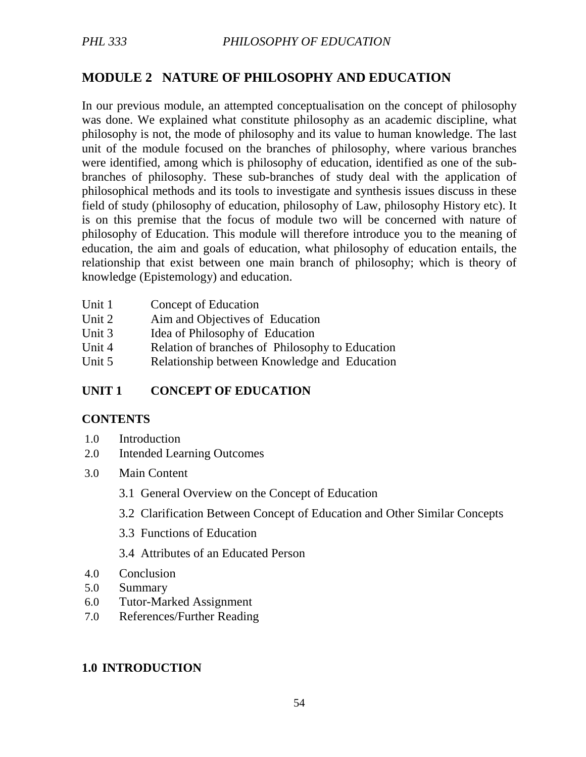# **MODULE 2 NATURE OF PHILOSOPHY AND EDUCATION**

In our previous module, an attempted conceptualisation on the concept of philosophy was done. We explained what constitute philosophy as an academic discipline, what philosophy is not, the mode of philosophy and its value to human knowledge. The last unit of the module focused on the branches of philosophy, where various branches were identified, among which is philosophy of education, identified as one of the subbranches of philosophy. These sub-branches of study deal with the application of philosophical methods and its tools to investigate and synthesis issues discuss in these field of study (philosophy of education, philosophy of Law, philosophy History etc). It is on this premise that the focus of module two will be concerned with nature of philosophy of Education. This module will therefore introduce you to the meaning of education, the aim and goals of education, what philosophy of education entails, the relationship that exist between one main branch of philosophy; which is theory of knowledge (Epistemology) and education.

| Unit 1 | Concept of Education                            |
|--------|-------------------------------------------------|
| Unit 2 | Aim and Objectives of Education                 |
| Unit 3 | Idea of Philosophy of Education                 |
| Unit 4 | Relation of branches of Philosophy to Education |
| Unit 5 | Relationship between Knowledge and Education    |

## **UNIT 1 CONCEPT OF EDUCATION**

#### **CONTENTS**

- 1.0 Introduction
- 2.0 Intended Learning Outcomes
- 3.0 Main Content
	- 3.1 General Overview on the Concept of Education
	- 3.2 Clarification Between Concept of Education and Other Similar Concepts
	- 3.3 Functions of Education
	- 3.4 Attributes of an Educated Person
- 4.0 Conclusion
- 5.0 Summary
- 6.0 Tutor-Marked Assignment
- 7.0 References/Further Reading

#### **1.0 INTRODUCTION**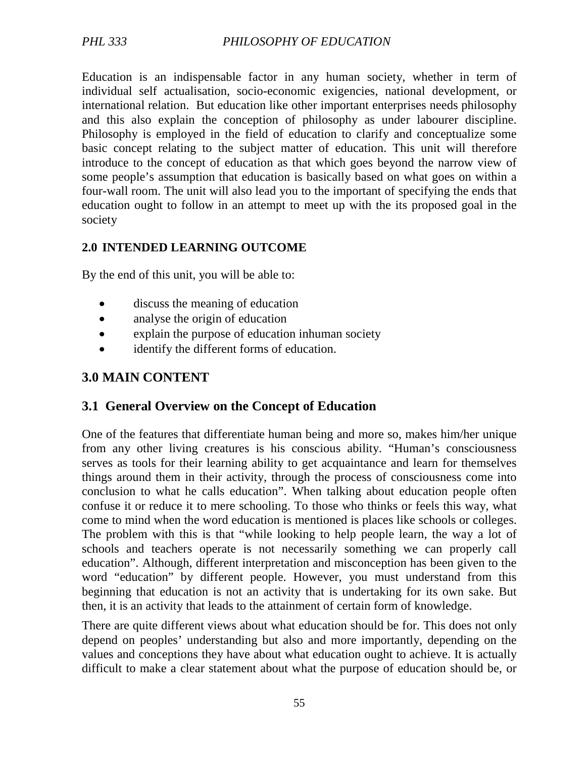Education is an indispensable factor in any human society, whether in term of individual self actualisation, socio-economic exigencies, national development, or international relation. But education like other important enterprises needs philosophy and this also explain the conception of philosophy as under labourer discipline. Philosophy is employed in the field of education to clarify and conceptualize some basic concept relating to the subject matter of education. This unit will therefore introduce to the concept of education as that which goes beyond the narrow view of some people's assumption that education is basically based on what goes on within a four-wall room. The unit will also lead you to the important of specifying the ends that education ought to follow in an attempt to meet up with the its proposed goal in the society

## **2.0 INTENDED LEARNING OUTCOME**

By the end of this unit, you will be able to:

- discuss the meaning of education
- analyse the origin of education
- explain the purpose of education inhuman society
- identify the different forms of education.

## **3.0 MAIN CONTENT**

## **3.1 General Overview on the Concept of Education**

One of the features that differentiate human being and more so, makes him/her unique from any other living creatures is his conscious ability. "Human's consciousness serves as tools for their learning ability to get acquaintance and learn for themselves things around them in their activity, through the process of consciousness come into conclusion to what he calls education". When talking about education people often confuse it or reduce it to mere schooling. To those who thinks or feels this way, what come to mind when the word education is mentioned is places like schools or colleges. The problem with this is that "while looking to help people learn, the way a lot of schools and teachers operate is not necessarily something we can properly call education". Although, different interpretation and misconception has been given to the word "education" by different people. However, you must understand from this beginning that education is not an activity that is undertaking for its own sake. But then, it is an activity that leads to the attainment of certain form of knowledge.

There are quite different views about what education should be for. This does not only depend on peoples' understanding but also and more importantly, depending on the values and conceptions they have about what education ought to achieve. It is actually difficult to make a clear statement about what the purpose of education should be, or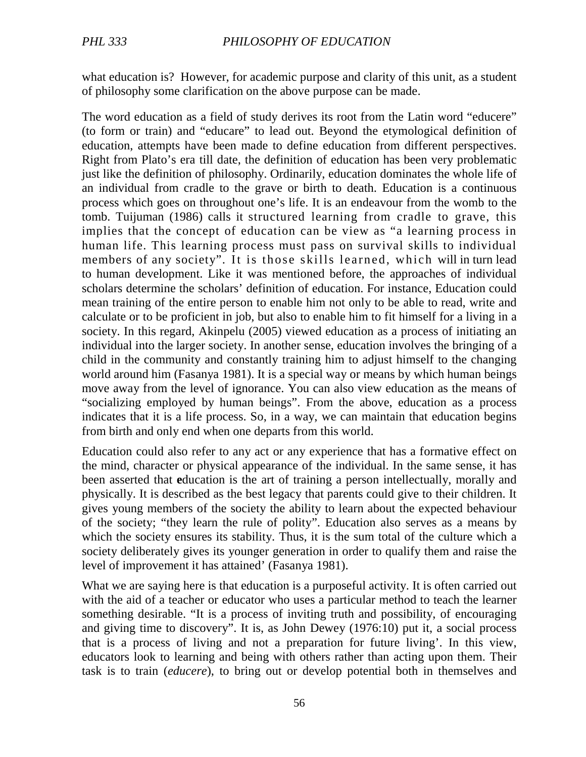what education is? However, for academic purpose and clarity of this unit, as a student of philosophy some clarification on the above purpose can be made.

The word education as a field of study derives its root from the Latin word "educere" (to form or train) and "educare" to lead out. Beyond the etymological definition of education, attempts have been made to define education from different perspectives. Right from Plato's era till date, the definition of education has been very problematic just like the definition of philosophy. Ordinarily, education dominates the whole life of an individual from cradle to the grave or birth to death. Education is a continuous process which goes on throughout one's life. It is an endeavour from the womb to the tomb. Tuijuman (1986) calls it structured learning from cradle to grave, this implies that the concept of education can be view as "a learning process in human life. This learning process must pass on survival skills to individual members of any society". It is those skills learned, which will in turn lead to human development. Like it was mentioned before, the approaches of individual scholars determine the scholars' definition of education. For instance, Education could mean training of the entire person to enable him not only to be able to read, write and calculate or to be proficient in job, but also to enable him to fit himself for a living in a society. In this regard, Akinpelu (2005) viewed education as a process of initiating an individual into the larger society. In another sense, education involves the bringing of a child in the community and constantly training him to adjust himself to the changing world around him (Fasanya 1981). It is a special way or means by which human beings move away from the level of ignorance. You can also view education as the means of "socializing employed by human beings". From the above, education as a process indicates that it is a life process. So, in a way, we can maintain that education begins from birth and only end when one departs from this world.

Education could also refer to any act or any experience that has a formative effect on the mind, character or physical appearance of the individual. In the same sense, it has been asserted that **e**ducation is the art of training a person intellectually, morally and physically. It is described as the best legacy that parents could give to their children. It gives young members of the society the ability to learn about the expected behaviour of the society; "they learn the rule of polity". Education also serves as a means by which the society ensures its stability. Thus, it is the sum total of the culture which a society deliberately gives its younger generation in order to qualify them and raise the level of improvement it has attained' (Fasanya 1981).

What we are saying here is that education is a purposeful activity. It is often carried out with the aid of a teacher or educator who uses a particular method to teach the learner something desirable. "It is a process of inviting truth and possibility, of encouraging and giving time to discovery". It is, as John Dewey (1976:10) put it, a social process that is a process of living and not a preparation for future living'. In this view, educators look to learning and being with others rather than acting upon them. Their task is to train (*educere*), to bring out or develop potential both in themselves and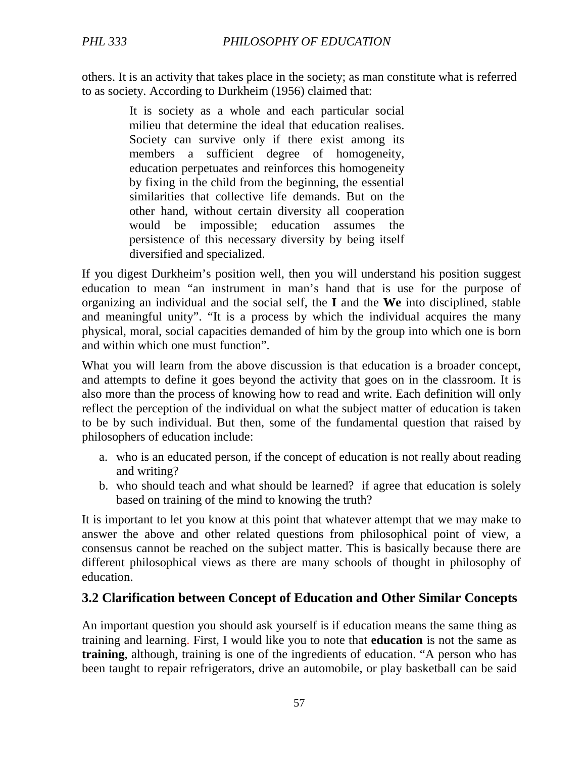others. It is an activity that takes place in the society; as man constitute what is referred to as society. According to Durkheim (1956) claimed that:

> It is society as a whole and each particular social milieu that determine the ideal that education realises. Society can survive only if there exist among its members a sufficient degree of homogeneity, education perpetuates and reinforces this homogeneity by fixing in the child from the beginning, the essential similarities that collective life demands. But on the other hand, without certain diversity all cooperation would be impossible; education assumes the persistence of this necessary diversity by being itself diversified and specialized.

If you digest Durkheim's position well, then you will understand his position suggest education to mean "an instrument in man's hand that is use for the purpose of organizing an individual and the social self, the **I** and the **We** into disciplined, stable and meaningful unity". "It is a process by which the individual acquires the many physical, moral, social capacities demanded of him by the group into which one is born and within which one must function".

What you will learn from the above discussion is that education is a broader concept, and attempts to define it goes beyond the activity that goes on in the classroom. It is also more than the process of knowing how to read and write. Each definition will only reflect the perception of the individual on what the subject matter of education is taken to be by such individual. But then, some of the fundamental question that raised by philosophers of education include:

- a. who is an educated person, if the concept of education is not really about reading and writing?
- b. who should teach and what should be learned? if agree that education is solely based on training of the mind to knowing the truth?

It is important to let you know at this point that whatever attempt that we may make to answer the above and other related questions from philosophical point of view, a consensus cannot be reached on the subject matter. This is basically because there are different philosophical views as there are many schools of thought in philosophy of education.

## **3.2 Clarification between Concept of Education and Other Similar Concepts**

An important question you should ask yourself is if education means the same thing as training and learning. First, I would like you to note that **education** is not the same as **training**, although, training is one of the ingredients of education. "A person who has been taught to repair refrigerators, drive an automobile, or play basketball can be said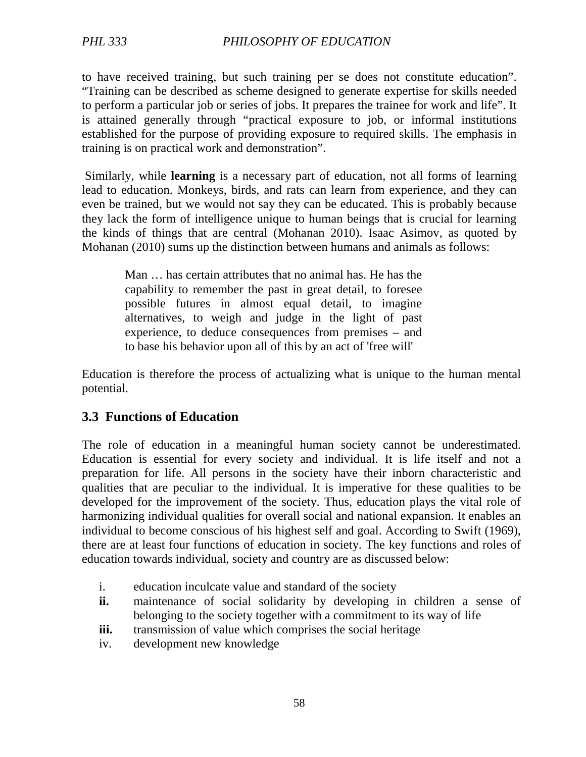to have received training, but such training per se does not constitute education". "Training can be described as scheme designed to generate expertise for skills needed to perform a particular job or series of jobs. It prepares the trainee for work and life". It is attained generally through "practical exposure to job, or informal institutions established for the purpose of providing exposure to required skills. The emphasis in training is on practical work and demonstration".

 Similarly, while **learning** is a necessary part of education, not all forms of learning lead to education. Monkeys, birds, and rats can learn from experience, and they can even be trained, but we would not say they can be educated. This is probably because they lack the form of intelligence unique to human beings that is crucial for learning the kinds of things that are central (Mohanan 2010). Isaac Asimov, as quoted by Mohanan (2010) sums up the distinction between humans and animals as follows:

Man … has certain attributes that no animal has. He has the capability to remember the past in great detail, to foresee possible futures in almost equal detail, to imagine alternatives, to weigh and judge in the light of past experience, to deduce consequences from premises – and to base his behavior upon all of this by an act of 'free will'

Education is therefore the process of actualizing what is unique to the human mental potential.

## **3.3 Functions of Education**

The role of education in a meaningful human society cannot be underestimated. Education is essential for every society and individual. It is life itself and not a preparation for life. All persons in the society have their inborn characteristic and qualities that are peculiar to the individual. It is imperative for these qualities to be developed for the improvement of the society. Thus, education plays the vital role of harmonizing individual qualities for overall social and national expansion. It enables an individual to become conscious of his highest self and goal. According to Swift (1969), there are at least four functions of education in society. The key functions and roles of education towards individual, society and country are as discussed below:

- i. education inculcate value and standard of the society
- **ii.** maintenance of social solidarity by developing in children a sense of belonging to the society together with a commitment to its way of life
- **iii.** transmission of value which comprises the social heritage
- iv. development new knowledge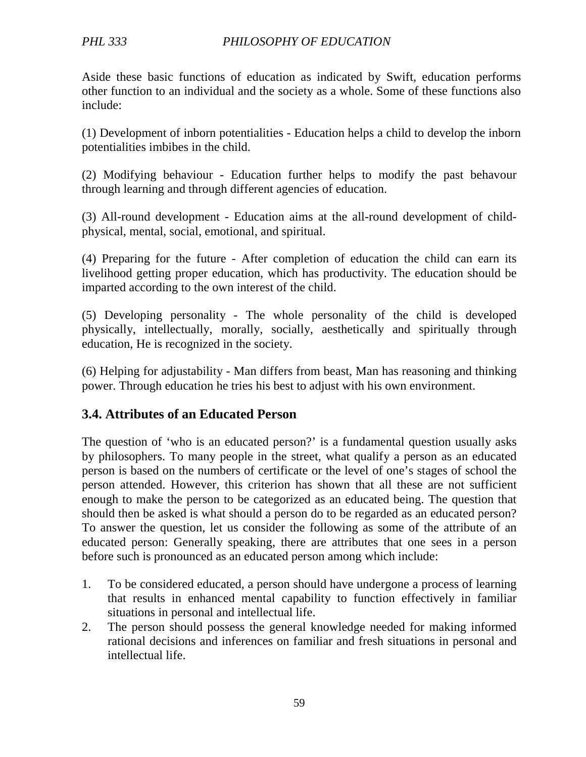Aside these basic functions of education as indicated by Swift, education performs other function to an individual and the society as a whole. Some of these functions also include:

(1) Development of inborn potentialities - Education helps a child to develop the inborn potentialities imbibes in the child.

(2) Modifying behaviour - Education further helps to modify the past behavour through learning and through different agencies of education.

(3) All-round development - Education aims at the all-round development of childphysical, mental, social, emotional, and spiritual.

(4) Preparing for the future - After completion of education the child can earn its livelihood getting proper education, which has productivity. The education should be imparted according to the own interest of the child.

(5) Developing personality - The whole personality of the child is developed physically, intellectually, morally, socially, aesthetically and spiritually through education, He is recognized in the society.

(6) Helping for adjustability - Man differs from beast, Man has reasoning and thinking power. Through education he tries his best to adjust with his own environment.

## **3.4. Attributes of an Educated Person**

The question of 'who is an educated person?' is a fundamental question usually asks by philosophers. To many people in the street, what qualify a person as an educated person is based on the numbers of certificate or the level of one's stages of school the person attended. However, this criterion has shown that all these are not sufficient enough to make the person to be categorized as an educated being. The question that should then be asked is what should a person do to be regarded as an educated person? To answer the question, let us consider the following as some of the attribute of an educated person: Generally speaking, there are attributes that one sees in a person before such is pronounced as an educated person among which include:

- 1. To be considered educated, a person should have undergone a process of learning that results in enhanced mental capability to function effectively in familiar situations in personal and intellectual life.
- 2. The person should possess the general knowledge needed for making informed rational decisions and inferences on familiar and fresh situations in personal and intellectual life.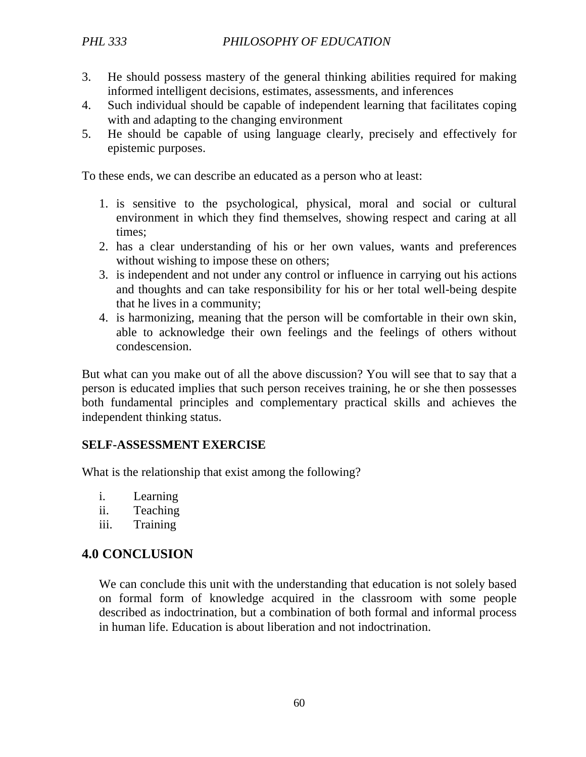### *PHL 333 PHILOSOPHY OF EDUCATION*

- 3. He should possess mastery of the general thinking abilities required for making informed intelligent decisions, estimates, assessments, and inferences
- 4. Such individual should be capable of independent learning that facilitates coping with and adapting to the changing environment
- 5. He should be capable of using language clearly, precisely and effectively for epistemic purposes.

To these ends, we can describe an educated as a person who at least:

- 1. is sensitive to the psychological, physical, moral and social or cultural environment in which they find themselves, showing respect and caring at all times;
- 2. has a clear understanding of his or her own values, wants and preferences without wishing to impose these on others;
- 3. is independent and not under any control or influence in carrying out his actions and thoughts and can take responsibility for his or her total well-being despite that he lives in a community;
- 4. is harmonizing, meaning that the person will be comfortable in their own skin, able to acknowledge their own feelings and the feelings of others without condescension.

But what can you make out of all the above discussion? You will see that to say that a person is educated implies that such person receives training, he or she then possesses both fundamental principles and complementary practical skills and achieves the independent thinking status.

#### **SELF-ASSESSMENT EXERCISE**

What is the relationship that exist among the following?

- i. Learning
- ii. Teaching
- iii. Training

## **4.0 CONCLUSION**

We can conclude this unit with the understanding that education is not solely based on formal form of knowledge acquired in the classroom with some people described as indoctrination, but a combination of both formal and informal process in human life. Education is about liberation and not indoctrination.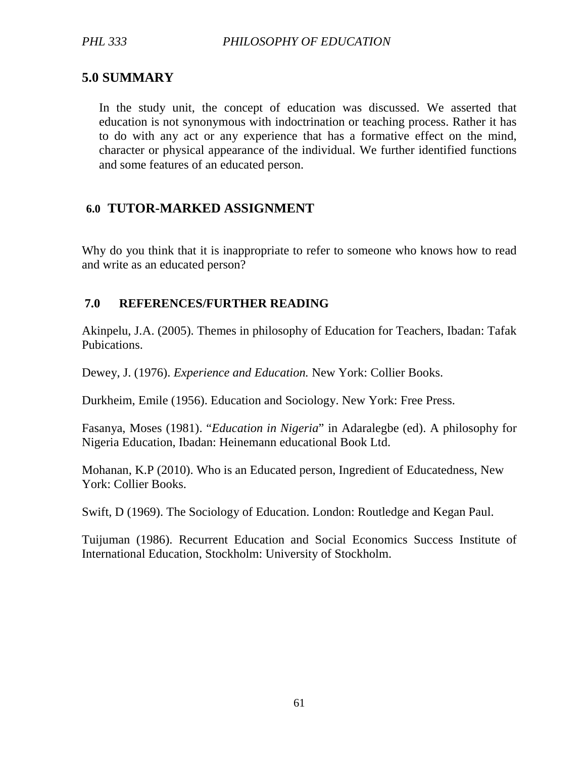## **5.0 SUMMARY**

In the study unit, the concept of education was discussed. We asserted that education is not synonymous with indoctrination or teaching process. Rather it has to do with any act or any experience that has a formative effect on the mind, character or physical appearance of the individual. We further identified functions and some features of an educated person.

## **6.0 TUTOR-MARKED ASSIGNMENT**

Why do you think that it is inappropriate to refer to someone who knows how to read and write as an educated person?

## **7.0 REFERENCES/FURTHER READING**

Akinpelu, J.A. (2005). Themes in philosophy of Education for Teachers, Ibadan: Tafak Pubications.

Dewey, J. (1976). *Experience and Education.* New York: Collier Books.

Durkheim, Emile (1956). Education and Sociology. New York: Free Press.

Fasanya, Moses (1981). "*Education in Nigeria*" in Adaralegbe (ed). A philosophy for Nigeria Education, Ibadan: Heinemann educational Book Ltd.

Mohanan, K.P (2010). Who is an Educated person, Ingredient of Educatedness, New York: Collier Books.

Swift, D (1969). The Sociology of Education. London: Routledge and Kegan Paul.

Tuijuman (1986). Recurrent Education and Social Economics Success Institute of International Education, Stockholm: University of Stockholm.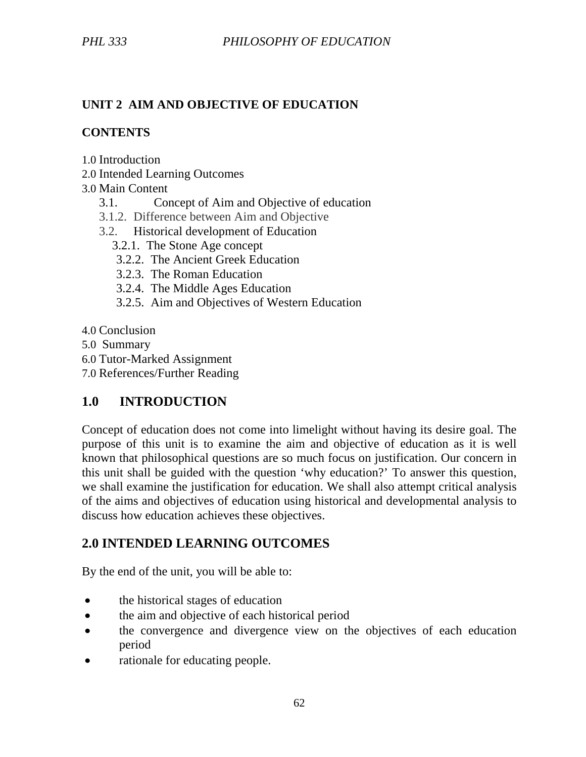## **UNIT 2 AIM AND OBJECTIVE OF EDUCATION**

#### **CONTENTS**

- 1.0 Introduction
- 2.0 Intended Learning Outcomes

### 3.0 Main Content

- 3.1. Concept of Aim and Objective of education
- 3.1.2. Difference between Aim and Objective
- 3.2. Historical development of Education
	- 3.2.1. The Stone Age concept
		- 3.2.2. The Ancient Greek Education
		- 3.2.3. The Roman Education
		- 3.2.4. The Middle Ages Education
		- 3.2.5. Aim and Objectives of Western Education
- 4.0 Conclusion
- 5.0 Summary
- 6.0 Tutor-Marked Assignment
- 7.0 References/Further Reading

# **1.0 INTRODUCTION**

Concept of education does not come into limelight without having its desire goal. The purpose of this unit is to examine the aim and objective of education as it is well known that philosophical questions are so much focus on justification. Our concern in this unit shall be guided with the question 'why education?' To answer this question, we shall examine the justification for education. We shall also attempt critical analysis of the aims and objectives of education using historical and developmental analysis to discuss how education achieves these objectives.

## **2.0 INTENDED LEARNING OUTCOMES**

By the end of the unit, you will be able to:

- the historical stages of education
- the aim and objective of each historical period
- the convergence and divergence view on the objectives of each education period
- rationale for educating people.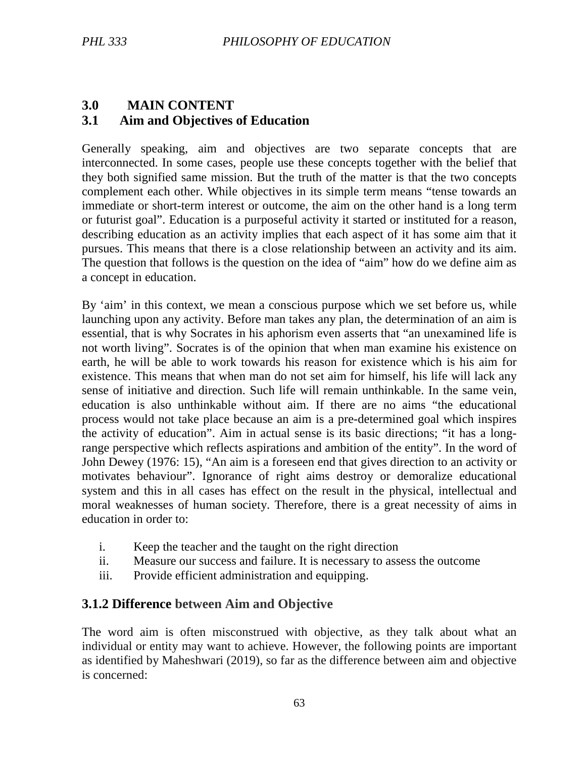## **3.0 MAIN CONTENT 3.1 Aim and Objectives of Education**

Generally speaking, aim and objectives are two separate concepts that are interconnected. In some cases, people use these concepts together with the belief that they both signified same mission. But the truth of the matter is that the two concepts complement each other. While objectives in its simple term means "tense towards an immediate or short-term interest or outcome, the aim on the other hand is a long term or futurist goal". Education is a purposeful activity it started or instituted for a reason, describing education as an activity implies that each aspect of it has some aim that it pursues. This means that there is a close relationship between an activity and its aim. The question that follows is the question on the idea of "aim" how do we define aim as a concept in education.

By 'aim' in this context, we mean a conscious purpose which we set before us, while launching upon any activity. Before man takes any plan, the determination of an aim is essential, that is why Socrates in his aphorism even asserts that "an unexamined life is not worth living". Socrates is of the opinion that when man examine his existence on earth, he will be able to work towards his reason for existence which is his aim for existence. This means that when man do not set aim for himself, his life will lack any sense of initiative and direction. Such life will remain unthinkable. In the same vein, education is also unthinkable without aim. If there are no aims "the educational process would not take place because an aim is a pre-determined goal which inspires the activity of education". Aim in actual sense is its basic directions; "it has a longrange perspective which reflects aspirations and ambition of the entity". In the word of John Dewey (1976: 15), "An aim is a foreseen end that gives direction to an activity or motivates behaviour". Ignorance of right aims destroy or demoralize educational system and this in all cases has effect on the result in the physical, intellectual and moral weaknesses of human society. Therefore, there is a great necessity of aims in education in order to:

- i. Keep the teacher and the taught on the right direction
- ii. Measure our success and failure. It is necessary to assess the outcome
- iii. Provide efficient administration and equipping.

## **3.1.2 Difference between Aim and Objective**

The word aim is often misconstrued with objective, as they talk about what an individual or entity may want to achieve. However, the following points are important as identified by Maheshwari (2019), so far as the difference between aim and objective is concerned: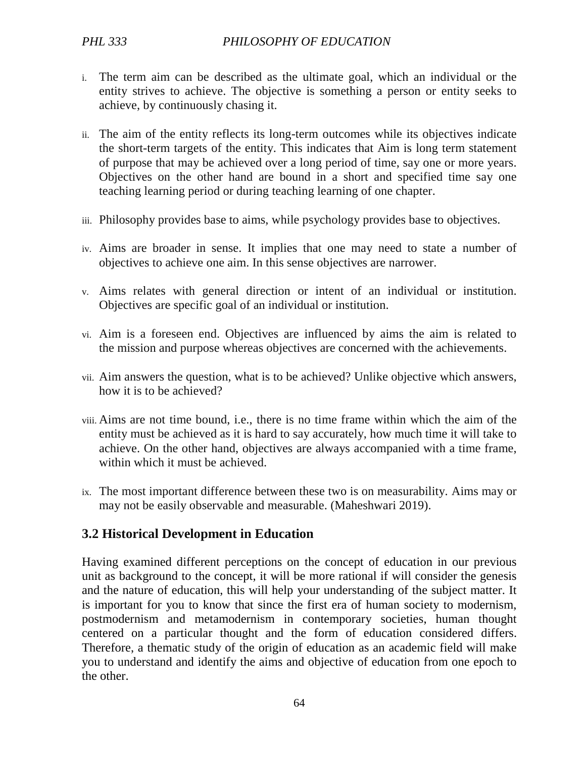- i. The term aim can be described as the ultimate goal, which an individual or the entity strives to achieve. The objective is something a person or entity seeks to achieve, by continuously chasing it.
- ii. The aim of the entity reflects its long-term outcomes while its objectives indicate the short-term targets of the entity. This indicates that Aim is long term statement of purpose that may be achieved over a long period of time, say one or more years. Objectives on the other hand are bound in a short and specified time say one teaching learning period or during teaching learning of one chapter.
- iii. Philosophy provides base to aims, while psychology provides base to objectives.
- iv. Aims are broader in sense. It implies that one may need to state a number of objectives to achieve one aim. In this sense objectives are narrower.
- v. Aims relates with general direction or intent of an individual or institution. Objectives are specific goal of an individual or institution.
- vi. Aim is a foreseen end. Objectives are influenced by aims the aim is related to the mission and purpose whereas objectives are concerned with the achievements.
- vii. Aim answers the question, what is to be achieved? Unlike objective which answers, how it is to be achieved?
- viii. Aims are not time bound, i.e., there is no time frame within which the aim of the entity must be achieved as it is hard to say accurately, how much time it will take to achieve. On the other hand, objectives are always accompanied with a time frame, within which it must be achieved.
- ix. The most important difference between these two is on measurability. Aims may or may not be easily observable and measurable. (Maheshwari 2019).

## **3.2 Historical Development in Education**

Having examined different perceptions on the concept of education in our previous unit as background to the concept, it will be more rational if will consider the genesis and the nature of education, this will help your understanding of the subject matter. It is important for you to know that since the first era of human society to modernism, postmodernism and metamodernism in contemporary societies, human thought centered on a particular thought and the form of education considered differs. Therefore, a thematic study of the origin of education as an academic field will make you to understand and identify the aims and objective of education from one epoch to the other.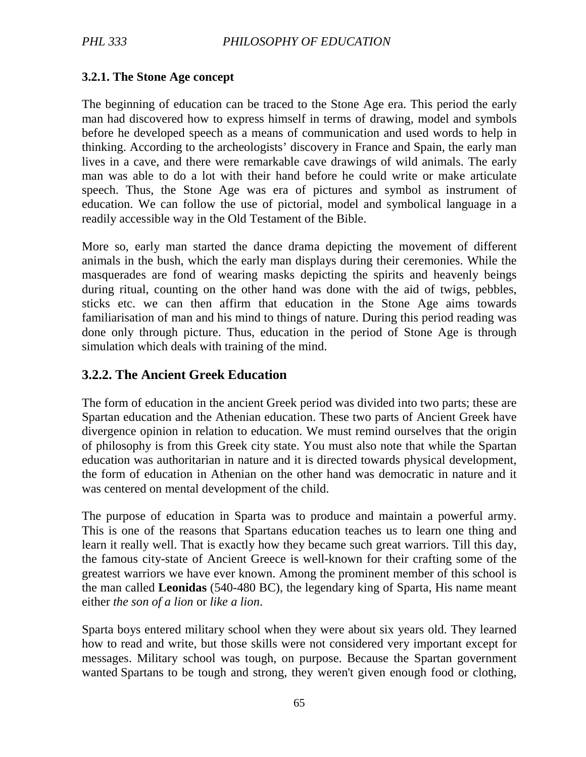### **3.2.1. The Stone Age concept**

The beginning of education can be traced to the Stone Age era. This period the early man had discovered how to express himself in terms of drawing, model and symbols before he developed speech as a means of communication and used words to help in thinking. According to the archeologists' discovery in France and Spain, the early man lives in a cave, and there were remarkable cave drawings of wild animals. The early man was able to do a lot with their hand before he could write or make articulate speech. Thus, the Stone Age was era of pictures and symbol as instrument of education. We can follow the use of pictorial, model and symbolical language in a readily accessible way in the Old Testament of the Bible.

More so, early man started the dance drama depicting the movement of different animals in the bush, which the early man displays during their ceremonies. While the masquerades are fond of wearing masks depicting the spirits and heavenly beings during ritual, counting on the other hand was done with the aid of twigs, pebbles, sticks etc. we can then affirm that education in the Stone Age aims towards familiarisation of man and his mind to things of nature. During this period reading was done only through picture. Thus, education in the period of Stone Age is through simulation which deals with training of the mind.

## **3.2.2. The Ancient Greek Education**

The form of education in the ancient Greek period was divided into two parts; these are Spartan education and the Athenian education. These two parts of Ancient Greek have divergence opinion in relation to education. We must remind ourselves that the origin of philosophy is from this Greek city state. You must also note that while the Spartan education was authoritarian in nature and it is directed towards physical development, the form of education in Athenian on the other hand was democratic in nature and it was centered on mental development of the child.

The purpose of education in Sparta was to produce and maintain a powerful army. This is one of the reasons that Spartans education teaches us to learn one thing and learn it really well. That is exactly how they became such great warriors. Till this day, the famous city-state of Ancient Greece is well-known for their crafting some of the greatest warriors we have ever known. Among the prominent member of this school is the man called **Leonidas** (540-480 BC), the legendary king of Sparta, His name meant either *the son of a lion* or *like a lion*.

Sparta boys entered military school when they were about six years old. They learned how to read and write, but those skills were not considered very important except for messages. Military school was tough, on purpose. Because the Spartan government wanted Spartans to be tough and strong, they weren't given enough food or clothing,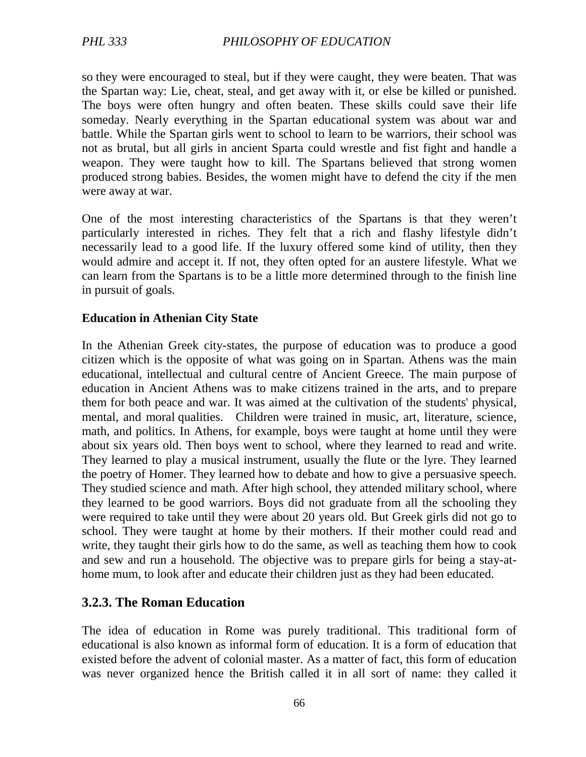so they were encouraged to steal, but if they were caught, they were beaten. That was the Spartan way: Lie, cheat, steal, and get away with it, or else be killed or punished. The boys were often hungry and often beaten. These skills could save their life someday. Nearly everything in the Spartan educational system was about war and battle. While the Spartan girls went to school to learn to be warriors, their school was not as brutal, but all girls in ancient Sparta could wrestle and fist fight and handle a weapon. They were taught how to kill. The Spartans believed that strong women produced strong babies. Besides, the women might have to defend the city if the men were away at war.

One of the most interesting characteristics of the Spartans is that they weren't particularly interested in riches. They felt that a rich and flashy lifestyle didn't necessarily lead to a good life. If the luxury offered some kind of utility, then they would admire and accept it. If not, they often opted for an austere lifestyle. What we can learn from the Spartans is to be a little more determined through to the finish line in pursuit of goals.

#### **Education in Athenian City State**

In the Athenian Greek city-states, the purpose of education was to produce a good citizen which is the opposite of what was going on in Spartan. Athens was the main educational, intellectual and cultural centre of Ancient Greece. The main purpose of education in Ancient Athens was to make citizens trained in the arts, and to prepare them for both peace and war. It was aimed at the cultivation of the students' physical, mental, and moral qualities. Children were trained in music, art, literature, science, math, and politics. In Athens, for example, boys were taught at home until they were about six years old. Then boys went to school, where they learned to read and write. They learned to play a musical instrument, usually the flute or the lyre. They learned the poetry of Homer. They learned how to debate and how to give a persuasive speech. They studied science and math. After high school, they attended military school, where they learned to be good warriors. Boys did not graduate from all the schooling they were required to take until they were about 20 years old. But Greek girls did not go to school. They were taught at home by their mothers. If their mother could read and write, they taught their girls how to do the same, as well as teaching them how to cook and sew and run a household. The objective was to prepare girls for being a stay-athome mum, to look after and educate their children just as they had been educated.

## **3.2.3. The Roman Education**

The idea of education in Rome was purely traditional. This traditional form of educational is also known as informal form of education. It is a form of education that existed before the advent of colonial master. As a matter of fact, this form of education was never organized hence the British called it in all sort of name: they called it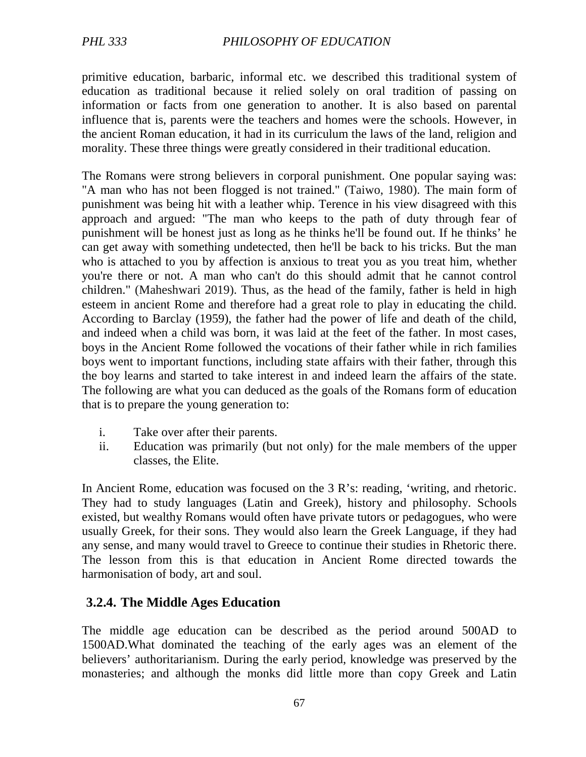primitive education, barbaric, informal etc. we described this traditional system of education as traditional because it relied solely on oral tradition of passing on information or facts from one generation to another. It is also based on parental influence that is, parents were the teachers and homes were the schools. However, in the ancient Roman education, it had in its curriculum the laws of the land, religion and morality. These three things were greatly considered in their traditional education.

The Romans were strong believers in corporal punishment. One popular saying was: "A man who has not been flogged is not trained." (Taiwo, 1980). The main form of punishment was being hit with a leather whip. Terence in his view disagreed with this approach and argued: "The man who keeps to the path of duty through fear of punishment will be honest just as long as he thinks he'll be found out. If he thinks' he can get away with something undetected, then he'll be back to his tricks. But the man who is attached to you by affection is anxious to treat you as you treat him, whether you're there or not. A man who can't do this should admit that he cannot control children." (Maheshwari 2019). Thus, as the head of the family, father is held in high esteem in ancient Rome and therefore had a great role to play in educating the child. According to Barclay (1959), the father had the power of life and death of the child, and indeed when a child was born, it was laid at the feet of the father. In most cases, boys in the Ancient Rome followed the vocations of their father while in rich families boys went to important functions, including state affairs with their father, through this the boy learns and started to take interest in and indeed learn the affairs of the state. The following are what you can deduced as the goals of the Romans form of education that is to prepare the young generation to:

- i. Take over after their parents.
- ii. Education was primarily (but not only) for the male members of the upper classes, the Elite.

In Ancient Rome, education was focused on the 3 R's: reading, 'writing, and rhetoric. They had to study languages (Latin and Greek), history and philosophy. Schools existed, but wealthy Romans would often have private tutors or pedagogues, who were usually Greek, for their sons. They would also learn the Greek Language, if they had any sense, and many would travel to Greece to continue their studies in Rhetoric there. The lesson from this is that education in Ancient Rome directed towards the harmonisation of body, art and soul.

## **3.2.4. The Middle Ages Education**

The middle age education can be described as the period around 500AD to 1500AD.What dominated the teaching of the early ages was an element of the believers' authoritarianism. During the early period, knowledge was preserved by the monasteries; and although the monks did little more than copy Greek and Latin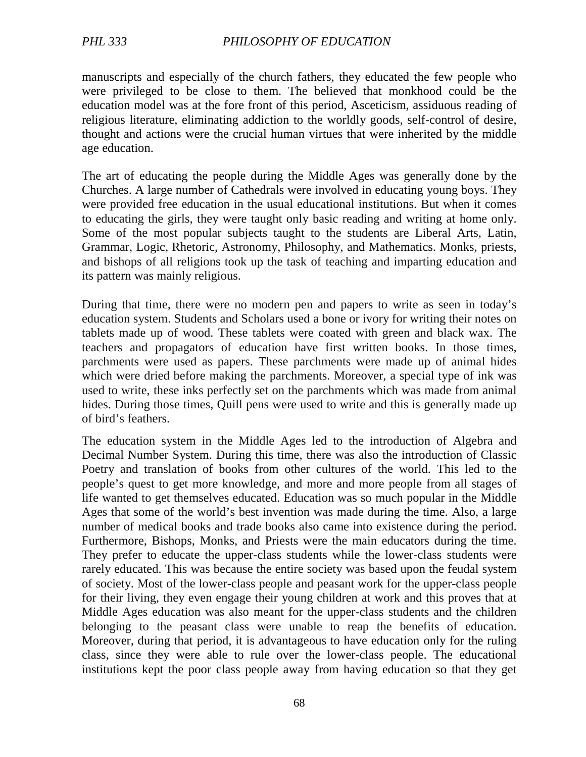manuscripts and especially of the church fathers, they educated the few people who were privileged to be close to them. The believed that monkhood could be the education model was at the fore front of this period, Asceticism, assiduous reading of religious literature, eliminating addiction to the worldly goods, self-control of desire, thought and actions were the crucial human virtues that were inherited by the middle age education.

The art of educating the people during the Middle Ages was generally done by the Churches. A large number of Cathedrals were involved in educating young boys. They were provided free education in the usual educational institutions. But when it comes to educating the girls, they were taught only basic reading and writing at home only. Some of the most popular subjects taught to the students are Liberal Arts, Latin, Grammar, Logic, Rhetoric, Astronomy, Philosophy, and Mathematics. Monks, priests, and bishops of all religions took up the task of teaching and imparting education and its pattern was mainly religious.

During that time, there were no modern pen and papers to write as seen in today's education system. Students and Scholars used a bone or ivory for writing their notes on tablets made up of wood. These tablets were coated with green and black wax. The teachers and propagators of education have first written books. In those times, parchments were used as papers. These parchments were made up of animal hides which were dried before making the parchments. Moreover, a special type of ink was used to write, these inks perfectly set on the parchments which was made from animal hides. During those times, Quill pens were used to write and this is generally made up of bird's feathers.

The education system in the Middle Ages led to the introduction of Algebra and Decimal Number System. During this time, there was also the introduction of Classic Poetry and translation of books from other cultures of the world. This led to the people's quest to get more knowledge, and more and more people from all stages of life wanted to get themselves educated. Education was so much popular in the Middle Ages that some of the world's best invention was made during the time. Also, a large number of medical books and trade books also came into existence during the period. Furthermore, Bishops, Monks, and Priests were the main educators during the time. They prefer to educate the upper-class students while the lower-class students were rarely educated. This was because the entire society was based upon the feudal system of society. Most of the lower-class people and peasant work for the upper-class people for their living, they even engage their young children at work and this proves that at Middle Ages education was also meant for the upper-class students and the children belonging to the peasant class were unable to reap the benefits of education. Moreover, during that period, it is advantageous to have education only for the ruling class, since they were able to rule over the lower-class people. The educational institutions kept the poor class people away from having education so that they get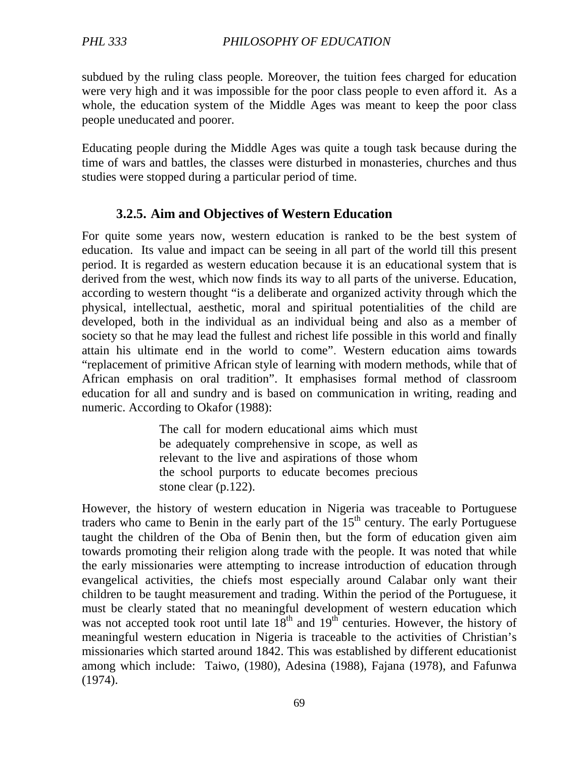subdued by the ruling class people. Moreover, the tuition fees charged for education were very high and it was impossible for the poor class people to even afford it. As a whole, the education system of the Middle Ages was meant to keep the poor class people uneducated and poorer.

Educating people during the Middle Ages was quite a tough task because during the time of wars and battles, the classes were disturbed in monasteries, churches and thus studies were stopped during a particular period of time.

## **3.2.5. Aim and Objectives of Western Education**

For quite some years now, western education is ranked to be the best system of education. Its value and impact can be seeing in all part of the world till this present period. It is regarded as western education because it is an educational system that is derived from the west, which now finds its way to all parts of the universe. Education, according to western thought "is a deliberate and organized activity through which the physical, intellectual, aesthetic, moral and spiritual potentialities of the child are developed, both in the individual as an individual being and also as a member of society so that he may lead the fullest and richest life possible in this world and finally attain his ultimate end in the world to come". Western education aims towards "replacement of primitive African style of learning with modern methods, while that of African emphasis on oral tradition". It emphasises formal method of classroom education for all and sundry and is based on communication in writing, reading and numeric. According to Okafor (1988):

> The call for modern educational aims which must be adequately comprehensive in scope, as well as relevant to the live and aspirations of those whom the school purports to educate becomes precious stone clear (p.122).

However, the history of western education in Nigeria was traceable to Portuguese traders who came to Benin in the early part of the  $15<sup>th</sup>$  century. The early Portuguese taught the children of the Oba of Benin then, but the form of education given aim towards promoting their religion along trade with the people. It was noted that while the early missionaries were attempting to increase introduction of education through evangelical activities, the chiefs most especially around Calabar only want their children to be taught measurement and trading. Within the period of the Portuguese, it must be clearly stated that no meaningful development of western education which was not accepted took root until late  $18<sup>th</sup>$  and  $19<sup>th</sup>$  centuries. However, the history of meaningful western education in Nigeria is traceable to the activities of Christian's missionaries which started around 1842. This was established by different educationist among which include: Taiwo, (1980), Adesina (1988), Fajana (1978), and Fafunwa (1974).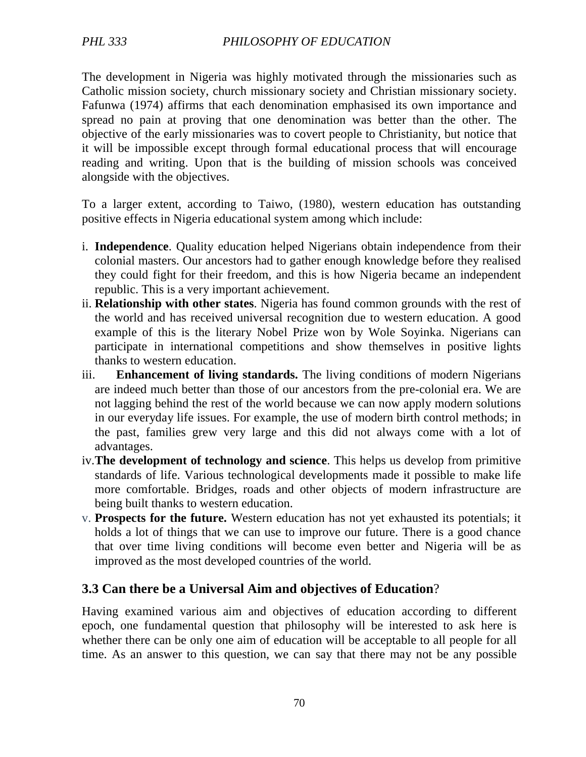The development in Nigeria was highly motivated through the missionaries such as Catholic mission society, church missionary society and Christian missionary society. Fafunwa (1974) affirms that each denomination emphasised its own importance and spread no pain at proving that one denomination was better than the other. The objective of the early missionaries was to covert people to Christianity, but notice that it will be impossible except through formal educational process that will encourage reading and writing. Upon that is the building of mission schools was conceived alongside with the objectives.

To a larger extent, according to Taiwo, (1980), western education has outstanding positive effects in Nigeria educational system among which include:

- i. **Independence**. Quality education helped Nigerians obtain independence from their colonial masters. Our ancestors had to gather enough knowledge before they realised they could fight for their freedom, and this is how Nigeria became an independent republic. This is a very important achievement.
- ii. **Relationship with other states**. Nigeria has found common grounds with the rest of the world and has received universal recognition due to western education. A good example of this is the literary Nobel Prize won by Wole Soyinka. Nigerians can participate in international competitions and show themselves in positive lights thanks to western education.
- iii. **Enhancement of living standards.** The living conditions of modern Nigerians are indeed much better than those of our ancestors from the pre-colonial era. We are not lagging behind the rest of the world because we can now apply modern solutions in our everyday life issues. For example, the use of modern birth control methods; in the past, families grew very large and this did not always come with a lot of advantages.
- iv.**The development of technology and science**. This helps us develop from primitive standards of life. Various technological developments made it possible to make life more comfortable. Bridges, roads and other objects of modern infrastructure are being built thanks to western education.
- v. **Prospects for the future.** Western education has not yet exhausted its potentials; it holds a lot of things that we can use to improve our future. There is a good chance that over time living conditions will become even better and Nigeria will be as improved as the most developed countries of the world.

## **3.3 Can there be a Universal Aim and objectives of Education**?

Having examined various aim and objectives of education according to different epoch, one fundamental question that philosophy will be interested to ask here is whether there can be only one aim of education will be acceptable to all people for all time. As an answer to this question, we can say that there may not be any possible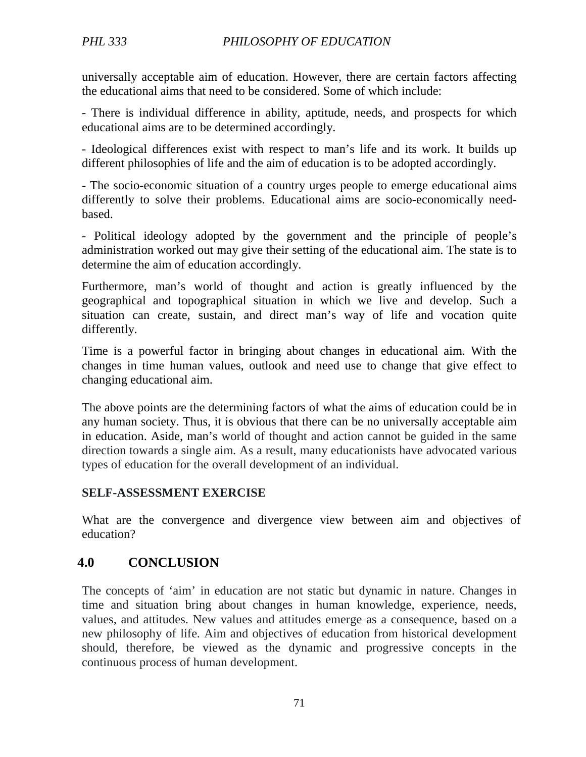universally acceptable aim of education. However, there are certain factors affecting the educational aims that need to be considered. Some of which include:

- There is individual difference in ability, aptitude, needs, and prospects for which educational aims are to be determined accordingly.

- Ideological differences exist with respect to man's life and its work. It builds up different philosophies of life and the aim of education is to be adopted accordingly.

- The socio-economic situation of a country urges people to emerge educational aims differently to solve their problems. Educational aims are socio-economically needbased.

- Political ideology adopted by the government and the principle of people's administration worked out may give their setting of the educational aim. The state is to determine the aim of education accordingly.

Furthermore, man's world of thought and action is greatly influenced by the geographical and topographical situation in which we live and develop. Such a situation can create, sustain, and direct man's way of life and vocation quite differently.

Time is a powerful factor in bringing about changes in educational aim. With the changes in time human values, outlook and need use to change that give effect to changing educational aim.

The above points are the determining factors of what the aims of education could be in any human society. Thus, it is obvious that there can be no universally acceptable aim in education. Aside, man's world of thought and action cannot be guided in the same direction towards a single aim. As a result, many educationists have advocated various types of education for the overall development of an individual.

#### **SELF-ASSESSMENT EXERCISE**

What are the convergence and divergence view between aim and objectives of education?

## **4.0 CONCLUSION**

The concepts of 'aim' in education are not static but dynamic in nature. Changes in time and situation bring about changes in human knowledge, experience, needs, values, and attitudes. New values and attitudes emerge as a consequence, based on a new philosophy of life. Aim and objectives of education from historical development should, therefore, be viewed as the dynamic and progressive concepts in the continuous process of human development.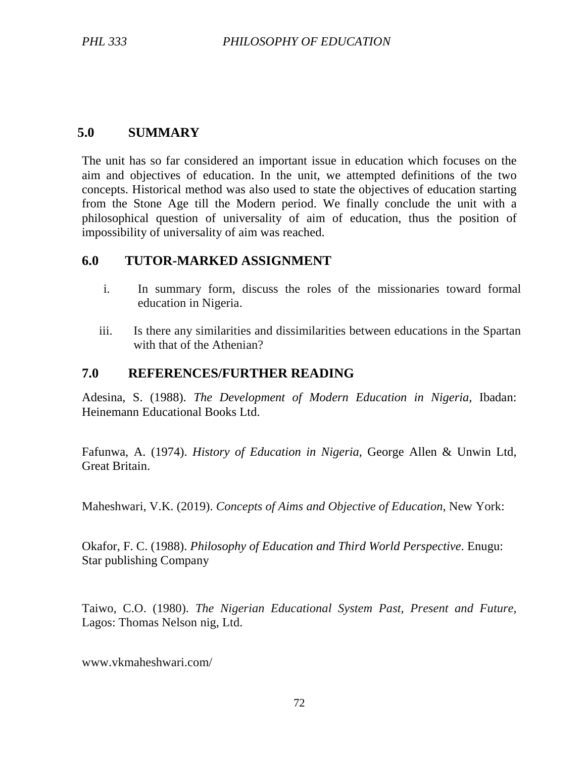## **5.0 SUMMARY**

The unit has so far considered an important issue in education which focuses on the aim and objectives of education. In the unit, we attempted definitions of the two concepts. Historical method was also used to state the objectives of education starting from the Stone Age till the Modern period. We finally conclude the unit with a philosophical question of universality of aim of education, thus the position of impossibility of universality of aim was reached.

#### **6.0 TUTOR-MARKED ASSIGNMENT**

- i. In summary form, discuss the roles of the missionaries toward formal education in Nigeria.
- iii. Is there any similarities and dissimilarities between educations in the Spartan with that of the Athenian?

### **7.0 REFERENCES/FURTHER READING**

Adesina, S. (1988). *The Development of Modern Education in Nigeria,* Ibadan: Heinemann Educational Books Ltd.

Fafunwa, A. (1974). *History of Education in Nigeria,* George Allen & Unwin Ltd, Great Britain.

Maheshwari, V.K. (2019). *Concepts of Aims and Objective of Education*, New York:

Okafor, F. C. (1988). *Philosophy of Education and Third World Perspective*. Enugu: Star publishing Company

Taiwo, C.O. (1980). *The Nigerian Educational System Past, Present and Future,* Lagos: Thomas Nelson nig, Ltd.

www.vkmaheshwari.com/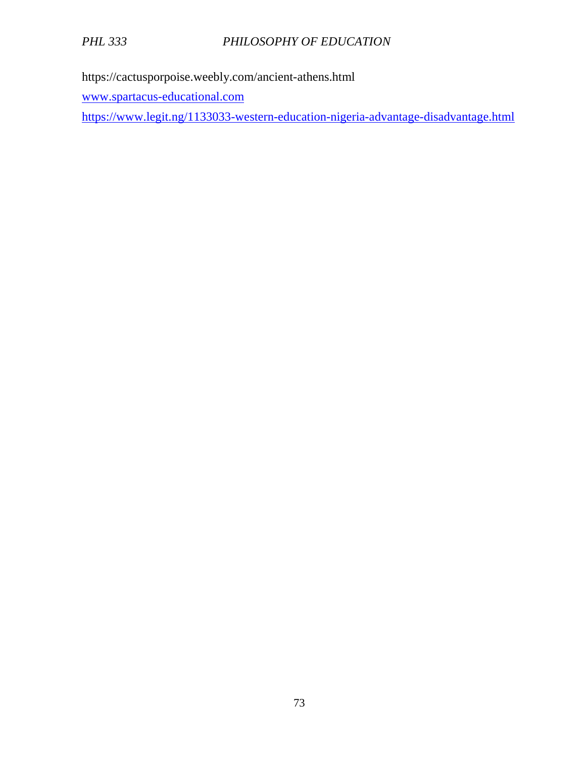https://cactusporpoise.weebly.com/ancient-athens.html

www.spartacus-educational.com

https://www.legit.ng/1133033-western-education-nigeria-advantage-disadvantage.html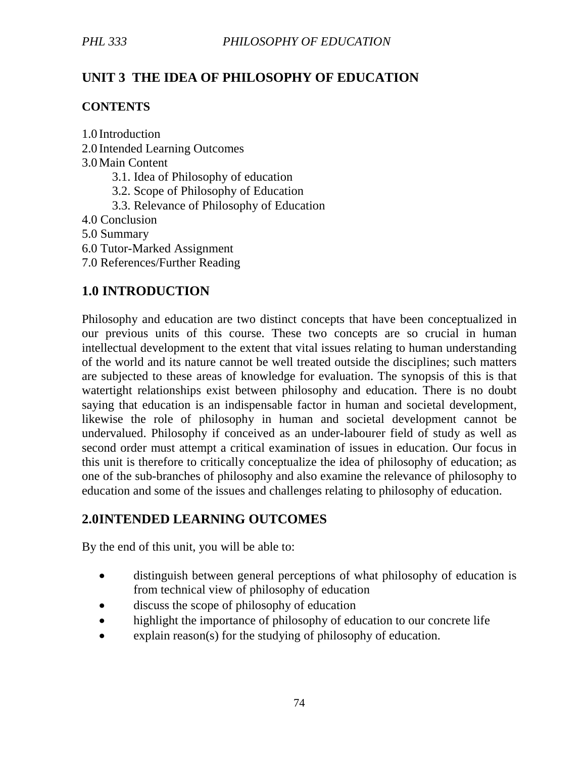# **UNIT 3 THE IDEA OF PHILOSOPHY OF EDUCATION**

### **CONTENTS**

1.0 Introduction

2.0 Intended Learning Outcomes 3.0Main Content 3.1. Idea of Philosophy of education 3.2. Scope of Philosophy of Education 3.3. Relevance of Philosophy of Education 4.0 Conclusion 5.0 Summary 6.0 Tutor-Marked Assignment 7.0 References/Further Reading

# **1.0 INTRODUCTION**

Philosophy and education are two distinct concepts that have been conceptualized in our previous units of this course. These two concepts are so crucial in human intellectual development to the extent that vital issues relating to human understanding of the world and its nature cannot be well treated outside the disciplines; such matters are subjected to these areas of knowledge for evaluation. The synopsis of this is that watertight relationships exist between philosophy and education. There is no doubt saying that education is an indispensable factor in human and societal development, likewise the role of philosophy in human and societal development cannot be undervalued. Philosophy if conceived as an under-labourer field of study as well as second order must attempt a critical examination of issues in education. Our focus in this unit is therefore to critically conceptualize the idea of philosophy of education; as one of the sub-branches of philosophy and also examine the relevance of philosophy to education and some of the issues and challenges relating to philosophy of education.

# **2.0INTENDED LEARNING OUTCOMES**

By the end of this unit, you will be able to:

- distinguish between general perceptions of what philosophy of education is from technical view of philosophy of education
- discuss the scope of philosophy of education
- highlight the importance of philosophy of education to our concrete life
- explain reason(s) for the studying of philosophy of education.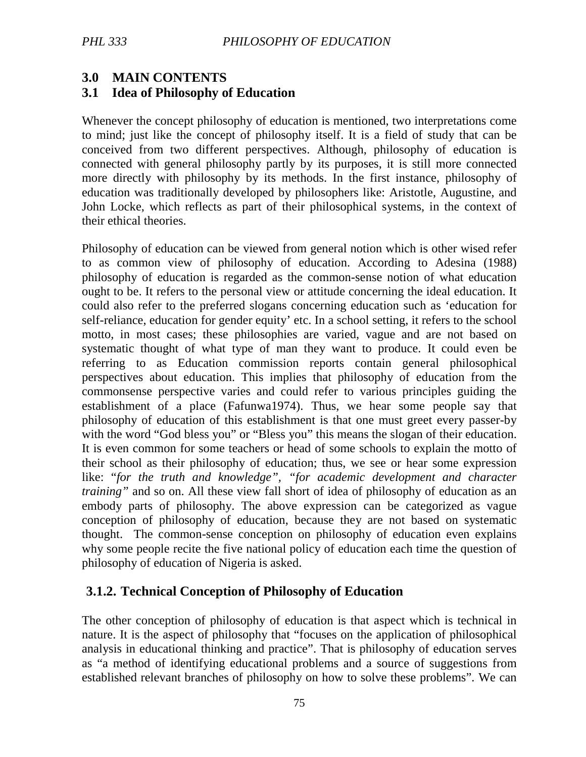# **3.0 MAIN CONTENTS**

## **3.1 Idea of Philosophy of Education**

Whenever the concept philosophy of education is mentioned, two interpretations come to mind; just like the concept of philosophy itself. It is a field of study that can be conceived from two different perspectives. Although, philosophy of education is connected with general philosophy partly by its purposes, it is still more connected more directly with philosophy by its methods. In the first instance, philosophy of education was traditionally developed by philosophers like: Aristotle, Augustine, and John Locke, which reflects as part of their philosophical systems, in the context of their ethical theories.

Philosophy of education can be viewed from general notion which is other wised refer to as common view of philosophy of education. According to Adesina (1988) philosophy of education is regarded as the common-sense notion of what education ought to be. It refers to the personal view or attitude concerning the ideal education. It could also refer to the preferred slogans concerning education such as 'education for self-reliance, education for gender equity' etc. In a school setting, it refers to the school motto, in most cases; these philosophies are varied, vague and are not based on systematic thought of what type of man they want to produce. It could even be referring to as Education commission reports contain general philosophical perspectives about education. This implies that philosophy of education from the commonsense perspective varies and could refer to various principles guiding the establishment of a place (Fafunwa1974). Thus, we hear some people say that philosophy of education of this establishment is that one must greet every passer-by with the word "God bless you" or "Bless you" this means the slogan of their education. It is even common for some teachers or head of some schools to explain the motto of their school as their philosophy of education; thus, we see or hear some expression like: "*for the truth and knowledge", "for academic development and character training"* and so on. All these view fall short of idea of philosophy of education as an embody parts of philosophy. The above expression can be categorized as vague conception of philosophy of education, because they are not based on systematic thought. The common-sense conception on philosophy of education even explains why some people recite the five national policy of education each time the question of philosophy of education of Nigeria is asked.

# **3.1.2. Technical Conception of Philosophy of Education**

The other conception of philosophy of education is that aspect which is technical in nature. It is the aspect of philosophy that "focuses on the application of philosophical analysis in educational thinking and practice". That is philosophy of education serves as "a method of identifying educational problems and a source of suggestions from established relevant branches of philosophy on how to solve these problems". We can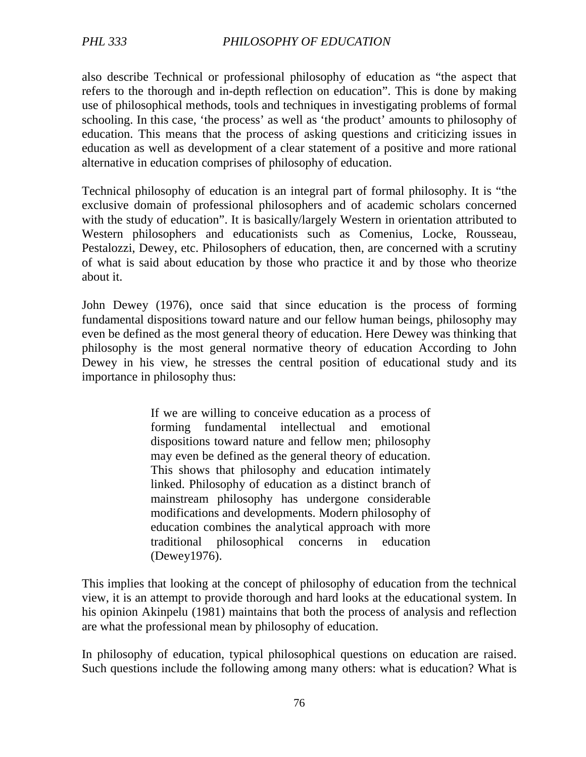also describe Technical or professional philosophy of education as "the aspect that refers to the thorough and in-depth reflection on education". This is done by making use of philosophical methods, tools and techniques in investigating problems of formal schooling. In this case, 'the process' as well as 'the product' amounts to philosophy of education. This means that the process of asking questions and criticizing issues in education as well as development of a clear statement of a positive and more rational alternative in education comprises of philosophy of education.

Technical philosophy of education is an integral part of formal philosophy. It is "the exclusive domain of professional philosophers and of academic scholars concerned with the study of education". It is basically/largely Western in orientation attributed to Western philosophers and educationists such as Comenius, Locke, Rousseau, Pestalozzi, Dewey, etc. Philosophers of education, then, are concerned with a scrutiny of what is said about education by those who practice it and by those who theorize about it.

John Dewey (1976), once said that since education is the process of forming fundamental dispositions toward nature and our fellow human beings, philosophy may even be defined as the most general theory of education. Here Dewey was thinking that philosophy is the most general normative theory of education According to John Dewey in his view, he stresses the central position of educational study and its importance in philosophy thus:

> If we are willing to conceive education as a process of forming fundamental intellectual and emotional dispositions toward nature and fellow men; philosophy may even be defined as the general theory of education. This shows that philosophy and education intimately linked. Philosophy of education as a distinct branch of mainstream philosophy has undergone considerable modifications and developments. Modern philosophy of education combines the analytical approach with more traditional philosophical concerns in education (Dewey1976).

This implies that looking at the concept of philosophy of education from the technical view, it is an attempt to provide thorough and hard looks at the educational system. In his opinion Akinpelu (1981) maintains that both the process of analysis and reflection are what the professional mean by philosophy of education.

In philosophy of education, typical philosophical questions on education are raised. Such questions include the following among many others: what is education? What is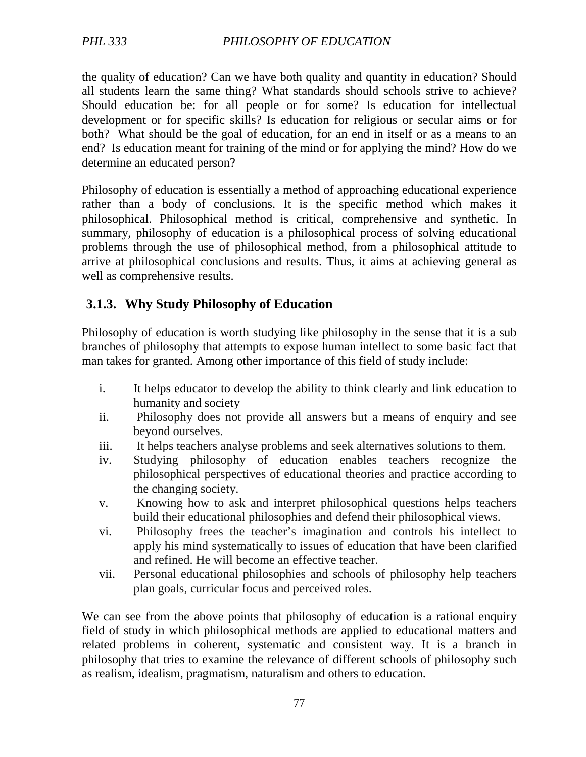the quality of education? Can we have both quality and quantity in education? Should all students learn the same thing? What standards should schools strive to achieve? Should education be: for all people or for some? Is education for intellectual development or for specific skills? Is education for religious or secular aims or for both? What should be the goal of education, for an end in itself or as a means to an end? Is education meant for training of the mind or for applying the mind? How do we determine an educated person?

Philosophy of education is essentially a method of approaching educational experience rather than a body of conclusions. It is the specific method which makes it philosophical. Philosophical method is critical, comprehensive and synthetic. In summary, philosophy of education is a philosophical process of solving educational problems through the use of philosophical method, from a philosophical attitude to arrive at philosophical conclusions and results. Thus, it aims at achieving general as well as comprehensive results.

## **3.1.3. Why Study Philosophy of Education**

Philosophy of education is worth studying like philosophy in the sense that it is a sub branches of philosophy that attempts to expose human intellect to some basic fact that man takes for granted. Among other importance of this field of study include:

- i. It helps educator to develop the ability to think clearly and link education to humanity and society
- ii. Philosophy does not provide all answers but a means of enquiry and see beyond ourselves.
- iii. It helps teachers analyse problems and seek alternatives solutions to them.
- iv. Studying philosophy of education enables teachers recognize the philosophical perspectives of educational theories and practice according to the changing society.
- v. Knowing how to ask and interpret philosophical questions helps teachers build their educational philosophies and defend their philosophical views.
- vi. Philosophy frees the teacher's imagination and controls his intellect to apply his mind systematically to issues of education that have been clarified and refined. He will become an effective teacher.
- vii. Personal educational philosophies and schools of philosophy help teachers plan goals, curricular focus and perceived roles.

We can see from the above points that philosophy of education is a rational enquiry field of study in which philosophical methods are applied to educational matters and related problems in coherent, systematic and consistent way. It is a branch in philosophy that tries to examine the relevance of different schools of philosophy such as realism, idealism, pragmatism, naturalism and others to education.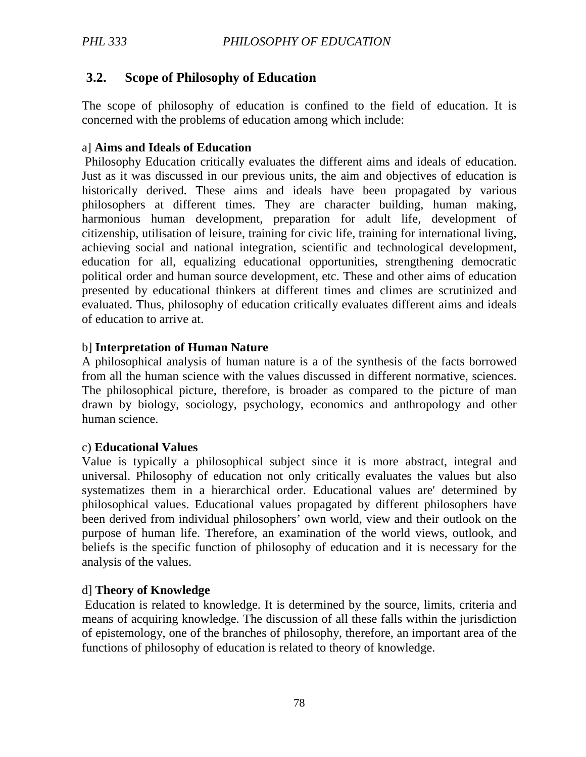# **3.2. Scope of Philosophy of Education**

The scope of philosophy of education is confined to the field of education. It is concerned with the problems of education among which include:

#### a] **Aims and Ideals of Education**

 Philosophy Education critically evaluates the different aims and ideals of education. Just as it was discussed in our previous units, the aim and objectives of education is historically derived. These aims and ideals have been propagated by various philosophers at different times. They are character building, human making, harmonious human development, preparation for adult life, development of citizenship, utilisation of leisure, training for civic life, training for international living, achieving social and national integration, scientific and technological development, education for all, equalizing educational opportunities, strengthening democratic political order and human source development, etc. These and other aims of education presented by educational thinkers at different times and climes are scrutinized and evaluated. Thus, philosophy of education critically evaluates different aims and ideals of education to arrive at.

#### b] **Interpretation of Human Nature**

A philosophical analysis of human nature is a of the synthesis of the facts borrowed from all the human science with the values discussed in different normative, sciences. The philosophical picture, therefore, is broader as compared to the picture of man drawn by biology, sociology, psychology, economics and anthropology and other human science.

#### c) **Educational Values**

Value is typically a philosophical subject since it is more abstract, integral and universal. Philosophy of education not only critically evaluates the values but also systematizes them in a hierarchical order. Educational values are' determined by philosophical values. Educational values propagated by different philosophers have been derived from individual philosophers' own world, view and their outlook on the purpose of human life. Therefore, an examination of the world views, outlook, and beliefs is the specific function of philosophy of education and it is necessary for the analysis of the values.

#### d] **Theory of Knowledge**

 Education is related to knowledge. It is determined by the source, limits, criteria and means of acquiring knowledge. The discussion of all these falls within the jurisdiction of epistemology, one of the branches of philosophy, therefore, an important area of the functions of philosophy of education is related to theory of knowledge.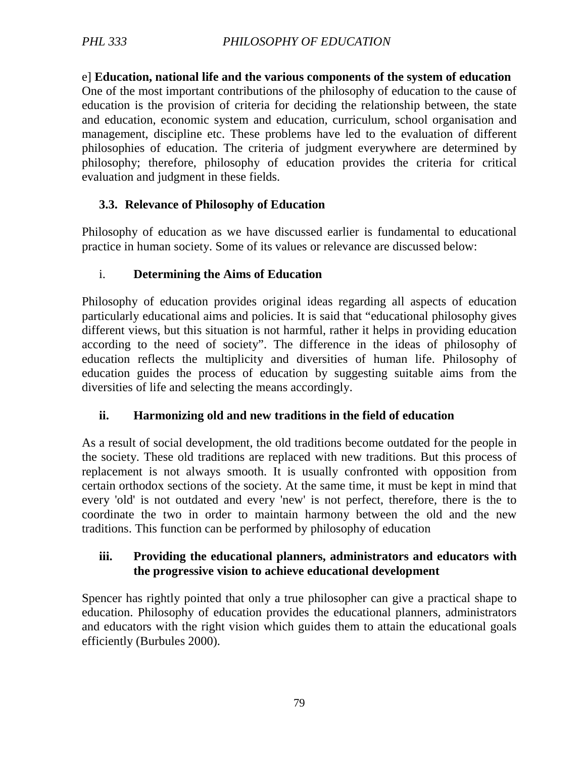e] **Education, national life and the various components of the system of education** One of the most important contributions of the philosophy of education to the cause of education is the provision of criteria for deciding the relationship between, the state and education, economic system and education, curriculum, school organisation and management, discipline etc. These problems have led to the evaluation of different philosophies of education. The criteria of judgment everywhere are determined by philosophy; therefore, philosophy of education provides the criteria for critical evaluation and judgment in these fields.

## **3.3. Relevance of Philosophy of Education**

Philosophy of education as we have discussed earlier is fundamental to educational practice in human society. Some of its values or relevance are discussed below:

## i. **Determining the Aims of Education**

Philosophy of education provides original ideas regarding all aspects of education particularly educational aims and policies. It is said that "educational philosophy gives different views, but this situation is not harmful, rather it helps in providing education according to the need of society". The difference in the ideas of philosophy of education reflects the multiplicity and diversities of human life. Philosophy of education guides the process of education by suggesting suitable aims from the diversities of life and selecting the means accordingly.

## **ii. Harmonizing old and new traditions in the field of education**

As a result of social development, the old traditions become outdated for the people in the society. These old traditions are replaced with new traditions. But this process of replacement is not always smooth. It is usually confronted with opposition from certain orthodox sections of the society. At the same time, it must be kept in mind that every 'old' is not outdated and every 'new' is not perfect, therefore, there is the to coordinate the two in order to maintain harmony between the old and the new traditions. This function can be performed by philosophy of education

#### **iii. Providing the educational planners, administrators and educators with the progressive vision to achieve educational development**

Spencer has rightly pointed that only a true philosopher can give a practical shape to education. Philosophy of education provides the educational planners, administrators and educators with the right vision which guides them to attain the educational goals efficiently (Burbules 2000).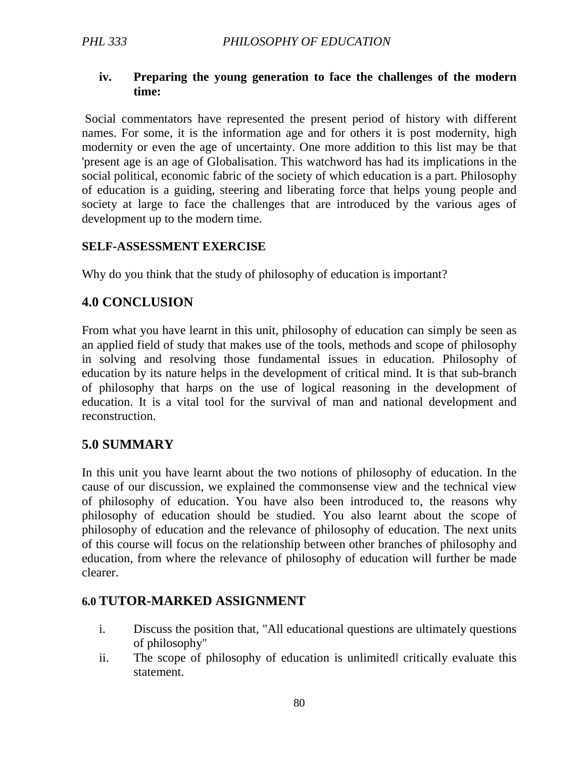#### **iv. Preparing the young generation to face the challenges of the modern time:**

 Social commentators have represented the present period of history with different names. For some, it is the information age and for others it is post modernity, high modernity or even the age of uncertainty. One more addition to this list may be that 'present age is an age of Globalisation. This watchword has had its implications in the social political, economic fabric of the society of which education is a part. Philosophy of education is a guiding, steering and liberating force that helps young people and society at large to face the challenges that are introduced by the various ages of development up to the modern time.

#### **SELF-ASSESSMENT EXERCISE**

Why do you think that the study of philosophy of education is important?

#### **4.0 CONCLUSION**

From what you have learnt in this unit, philosophy of education can simply be seen as an applied field of study that makes use of the tools, methods and scope of philosophy in solving and resolving those fundamental issues in education. Philosophy of education by its nature helps in the development of critical mind. It is that sub-branch of philosophy that harps on the use of logical reasoning in the development of education. It is a vital tool for the survival of man and national development and reconstruction.

## **5.0 SUMMARY**

In this unit you have learnt about the two notions of philosophy of education. In the cause of our discussion, we explained the commonsense view and the technical view of philosophy of education. You have also been introduced to, the reasons why philosophy of education should be studied. You also learnt about the scope of philosophy of education and the relevance of philosophy of education. The next units of this course will focus on the relationship between other branches of philosophy and education, from where the relevance of philosophy of education will further be made clearer.

#### **6.0 TUTOR-MARKED ASSIGNMENT**

- i. Discuss the position that, "All educational questions are ultimately questions of philosophy"
- ii. The scope of philosophy of education is unlimited‖ critically evaluate this statement.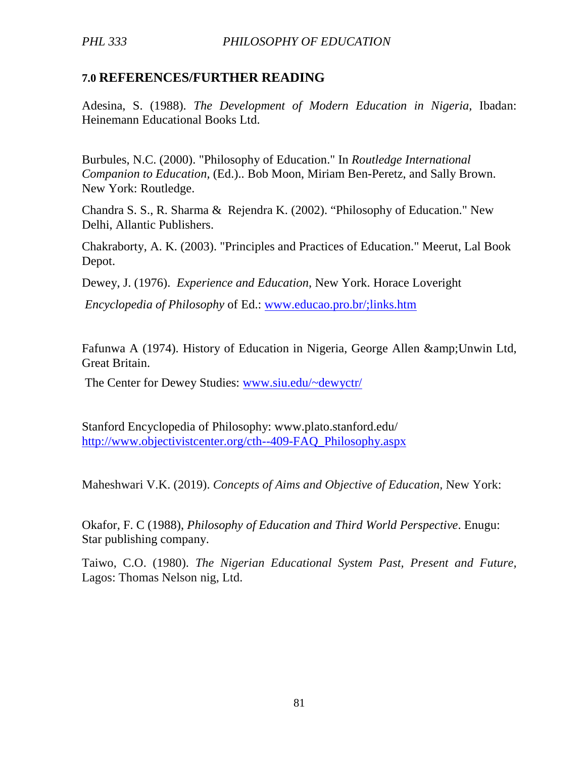## **7.0 REFERENCES/FURTHER READING**

Adesina, S. (1988). *The Development of Modern Education in Nigeria,* Ibadan: Heinemann Educational Books Ltd.

Burbules, N.C. (2000). "Philosophy of Education." In *Routledge International Companion to Education,* (Ed.).. Bob Moon, Miriam Ben-Peretz, and Sally Brown. New York: Routledge.

Chandra S. S., R. Sharma & Rejendra K. (2002). "Philosophy of Education." New Delhi, Allantic Publishers.

Chakraborty, A. K. (2003). "Principles and Practices of Education." Meerut, Lal Book Depot.

Dewey, J. (1976). *Experience and Education*, New York. Horace Loveright

*Encyclopedia of Philosophy* of Ed.: www.educao.pro.br/;links.htm

Fafunwa A (1974). History of Education in Nigeria, George Allen & Unwin Ltd, Great Britain.

The Center for Dewey Studies: www.siu.edu/~dewyctr/

Stanford Encyclopedia of Philosophy: www.plato.stanford.edu/ http://www.objectivistcenter.org/cth--409-FAQ\_Philosophy.aspx

Maheshwari V.K. (2019). *Concepts of Aims and Objective of Education,* New York:

Okafor, F. C (1988), *Philosophy of Education and Third World Perspective*. Enugu: Star publishing company.

Taiwo, C.O. (1980). *The Nigerian Educational System Past, Present and Future,* Lagos: Thomas Nelson nig, Ltd.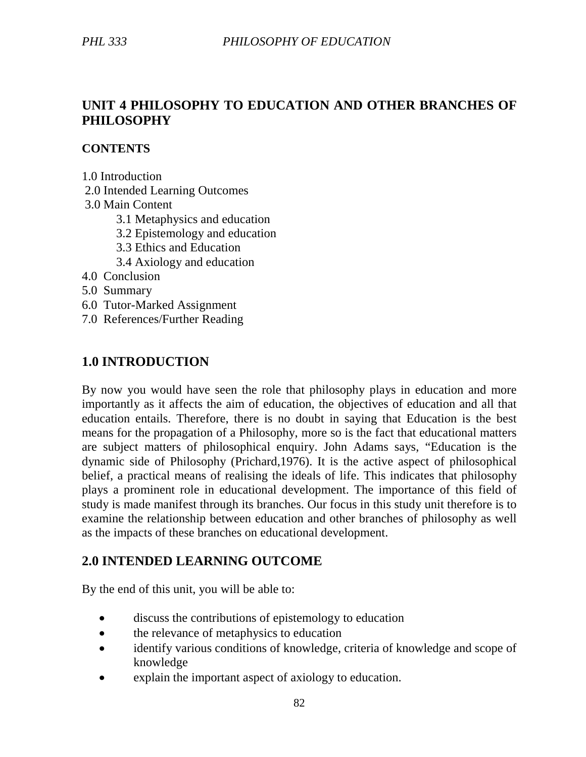## **UNIT 4 PHILOSOPHY TO EDUCATION AND OTHER BRANCHES OF PHILOSOPHY**

#### **CONTENTS**

1.0 Introduction

2.0 Intended Learning Outcomes

3.0 Main Content

- 3.1 Metaphysics and education
- 3.2 Epistemology and education
- 3.3 Ethics and Education
- 3.4 Axiology and education
- 4.0 Conclusion
- 5.0 Summary
- 6.0 Tutor-Marked Assignment
- 7.0 References/Further Reading

## **1.0 INTRODUCTION**

By now you would have seen the role that philosophy plays in education and more importantly as it affects the aim of education, the objectives of education and all that education entails. Therefore, there is no doubt in saying that Education is the best means for the propagation of a Philosophy, more so is the fact that educational matters are subject matters of philosophical enquiry. John Adams says, "Education is the dynamic side of Philosophy (Prichard,1976). It is the active aspect of philosophical belief, a practical means of realising the ideals of life. This indicates that philosophy plays a prominent role in educational development. The importance of this field of study is made manifest through its branches. Our focus in this study unit therefore is to examine the relationship between education and other branches of philosophy as well as the impacts of these branches on educational development.

## **2.0 INTENDED LEARNING OUTCOME**

By the end of this unit, you will be able to:

- discuss the contributions of epistemology to education
- the relevance of metaphysics to education
- identify various conditions of knowledge, criteria of knowledge and scope of knowledge
- explain the important aspect of axiology to education.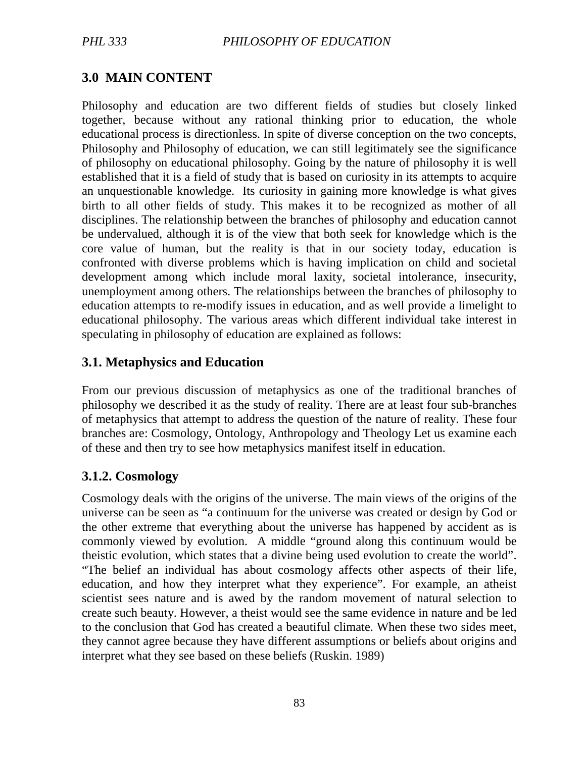# **3.0 MAIN CONTENT**

Philosophy and education are two different fields of studies but closely linked together, because without any rational thinking prior to education, the whole educational process is directionless. In spite of diverse conception on the two concepts, Philosophy and Philosophy of education, we can still legitimately see the significance of philosophy on educational philosophy. Going by the nature of philosophy it is well established that it is a field of study that is based on curiosity in its attempts to acquire an unquestionable knowledge. Its curiosity in gaining more knowledge is what gives birth to all other fields of study. This makes it to be recognized as mother of all disciplines. The relationship between the branches of philosophy and education cannot be undervalued, although it is of the view that both seek for knowledge which is the core value of human, but the reality is that in our society today, education is confronted with diverse problems which is having implication on child and societal development among which include moral laxity, societal intolerance, insecurity, unemployment among others. The relationships between the branches of philosophy to education attempts to re-modify issues in education, and as well provide a limelight to educational philosophy. The various areas which different individual take interest in speculating in philosophy of education are explained as follows:

## **3.1. Metaphysics and Education**

From our previous discussion of metaphysics as one of the traditional branches of philosophy we described it as the study of reality. There are at least four sub-branches of metaphysics that attempt to address the question of the nature of reality. These four branches are: Cosmology, Ontology, Anthropology and Theology Let us examine each of these and then try to see how metaphysics manifest itself in education.

## **3.1.2. Cosmology**

Cosmology deals with the origins of the universe. The main views of the origins of the universe can be seen as "a continuum for the universe was created or design by God or the other extreme that everything about the universe has happened by accident as is commonly viewed by evolution. A middle "ground along this continuum would be theistic evolution, which states that a divine being used evolution to create the world". "The belief an individual has about cosmology affects other aspects of their life, education, and how they interpret what they experience". For example, an atheist scientist sees nature and is awed by the random movement of natural selection to create such beauty. However, a theist would see the same evidence in nature and be led to the conclusion that God has created a beautiful climate. When these two sides meet, they cannot agree because they have different assumptions or beliefs about origins and interpret what they see based on these beliefs (Ruskin. 1989)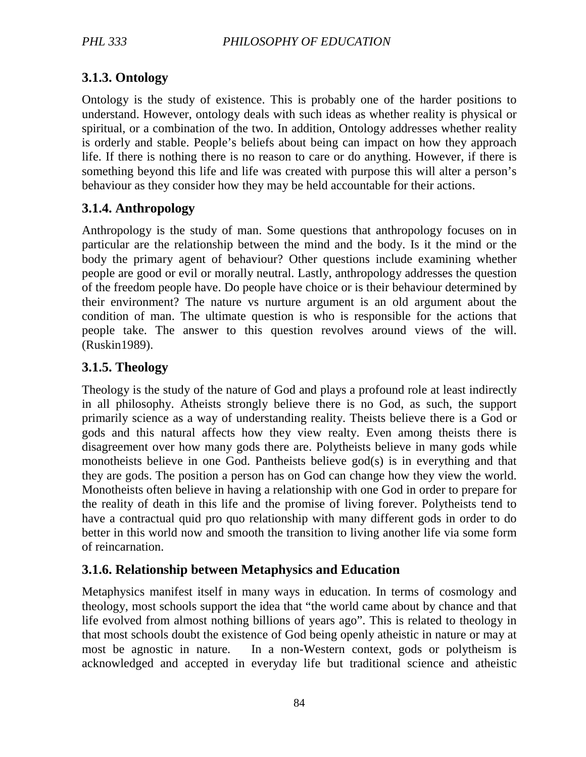# **3.1.3. Ontology**

Ontology is the study of existence. This is probably one of the harder positions to understand. However, ontology deals with such ideas as whether reality is physical or spiritual, or a combination of the two. In addition, Ontology addresses whether reality is orderly and stable. People's beliefs about being can impact on how they approach life. If there is nothing there is no reason to care or do anything. However, if there is something beyond this life and life was created with purpose this will alter a person's behaviour as they consider how they may be held accountable for their actions.

## **3.1.4. Anthropology**

Anthropology is the study of man. Some questions that anthropology focuses on in particular are the relationship between the mind and the body. Is it the mind or the body the primary agent of behaviour? Other questions include examining whether people are good or evil or morally neutral. Lastly, anthropology addresses the question of the freedom people have. Do people have choice or is their behaviour determined by their environment? The nature vs nurture argument is an old argument about the condition of man. The ultimate question is who is responsible for the actions that people take. The answer to this question revolves around views of the will. (Ruskin1989).

## **3.1.5. Theology**

Theology is the study of the nature of God and plays a profound role at least indirectly in all philosophy. Atheists strongly believe there is no God, as such, the support primarily science as a way of understanding reality. Theists believe there is a God or gods and this natural affects how they view realty. Even among theists there is disagreement over how many gods there are. Polytheists believe in many gods while monotheists believe in one God. Pantheists believe god(s) is in everything and that they are gods. The position a person has on God can change how they view the world. Monotheists often believe in having a relationship with one God in order to prepare for the reality of death in this life and the promise of living forever. Polytheists tend to have a contractual quid pro quo relationship with many different gods in order to do better in this world now and smooth the transition to living another life via some form of reincarnation.

## **3.1.6. Relationship between Metaphysics and Education**

Metaphysics manifest itself in many ways in education. In terms of cosmology and theology, most schools support the idea that "the world came about by chance and that life evolved from almost nothing billions of years ago". This is related to theology in that most schools doubt the existence of God being openly atheistic in nature or may at most be agnostic in nature. In a non-Western context, gods or polytheism is acknowledged and accepted in everyday life but traditional science and atheistic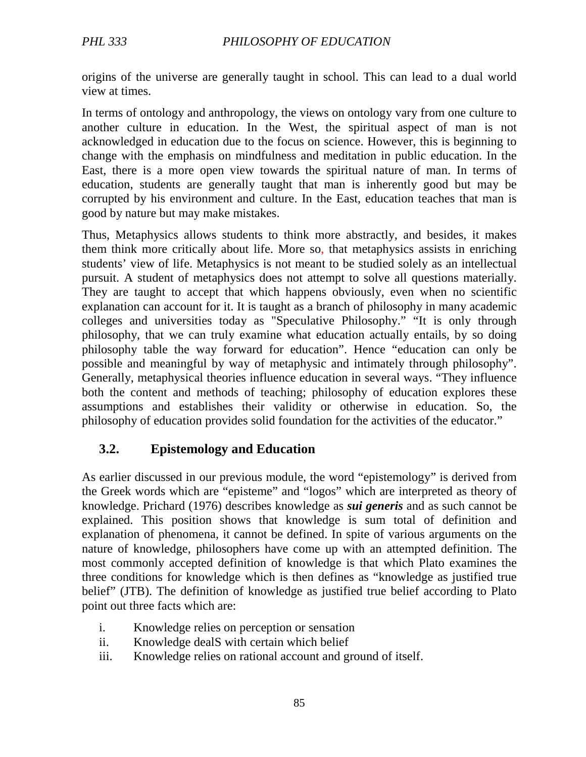origins of the universe are generally taught in school. This can lead to a dual world view at times.

In terms of ontology and anthropology, the views on ontology vary from one culture to another culture in education. In the West, the spiritual aspect of man is not acknowledged in education due to the focus on science. However, this is beginning to change with the emphasis on mindfulness and meditation in public education. In the East, there is a more open view towards the spiritual nature of man. In terms of education, students are generally taught that man is inherently good but may be corrupted by his environment and culture. In the East, education teaches that man is good by nature but may make mistakes.

Thus, Metaphysics allows students to think more abstractly, and besides, it makes them think more critically about life. More so, that metaphysics assists in enriching students' view of life. Metaphysics is not meant to be studied solely as an intellectual pursuit. A student of metaphysics does not attempt to solve all questions materially. They are taught to accept that which happens obviously, even when no scientific explanation can account for it. It is taught as a branch of philosophy in many academic colleges and universities today as "Speculative Philosophy." "It is only through philosophy, that we can truly examine what education actually entails, by so doing philosophy table the way forward for education". Hence "education can only be possible and meaningful by way of metaphysic and intimately through philosophy". Generally, metaphysical theories influence education in several ways. "They influence both the content and methods of teaching; philosophy of education explores these assumptions and establishes their validity or otherwise in education. So, the philosophy of education provides solid foundation for the activities of the educator."

# **3.2. Epistemology and Education**

As earlier discussed in our previous module, the word "epistemology" is derived from the Greek words which are "episteme" and "logos" which are interpreted as theory of knowledge. Prichard (1976) describes knowledge as *sui generis* and as such cannot be explained. This position shows that knowledge is sum total of definition and explanation of phenomena, it cannot be defined. In spite of various arguments on the nature of knowledge, philosophers have come up with an attempted definition. The most commonly accepted definition of knowledge is that which Plato examines the three conditions for knowledge which is then defines as "knowledge as justified true belief" (JTB). The definition of knowledge as justified true belief according to Plato point out three facts which are:

- i. Knowledge relies on perception or sensation
- ii. Knowledge dealS with certain which belief
- iii. Knowledge relies on rational account and ground of itself.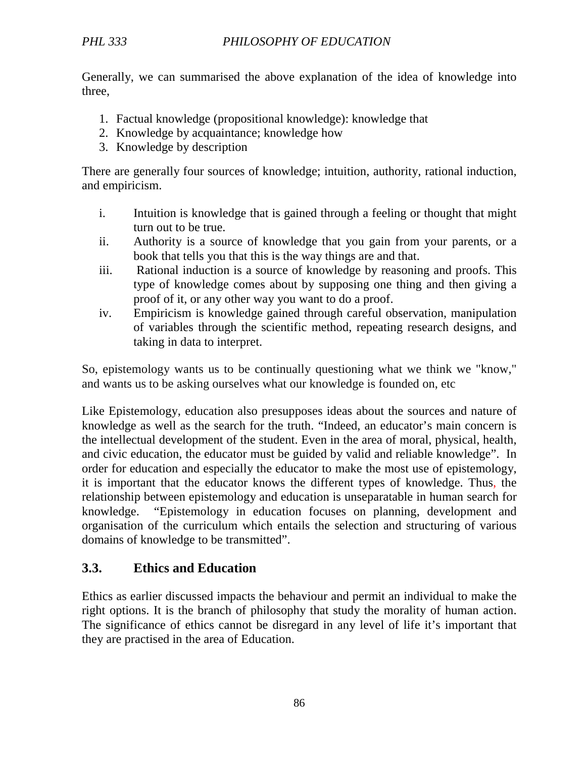Generally, we can summarised the above explanation of the idea of knowledge into three,

- 1. Factual knowledge (propositional knowledge): knowledge that
- 2. Knowledge by acquaintance; knowledge how
- 3. Knowledge by description

There are generally four sources of knowledge; intuition, authority, rational induction, and empiricism.

- i. Intuition is knowledge that is gained through a feeling or thought that might turn out to be true.
- ii. Authority is a source of knowledge that you gain from your parents, or a book that tells you that this is the way things are and that.
- iii. Rational induction is a source of knowledge by reasoning and proofs. This type of knowledge comes about by supposing one thing and then giving a proof of it, or any other way you want to do a proof.
- iv. Empiricism is knowledge gained through careful observation, manipulation of variables through the scientific method, repeating research designs, and taking in data to interpret.

So, epistemology wants us to be continually questioning what we think we "know," and wants us to be asking ourselves what our knowledge is founded on, etc

Like Epistemology, education also presupposes ideas about the sources and nature of knowledge as well as the search for the truth. "Indeed, an educator's main concern is the intellectual development of the student. Even in the area of moral, physical, health, and civic education, the educator must be guided by valid and reliable knowledge". In order for education and especially the educator to make the most use of epistemology, it is important that the educator knows the different types of knowledge. Thus, the relationship between epistemology and education is unseparatable in human search for knowledge. "Epistemology in education focuses on planning, development and organisation of the curriculum which entails the selection and structuring of various domains of knowledge to be transmitted".

# **3.3. Ethics and Education**

Ethics as earlier discussed impacts the behaviour and permit an individual to make the right options. It is the branch of philosophy that study the morality of human action. The significance of ethics cannot be disregard in any level of life it's important that they are practised in the area of Education.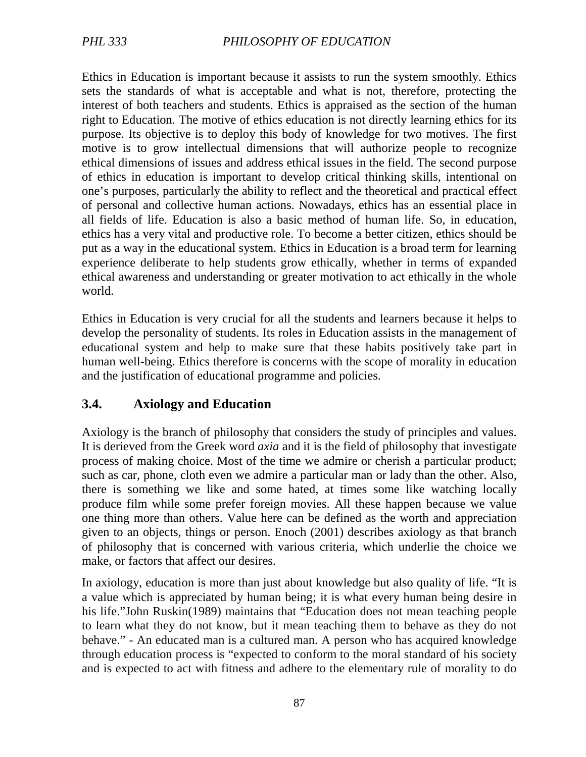Ethics in Education is important because it assists to run the system smoothly. Ethics sets the standards of what is acceptable and what is not, therefore, protecting the interest of both teachers and students. Ethics is appraised as the section of the human right to Education. The motive of ethics education is not directly learning ethics for its purpose. Its objective is to deploy this body of knowledge for two motives. The first motive is to grow intellectual dimensions that will authorize people to recognize ethical dimensions of issues and address ethical issues in the field. The second purpose of ethics in education is important to develop critical thinking skills, intentional on one's purposes, particularly the ability to reflect and the theoretical and practical effect of personal and collective human actions. Nowadays, ethics has an essential place in all fields of life. Education is also a basic method of human life. So, in education, ethics has a very vital and productive role. To become a better citizen, ethics should be put as a way in the educational system. Ethics in Education is a broad term for learning experience deliberate to help students grow ethically, whether in terms of expanded ethical awareness and understanding or greater motivation to act ethically in the whole world.

Ethics in Education is very crucial for all the students and learners because it helps to develop the personality of students. Its roles in Education assists in the management of educational system and help to make sure that these habits positively take part in human well-being. Ethics therefore is concerns with the scope of morality in education and the justification of educational programme and policies.

# **3.4. Axiology and Education**

Axiology is the branch of philosophy that considers the study of principles and values. It is derieved from the Greek word *axia* and it is the field of philosophy that investigate process of making choice. Most of the time we admire or cherish a particular product; such as car, phone, cloth even we admire a particular man or lady than the other. Also, there is something we like and some hated, at times some like watching locally produce film while some prefer foreign movies. All these happen because we value one thing more than others. Value here can be defined as the worth and appreciation given to an objects, things or person. Enoch (2001) describes axiology as that branch of philosophy that is concerned with various criteria, which underlie the choice we make, or factors that affect our desires.

In axiology, education is more than just about knowledge but also quality of life. "It is a value which is appreciated by human being; it is what every human being desire in his life."John Ruskin(1989) maintains that "Education does not mean teaching people to learn what they do not know, but it mean teaching them to behave as they do not behave." - An educated man is a cultured man. A person who has acquired knowledge through education process is "expected to conform to the moral standard of his society and is expected to act with fitness and adhere to the elementary rule of morality to do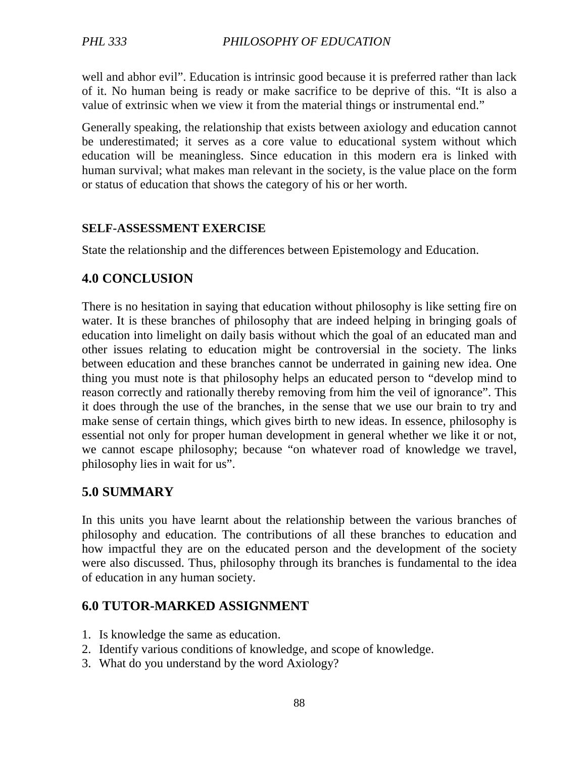well and abhor evil". Education is intrinsic good because it is preferred rather than lack of it. No human being is ready or make sacrifice to be deprive of this. "It is also a value of extrinsic when we view it from the material things or instrumental end."

Generally speaking, the relationship that exists between axiology and education cannot be underestimated; it serves as a core value to educational system without which education will be meaningless. Since education in this modern era is linked with human survival; what makes man relevant in the society, is the value place on the form or status of education that shows the category of his or her worth.

#### **SELF-ASSESSMENT EXERCISE**

State the relationship and the differences between Epistemology and Education.

## **4.0 CONCLUSION**

There is no hesitation in saying that education without philosophy is like setting fire on water. It is these branches of philosophy that are indeed helping in bringing goals of education into limelight on daily basis without which the goal of an educated man and other issues relating to education might be controversial in the society. The links between education and these branches cannot be underrated in gaining new idea. One thing you must note is that philosophy helps an educated person to "develop mind to reason correctly and rationally thereby removing from him the veil of ignorance". This it does through the use of the branches, in the sense that we use our brain to try and make sense of certain things, which gives birth to new ideas. In essence, philosophy is essential not only for proper human development in general whether we like it or not, we cannot escape philosophy; because "on whatever road of knowledge we travel, philosophy lies in wait for us".

## **5.0 SUMMARY**

In this units you have learnt about the relationship between the various branches of philosophy and education. The contributions of all these branches to education and how impactful they are on the educated person and the development of the society were also discussed. Thus, philosophy through its branches is fundamental to the idea of education in any human society.

## **6.0 TUTOR-MARKED ASSIGNMENT**

- 1. Is knowledge the same as education.
- 2. Identify various conditions of knowledge, and scope of knowledge.
- 3. What do you understand by the word Axiology?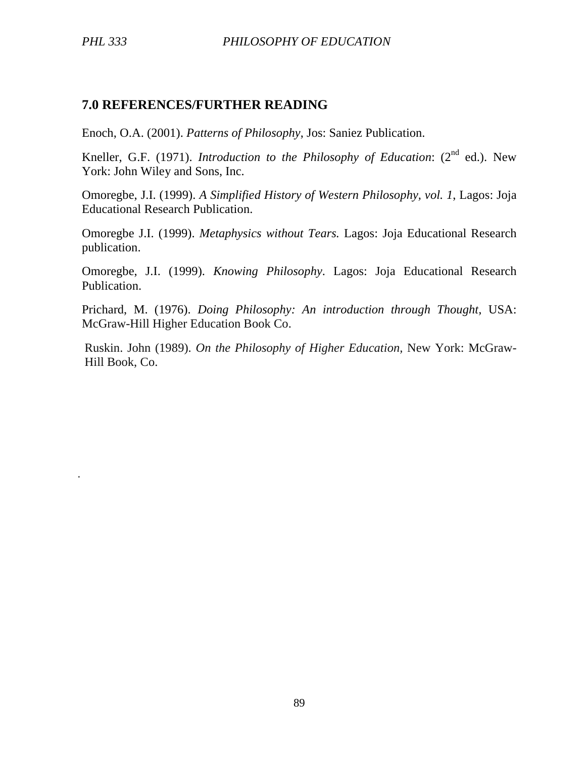.

### **7.0 REFERENCES/FURTHER READING**

Enoch, O.A. (2001). *Patterns of Philosophy*, Jos: Saniez Publication.

Kneller, G.F. (1971). *Introduction to the Philosophy of Education*: (2<sup>nd</sup> ed.). New York: John Wiley and Sons, Inc.

Omoregbe, J.I. (1999). *A Simplified History of Western Philosophy, vol. 1*, Lagos: Joja Educational Research Publication.

Omoregbe J.I. (1999). *Metaphysics without Tears.* Lagos: Joja Educational Research publication.

Omoregbe, J.I. (1999). *Knowing Philosophy*. Lagos: Joja Educational Research Publication.

Prichard, M. (1976). *Doing Philosophy: An introduction through Thought,* USA: McGraw-Hill Higher Education Book Co.

Ruskin. John (1989). *On the Philosophy of Higher Education,* New York: McGraw-Hill Book, Co.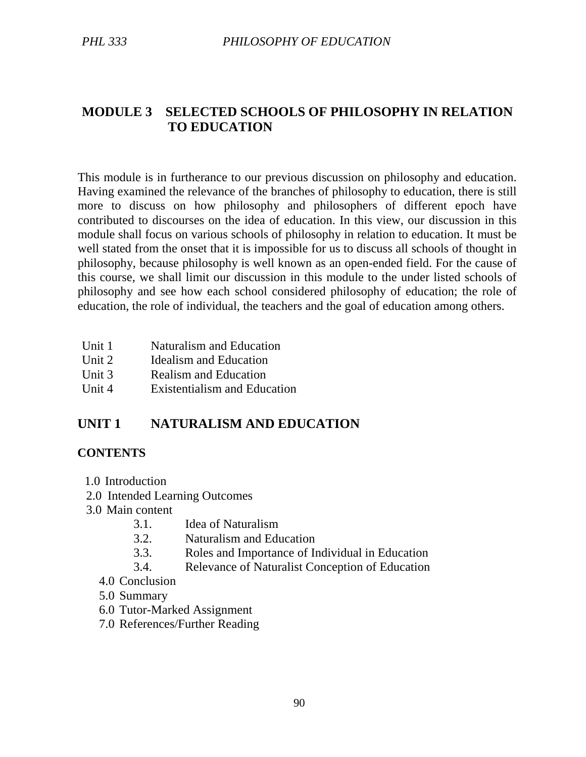# **MODULE 3 SELECTED SCHOOLS OF PHILOSOPHY IN RELATION TO EDUCATION**

This module is in furtherance to our previous discussion on philosophy and education. Having examined the relevance of the branches of philosophy to education, there is still more to discuss on how philosophy and philosophers of different epoch have contributed to discourses on the idea of education. In this view, our discussion in this module shall focus on various schools of philosophy in relation to education. It must be well stated from the onset that it is impossible for us to discuss all schools of thought in philosophy, because philosophy is well known as an open-ended field. For the cause of this course, we shall limit our discussion in this module to the under listed schools of philosophy and see how each school considered philosophy of education; the role of education, the role of individual, the teachers and the goal of education among others.

- Unit 1 Naturalism and Education
- Unit 2 Idealism and Education
- Unit 3 Realism and Education
- Unit 4 Existentialism and Education

# **UNIT 1 NATURALISM AND EDUCATION**

#### **CONTENTS**

- 1.0 Introduction
- 2.0 Intended Learning Outcomes
- 3.0 Main content
	- 3.1. Idea of Naturalism
	- 3.2. Naturalism and Education
	- 3.3. Roles and Importance of Individual in Education
	- 3.4. Relevance of Naturalist Conception of Education
	- 4.0 Conclusion
	- 5.0 Summary
	- 6.0 Tutor-Marked Assignment
	- 7.0 References/Further Reading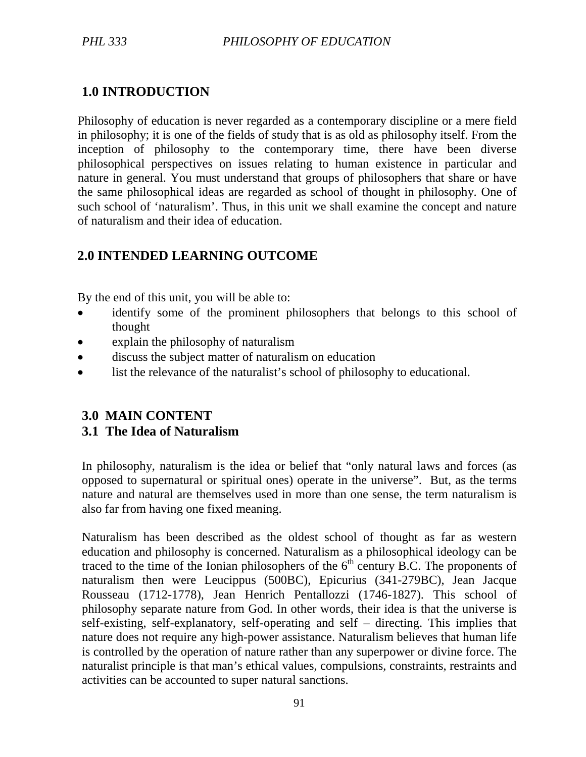# **1.0 INTRODUCTION**

Philosophy of education is never regarded as a contemporary discipline or a mere field in philosophy; it is one of the fields of study that is as old as philosophy itself. From the inception of philosophy to the contemporary time, there have been diverse philosophical perspectives on issues relating to human existence in particular and nature in general. You must understand that groups of philosophers that share or have the same philosophical ideas are regarded as school of thought in philosophy. One of such school of 'naturalism'. Thus, in this unit we shall examine the concept and nature of naturalism and their idea of education.

# **2.0 INTENDED LEARNING OUTCOME**

By the end of this unit, you will be able to:

- identify some of the prominent philosophers that belongs to this school of thought
- explain the philosophy of naturalism
- discuss the subject matter of naturalism on education
- list the relevance of the naturalist's school of philosophy to educational.

# **3.0 MAIN CONTENT**

## **3.1 The Idea of Naturalism**

In philosophy, naturalism is the idea or belief that "only natural laws and forces (as opposed to supernatural or spiritual ones) operate in the universe". But, as the terms nature and natural are themselves used in more than one sense, the term naturalism is also far from having one fixed meaning.

Naturalism has been described as the oldest school of thought as far as western education and philosophy is concerned. Naturalism as a philosophical ideology can be traced to the time of the Ionian philosophers of the  $6<sup>th</sup>$  century B.C. The proponents of naturalism then were Leucippus (500BC), Epicurius (341-279BC), Jean Jacque Rousseau (1712-1778), Jean Henrich Pentallozzi (1746-1827). This school of philosophy separate nature from God. In other words, their idea is that the universe is self-existing, self-explanatory, self-operating and self – directing. This implies that nature does not require any high-power assistance. Naturalism believes that human life is controlled by the operation of nature rather than any superpower or divine force. The naturalist principle is that man's ethical values, compulsions, constraints, restraints and activities can be accounted to super natural sanctions.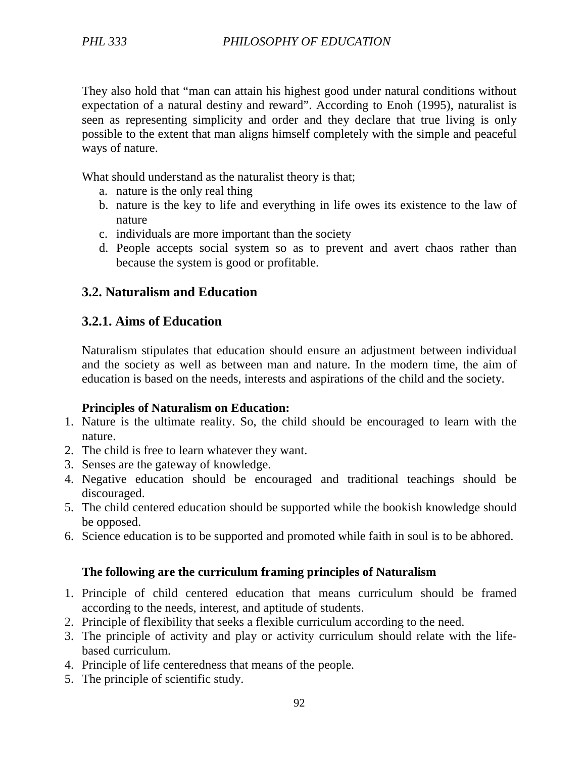They also hold that "man can attain his highest good under natural conditions without expectation of a natural destiny and reward". According to Enoh (1995), naturalist is seen as representing simplicity and order and they declare that true living is only possible to the extent that man aligns himself completely with the simple and peaceful ways of nature.

What should understand as the naturalist theory is that;

- a. nature is the only real thing
- b. nature is the key to life and everything in life owes its existence to the law of nature
- c. individuals are more important than the society
- d. People accepts social system so as to prevent and avert chaos rather than because the system is good or profitable.

## **3.2. Naturalism and Education**

## **3.2.1. Aims of Education**

Naturalism stipulates that education should ensure an adjustment between individual and the society as well as between man and nature. In the modern time, the aim of education is based on the needs, interests and aspirations of the child and the society.

#### **Principles of Naturalism on Education:**

- 1. Nature is the ultimate reality. So, the child should be encouraged to learn with the nature.
- 2. The child is free to learn whatever they want.
- 3. Senses are the gateway of knowledge.
- 4. Negative education should be encouraged and traditional teachings should be discouraged.
- 5. The child centered education should be supported while the bookish knowledge should be opposed.
- 6. Science education is to be supported and promoted while faith in soul is to be abhored.

## **The following are the curriculum framing principles of Naturalism**

- 1. Principle of child centered education that means curriculum should be framed according to the needs, interest, and aptitude of students.
- 2. Principle of flexibility that seeks a flexible curriculum according to the need.
- 3. The principle of activity and play or activity curriculum should relate with the lifebased curriculum.
- 4. Principle of life centeredness that means of the people.
- 5. The principle of scientific study.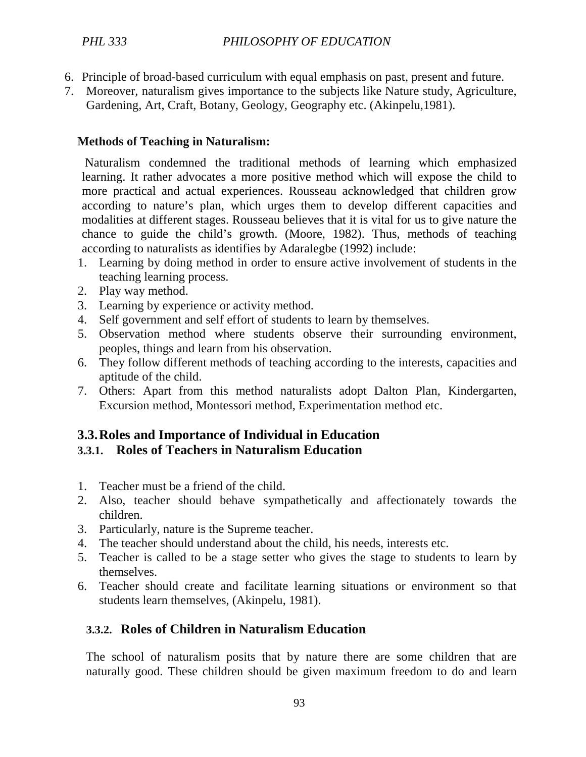- 6. Principle of broad-based curriculum with equal emphasis on past, present and future.
- 7. Moreover, naturalism gives importance to the subjects like Nature study, Agriculture, Gardening, Art, Craft, Botany, Geology, Geography etc. (Akinpelu,1981).

#### **Methods of Teaching in Naturalism:**

 Naturalism condemned the traditional methods of learning which emphasized learning. It rather advocates a more positive method which will expose the child to more practical and actual experiences. Rousseau acknowledged that children grow according to nature's plan, which urges them to develop different capacities and modalities at different stages. Rousseau believes that it is vital for us to give nature the chance to guide the child's growth. (Moore, 1982). Thus, methods of teaching according to naturalists as identifies by Adaralegbe (1992) include:

- 1. Learning by doing method in order to ensure active involvement of students in the teaching learning process.
- 2. Play way method.
- 3. Learning by experience or activity method.
- 4. Self government and self effort of students to learn by themselves.
- 5. Observation method where students observe their surrounding environment, peoples, things and learn from his observation.
- 6. They follow different methods of teaching according to the interests, capacities and aptitude of the child.
- 7. Others: Apart from this method naturalists adopt Dalton Plan, Kindergarten, Excursion method, Montessori method, Experimentation method etc.

## **3.3.Roles and Importance of Individual in Education**

## **3.3.1. Roles of Teachers in Naturalism Education**

- 1. Teacher must be a friend of the child.
- 2. Also, teacher should behave sympathetically and affectionately towards the children.
- 3. Particularly, nature is the Supreme teacher.
- 4. The teacher should understand about the child, his needs, interests etc.
- 5. Teacher is called to be a stage setter who gives the stage to students to learn by themselves.
- 6. Teacher should create and facilitate learning situations or environment so that students learn themselves, (Akinpelu, 1981).

# **3.3.2. Roles of Children in Naturalism Education**

The school of naturalism posits that by nature there are some children that are naturally good. These children should be given maximum freedom to do and learn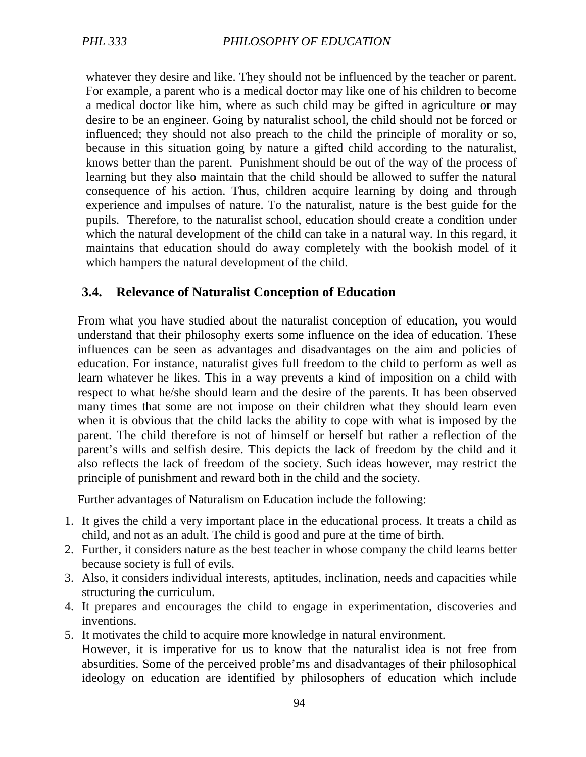whatever they desire and like. They should not be influenced by the teacher or parent. For example, a parent who is a medical doctor may like one of his children to become a medical doctor like him, where as such child may be gifted in agriculture or may desire to be an engineer. Going by naturalist school, the child should not be forced or influenced; they should not also preach to the child the principle of morality or so, because in this situation going by nature a gifted child according to the naturalist, knows better than the parent. Punishment should be out of the way of the process of learning but they also maintain that the child should be allowed to suffer the natural consequence of his action. Thus, children acquire learning by doing and through experience and impulses of nature. To the naturalist, nature is the best guide for the pupils. Therefore, to the naturalist school, education should create a condition under which the natural development of the child can take in a natural way. In this regard, it maintains that education should do away completely with the bookish model of it which hampers the natural development of the child.

## **3.4. Relevance of Naturalist Conception of Education**

From what you have studied about the naturalist conception of education, you would understand that their philosophy exerts some influence on the idea of education. These influences can be seen as advantages and disadvantages on the aim and policies of education. For instance, naturalist gives full freedom to the child to perform as well as learn whatever he likes. This in a way prevents a kind of imposition on a child with respect to what he/she should learn and the desire of the parents. It has been observed many times that some are not impose on their children what they should learn even when it is obvious that the child lacks the ability to cope with what is imposed by the parent. The child therefore is not of himself or herself but rather a reflection of the parent's wills and selfish desire. This depicts the lack of freedom by the child and it also reflects the lack of freedom of the society. Such ideas however, may restrict the principle of punishment and reward both in the child and the society.

Further advantages of Naturalism on Education include the following:

- 1. It gives the child a very important place in the educational process. It treats a child as child, and not as an adult. The child is good and pure at the time of birth.
- 2. Further, it considers nature as the best teacher in whose company the child learns better because society is full of evils.
- 3. Also, it considers individual interests, aptitudes, inclination, needs and capacities while structuring the curriculum.
- 4. It prepares and encourages the child to engage in experimentation, discoveries and inventions.
- 5. It motivates the child to acquire more knowledge in natural environment. However, it is imperative for us to know that the naturalist idea is not free from absurdities. Some of the perceived proble'ms and disadvantages of their philosophical ideology on education are identified by philosophers of education which include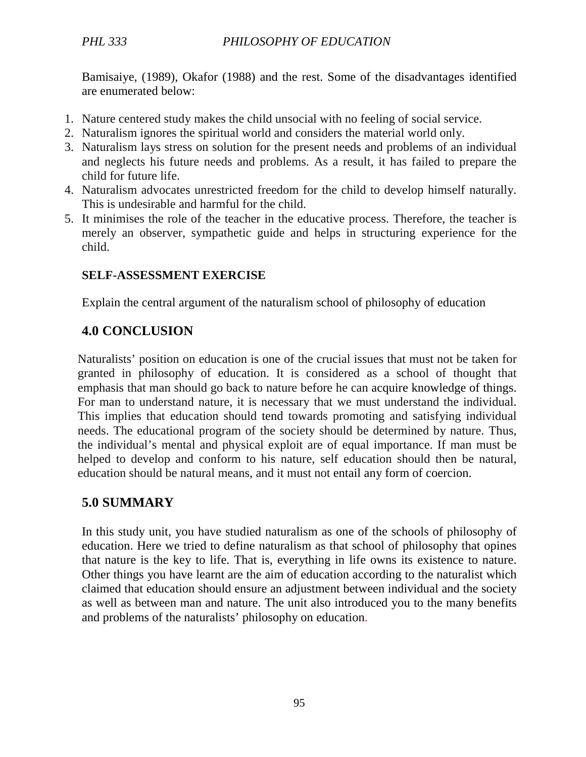Bamisaiye, (1989), Okafor (1988) and the rest. Some of the disadvantages identified are enumerated below:

- 1. Nature centered study makes the child unsocial with no feeling of social service.
- 2. Naturalism ignores the spiritual world and considers the material world only.
- 3. Naturalism lays stress on solution for the present needs and problems of an individual and neglects his future needs and problems. As a result, it has failed to prepare the child for future life.
- 4. Naturalism advocates unrestricted freedom for the child to develop himself naturally. This is undesirable and harmful for the child.
- 5. It minimises the role of the teacher in the educative process. Therefore, the teacher is merely an observer, sympathetic guide and helps in structuring experience for the child.

## **SELF-ASSESSMENT EXERCISE**

Explain the central argument of the naturalism school of philosophy of education

# **4.0 CONCLUSION**

Naturalists' position on education is one of the crucial issues that must not be taken for granted in philosophy of education. It is considered as a school of thought that emphasis that man should go back to nature before he can acquire knowledge of things. For man to understand nature, it is necessary that we must understand the individual. This implies that education should tend towards promoting and satisfying individual needs. The educational program of the society should be determined by nature. Thus, the individual's mental and physical exploit are of equal importance. If man must be helped to develop and conform to his nature, self education should then be natural, education should be natural means, and it must not entail any form of coercion.

# **5.0 SUMMARY**

In this study unit, you have studied naturalism as one of the schools of philosophy of education. Here we tried to define naturalism as that school of philosophy that opines that nature is the key to life. That is, everything in life owns its existence to nature. Other things you have learnt are the aim of education according to the naturalist which claimed that education should ensure an adjustment between individual and the society as well as between man and nature. The unit also introduced you to the many benefits and problems of the naturalists' philosophy on education.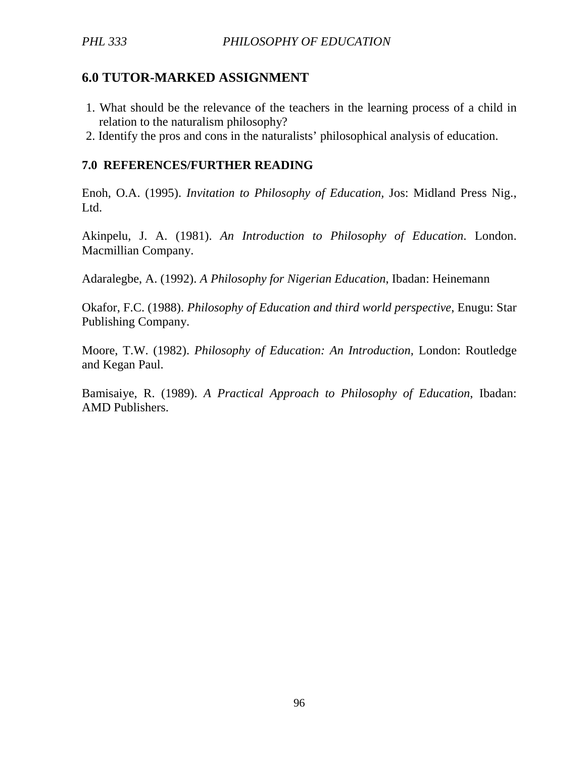## **6.0 TUTOR-MARKED ASSIGNMENT**

- 1. What should be the relevance of the teachers in the learning process of a child in relation to the naturalism philosophy?
- 2. Identify the pros and cons in the naturalists' philosophical analysis of education.

#### **7.0 REFERENCES/FURTHER READING**

Enoh, O.A. (1995). *Invitation to Philosophy of Education,* Jos: Midland Press Nig., Ltd.

Akinpelu, J. A. (1981). *An Introduction to Philosophy of Education*. London. Macmillian Company.

Adaralegbe, A. (1992). *A Philosophy for Nigerian Education*, Ibadan: Heinemann

Okafor, F.C. (1988). *Philosophy of Education and third world perspective*, Enugu: Star Publishing Company.

Moore, T.W. (1982). *Philosophy of Education: An Introduction,* London: Routledge and Kegan Paul.

Bamisaiye, R. (1989). *A Practical Approach to Philosophy of Education*, Ibadan: AMD Publishers.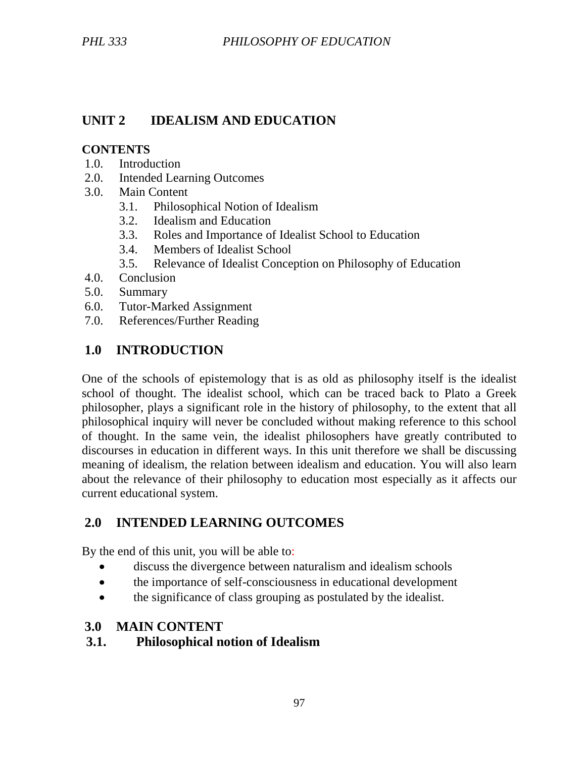# **UNIT 2 IDEALISM AND EDUCATION**

#### **CONTENTS**

- 1.0. Introduction
- 2.0. Intended Learning Outcomes
- 3.0. Main Content
	- 3.1. Philosophical Notion of Idealism
	- 3.2. Idealism and Education
	- 3.3. Roles and Importance of Idealist School to Education
	- 3.4. Members of Idealist School
	- 3.5. Relevance of Idealist Conception on Philosophy of Education
- 4.0. Conclusion
- 5.0. Summary
- 6.0. Tutor-Marked Assignment
- 7.0. References/Further Reading

# **1.0 INTRODUCTION**

One of the schools of epistemology that is as old as philosophy itself is the idealist school of thought. The idealist school, which can be traced back to Plato a Greek philosopher, plays a significant role in the history of philosophy, to the extent that all philosophical inquiry will never be concluded without making reference to this school of thought. In the same vein, the idealist philosophers have greatly contributed to discourses in education in different ways. In this unit therefore we shall be discussing meaning of idealism, the relation between idealism and education. You will also learn about the relevance of their philosophy to education most especially as it affects our current educational system.

# **2.0 INTENDED LEARNING OUTCOMES**

By the end of this unit, you will be able to:

- discuss the divergence between naturalism and idealism schools
- the importance of self-consciousness in educational development
- the significance of class grouping as postulated by the idealist.

## **3.0 MAIN CONTENT**

## **3.1. Philosophical notion of Idealism**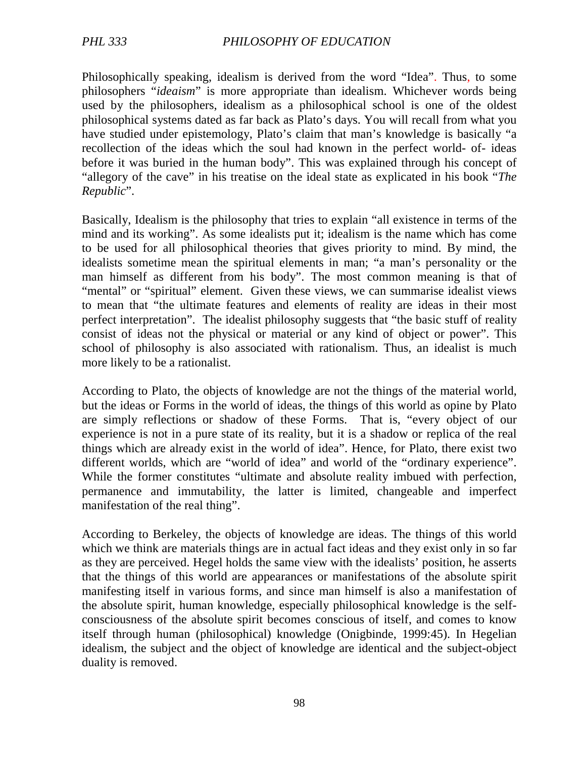Philosophically speaking, idealism is derived from the word "Idea". Thus, to some philosophers "*ideaism*" is more appropriate than idealism. Whichever words being used by the philosophers, idealism as a philosophical school is one of the oldest philosophical systems dated as far back as Plato's days. You will recall from what you have studied under epistemology, Plato's claim that man's knowledge is basically "a recollection of the ideas which the soul had known in the perfect world- of- ideas before it was buried in the human body". This was explained through his concept of "allegory of the cave" in his treatise on the ideal state as explicated in his book "*The Republic*".

Basically, Idealism is the philosophy that tries to explain "all existence in terms of the mind and its working". As some idealists put it; idealism is the name which has come to be used for all philosophical theories that gives priority to mind. By mind, the idealists sometime mean the spiritual elements in man; "a man's personality or the man himself as different from his body". The most common meaning is that of "mental" or "spiritual" element. Given these views, we can summarise idealist views to mean that "the ultimate features and elements of reality are ideas in their most perfect interpretation". The idealist philosophy suggests that "the basic stuff of reality consist of ideas not the physical or material or any kind of object or power". This school of philosophy is also associated with rationalism. Thus, an idealist is much more likely to be a rationalist.

According to Plato, the objects of knowledge are not the things of the material world, but the ideas or Forms in the world of ideas, the things of this world as opine by Plato are simply reflections or shadow of these Forms. That is, "every object of our experience is not in a pure state of its reality, but it is a shadow or replica of the real things which are already exist in the world of idea". Hence, for Plato, there exist two different worlds, which are "world of idea" and world of the "ordinary experience". While the former constitutes "ultimate and absolute reality imbued with perfection, permanence and immutability, the latter is limited, changeable and imperfect manifestation of the real thing".

According to Berkeley, the objects of knowledge are ideas. The things of this world which we think are materials things are in actual fact ideas and they exist only in so far as they are perceived. Hegel holds the same view with the idealists' position, he asserts that the things of this world are appearances or manifestations of the absolute spirit manifesting itself in various forms, and since man himself is also a manifestation of the absolute spirit, human knowledge, especially philosophical knowledge is the selfconsciousness of the absolute spirit becomes conscious of itself, and comes to know itself through human (philosophical) knowledge (Onigbinde, 1999:45). In Hegelian idealism, the subject and the object of knowledge are identical and the subject-object duality is removed.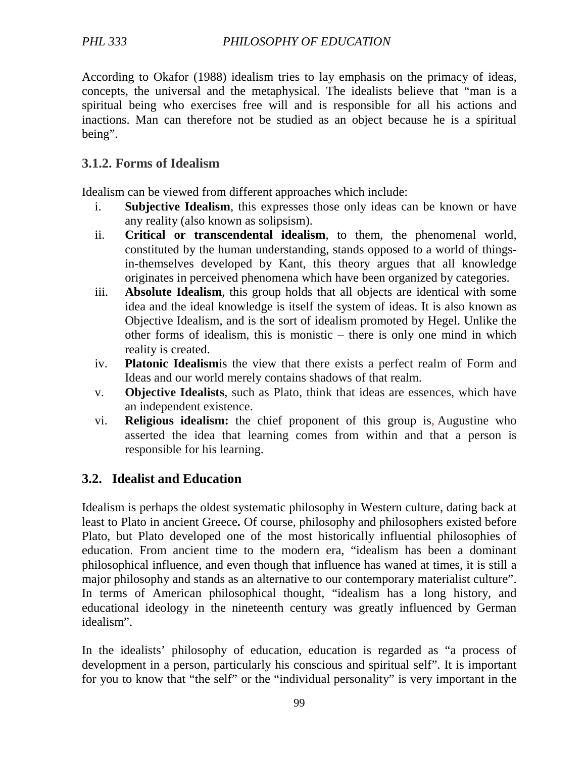According to Okafor (1988) idealism tries to lay emphasis on the primacy of ideas, concepts, the universal and the metaphysical. The idealists believe that "man is a spiritual being who exercises free will and is responsible for all his actions and inactions. Man can therefore not be studied as an object because he is a spiritual being".

## **3.1.2. Forms of Idealism**

Idealism can be viewed from different approaches which include:

- i. **Subjective Idealism**, this expresses those only ideas can be known or have any reality (also known as solipsism).
- ii. **Critical or transcendental idealism**, to them, the phenomenal world, constituted by the human understanding, stands opposed to a world of thingsin-themselves developed by Kant, this theory argues that all knowledge originates in perceived phenomena which have been organized by categories.
- iii. **Absolute Idealism**, this group holds that all objects are identical with some idea and the ideal knowledge is itself the system of ideas. It is also known as Objective Idealism, and is the sort of idealism promoted by Hegel. Unlike the other forms of idealism, this is monistic – there is only one mind in which reality is created.
- iv. **Platonic Idealism**is the view that there exists a perfect realm of Form and Ideas and our world merely contains shadows of that realm.
- v. **Objective Idealists**, such as Plato, think that ideas are essences, which have an independent existence.
- vi. **Religious idealism:** the chief proponent of this group is, Augustine who asserted the idea that learning comes from within and that a person is responsible for his learning.

# **3.2. Idealist and Education**

Idealism is perhaps the oldest systematic philosophy in Western culture, dating back at least to Plato in ancient Greece**.** Of course, philosophy and philosophers existed before Plato, but Plato developed one of the most historically influential philosophies of education. From ancient time to the modern era, "idealism has been a dominant philosophical influence, and even though that influence has waned at times, it is still a major philosophy and stands as an alternative to our contemporary materialist culture". In terms of American philosophical thought, "idealism has a long history, and educational ideology in the nineteenth century was greatly influenced by German idealism".

In the idealists' philosophy of education, education is regarded as "a process of development in a person, particularly his conscious and spiritual self". It is important for you to know that "the self" or the "individual personality" is very important in the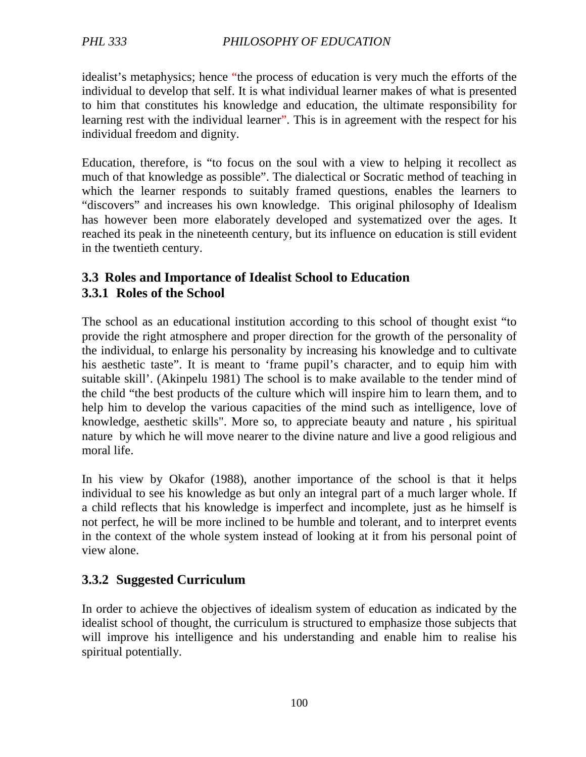idealist's metaphysics; hence "the process of education is very much the efforts of the individual to develop that self. It is what individual learner makes of what is presented to him that constitutes his knowledge and education, the ultimate responsibility for learning rest with the individual learner". This is in agreement with the respect for his individual freedom and dignity.

Education, therefore, is "to focus on the soul with a view to helping it recollect as much of that knowledge as possible". The dialectical or Socratic method of teaching in which the learner responds to suitably framed questions, enables the learners to "discovers" and increases his own knowledge. This original philosophy of Idealism has however been more elaborately developed and systematized over the ages. It reached its peak in the nineteenth century, but its influence on education is still evident in the twentieth century.

# **3.3 Roles and Importance of Idealist School to Education 3.3.1 Roles of the School**

The school as an educational institution according to this school of thought exist "to provide the right atmosphere and proper direction for the growth of the personality of the individual, to enlarge his personality by increasing his knowledge and to cultivate his aesthetic taste". It is meant to 'frame pupil's character, and to equip him with suitable skill'. (Akinpelu 1981) The school is to make available to the tender mind of the child "the best products of the culture which will inspire him to learn them, and to help him to develop the various capacities of the mind such as intelligence, love of knowledge, aesthetic skills". More so, to appreciate beauty and nature , his spiritual nature by which he will move nearer to the divine nature and live a good religious and moral life.

In his view by Okafor (1988), another importance of the school is that it helps individual to see his knowledge as but only an integral part of a much larger whole. If a child reflects that his knowledge is imperfect and incomplete, just as he himself is not perfect, he will be more inclined to be humble and tolerant, and to interpret events in the context of the whole system instead of looking at it from his personal point of view alone.

# **3.3.2 Suggested Curriculum**

In order to achieve the objectives of idealism system of education as indicated by the idealist school of thought, the curriculum is structured to emphasize those subjects that will improve his intelligence and his understanding and enable him to realise his spiritual potentially.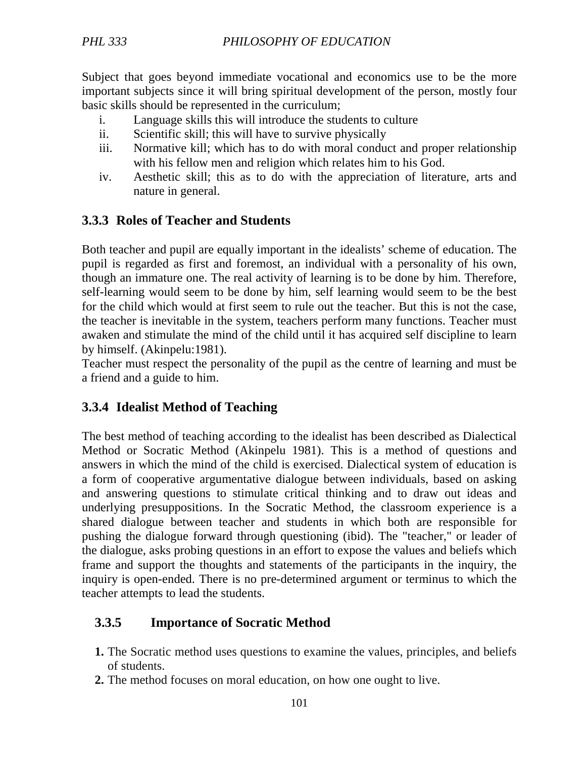Subject that goes beyond immediate vocational and economics use to be the more important subjects since it will bring spiritual development of the person, mostly four basic skills should be represented in the curriculum;

- i. Language skills this will introduce the students to culture
- ii. Scientific skill; this will have to survive physically
- iii. Normative kill; which has to do with moral conduct and proper relationship with his fellow men and religion which relates him to his God.
- iv. Aesthetic skill; this as to do with the appreciation of literature, arts and nature in general.

#### **3.3.3 Roles of Teacher and Students**

Both teacher and pupil are equally important in the idealists' scheme of education. The pupil is regarded as first and foremost, an individual with a personality of his own, though an immature one. The real activity of learning is to be done by him. Therefore, self-learning would seem to be done by him, self learning would seem to be the best for the child which would at first seem to rule out the teacher. But this is not the case, the teacher is inevitable in the system, teachers perform many functions. Teacher must awaken and stimulate the mind of the child until it has acquired self discipline to learn by himself. (Akinpelu:1981).

Teacher must respect the personality of the pupil as the centre of learning and must be a friend and a guide to him.

## **3.3.4 Idealist Method of Teaching**

The best method of teaching according to the idealist has been described as Dialectical Method or Socratic Method (Akinpelu 1981). This is a method of questions and answers in which the mind of the child is exercised. Dialectical system of education is a form of cooperative argumentative dialogue between individuals, based on asking and answering questions to stimulate critical thinking and to draw out ideas and underlying presuppositions. In the Socratic Method, the classroom experience is a shared dialogue between teacher and students in which both are responsible for pushing the dialogue forward through questioning (ibid). The "teacher," or leader of the dialogue, asks probing questions in an effort to expose the values and beliefs which frame and support the thoughts and statements of the participants in the inquiry, the inquiry is open-ended. There is no pre-determined argument or terminus to which the teacher attempts to lead the students.

#### **3.3.5 Importance of Socratic Method**

- **1.** The Socratic method uses questions to examine the values, principles, and beliefs of students.
- **2.** The method focuses on moral education, on how one ought to live.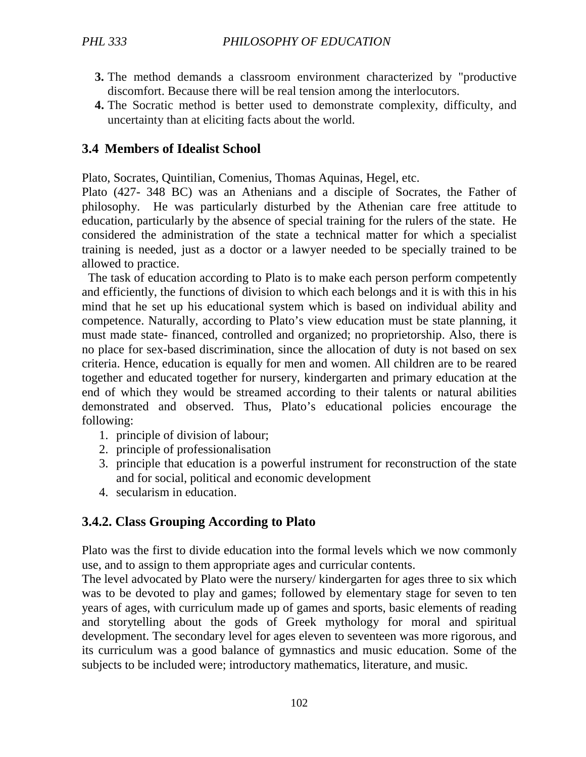- **3.** The method demands a classroom environment characterized by "productive discomfort. Because there will be real tension among the interlocutors.
- **4.** The Socratic method is better used to demonstrate complexity, difficulty, and uncertainty than at eliciting facts about the world.

#### **3.4 Members of Idealist School**

Plato, Socrates, Quintilian, Comenius, Thomas Aquinas, Hegel, etc.

Plato (427- 348 BC) was an Athenians and a disciple of Socrates, the Father of philosophy. He was particularly disturbed by the Athenian care free attitude to education, particularly by the absence of special training for the rulers of the state. He considered the administration of the state a technical matter for which a specialist training is needed, just as a doctor or a lawyer needed to be specially trained to be allowed to practice.

 The task of education according to Plato is to make each person perform competently and efficiently, the functions of division to which each belongs and it is with this in his mind that he set up his educational system which is based on individual ability and competence. Naturally, according to Plato's view education must be state planning, it must made state- financed, controlled and organized; no proprietorship. Also, there is no place for sex-based discrimination, since the allocation of duty is not based on sex criteria. Hence, education is equally for men and women. All children are to be reared together and educated together for nursery, kindergarten and primary education at the end of which they would be streamed according to their talents or natural abilities demonstrated and observed. Thus, Plato's educational policies encourage the following:

- 1. principle of division of labour;
- 2. principle of professionalisation
- 3. principle that education is a powerful instrument for reconstruction of the state and for social, political and economic development
- 4. secularism in education.

#### **3.4.2. Class Grouping According to Plato**

Plato was the first to divide education into the formal levels which we now commonly use, and to assign to them appropriate ages and curricular contents.

The level advocated by Plato were the nursery/ kindergarten for ages three to six which was to be devoted to play and games; followed by elementary stage for seven to ten years of ages, with curriculum made up of games and sports, basic elements of reading and storytelling about the gods of Greek mythology for moral and spiritual development. The secondary level for ages eleven to seventeen was more rigorous, and its curriculum was a good balance of gymnastics and music education. Some of the subjects to be included were; introductory mathematics, literature, and music.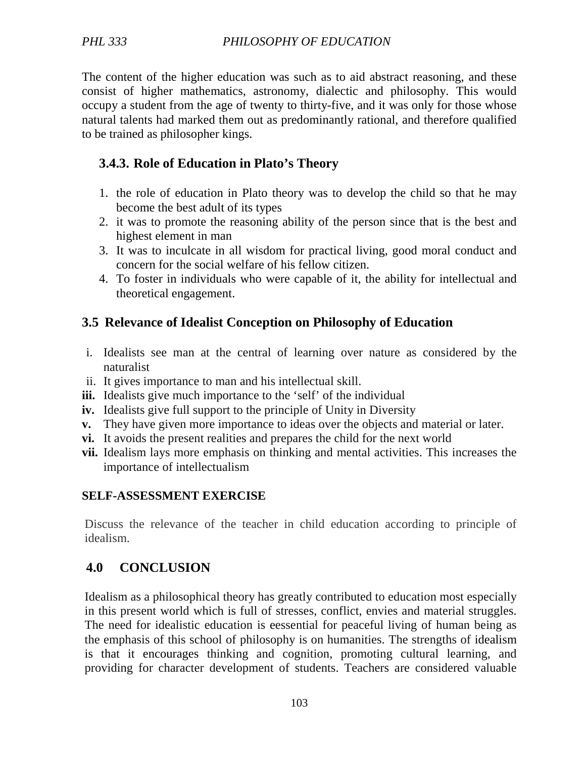The content of the higher education was such as to aid abstract reasoning, and these consist of higher mathematics, astronomy, dialectic and philosophy. This would occupy a student from the age of twenty to thirty-five, and it was only for those whose natural talents had marked them out as predominantly rational, and therefore qualified to be trained as philosopher kings.

## **3.4.3. Role of Education in Plato's Theory**

- 1. the role of education in Plato theory was to develop the child so that he may become the best adult of its types
- 2. it was to promote the reasoning ability of the person since that is the best and highest element in man
- 3. It was to inculcate in all wisdom for practical living, good moral conduct and concern for the social welfare of his fellow citizen.
- 4. To foster in individuals who were capable of it, the ability for intellectual and theoretical engagement.

# **3.5 Relevance of Idealist Conception on Philosophy of Education**

- i. Idealists see man at the central of learning over nature as considered by the naturalist
- ii. It gives importance to man and his intellectual skill.
- **iii.** Idealists give much importance to the 'self' of the individual
- **iv.** Idealists give full support to the principle of Unity in Diversity
- **v.** They have given more importance to ideas over the objects and material or later.
- **vi.** It avoids the present realities and prepares the child for the next world
- **vii.** Idealism lays more emphasis on thinking and mental activities. This increases the importance of intellectualism

#### **SELF-ASSESSMENT EXERCISE**

Discuss the relevance of the teacher in child education according to principle of idealism.

# **4.0 CONCLUSION**

Idealism as a philosophical theory has greatly contributed to education most especially in this present world which is full of stresses, conflict, envies and material struggles. The need for idealistic education is eessential for peaceful living of human being as the emphasis of this school of philosophy is on humanities. The strengths of idealism is that it encourages thinking and cognition, promoting cultural learning, and providing for character development of students. Teachers are considered valuable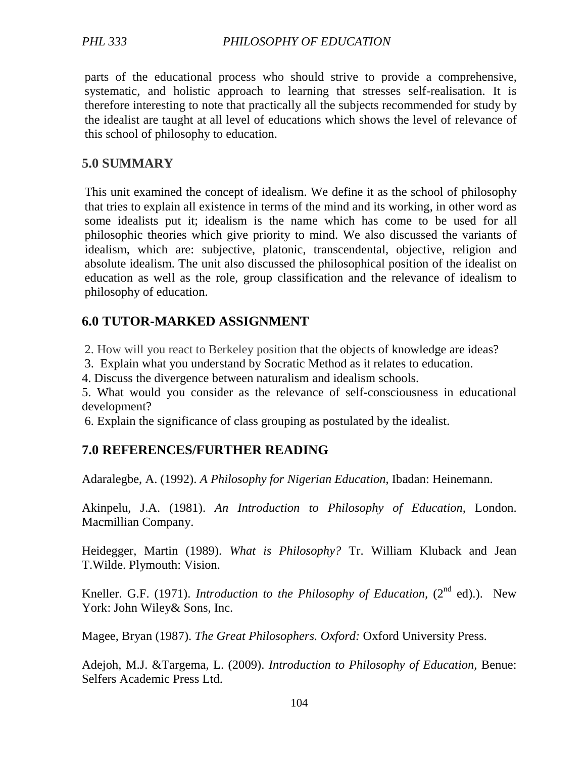parts of the educational process who should strive to provide a comprehensive, systematic, and holistic approach to learning that stresses self-realisation. It is therefore interesting to note that practically all the subjects recommended for study by the idealist are taught at all level of educations which shows the level of relevance of this school of philosophy to education.

## **5.0 SUMMARY**

This unit examined the concept of idealism. We define it as the school of philosophy that tries to explain all existence in terms of the mind and its working, in other word as some idealists put it; idealism is the name which has come to be used for all philosophic theories which give priority to mind. We also discussed the variants of idealism, which are: subjective, platonic, transcendental, objective, religion and absolute idealism. The unit also discussed the philosophical position of the idealist on education as well as the role, group classification and the relevance of idealism to philosophy of education.

## **6.0 TUTOR-MARKED ASSIGNMENT**

2. How will you react to Berkeley position that the objects of knowledge are ideas?

3. Explain what you understand by Socratic Method as it relates to education.

4. Discuss the divergence between naturalism and idealism schools.

5. What would you consider as the relevance of self-consciousness in educational development?

6. Explain the significance of class grouping as postulated by the idealist.

# **7.0 REFERENCES/FURTHER READING**

Adaralegbe, A. (1992). *A Philosophy for Nigerian Education*, Ibadan: Heinemann.

Akinpelu, J.A. (1981). *An Introduction to Philosophy of Education,* London. Macmillian Company.

Heidegger, Martin (1989). *What is Philosophy?* Tr. William Kluback and Jean T.Wilde. Plymouth: Vision.

Kneller. G.F. (1971). *Introduction to the Philosophy of Education*, (2<sup>nd</sup> ed).). New York: John Wiley& Sons, Inc.

Magee, Bryan (1987). *The Great Philosophers. Oxford:* Oxford University Press.

Adejoh, M.J. &Targema, L. (2009). *Introduction to Philosophy of Education*, Benue: Selfers Academic Press Ltd.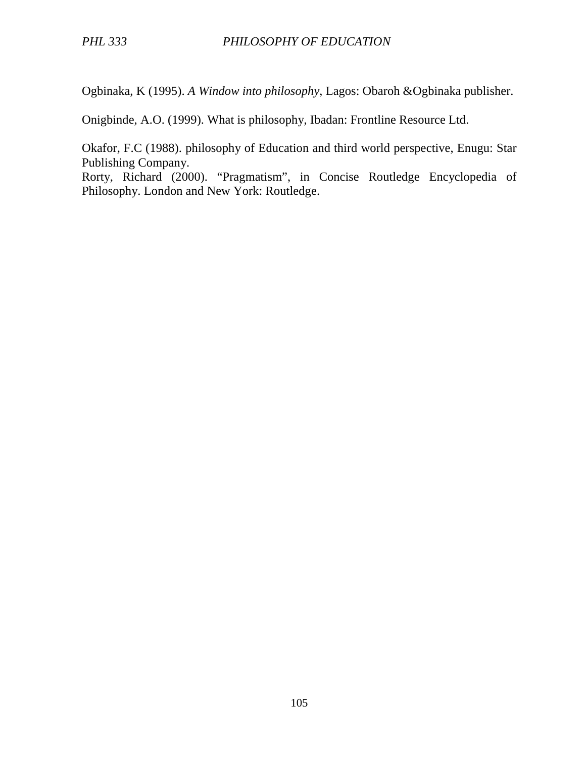Ogbinaka, K (1995). *A Window into philosophy*, Lagos: Obaroh &Ogbinaka publisher.

Onigbinde, A.O. (1999). What is philosophy, Ibadan: Frontline Resource Ltd.

Okafor, F.C (1988). philosophy of Education and third world perspective, Enugu: Star Publishing Company.

Rorty, Richard (2000). "Pragmatism", in Concise Routledge Encyclopedia of Philosophy. London and New York: Routledge.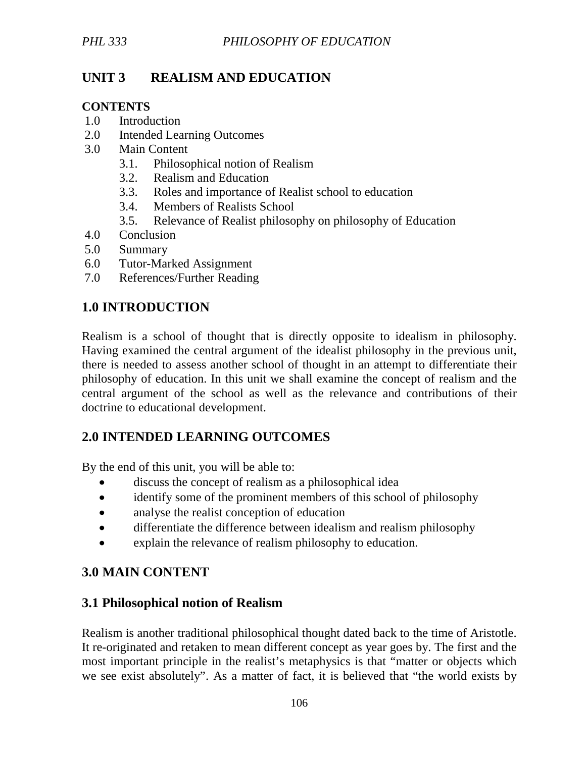# **UNIT 3 REALISM AND EDUCATION**

### **CONTENTS**

- 1.0 Introduction
- 2.0 Intended Learning Outcomes
- 3.0 Main Content
	- 3.1. Philosophical notion of Realism
	- 3.2. Realism and Education
	- 3.3. Roles and importance of Realist school to education
	- 3.4. Members of Realists School
	- 3.5. Relevance of Realist philosophy on philosophy of Education
- 4.0 Conclusion
- 5.0 Summary
- 6.0 Tutor-Marked Assignment
- 7.0 References/Further Reading

# **1.0 INTRODUCTION**

Realism is a school of thought that is directly opposite to idealism in philosophy. Having examined the central argument of the idealist philosophy in the previous unit, there is needed to assess another school of thought in an attempt to differentiate their philosophy of education. In this unit we shall examine the concept of realism and the central argument of the school as well as the relevance and contributions of their doctrine to educational development.

# **2.0 INTENDED LEARNING OUTCOMES**

By the end of this unit, you will be able to:

- discuss the concept of realism as a philosophical idea
- identify some of the prominent members of this school of philosophy
- analyse the realist conception of education
- differentiate the difference between idealism and realism philosophy
- explain the relevance of realism philosophy to education.

# **3.0 MAIN CONTENT**

## **3.1 Philosophical notion of Realism**

Realism is another traditional philosophical thought dated back to the time of Aristotle. It re-originated and retaken to mean different concept as year goes by. The first and the most important principle in the realist's metaphysics is that "matter or objects which we see exist absolutely". As a matter of fact, it is believed that "the world exists by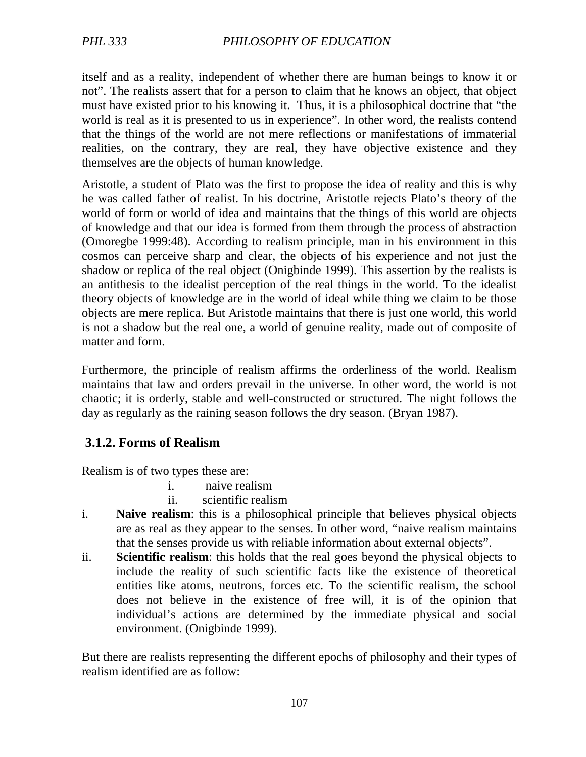itself and as a reality, independent of whether there are human beings to know it or not". The realists assert that for a person to claim that he knows an object, that object must have existed prior to his knowing it. Thus, it is a philosophical doctrine that "the world is real as it is presented to us in experience". In other word, the realists contend that the things of the world are not mere reflections or manifestations of immaterial realities, on the contrary, they are real, they have objective existence and they themselves are the objects of human knowledge.

Aristotle, a student of Plato was the first to propose the idea of reality and this is why he was called father of realist. In his doctrine, Aristotle rejects Plato's theory of the world of form or world of idea and maintains that the things of this world are objects of knowledge and that our idea is formed from them through the process of abstraction (Omoregbe 1999:48). According to realism principle, man in his environment in this cosmos can perceive sharp and clear, the objects of his experience and not just the shadow or replica of the real object (Onigbinde 1999). This assertion by the realists is an antithesis to the idealist perception of the real things in the world. To the idealist theory objects of knowledge are in the world of ideal while thing we claim to be those objects are mere replica. But Aristotle maintains that there is just one world, this world is not a shadow but the real one, a world of genuine reality, made out of composite of matter and form.

Furthermore, the principle of realism affirms the orderliness of the world. Realism maintains that law and orders prevail in the universe. In other word, the world is not chaotic; it is orderly, stable and well-constructed or structured. The night follows the day as regularly as the raining season follows the dry season. (Bryan 1987).

## **3.1.2. Forms of Realism**

Realism is of two types these are:

- i. naive realism
- ii. scientific realism
- i. **Naive realism**: this is a philosophical principle that believes physical objects are as real as they appear to the senses. In other word, "naive realism maintains that the senses provide us with reliable information about external objects".
- ii. **Scientific realism**: this holds that the real goes beyond the physical objects to include the reality of such scientific facts like the existence of theoretical entities like atoms, neutrons, forces etc. To the scientific realism, the school does not believe in the existence of free will, it is of the opinion that individual's actions are determined by the immediate physical and social environment. (Onigbinde 1999).

But there are realists representing the different epochs of philosophy and their types of realism identified are as follow: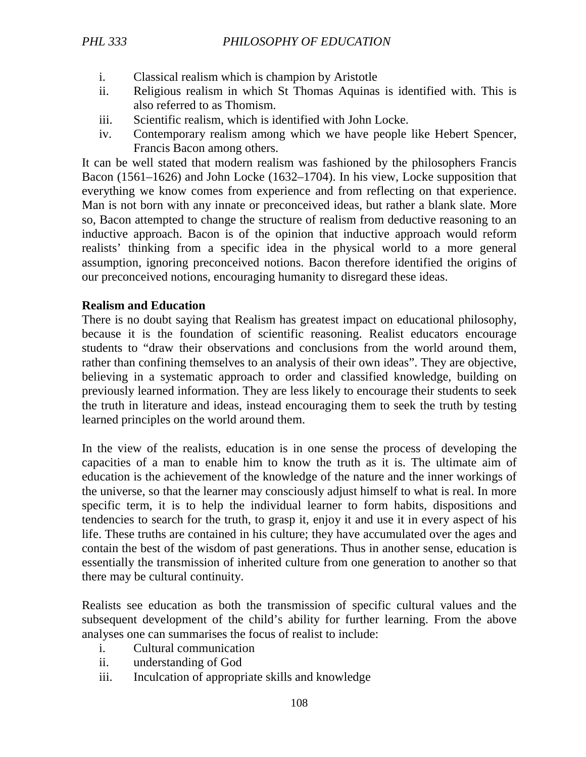- i. Classical realism which is champion by Aristotle
- ii. Religious realism in which St Thomas Aquinas is identified with. This is also referred to as Thomism.
- iii. Scientific realism, which is identified with John Locke.
- iv. Contemporary realism among which we have people like Hebert Spencer, Francis Bacon among others.

It can be well stated that modern realism was fashioned by the philosophers Francis Bacon (1561–1626) and John Locke (1632–1704). In his view, Locke supposition that everything we know comes from experience and from reflecting on that experience. Man is not born with any innate or preconceived ideas, but rather a blank slate. More so, Bacon attempted to change the structure of realism from deductive reasoning to an inductive approach. Bacon is of the opinion that inductive approach would reform realists' thinking from a specific idea in the physical world to a more general assumption, ignoring preconceived notions. Bacon therefore identified the origins of our preconceived notions, encouraging humanity to disregard these ideas.

## **Realism and Education**

There is no doubt saying that Realism has greatest impact on educational philosophy, because it is the foundation of scientific reasoning. Realist educators encourage students to "draw their observations and conclusions from the world around them, rather than confining themselves to an analysis of their own ideas". They are objective, believing in a systematic approach to order and classified knowledge, building on previously learned information. They are less likely to encourage their students to seek the truth in literature and ideas, instead encouraging them to seek the truth by testing learned principles on the world around them.

In the view of the realists, education is in one sense the process of developing the capacities of a man to enable him to know the truth as it is. The ultimate aim of education is the achievement of the knowledge of the nature and the inner workings of the universe, so that the learner may consciously adjust himself to what is real. In more specific term, it is to help the individual learner to form habits, dispositions and tendencies to search for the truth, to grasp it, enjoy it and use it in every aspect of his life. These truths are contained in his culture; they have accumulated over the ages and contain the best of the wisdom of past generations. Thus in another sense, education is essentially the transmission of inherited culture from one generation to another so that there may be cultural continuity.

Realists see education as both the transmission of specific cultural values and the subsequent development of the child's ability for further learning. From the above analyses one can summarises the focus of realist to include:

- i. Cultural communication
- ii. understanding of God
- iii. Inculcation of appropriate skills and knowledge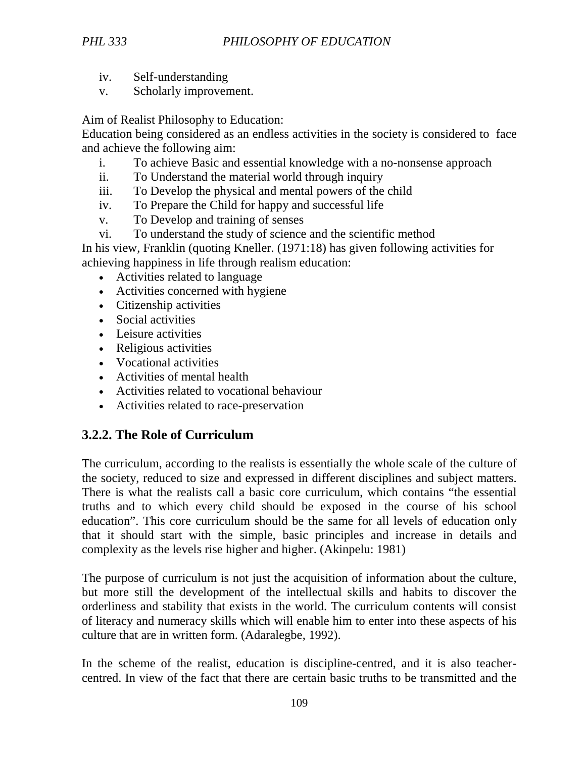- iv. Self-understanding
- v. Scholarly improvement.

Aim of Realist Philosophy to Education:

Education being considered as an endless activities in the society is considered to face and achieve the following aim:

- i. To achieve Basic and essential knowledge with a no-nonsense approach
- ii. To Understand the material world through inquiry
- iii. To Develop the physical and mental powers of the child
- iv. To Prepare the Child for happy and successful life
- v. To Develop and training of senses
- vi. To understand the study of science and the scientific method

In his view, Franklin (quoting Kneller. (1971:18) has given following activities for achieving happiness in life through realism education:

- Activities related to language
- Activities concerned with hygiene
- Citizenship activities
- Social activities
- Leisure activities
- Religious activities
- Vocational activities
- Activities of mental health
- Activities related to vocational behaviour
- Activities related to race-preservation

# **3.2.2. The Role of Curriculum**

The curriculum, according to the realists is essentially the whole scale of the culture of the society, reduced to size and expressed in different disciplines and subject matters. There is what the realists call a basic core curriculum, which contains "the essential truths and to which every child should be exposed in the course of his school education". This core curriculum should be the same for all levels of education only that it should start with the simple, basic principles and increase in details and complexity as the levels rise higher and higher. (Akinpelu: 1981)

The purpose of curriculum is not just the acquisition of information about the culture, but more still the development of the intellectual skills and habits to discover the orderliness and stability that exists in the world. The curriculum contents will consist of literacy and numeracy skills which will enable him to enter into these aspects of his culture that are in written form. (Adaralegbe, 1992).

In the scheme of the realist, education is discipline-centred, and it is also teachercentred. In view of the fact that there are certain basic truths to be transmitted and the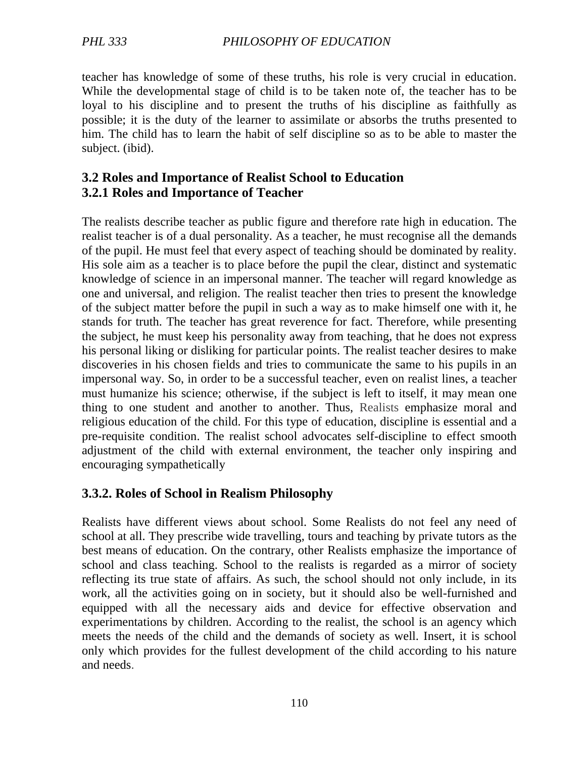teacher has knowledge of some of these truths, his role is very crucial in education. While the developmental stage of child is to be taken note of, the teacher has to be loyal to his discipline and to present the truths of his discipline as faithfully as possible; it is the duty of the learner to assimilate or absorbs the truths presented to him. The child has to learn the habit of self discipline so as to be able to master the subject. (ibid).

### **3.2 Roles and Importance of Realist School to Education 3.2.1 Roles and Importance of Teacher**

The realists describe teacher as public figure and therefore rate high in education. The realist teacher is of a dual personality. As a teacher, he must recognise all the demands of the pupil. He must feel that every aspect of teaching should be dominated by reality. His sole aim as a teacher is to place before the pupil the clear, distinct and systematic knowledge of science in an impersonal manner. The teacher will regard knowledge as one and universal, and religion. The realist teacher then tries to present the knowledge of the subject matter before the pupil in such a way as to make himself one with it, he stands for truth. The teacher has great reverence for fact. Therefore, while presenting the subject, he must keep his personality away from teaching, that he does not express his personal liking or disliking for particular points. The realist teacher desires to make discoveries in his chosen fields and tries to communicate the same to his pupils in an impersonal way. So, in order to be a successful teacher, even on realist lines, a teacher must humanize his science; otherwise, if the subject is left to itself, it may mean one thing to one student and another to another. Thus, Realists emphasize moral and religious education of the child. For this type of education, discipline is essential and a pre-requisite condition. The realist school advocates self-discipline to effect smooth adjustment of the child with external environment, the teacher only inspiring and encouraging sympathetically

### **3.3.2. Roles of School in Realism Philosophy**

Realists have different views about school. Some Realists do not feel any need of school at all. They prescribe wide travelling, tours and teaching by private tutors as the best means of education. On the contrary, other Realists emphasize the importance of school and class teaching. School to the realists is regarded as a mirror of society reflecting its true state of affairs. As such, the school should not only include, in its work, all the activities going on in society, but it should also be well-furnished and equipped with all the necessary aids and device for effective observation and experimentations by children. According to the realist, the school is an agency which meets the needs of the child and the demands of society as well. Insert, it is school only which provides for the fullest development of the child according to his nature and needs.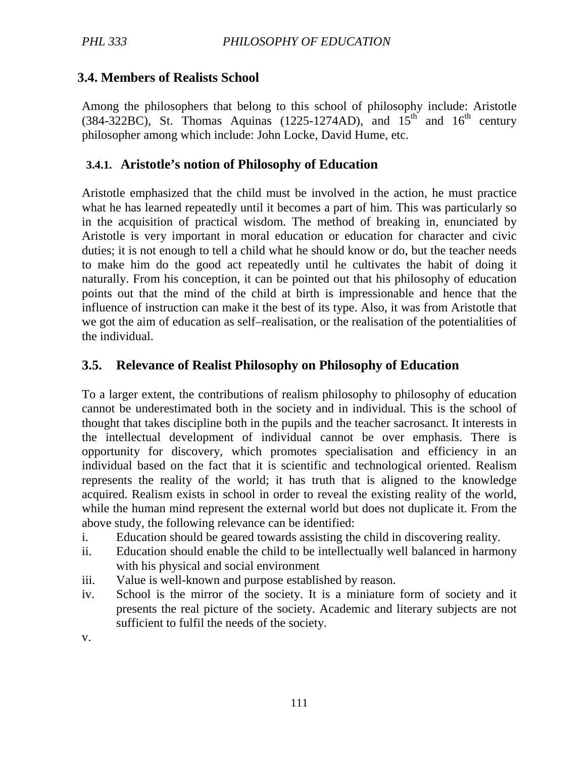# **3.4. Members of Realists School**

Among the philosophers that belong to this school of philosophy include: Aristotle (384-322BC), St. Thomas Aquinas (1225-1274AD), and  $15<sup>th</sup>$  and  $16<sup>th</sup>$  century philosopher among which include: John Locke, David Hume, etc.

## **3.4.1. Aristotle's notion of Philosophy of Education**

Aristotle emphasized that the child must be involved in the action, he must practice what he has learned repeatedly until it becomes a part of him. This was particularly so in the acquisition of practical wisdom. The method of breaking in, enunciated by Aristotle is very important in moral education or education for character and civic duties; it is not enough to tell a child what he should know or do, but the teacher needs to make him do the good act repeatedly until he cultivates the habit of doing it naturally. From his conception, it can be pointed out that his philosophy of education points out that the mind of the child at birth is impressionable and hence that the influence of instruction can make it the best of its type. Also, it was from Aristotle that we got the aim of education as self–realisation, or the realisation of the potentialities of the individual.

# **3.5. Relevance of Realist Philosophy on Philosophy of Education**

To a larger extent, the contributions of realism philosophy to philosophy of education cannot be underestimated both in the society and in individual. This is the school of thought that takes discipline both in the pupils and the teacher sacrosanct. It interests in the intellectual development of individual cannot be over emphasis. There is opportunity for discovery, which promotes specialisation and efficiency in an individual based on the fact that it is scientific and technological oriented. Realism represents the reality of the world; it has truth that is aligned to the knowledge acquired. Realism exists in school in order to reveal the existing reality of the world, while the human mind represent the external world but does not duplicate it. From the above study, the following relevance can be identified:

- i. Education should be geared towards assisting the child in discovering reality.
- ii. Education should enable the child to be intellectually well balanced in harmony with his physical and social environment
- iii. Value is well-known and purpose established by reason.
- iv. School is the mirror of the society. It is a miniature form of society and it presents the real picture of the society. Academic and literary subjects are not sufficient to fulfil the needs of the society.

v.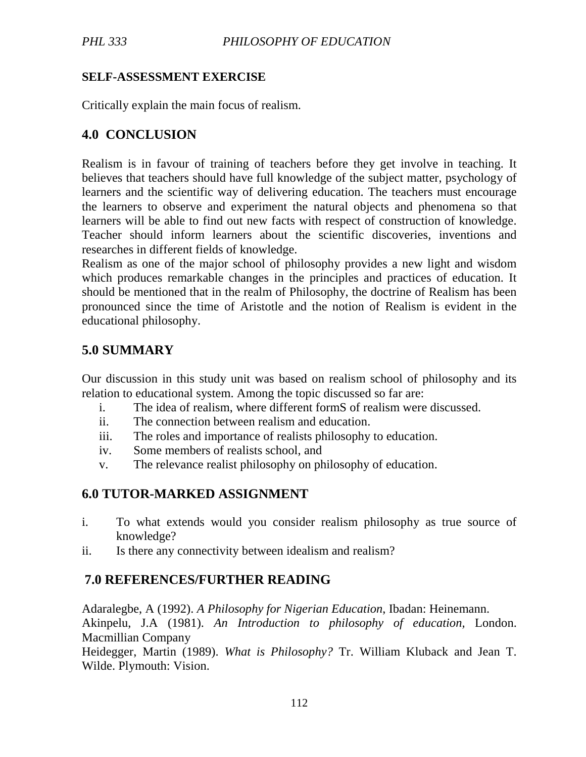#### **SELF-ASSESSMENT EXERCISE**

Critically explain the main focus of realism.

# **4.0 CONCLUSION**

Realism is in favour of training of teachers before they get involve in teaching. It believes that teachers should have full knowledge of the subject matter, psychology of learners and the scientific way of delivering education. The teachers must encourage the learners to observe and experiment the natural objects and phenomena so that learners will be able to find out new facts with respect of construction of knowledge. Teacher should inform learners about the scientific discoveries, inventions and researches in different fields of knowledge.

Realism as one of the major school of philosophy provides a new light and wisdom which produces remarkable changes in the principles and practices of education. It should be mentioned that in the realm of Philosophy, the doctrine of Realism has been pronounced since the time of Aristotle and the notion of Realism is evident in the educational philosophy.

# **5.0 SUMMARY**

Our discussion in this study unit was based on realism school of philosophy and its relation to educational system. Among the topic discussed so far are:

- i. The idea of realism, where different formS of realism were discussed.
- ii. The connection between realism and education.
- iii. The roles and importance of realists philosophy to education.
- iv. Some members of realists school, and
- v. The relevance realist philosophy on philosophy of education.

# **6.0 TUTOR-MARKED ASSIGNMENT**

- i. To what extends would you consider realism philosophy as true source of knowledge?
- ii. Is there any connectivity between idealism and realism?

# **7.0 REFERENCES/FURTHER READING**

Adaralegbe, A (1992). *A Philosophy for Nigerian Education*, Ibadan: Heinemann. Akinpelu, J.A (1981). *An Introduction to philosophy of education,* London. Macmillian Company

Heidegger, Martin (1989). *What is Philosophy?* Tr. William Kluback and Jean T. Wilde. Plymouth: Vision.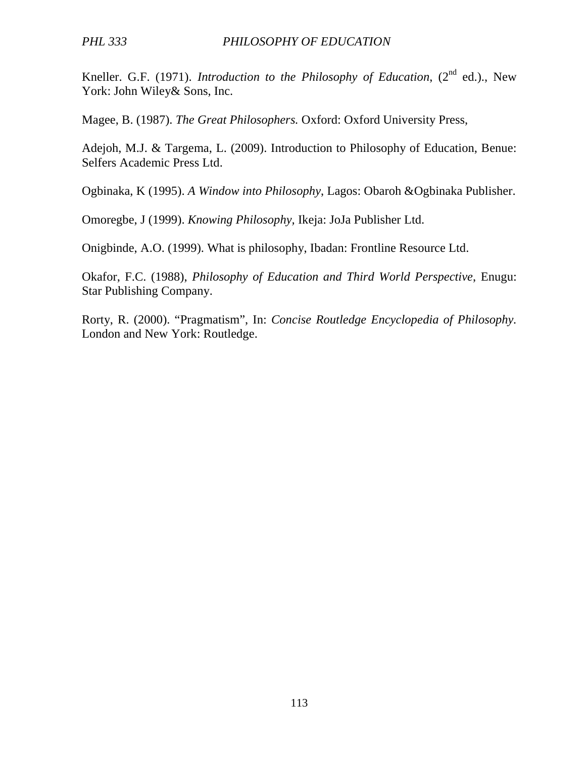Kneller. G.F. (1971). *Introduction to the Philosophy of Education*, (2<sup>nd</sup> ed.)., New York: John Wiley& Sons, Inc.

Magee, B. (1987). *The Great Philosophers.* Oxford: Oxford University Press,

Adejoh, M.J. & Targema, L. (2009). Introduction to Philosophy of Education, Benue: Selfers Academic Press Ltd.

Ogbinaka, K (1995). *A Window into Philosophy*, Lagos: Obaroh &Ogbinaka Publisher.

Omoregbe, J (1999). *Knowing Philosophy,* Ikeja: JoJa Publisher Ltd.

Onigbinde, A.O. (1999). What is philosophy, Ibadan: Frontline Resource Ltd.

Okafor, F.C. (1988), *Philosophy of Education and Third World Perspective*, Enugu: Star Publishing Company.

Rorty, R. (2000). "Pragmatism", In: *Concise Routledge Encyclopedia of Philosophy.* London and New York: Routledge.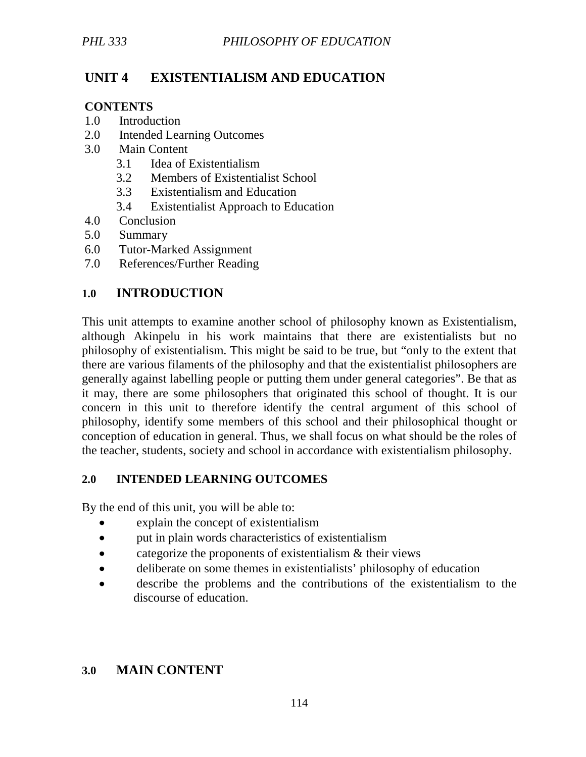# **UNIT 4 EXISTENTIALISM AND EDUCATION**

### **CONTENTS**

- 1.0 Introduction
- 2.0 Intended Learning Outcomes
- 3.0 Main Content
	- 3.1 Idea of Existentialism
	- 3.2 Members of Existentialist School
	- 3.3 Existentialism and Education
	- 3.4 Existentialist Approach to Education
- 4.0 Conclusion
- 5.0 Summary
- 6.0 Tutor-Marked Assignment
- 7.0 References/Further Reading

# **1.0 INTRODUCTION**

This unit attempts to examine another school of philosophy known as Existentialism, although Akinpelu in his work maintains that there are existentialists but no philosophy of existentialism. This might be said to be true, but "only to the extent that there are various filaments of the philosophy and that the existentialist philosophers are generally against labelling people or putting them under general categories". Be that as it may, there are some philosophers that originated this school of thought. It is our concern in this unit to therefore identify the central argument of this school of philosophy, identify some members of this school and their philosophical thought or conception of education in general. Thus, we shall focus on what should be the roles of the teacher, students, society and school in accordance with existentialism philosophy.

### **2.0 INTENDED LEARNING OUTCOMES**

By the end of this unit, you will be able to:

- explain the concept of existentialism
- put in plain words characteristics of existentialism
- categorize the proponents of existentialism & their views
- deliberate on some themes in existentialists' philosophy of education
- describe the problems and the contributions of the existentialism to the discourse of education.

# **3.0 MAIN CONTENT**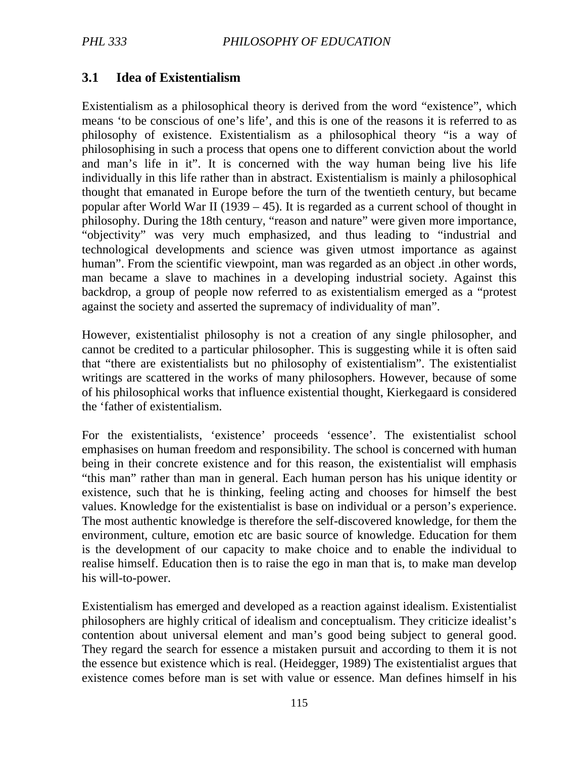# **3.1 Idea of Existentialism**

Existentialism as a philosophical theory is derived from the word "existence", which means 'to be conscious of one's life', and this is one of the reasons it is referred to as philosophy of existence. Existentialism as a philosophical theory "is a way of philosophising in such a process that opens one to different conviction about the world and man's life in it". It is concerned with the way human being live his life individually in this life rather than in abstract. Existentialism is mainly a philosophical thought that emanated in Europe before the turn of the twentieth century, but became popular after World War II (1939 – 45). It is regarded as a current school of thought in philosophy. During the 18th century, "reason and nature" were given more importance, "objectivity" was very much emphasized, and thus leading to "industrial and technological developments and science was given utmost importance as against human". From the scientific viewpoint, man was regarded as an object .in other words, man became a slave to machines in a developing industrial society. Against this backdrop, a group of people now referred to as existentialism emerged as a "protest against the society and asserted the supremacy of individuality of man".

However, existentialist philosophy is not a creation of any single philosopher, and cannot be credited to a particular philosopher. This is suggesting while it is often said that "there are existentialists but no philosophy of existentialism". The existentialist writings are scattered in the works of many philosophers. However, because of some of his philosophical works that influence existential thought, Kierkegaard is considered the 'father of existentialism.

For the existentialists, 'existence' proceeds 'essence'. The existentialist school emphasises on human freedom and responsibility. The school is concerned with human being in their concrete existence and for this reason, the existentialist will emphasis "this man" rather than man in general. Each human person has his unique identity or existence, such that he is thinking, feeling acting and chooses for himself the best values. Knowledge for the existentialist is base on individual or a person's experience. The most authentic knowledge is therefore the self-discovered knowledge, for them the environment, culture, emotion etc are basic source of knowledge. Education for them is the development of our capacity to make choice and to enable the individual to realise himself. Education then is to raise the ego in man that is, to make man develop his will-to-power.

Existentialism has emerged and developed as a reaction against idealism. Existentialist philosophers are highly critical of idealism and conceptualism. They criticize idealist's contention about universal element and man's good being subject to general good. They regard the search for essence a mistaken pursuit and according to them it is not the essence but existence which is real. (Heidegger, 1989) The existentialist argues that existence comes before man is set with value or essence. Man defines himself in his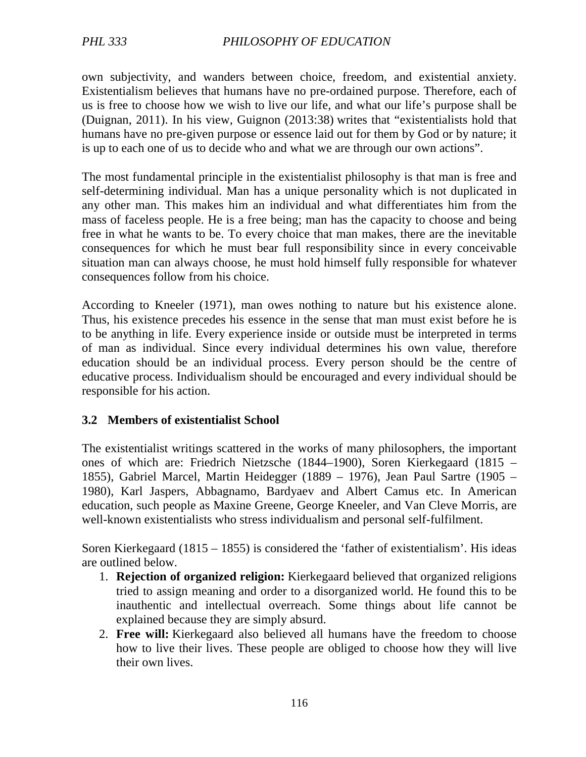own subjectivity, and wanders between choice, freedom, and existential anxiety. Existentialism believes that humans have no pre-ordained purpose. Therefore, each of us is free to choose how we wish to live our life, and what our life's purpose shall be (Duignan, 2011). In his view, Guignon (2013:38) writes that "existentialists hold that humans have no pre-given purpose or essence laid out for them by God or by nature; it is up to each one of us to decide who and what we are through our own actions".

The most fundamental principle in the existentialist philosophy is that man is free and self-determining individual. Man has a unique personality which is not duplicated in any other man. This makes him an individual and what differentiates him from the mass of faceless people. He is a free being; man has the capacity to choose and being free in what he wants to be. To every choice that man makes, there are the inevitable consequences for which he must bear full responsibility since in every conceivable situation man can always choose, he must hold himself fully responsible for whatever consequences follow from his choice.

According to Kneeler (1971), man owes nothing to nature but his existence alone. Thus, his existence precedes his essence in the sense that man must exist before he is to be anything in life. Every experience inside or outside must be interpreted in terms of man as individual. Since every individual determines his own value, therefore education should be an individual process. Every person should be the centre of educative process. Individualism should be encouraged and every individual should be responsible for his action.

#### **3.2 Members of existentialist School**

The existentialist writings scattered in the works of many philosophers, the important ones of which are: Friedrich Nietzsche (1844–1900), Soren Kierkegaard (1815 – 1855), Gabriel Marcel, Martin Heidegger (1889 – 1976), Jean Paul Sartre (1905 – 1980), Karl Jaspers, Abbagnamo, Bardyaev and Albert Camus etc. In American education, such people as Maxine Greene, George Kneeler, and Van Cleve Morris, are well-known existentialists who stress individualism and personal self-fulfilment.

Soren Kierkegaard (1815 – 1855) is considered the 'father of existentialism'. His ideas are outlined below.

- 1. **Rejection of organized religion:** Kierkegaard believed that organized religions tried to assign meaning and order to a disorganized world. He found this to be inauthentic and intellectual overreach. Some things about life cannot be explained because they are simply absurd.
- 2. **Free will:** Kierkegaard also believed all humans have the freedom to choose how to live their lives. These people are obliged to choose how they will live their own lives.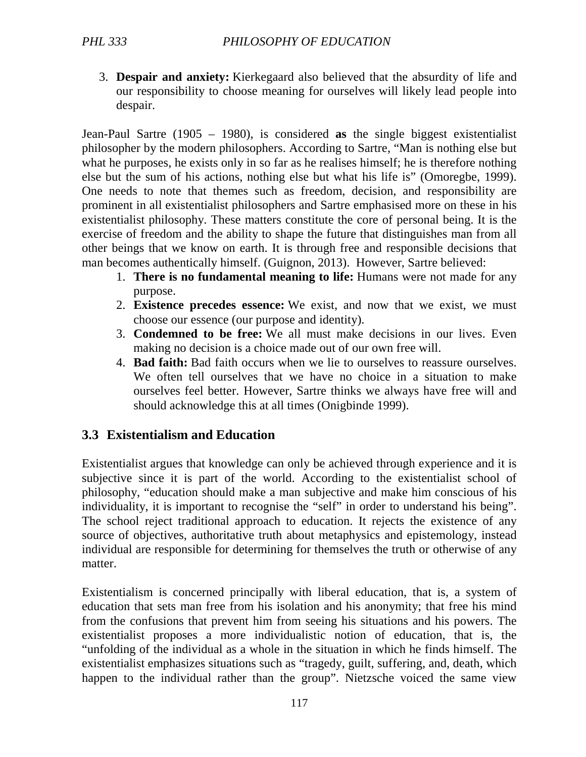3. **Despair and anxiety:** Kierkegaard also believed that the absurdity of life and our responsibility to choose meaning for ourselves will likely lead people into despair.

Jean-Paul Sartre (1905 – 1980), is considered **as** the single biggest existentialist philosopher by the modern philosophers. According to Sartre, "Man is nothing else but what he purposes, he exists only in so far as he realises himself; he is therefore nothing else but the sum of his actions, nothing else but what his life is" (Omoregbe, 1999). One needs to note that themes such as freedom, decision, and responsibility are prominent in all existentialist philosophers and Sartre emphasised more on these in his existentialist philosophy. These matters constitute the core of personal being. It is the exercise of freedom and the ability to shape the future that distinguishes man from all other beings that we know on earth. It is through free and responsible decisions that man becomes authentically himself. (Guignon, 2013). However, Sartre believed:

- 1. **There is no fundamental meaning to life:** Humans were not made for any purpose.
- 2. **Existence precedes essence:** We exist, and now that we exist, we must choose our essence (our purpose and identity).
- 3. **Condemned to be free:** We all must make decisions in our lives. Even making no decision is a choice made out of our own free will.
- 4. **Bad faith:** Bad faith occurs when we lie to ourselves to reassure ourselves. We often tell ourselves that we have no choice in a situation to make ourselves feel better. However, Sartre thinks we always have free will and should acknowledge this at all times (Onigbinde 1999).

# **3.3 Existentialism and Education**

Existentialist argues that knowledge can only be achieved through experience and it is subjective since it is part of the world. According to the existentialist school of philosophy, "education should make a man subjective and make him conscious of his individuality, it is important to recognise the "self" in order to understand his being". The school reject traditional approach to education. It rejects the existence of any source of objectives, authoritative truth about metaphysics and epistemology, instead individual are responsible for determining for themselves the truth or otherwise of any matter.

Existentialism is concerned principally with liberal education, that is, a system of education that sets man free from his isolation and his anonymity; that free his mind from the confusions that prevent him from seeing his situations and his powers. The existentialist proposes a more individualistic notion of education, that is, the "unfolding of the individual as a whole in the situation in which he finds himself. The existentialist emphasizes situations such as "tragedy, guilt, suffering, and, death, which happen to the individual rather than the group". Nietzsche voiced the same view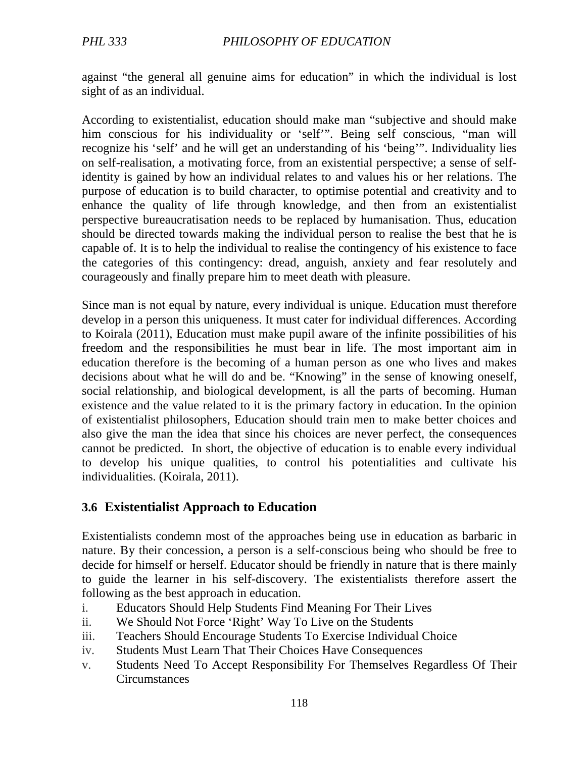against "the general all genuine aims for education" in which the individual is lost sight of as an individual.

According to existentialist, education should make man "subjective and should make him conscious for his individuality or 'self'". Being self conscious, "man will recognize his 'self' and he will get an understanding of his 'being'". Individuality lies on self-realisation, a motivating force, from an existential perspective; a sense of selfidentity is gained by how an individual relates to and values his or her relations. The purpose of education is to build character, to optimise potential and creativity and to enhance the quality of life through knowledge, and then from an existentialist perspective bureaucratisation needs to be replaced by humanisation. Thus, education should be directed towards making the individual person to realise the best that he is capable of. It is to help the individual to realise the contingency of his existence to face the categories of this contingency: dread, anguish, anxiety and fear resolutely and courageously and finally prepare him to meet death with pleasure.

Since man is not equal by nature, every individual is unique. Education must therefore develop in a person this uniqueness. It must cater for individual differences. According to Koirala (2011), Education must make pupil aware of the infinite possibilities of his freedom and the responsibilities he must bear in life. The most important aim in education therefore is the becoming of a human person as one who lives and makes decisions about what he will do and be. "Knowing" in the sense of knowing oneself, social relationship, and biological development, is all the parts of becoming. Human existence and the value related to it is the primary factory in education. In the opinion of existentialist philosophers, Education should train men to make better choices and also give the man the idea that since his choices are never perfect, the consequences cannot be predicted. In short, the objective of education is to enable every individual to develop his unique qualities, to control his potentialities and cultivate his individualities. (Koirala, 2011).

### **3.6 Existentialist Approach to Education**

Existentialists condemn most of the approaches being use in education as barbaric in nature. By their concession, a person is a self-conscious being who should be free to decide for himself or herself. Educator should be friendly in nature that is there mainly to guide the learner in his self-discovery. The existentialists therefore assert the following as the best approach in education.

- i. Educators Should Help Students Find Meaning For Their Lives
- ii. We Should Not Force 'Right' Way To Live on the Students
- iii. Teachers Should Encourage Students To Exercise Individual Choice
- iv. Students Must Learn That Their Choices Have Consequences
- v. Students Need To Accept Responsibility For Themselves Regardless Of Their **Circumstances**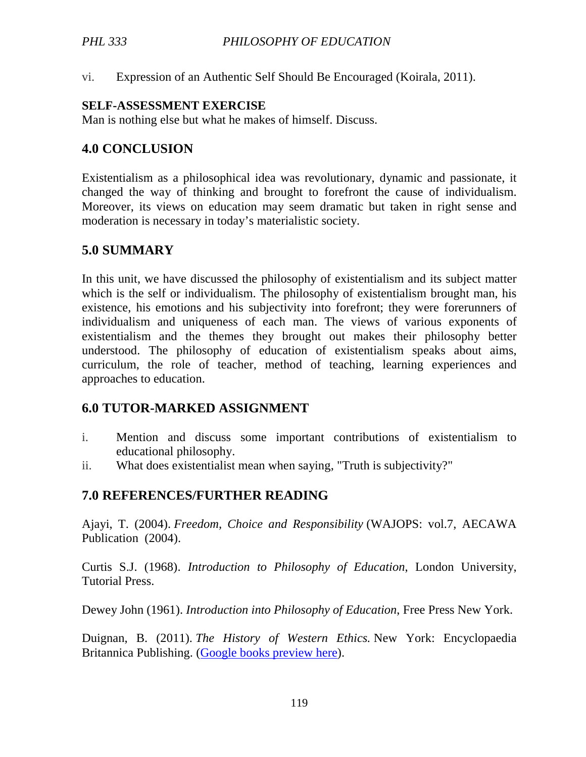vi. Expression of an Authentic Self Should Be Encouraged (Koirala, 2011).

#### **SELF-ASSESSMENT EXERCISE**

Man is nothing else but what he makes of himself. Discuss.

# **4.0 CONCLUSION**

Existentialism as a philosophical idea was revolutionary, dynamic and passionate, it changed the way of thinking and brought to forefront the cause of individualism. Moreover, its views on education may seem dramatic but taken in right sense and moderation is necessary in today's materialistic society.

## **5.0 SUMMARY**

In this unit, we have discussed the philosophy of existentialism and its subject matter which is the self or individualism. The philosophy of existentialism brought man, his existence, his emotions and his subjectivity into forefront; they were forerunners of individualism and uniqueness of each man. The views of various exponents of existentialism and the themes they brought out makes their philosophy better understood. The philosophy of education of existentialism speaks about aims, curriculum, the role of teacher, method of teaching, learning experiences and approaches to education.

# **6.0 TUTOR-MARKED ASSIGNMENT**

- i. Mention and discuss some important contributions of existentialism to educational philosophy.
- ii. What does existentialist mean when saying, "Truth is subjectivity?"

# **7.0 REFERENCES/FURTHER READING**

Ajayi, T. (2004). *Freedom, Choice and Responsibility* (WAJOPS: vol.7, AECAWA Publication (2004).

Curtis S.J. (1968). *Introduction to Philosophy of Education*, London University, Tutorial Press.

Dewey John (1961). *Introduction into Philosophy of Education*, Free Press New York.

Duignan, B. (2011). *The History of Western Ethics.* New York: Encyclopaedia Britannica Publishing. (Google books preview here).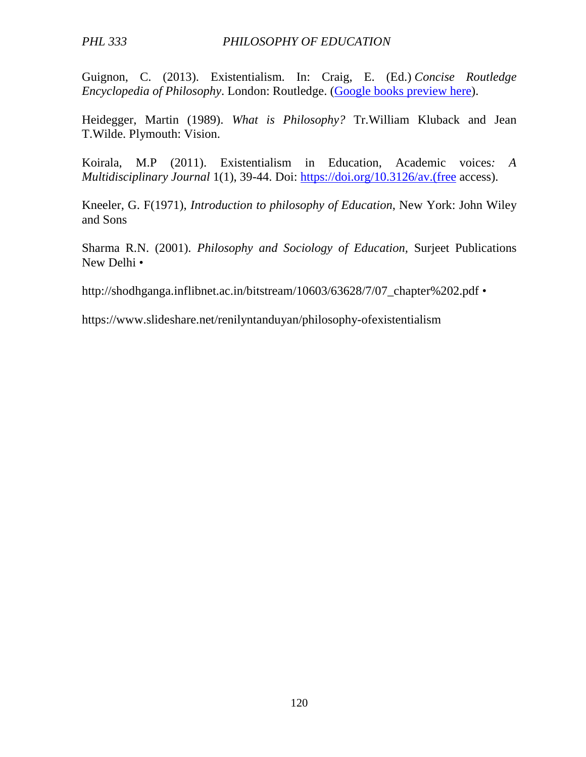Guignon, C. (2013). Existentialism. In: Craig, E. (Ed.) *Concise Routledge Encyclopedia of Philosophy*. London: Routledge. (Google books preview here).

Heidegger, Martin (1989). *What is Philosophy?* Tr.William Kluback and Jean T.Wilde. Plymouth: Vision.

Koirala, M.P (2011). Existentialism in Education, Academic voices*: A Multidisciplinary Journal* 1(1), 39-44. Doi: https://doi.org/10.3126/av.(free access).

Kneeler, G. F(1971), *Introduction to philosophy of Education*, New York: John Wiley and Sons

Sharma R.N. (2001). *Philosophy and Sociology of Education,* Surjeet Publications New Delhi •

http://shodhganga.inflibnet.ac.in/bitstream/10603/63628/7/07\_chapter%202.pdf •

https://www.slideshare.net/renilyntanduyan/philosophy-ofexistentialism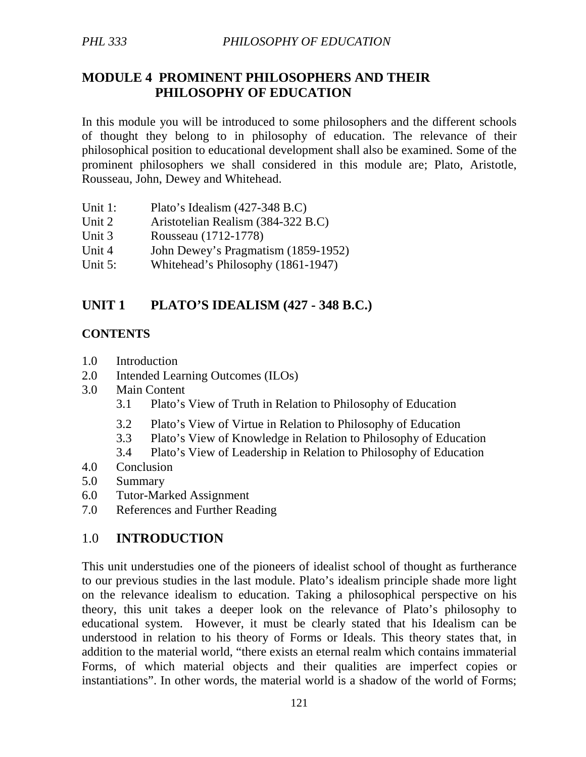## **MODULE 4 PROMINENT PHILOSOPHERS AND THEIR PHILOSOPHY OF EDUCATION**

In this module you will be introduced to some philosophers and the different schools of thought they belong to in philosophy of education. The relevance of their philosophical position to educational development shall also be examined. Some of the prominent philosophers we shall considered in this module are; Plato, Aristotle, Rousseau, John, Dewey and Whitehead.

- Unit 1: Plato's Idealism (427-348 B.C)
- Unit 2 Aristotelian Realism (384-322 B.C)
- Unit 3 Rousseau (1712-1778)
- Unit 4 John Dewey's Pragmatism (1859-1952)
- Unit 5: Whitehead's Philosophy (1861-1947)

## **UNIT 1 PLATO'S IDEALISM (427 - 348 B.C.)**

#### **CONTENTS**

- 1.0 Introduction
- 2.0 Intended Learning Outcomes (ILOs)
- 3.0 Main Content
	- 3.1 Plato's View of Truth in Relation to Philosophy of Education
	- 3.2 Plato's View of Virtue in Relation to Philosophy of Education
	- 3.3 Plato's View of Knowledge in Relation to Philosophy of Education
	- 3.4 Plato's View of Leadership in Relation to Philosophy of Education
- 4.0 Conclusion
- 5.0 Summary
- 6.0 Tutor-Marked Assignment
- 7.0 References and Further Reading

### 1.0 **INTRODUCTION**

This unit understudies one of the pioneers of idealist school of thought as furtherance to our previous studies in the last module. Plato's idealism principle shade more light on the relevance idealism to education. Taking a philosophical perspective on his theory, this unit takes a deeper look on the relevance of Plato's philosophy to educational system. However, it must be clearly stated that his Idealism can be understood in relation to his theory of Forms or Ideals. This theory states that, in addition to the material world, "there exists an eternal realm which contains immaterial Forms, of which material objects and their qualities are imperfect copies or instantiations". In other words, the material world is a shadow of the world of Forms;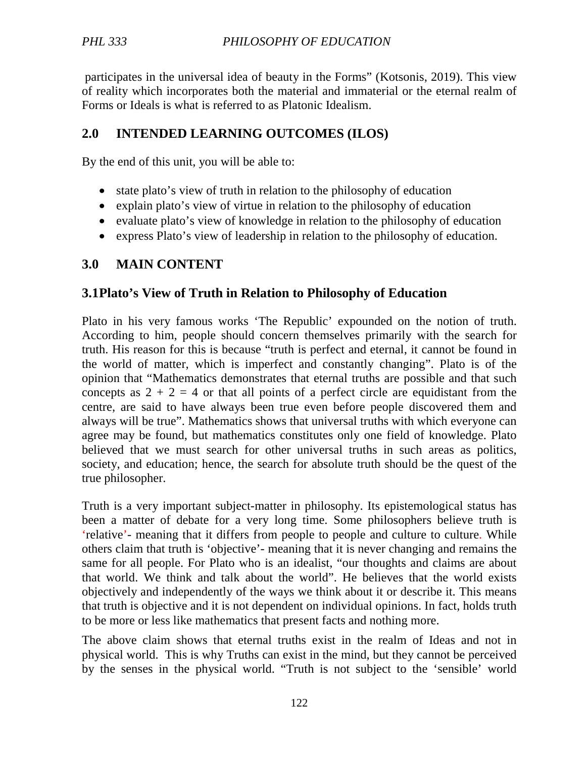participates in the universal idea of beauty in the Forms" (Kotsonis, 2019). This view of reality which incorporates both the material and immaterial or the eternal realm of Forms or Ideals is what is referred to as Platonic Idealism.

### **2.0 INTENDED LEARNING OUTCOMES (ILOS)**

By the end of this unit, you will be able to:

- state plato's view of truth in relation to the philosophy of education
- explain plato's view of virtue in relation to the philosophy of education
- evaluate plato's view of knowledge in relation to the philosophy of education
- express Plato's view of leadership in relation to the philosophy of education.

# **3.0 MAIN CONTENT**

# **3.1Plato's View of Truth in Relation to Philosophy of Education**

Plato in his very famous works 'The Republic' expounded on the notion of truth. According to him, people should concern themselves primarily with the search for truth. His reason for this is because "truth is perfect and eternal, it cannot be found in the world of matter, which is imperfect and constantly changing". Plato is of the opinion that "Mathematics demonstrates that eternal truths are possible and that such concepts as  $2 + 2 = 4$  or that all points of a perfect circle are equidistant from the centre, are said to have always been true even before people discovered them and always will be true". Mathematics shows that universal truths with which everyone can agree may be found, but mathematics constitutes only one field of knowledge. Plato believed that we must search for other universal truths in such areas as politics, society, and education; hence, the search for absolute truth should be the quest of the true philosopher.

Truth is a very important subject-matter in philosophy. Its epistemological status has been a matter of debate for a very long time. Some philosophers believe truth is 'relative'- meaning that it differs from people to people and culture to culture. While others claim that truth is 'objective'- meaning that it is never changing and remains the same for all people. For Plato who is an idealist, "our thoughts and claims are about that world. We think and talk about the world". He believes that the world exists objectively and independently of the ways we think about it or describe it. This means that truth is objective and it is not dependent on individual opinions. In fact, holds truth to be more or less like mathematics that present facts and nothing more.

The above claim shows that eternal truths exist in the realm of Ideas and not in physical world. This is why Truths can exist in the mind, but they cannot be perceived by the senses in the physical world. "Truth is not subject to the 'sensible' world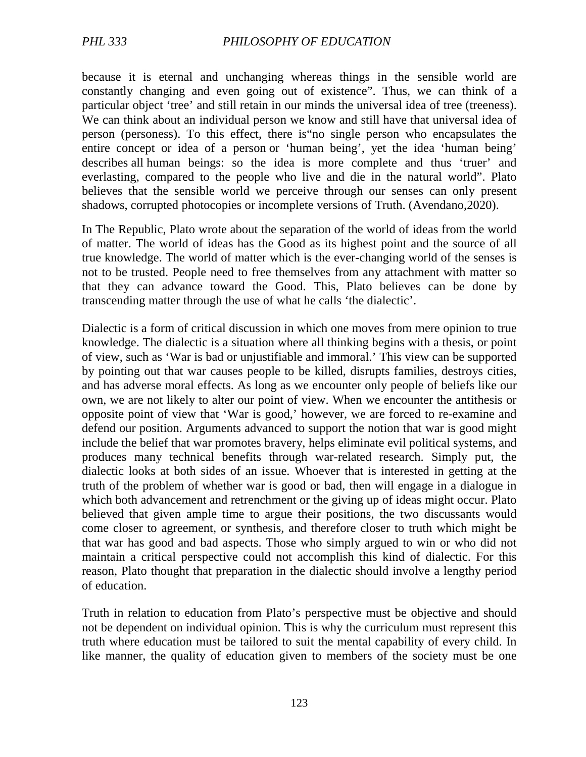because it is eternal and unchanging whereas things in the sensible world are constantly changing and even going out of existence". Thus, we can think of a particular object 'tree' and still retain in our minds the universal idea of tree (treeness). We can think about an individual person we know and still have that universal idea of person (personess). To this effect, there is"no single person who encapsulates the entire concept or idea of a person or 'human being', yet the idea 'human being' describes all human beings: so the idea is more complete and thus 'truer' and everlasting, compared to the people who live and die in the natural world". Plato believes that the sensible world we perceive through our senses can only present shadows, corrupted photocopies or incomplete versions of Truth. (Avendano,2020).

In The Republic, Plato wrote about the separation of the world of ideas from the world of matter. The world of ideas has the Good as its highest point and the source of all true knowledge. The world of matter which is the ever-changing world of the senses is not to be trusted. People need to free themselves from any attachment with matter so that they can advance toward the Good. This, Plato believes can be done by transcending matter through the use of what he calls 'the dialectic'.

Dialectic is a form of critical discussion in which one moves from mere opinion to true knowledge. The dialectic is a situation where all thinking begins with a thesis, or point of view, such as 'War is bad or unjustifiable and immoral.' This view can be supported by pointing out that war causes people to be killed, disrupts families, destroys cities, and has adverse moral effects. As long as we encounter only people of beliefs like our own, we are not likely to alter our point of view. When we encounter the antithesis or opposite point of view that 'War is good,' however, we are forced to re-examine and defend our position. Arguments advanced to support the notion that war is good might include the belief that war promotes bravery, helps eliminate evil political systems, and produces many technical benefits through war-related research. Simply put, the dialectic looks at both sides of an issue. Whoever that is interested in getting at the truth of the problem of whether war is good or bad, then will engage in a dialogue in which both advancement and retrenchment or the giving up of ideas might occur. Plato believed that given ample time to argue their positions, the two discussants would come closer to agreement, or synthesis, and therefore closer to truth which might be that war has good and bad aspects. Those who simply argued to win or who did not maintain a critical perspective could not accomplish this kind of dialectic. For this reason, Plato thought that preparation in the dialectic should involve a lengthy period of education.

Truth in relation to education from Plato's perspective must be objective and should not be dependent on individual opinion. This is why the curriculum must represent this truth where education must be tailored to suit the mental capability of every child. In like manner, the quality of education given to members of the society must be one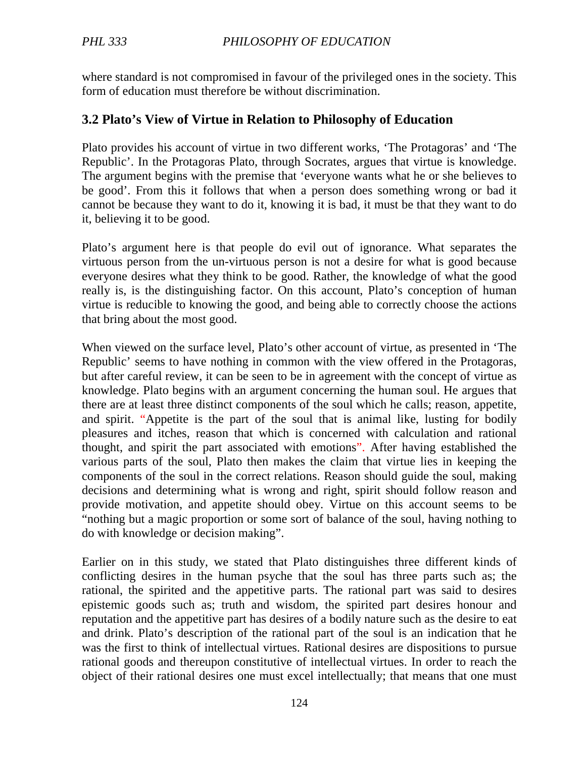where standard is not compromised in favour of the privileged ones in the society. This form of education must therefore be without discrimination.

### **3.2 Plato's View of Virtue in Relation to Philosophy of Education**

Plato provides his account of virtue in two different works, 'The Protagoras' and 'The Republic'. In the Protagoras Plato, through Socrates, argues that virtue is knowledge. The argument begins with the premise that 'everyone wants what he or she believes to be good'. From this it follows that when a person does something wrong or bad it cannot be because they want to do it, knowing it is bad, it must be that they want to do it, believing it to be good.

Plato's argument here is that people do evil out of ignorance. What separates the virtuous person from the un-virtuous person is not a desire for what is good because everyone desires what they think to be good. Rather, the knowledge of what the good really is, is the distinguishing factor. On this account, Plato's conception of human virtue is reducible to knowing the good, and being able to correctly choose the actions that bring about the most good.

When viewed on the surface level, Plato's other account of virtue, as presented in 'The Republic' seems to have nothing in common with the view offered in the Protagoras, but after careful review, it can be seen to be in agreement with the concept of virtue as knowledge. Plato begins with an argument concerning the human soul. He argues that there are at least three distinct components of the soul which he calls; reason, appetite, and spirit. "Appetite is the part of the soul that is animal like, lusting for bodily pleasures and itches, reason that which is concerned with calculation and rational thought, and spirit the part associated with emotions". After having established the various parts of the soul, Plato then makes the claim that virtue lies in keeping the components of the soul in the correct relations. Reason should guide the soul, making decisions and determining what is wrong and right, spirit should follow reason and provide motivation, and appetite should obey. Virtue on this account seems to be "nothing but a magic proportion or some sort of balance of the soul, having nothing to do with knowledge or decision making".

Earlier on in this study, we stated that Plato distinguishes three different kinds of conflicting desires in the human psyche that the soul has three parts such as; the rational, the spirited and the appetitive parts. The rational part was said to desires epistemic goods such as; truth and wisdom, the spirited part desires honour and reputation and the appetitive part has desires of a bodily nature such as the desire to eat and drink. Plato's description of the rational part of the soul is an indication that he was the first to think of intellectual virtues. Rational desires are dispositions to pursue rational goods and thereupon constitutive of intellectual virtues. In order to reach the object of their rational desires one must excel intellectually; that means that one must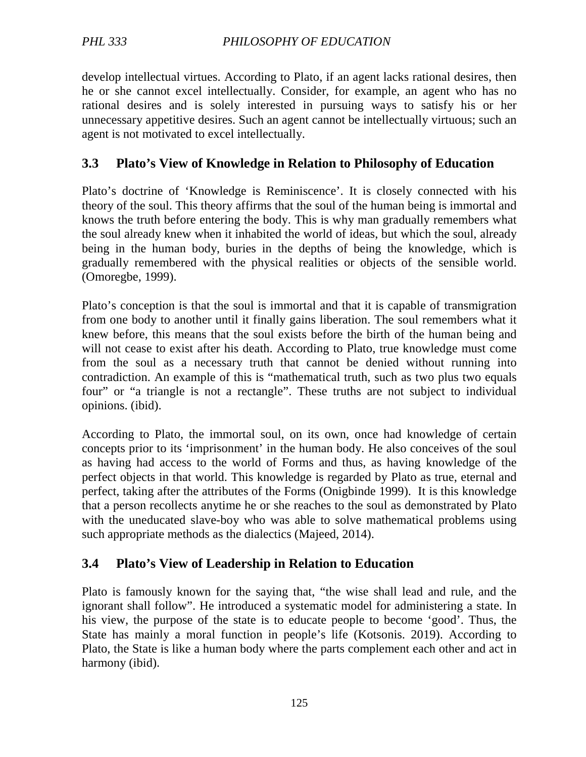develop intellectual virtues. According to Plato, if an agent lacks rational desires, then he or she cannot excel intellectually. Consider, for example, an agent who has no rational desires and is solely interested in pursuing ways to satisfy his or her unnecessary appetitive desires. Such an agent cannot be intellectually virtuous; such an agent is not motivated to excel intellectually.

## **3.3 Plato's View of Knowledge in Relation to Philosophy of Education**

Plato's doctrine of 'Knowledge is Reminiscence'. It is closely connected with his theory of the soul. This theory affirms that the soul of the human being is immortal and knows the truth before entering the body. This is why man gradually remembers what the soul already knew when it inhabited the world of ideas, but which the soul, already being in the human body, buries in the depths of being the knowledge, which is gradually remembered with the physical realities or objects of the sensible world. (Omoregbe, 1999).

Plato's conception is that the soul is immortal and that it is capable of transmigration from one body to another until it finally gains liberation. The soul remembers what it knew before, this means that the soul exists before the birth of the human being and will not cease to exist after his death. According to Plato, true knowledge must come from the soul as a necessary truth that cannot be denied without running into contradiction. An example of this is "mathematical truth, such as two plus two equals four" or "a triangle is not a rectangle". These truths are not subject to individual opinions. (ibid).

According to Plato, the immortal soul, on its own, once had knowledge of certain concepts prior to its 'imprisonment' in the human body. He also conceives of the soul as having had access to the world of Forms and thus, as having knowledge of the perfect objects in that world. This knowledge is regarded by Plato as true, eternal and perfect, taking after the attributes of the Forms (Onigbinde 1999). It is this knowledge that a person recollects anytime he or she reaches to the soul as demonstrated by Plato with the uneducated slave-boy who was able to solve mathematical problems using such appropriate methods as the dialectics (Majeed, 2014).

# **3.4 Plato's View of Leadership in Relation to Education**

Plato is famously known for the saying that, "the wise shall lead and rule, and the ignorant shall follow". He introduced a systematic model for administering a state. In his view, the purpose of the state is to educate people to become 'good'. Thus, the State has mainly a moral function in people's life (Kotsonis. 2019). According to Plato, the State is like a human body where the parts complement each other and act in harmony (ibid).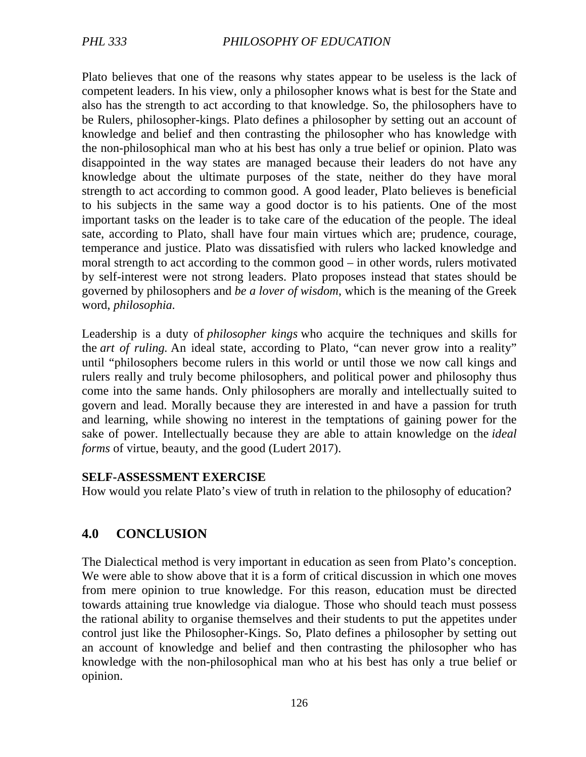Plato believes that one of the reasons why states appear to be useless is the lack of competent leaders. In his view, only a philosopher knows what is best for the State and also has the strength to act according to that knowledge. So, the philosophers have to be Rulers, philosopher-kings. Plato defines a philosopher by setting out an account of knowledge and belief and then contrasting the philosopher who has knowledge with the non-philosophical man who at his best has only a true belief or opinion. Plato was disappointed in the way states are managed because their leaders do not have any knowledge about the ultimate purposes of the state, neither do they have moral strength to act according to common good. A good leader, Plato believes is beneficial to his subjects in the same way a good doctor is to his patients. One of the most important tasks on the leader is to take care of the education of the people. The ideal sate, according to Plato, shall have four main virtues which are; prudence, courage, temperance and justice. Plato was dissatisfied with rulers who lacked knowledge and moral strength to act according to the common good – in other words, rulers motivated by self-interest were not strong leaders. Plato proposes instead that states should be governed by philosophers and *be a lover of wisdom*, which is the meaning of the Greek word, *philosophia.* 

Leadership is a duty of *philosopher kings* who acquire the techniques and skills for the *art of ruling.* An ideal state, according to Plato, "can never grow into a reality" until "philosophers become rulers in this world or until those we now call kings and rulers really and truly become philosophers, and political power and philosophy thus come into the same hands. Only philosophers are morally and intellectually suited to govern and lead. Morally because they are interested in and have a passion for truth and learning, while showing no interest in the temptations of gaining power for the sake of power. Intellectually because they are able to attain knowledge on the *ideal forms* of virtue, beauty, and the good (Ludert 2017).

#### **SELF-ASSESSMENT EXERCISE**

How would you relate Plato's view of truth in relation to the philosophy of education?

### **4.0 CONCLUSION**

The Dialectical method is very important in education as seen from Plato's conception. We were able to show above that it is a form of critical discussion in which one moves from mere opinion to true knowledge. For this reason, education must be directed towards attaining true knowledge via dialogue. Those who should teach must possess the rational ability to organise themselves and their students to put the appetites under control just like the Philosopher-Kings. So, Plato defines a philosopher by setting out an account of knowledge and belief and then contrasting the philosopher who has knowledge with the non-philosophical man who at his best has only a true belief or opinion.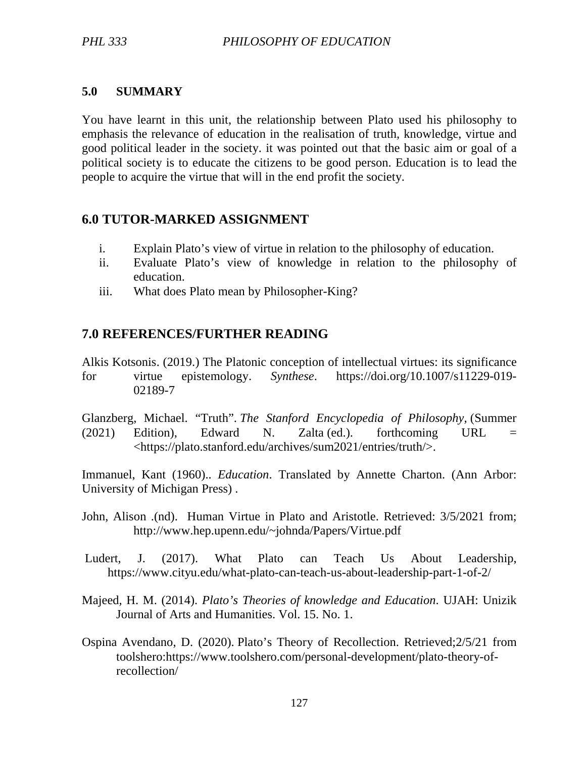#### **5.0 SUMMARY**

You have learnt in this unit, the relationship between Plato used his philosophy to emphasis the relevance of education in the realisation of truth, knowledge, virtue and good political leader in the society. it was pointed out that the basic aim or goal of a political society is to educate the citizens to be good person. Education is to lead the people to acquire the virtue that will in the end profit the society.

## **6.0 TUTOR-MARKED ASSIGNMENT**

- i. Explain Plato's view of virtue in relation to the philosophy of education.
- ii. Evaluate Plato's view of knowledge in relation to the philosophy of education.
- iii. What does Plato mean by Philosopher-King?

# **7.0 REFERENCES/FURTHER READING**

Alkis Kotsonis. (2019.) The Platonic conception of intellectual virtues: its significance for virtue epistemology. *Synthese*. https://doi.org/10.1007/s11229-019- 02189-7

Glanzberg, Michael. "Truth". *The Stanford Encyclopedia of Philosophy,* (Summer  $(2021)$  Edition), Edward N. Zalta (ed.). forthcoming URL = <https://plato.stanford.edu/archives/sum2021/entries/truth/>.

Immanuel, Kant (1960).. *Education*. Translated by Annette Charton. (Ann Arbor: University of Michigan Press) .

- John, Alison .(nd). Human Virtue in Plato and Aristotle. Retrieved: 3/5/2021 from; http://www.hep.upenn.edu/~johnda/Papers/Virtue.pdf
- Ludert, J. (2017). What Plato can Teach Us About Leadership, https://www.cityu.edu/what-plato-can-teach-us-about-leadership-part-1-of-2/
- Majeed*,* H. M. (2014). *Plato's Theories of knowledge and Education*. UJAH: Unizik Journal of Arts and Humanities. Vol. 15. No. 1.
- Ospina Avendano, D. (2020). Plato's Theory of Recollection. Retrieved;2/5/21 from toolshero:https://www.toolshero.com/personal-development/plato-theory-of recollection/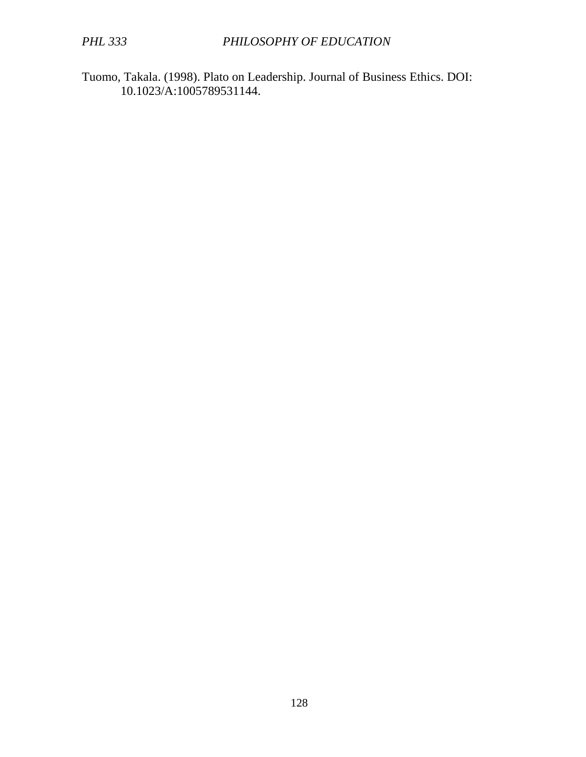Tuomo, Takala. (1998). Plato on Leadership. Journal of Business Ethics. DOI: 10.1023/A:1005789531144.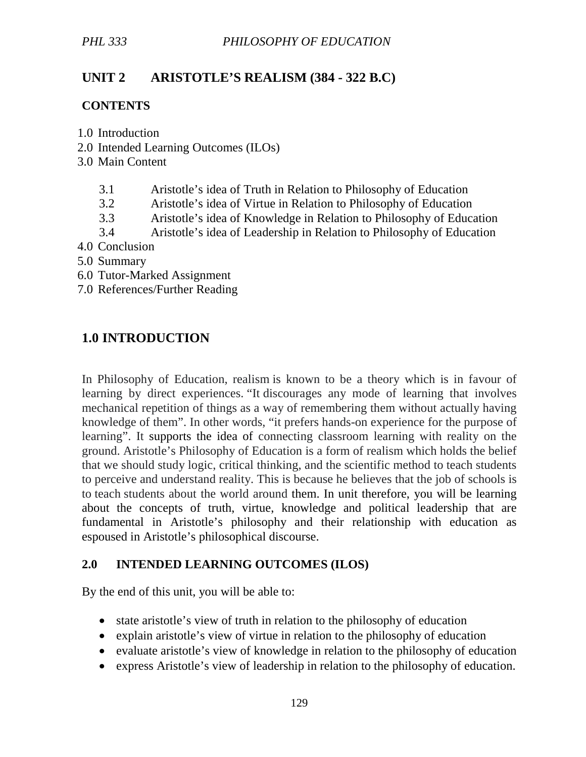# **UNIT 2 ARISTOTLE'S REALISM (384 - 322 B.C)**

### **CONTENTS**

- 1.0 Introduction
- 2.0 Intended Learning Outcomes (ILOs)
- 3.0 Main Content
	- 3.1 Aristotle's idea of Truth in Relation to Philosophy of Education
	- 3.2 Aristotle's idea of Virtue in Relation to Philosophy of Education
	- 3.3 Aristotle's idea of Knowledge in Relation to Philosophy of Education
	- 3.4 Aristotle's idea of Leadership in Relation to Philosophy of Education
- 4.0 Conclusion
- 5.0 Summary
- 6.0 Tutor-Marked Assignment
- 7.0 References/Further Reading

# **1.0 INTRODUCTION**

In Philosophy of Education, realism is known to be a theory which is in favour of learning by direct experiences. "It discourages any mode of learning that involves mechanical repetition of things as a way of remembering them without actually having knowledge of them". In other words, "it prefers hands-on experience for the purpose of learning". It supports the idea of connecting classroom learning with reality on the ground. Aristotle's Philosophy of Education is a form of realism which holds the belief that we should study logic, critical thinking, and the scientific method to teach students to perceive and understand reality. This is because he believes that the job of schools is to teach students about the world around them. In unit therefore, you will be learning about the concepts of truth, virtue, knowledge and political leadership that are fundamental in Aristotle's philosophy and their relationship with education as espoused in Aristotle's philosophical discourse.

### **2.0 INTENDED LEARNING OUTCOMES (ILOS)**

By the end of this unit, you will be able to:

- state aristotle's view of truth in relation to the philosophy of education
- explain aristotle's view of virtue in relation to the philosophy of education
- evaluate aristotle's view of knowledge in relation to the philosophy of education
- express Aristotle's view of leadership in relation to the philosophy of education.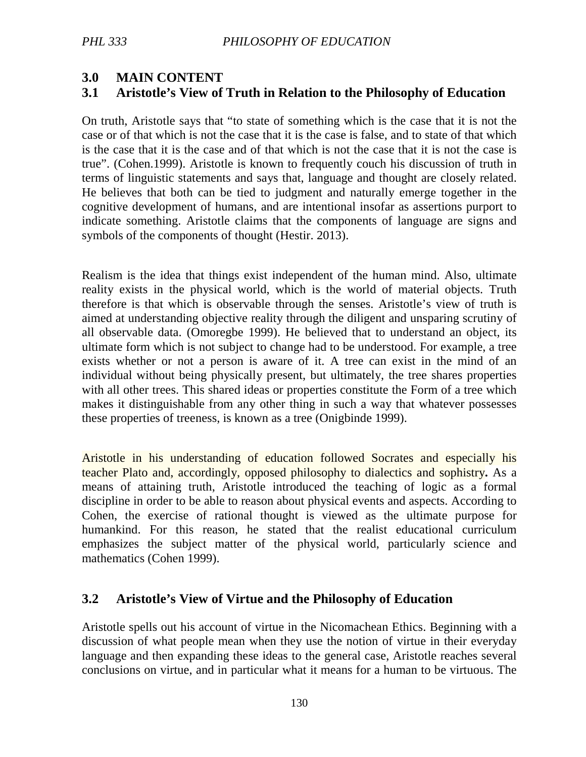# **3.0 MAIN CONTENT**

# **3.1 Aristotle's View of Truth in Relation to the Philosophy of Education**

On truth, Aristotle says that "to state of something which is the case that it is not the case or of that which is not the case that it is the case is false, and to state of that which is the case that it is the case and of that which is not the case that it is not the case is true". (Cohen.1999). Aristotle is known to frequently couch his discussion of truth in terms of linguistic statements and says that, language and thought are closely related. He believes that both can be tied to judgment and naturally emerge together in the cognitive development of humans, and are intentional insofar as assertions purport to indicate something. Aristotle claims that the components of language are signs and symbols of the components of thought (Hestir. 2013).

Realism is the idea that things exist independent of the human mind. Also, ultimate reality exists in the physical world, which is the world of material objects. Truth therefore is that which is observable through the senses. Aristotle's view of truth is aimed at understanding objective reality through the diligent and unsparing scrutiny of all observable data. (Omoregbe 1999). He believed that to understand an object, its ultimate form which is not subject to change had to be understood. For example, a tree exists whether or not a person is aware of it. A tree can exist in the mind of an individual without being physically present, but ultimately, the tree shares properties with all other trees. This shared ideas or properties constitute the Form of a tree which makes it distinguishable from any other thing in such a way that whatever possesses these properties of treeness, is known as a tree (Onigbinde 1999).

Aristotle in his understanding of education followed Socrates and especially his teacher Plato and, accordingly, opposed philosophy to dialectics and sophistry**.** As a means of attaining truth, Aristotle introduced the teaching of logic as a formal discipline in order to be able to reason about physical events and aspects. According to Cohen, the exercise of rational thought is viewed as the ultimate purpose for humankind. For this reason, he stated that the realist educational curriculum emphasizes the subject matter of the physical world, particularly science and mathematics (Cohen 1999).

### **3.2 Aristotle's View of Virtue and the Philosophy of Education**

Aristotle spells out his account of virtue in the Nicomachean Ethics. Beginning with a discussion of what people mean when they use the notion of virtue in their everyday language and then expanding these ideas to the general case, Aristotle reaches several conclusions on virtue, and in particular what it means for a human to be virtuous. The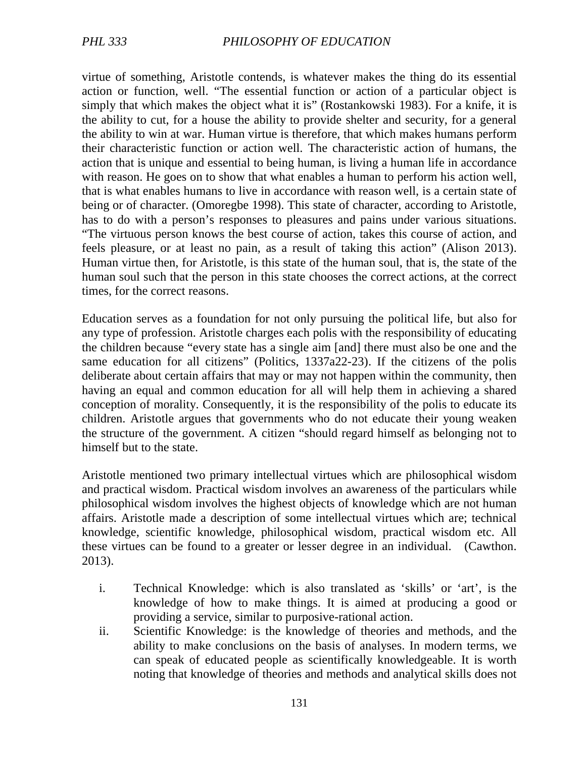virtue of something, Aristotle contends, is whatever makes the thing do its essential action or function, well. "The essential function or action of a particular object is simply that which makes the object what it is" (Rostankowski 1983). For a knife, it is the ability to cut, for a house the ability to provide shelter and security, for a general the ability to win at war. Human virtue is therefore, that which makes humans perform their characteristic function or action well. The characteristic action of humans, the action that is unique and essential to being human, is living a human life in accordance with reason. He goes on to show that what enables a human to perform his action well, that is what enables humans to live in accordance with reason well, is a certain state of being or of character. (Omoregbe 1998). This state of character, according to Aristotle, has to do with a person's responses to pleasures and pains under various situations. "The virtuous person knows the best course of action, takes this course of action, and feels pleasure, or at least no pain, as a result of taking this action" (Alison 2013). Human virtue then, for Aristotle, is this state of the human soul, that is, the state of the human soul such that the person in this state chooses the correct actions, at the correct times, for the correct reasons.

Education serves as a foundation for not only pursuing the political life, but also for any type of profession. Aristotle charges each polis with the responsibility of educating the children because "every state has a single aim [and] there must also be one and the same education for all citizens" (Politics, 1337a22-23). If the citizens of the polis deliberate about certain affairs that may or may not happen within the community, then having an equal and common education for all will help them in achieving a shared conception of morality. Consequently, it is the responsibility of the polis to educate its children. Aristotle argues that governments who do not educate their young weaken the structure of the government. A citizen "should regard himself as belonging not to himself but to the state.

Aristotle mentioned two primary intellectual virtues which are philosophical wisdom and practical wisdom. Practical wisdom involves an awareness of the particulars while philosophical wisdom involves the highest objects of knowledge which are not human affairs. Aristotle made a description of some intellectual virtues which are; technical knowledge, scientific knowledge, philosophical wisdom, practical wisdom etc. All these virtues can be found to a greater or lesser degree in an individual. (Cawthon. 2013).

- i. Technical Knowledge: which is also translated as 'skills' or 'art', is the knowledge of how to make things. It is aimed at producing a good or providing a service, similar to purposive-rational action.
- ii. Scientific Knowledge: is the knowledge of theories and methods, and the ability to make conclusions on the basis of analyses. In modern terms, we can speak of educated people as scientifically knowledgeable. It is worth noting that knowledge of theories and methods and analytical skills does not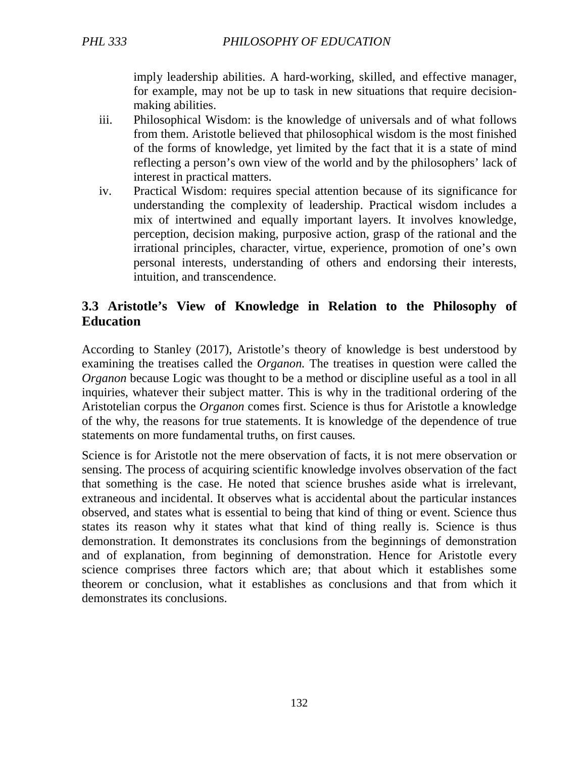imply leadership abilities. A hard-working, skilled, and effective manager, for example, may not be up to task in new situations that require decisionmaking abilities.

- iii. Philosophical Wisdom: is the knowledge of universals and of what follows from them. Aristotle believed that philosophical wisdom is the most finished of the forms of knowledge, yet limited by the fact that it is a state of mind reflecting a person's own view of the world and by the philosophers' lack of interest in practical matters.
- iv. Practical Wisdom: requires special attention because of its significance for understanding the complexity of leadership. Practical wisdom includes a mix of intertwined and equally important layers. It involves knowledge, perception, decision making, purposive action, grasp of the rational and the irrational principles, character, virtue, experience, promotion of one's own personal interests, understanding of others and endorsing their interests, intuition, and transcendence.

# **3.3 Aristotle's View of Knowledge in Relation to the Philosophy of Education**

According to Stanley (2017), Aristotle's theory of knowledge is best understood by examining the treatises called the *Organon.* The treatises in question were called the *Organon* because Logic was thought to be a method or discipline useful as a tool in all inquiries, whatever their subject matter. This is why in the traditional ordering of the Aristotelian corpus the *Organon* comes first. Science is thus for Aristotle a knowledge of the why, the reasons for true statements. It is knowledge of the dependence of true statements on more fundamental truths, on first causes*.*

Science is for Aristotle not the mere observation of facts, it is not mere observation or sensing. The process of acquiring scientific knowledge involves observation of the fact that something is the case. He noted that science brushes aside what is irrelevant, extraneous and incidental. It observes what is accidental about the particular instances observed, and states what is essential to being that kind of thing or event. Science thus states its reason why it states what that kind of thing really is. Science is thus demonstration. It demonstrates its conclusions from the beginnings of demonstration and of explanation, from beginning of demonstration. Hence for Aristotle every science comprises three factors which are; that about which it establishes some theorem or conclusion, what it establishes as conclusions and that from which it demonstrates its conclusions.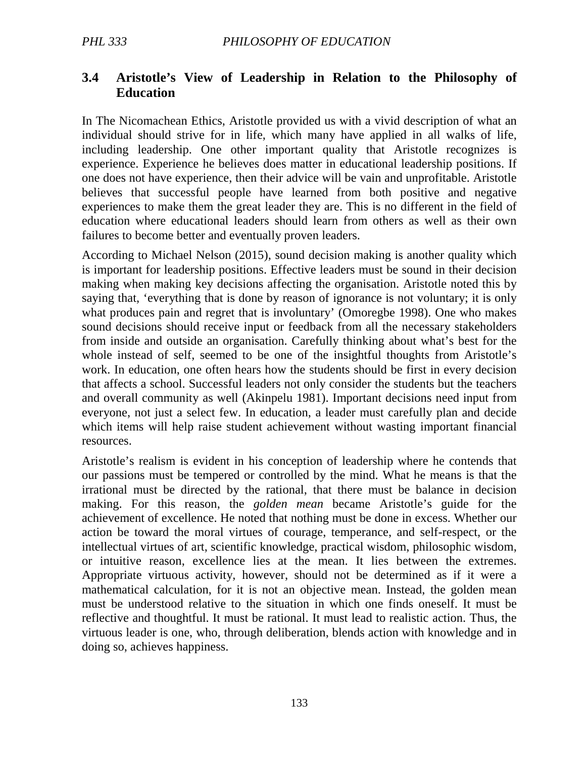## **3.4 Aristotle's View of Leadership in Relation to the Philosophy of Education**

In The Nicomachean Ethics, Aristotle provided us with a vivid description of what an individual should strive for in life, which many have applied in all walks of life, including leadership. One other important quality that Aristotle recognizes is experience. Experience he believes does matter in educational leadership positions. If one does not have experience, then their advice will be vain and unprofitable. Aristotle believes that successful people have learned from both positive and negative experiences to make them the great leader they are. This is no different in the field of education where educational leaders should learn from others as well as their own failures to become better and eventually proven leaders.

According to Michael Nelson (2015), sound decision making is another quality which is important for leadership positions. Effective leaders must be sound in their decision making when making key decisions affecting the organisation. Aristotle noted this by saying that, 'everything that is done by reason of ignorance is not voluntary; it is only what produces pain and regret that is involuntary' (Omoregbe 1998). One who makes sound decisions should receive input or feedback from all the necessary stakeholders from inside and outside an organisation. Carefully thinking about what's best for the whole instead of self, seemed to be one of the insightful thoughts from Aristotle's work. In education, one often hears how the students should be first in every decision that affects a school. Successful leaders not only consider the students but the teachers and overall community as well (Akinpelu 1981). Important decisions need input from everyone, not just a select few. In education, a leader must carefully plan and decide which items will help raise student achievement without wasting important financial resources.

Aristotle's realism is evident in his conception of leadership where he contends that our passions must be tempered or controlled by the mind. What he means is that the irrational must be directed by the rational, that there must be balance in decision making. For this reason, the *golden mean* became Aristotle's guide for the achievement of excellence. He noted that nothing must be done in excess. Whether our action be toward the moral virtues of courage, temperance, and self-respect, or the intellectual virtues of art, scientific knowledge, practical wisdom, philosophic wisdom, or intuitive reason, excellence lies at the mean. It lies between the extremes. Appropriate virtuous activity, however, should not be determined as if it were a mathematical calculation, for it is not an objective mean. Instead, the golden mean must be understood relative to the situation in which one finds oneself. It must be reflective and thoughtful. It must be rational. It must lead to realistic action. Thus, the virtuous leader is one, who, through deliberation, blends action with knowledge and in doing so, achieves happiness.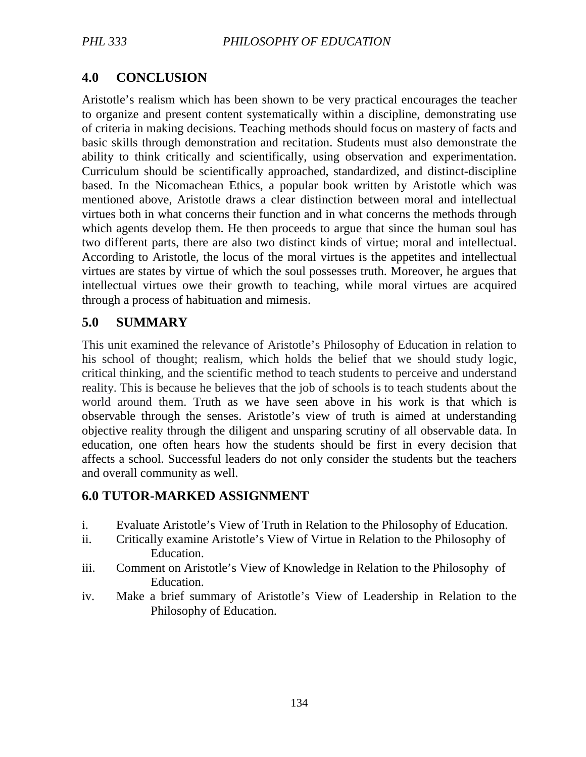# **4.0 CONCLUSION**

Aristotle's realism which has been shown to be very practical encourages the teacher to organize and present content systematically within a discipline, demonstrating use of criteria in making decisions. Teaching methods should focus on mastery of facts and basic skills through demonstration and recitation. Students must also demonstrate the ability to think critically and scientifically, using observation and experimentation. Curriculum should be scientifically approached, standardized, and distinct-discipline based*.* In the Nicomachean Ethics, a popular book written by Aristotle which was mentioned above, Aristotle draws a clear distinction between moral and intellectual virtues both in what concerns their function and in what concerns the methods through which agents develop them. He then proceeds to argue that since the human soul has two different parts, there are also two distinct kinds of virtue; moral and intellectual. According to Aristotle, the locus of the moral virtues is the appetites and intellectual virtues are states by virtue of which the soul possesses truth. Moreover, he argues that intellectual virtues owe their growth to teaching, while moral virtues are acquired through a process of habituation and mimesis.

# **5.0 SUMMARY**

This unit examined the relevance of Aristotle's Philosophy of Education in relation to his school of thought; realism, which holds the belief that we should study logic, critical thinking, and the scientific method to teach students to perceive and understand reality. This is because he believes that the job of schools is to teach students about the world around them. Truth as we have seen above in his work is that which is observable through the senses. Aristotle's view of truth is aimed at understanding objective reality through the diligent and unsparing scrutiny of all observable data. In education, one often hears how the students should be first in every decision that affects a school. Successful leaders do not only consider the students but the teachers and overall community as well.

### **6.0 TUTOR-MARKED ASSIGNMENT**

- i. Evaluate Aristotle's View of Truth in Relation to the Philosophy of Education.
- ii. Critically examine Aristotle's View of Virtue in Relation to the Philosophy of Education.
- iii. Comment on Aristotle's View of Knowledge in Relation to the Philosophy of Education.
- iv. Make a brief summary of Aristotle's View of Leadership in Relation to the Philosophy of Education.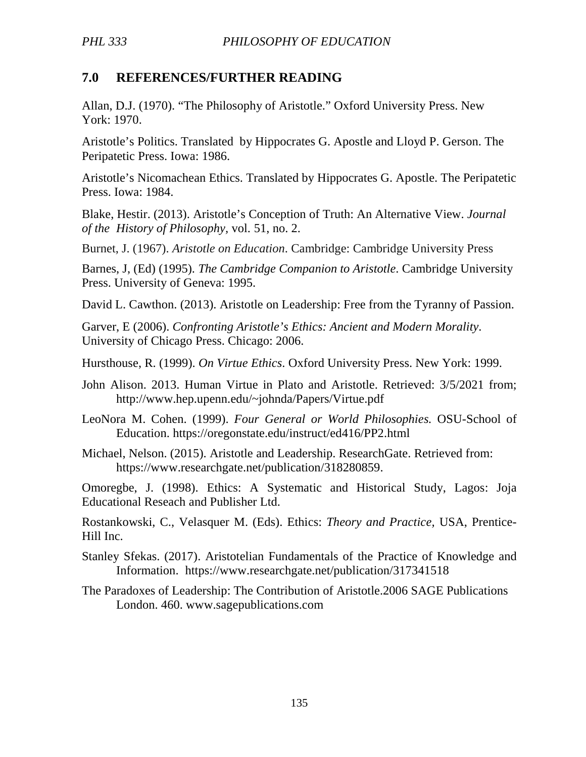# **7.0 REFERENCES/FURTHER READING**

Allan, D.J. (1970). "The Philosophy of Aristotle." Oxford University Press. New York: 1970.

Aristotle's Politics. Translated by Hippocrates G. Apostle and Lloyd P. Gerson. The Peripatetic Press. Iowa: 1986.

Aristotle's Nicomachean Ethics. Translated by Hippocrates G. Apostle. The Peripatetic Press. Iowa: 1984.

Blake, Hestir. (2013). Aristotle's Conception of Truth: An Alternative View. *Journal of the History of Philosophy,* vol. 51, no. 2.

Burnet, J. (1967). *Aristotle on Education*. Cambridge: Cambridge University Press

Barnes, J, (Ed) (1995). *The Cambridge Companion to Aristotle*. Cambridge University Press. University of Geneva: 1995.

David L. Cawthon. (2013). Aristotle on Leadership: Free from the Tyranny of Passion.

Garver, E (2006). *Confronting Aristotle's Ethics: Ancient and Modern Morality*. University of Chicago Press. Chicago: 2006.

Hursthouse, R. (1999). *On Virtue Ethics*. Oxford University Press. New York: 1999.

John Alison. 2013. Human Virtue in Plato and Aristotle. Retrieved: 3/5/2021 from; http://www.hep.upenn.edu/~johnda/Papers/Virtue.pdf

LeoNora M. Cohen. (1999). *Four General or World Philosophies.* OSU-School of Education. https://oregonstate.edu/instruct/ed416/PP2.html

Michael, Nelson. (2015). Aristotle and Leadership. ResearchGate. Retrieved from: https://www.researchgate.net/publication/318280859.

Omoregbe, J. (1998). Ethics: A Systematic and Historical Study, Lagos: Joja Educational Reseach and Publisher Ltd.

Rostankowski, C., Velasquer M. (Eds). Ethics: *Theory and Practice,* USA, Prentice-Hill Inc.

- Stanley Sfekas. (2017). Aristotelian Fundamentals of the Practice of Knowledge and Information. https://www.researchgate.net/publication/317341518
- The Paradoxes of Leadership: The Contribution of Aristotle.2006 SAGE Publications London. 460. www.sagepublications.com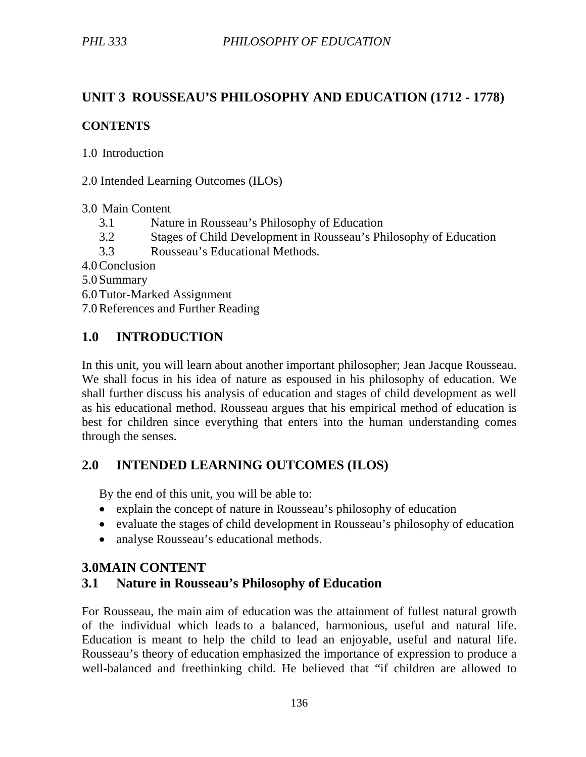# **UNIT 3 ROUSSEAU'S PHILOSOPHY AND EDUCATION (1712 - 1778)**

### **CONTENTS**

1.0 Introduction

2.0 Intended Learning Outcomes (ILOs)

3.0 Main Content

- 3.1 Nature in Rousseau's Philosophy of Education
- 3.2 Stages of Child Development in Rousseau's Philosophy of Education
- 3.3 Rousseau's Educational Methods.
- 4.0Conclusion
- 5.0 Summary
- 6.0Tutor-Marked Assignment

7.0References and Further Reading

# **1.0 INTRODUCTION**

In this unit, you will learn about another important philosopher; Jean Jacque Rousseau. We shall focus in his idea of nature as espoused in his philosophy of education. We shall further discuss his analysis of education and stages of child development as well as his educational method. Rousseau argues that his empirical method of education is best for children since everything that enters into the human understanding comes through the senses.

# **2.0 INTENDED LEARNING OUTCOMES (ILOS)**

By the end of this unit, you will be able to:

- explain the concept of nature in Rousseau's philosophy of education
- evaluate the stages of child development in Rousseau's philosophy of education
- analyse Rousseau's educational methods.

### **3.0MAIN CONTENT**

# **3.1 Nature in Rousseau's Philosophy of Education**

For Rousseau, the main aim of education was the attainment of fullest natural growth of the individual which leads to a balanced, harmonious, useful and natural life. Education is meant to help the child to lead an enjoyable, useful and natural life. Rousseau's theory of education emphasized the importance of expression to produce a well-balanced and freethinking child. He believed that "if children are allowed to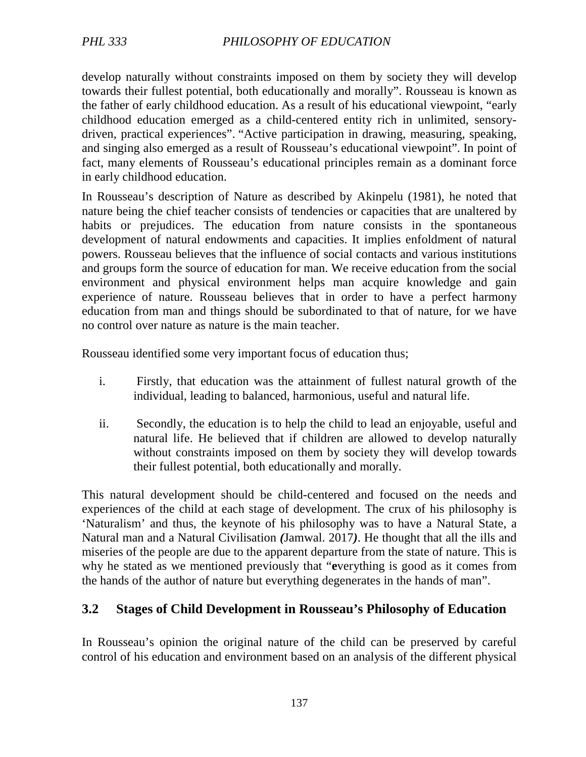develop naturally without constraints imposed on them by society they will develop towards their fullest potential, both educationally and morally". Rousseau is known as the father of early childhood education. As a result of his educational viewpoint, "early childhood education emerged as a child-centered entity rich in unlimited, sensorydriven, practical experiences". "Active participation in drawing, measuring, speaking, and singing also emerged as a result of Rousseau's educational viewpoint". In point of fact, many elements of Rousseau's educational principles remain as a dominant force in early childhood education.

In Rousseau's description of Nature as described by Akinpelu (1981), he noted that nature being the chief teacher consists of tendencies or capacities that are unaltered by habits or prejudices. The education from nature consists in the spontaneous development of natural endowments and capacities. It implies enfoldment of natural powers. Rousseau believes that the influence of social contacts and various institutions and groups form the source of education for man. We receive education from the social environment and physical environment helps man acquire knowledge and gain experience of nature. Rousseau believes that in order to have a perfect harmony education from man and things should be subordinated to that of nature, for we have no control over nature as nature is the main teacher.

Rousseau identified some very important focus of education thus;

- i. Firstly, that education was the attainment of fullest natural growth of the individual, leading to balanced, harmonious, useful and natural life.
- ii. Secondly, the education is to help the child to lead an enjoyable, useful and natural life. He believed that if children are allowed to develop naturally without constraints imposed on them by society they will develop towards their fullest potential, both educationally and morally.

This natural development should be child-centered and focused on the needs and experiences of the child at each stage of development. The crux of his philosophy is 'Naturalism' and thus, the keynote of his philosophy was to have a Natural State, a Natural man and a Natural Civilisation *(*Jamwal. 2017*)*. He thought that all the ills and miseries of the people are due to the apparent departure from the state of nature. This is why he stated as we mentioned previously that "**e**verything is good as it comes from the hands of the author of nature but everything degenerates in the hands of man".

# **3.2 Stages of Child Development in Rousseau's Philosophy of Education**

In Rousseau's opinion the original nature of the child can be preserved by careful control of his education and environment based on an analysis of the different physical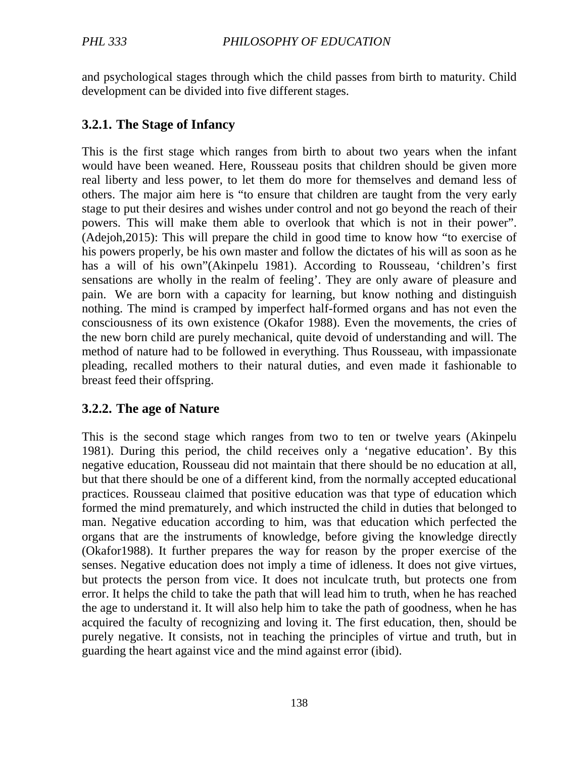and psychological stages through which the child passes from birth to maturity. Child development can be divided into five different stages.

## **3.2.1. The Stage of Infancy**

This is the first stage which ranges from birth to about two years when the infant would have been weaned. Here, Rousseau posits that children should be given more real liberty and less power, to let them do more for themselves and demand less of others. The major aim here is "to ensure that children are taught from the very early stage to put their desires and wishes under control and not go beyond the reach of their powers. This will make them able to overlook that which is not in their power". (Adejoh,2015): This will prepare the child in good time to know how "to exercise of his powers properly, be his own master and follow the dictates of his will as soon as he has a will of his own"(Akinpelu 1981). According to Rousseau, 'children's first sensations are wholly in the realm of feeling'. They are only aware of pleasure and pain. We are born with a capacity for learning, but know nothing and distinguish nothing. The mind is cramped by imperfect half-formed organs and has not even the consciousness of its own existence (Okafor 1988). Even the movements, the cries of the new born child are purely mechanical, quite devoid of understanding and will. The method of nature had to be followed in everything. Thus Rousseau, with impassionate pleading, recalled mothers to their natural duties, and even made it fashionable to breast feed their offspring.

### **3.2.2. The age of Nature**

This is the second stage which ranges from two to ten or twelve years (Akinpelu 1981). During this period, the child receives only a 'negative education'. By this negative education, Rousseau did not maintain that there should be no education at all, but that there should be one of a different kind, from the normally accepted educational practices. Rousseau claimed that positive education was that type of education which formed the mind prematurely, and which instructed the child in duties that belonged to man. Negative education according to him, was that education which perfected the organs that are the instruments of knowledge, before giving the knowledge directly (Okafor1988). It further prepares the way for reason by the proper exercise of the senses. Negative education does not imply a time of idleness. It does not give virtues, but protects the person from vice. It does not inculcate truth, but protects one from error. It helps the child to take the path that will lead him to truth, when he has reached the age to understand it. It will also help him to take the path of goodness, when he has acquired the faculty of recognizing and loving it. The first education, then, should be purely negative. It consists, not in teaching the principles of virtue and truth, but in guarding the heart against vice and the mind against error (ibid).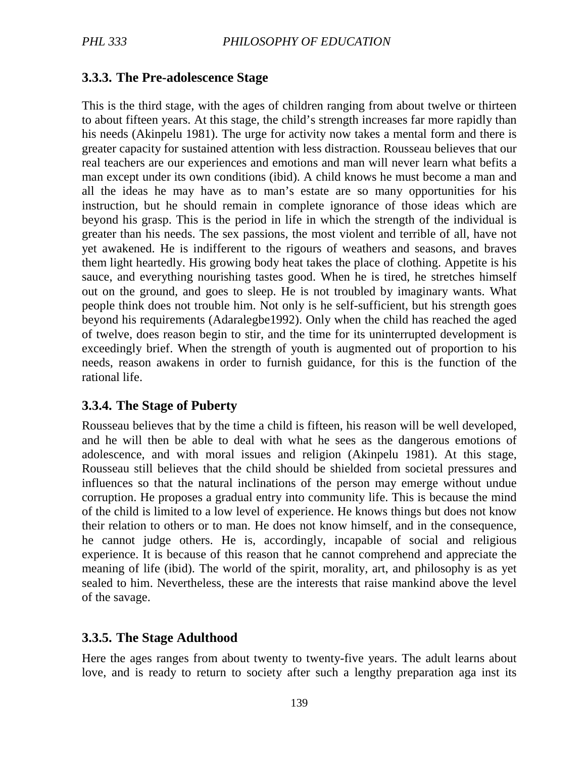### **3.3.3. The Pre-adolescence Stage**

This is the third stage, with the ages of children ranging from about twelve or thirteen to about fifteen years. At this stage, the child's strength increases far more rapidly than his needs (Akinpelu 1981). The urge for activity now takes a mental form and there is greater capacity for sustained attention with less distraction. Rousseau believes that our real teachers are our experiences and emotions and man will never learn what befits a man except under its own conditions (ibid). A child knows he must become a man and all the ideas he may have as to man's estate are so many opportunities for his instruction, but he should remain in complete ignorance of those ideas which are beyond his grasp. This is the period in life in which the strength of the individual is greater than his needs. The sex passions, the most violent and terrible of all, have not yet awakened. He is indifferent to the rigours of weathers and seasons, and braves them light heartedly. His growing body heat takes the place of clothing. Appetite is his sauce, and everything nourishing tastes good. When he is tired, he stretches himself out on the ground, and goes to sleep. He is not troubled by imaginary wants. What people think does not trouble him. Not only is he self-sufficient, but his strength goes beyond his requirements (Adaralegbe1992). Only when the child has reached the aged of twelve, does reason begin to stir, and the time for its uninterrupted development is exceedingly brief. When the strength of youth is augmented out of proportion to his needs, reason awakens in order to furnish guidance, for this is the function of the rational life.

#### **3.3.4. The Stage of Puberty**

Rousseau believes that by the time a child is fifteen, his reason will be well developed, and he will then be able to deal with what he sees as the dangerous emotions of adolescence, and with moral issues and religion (Akinpelu 1981). At this stage, Rousseau still believes that the child should be shielded from societal pressures and influences so that the natural inclinations of the person may emerge without undue corruption. He proposes a gradual entry into community life. This is because the mind of the child is limited to a low level of experience. He knows things but does not know their relation to others or to man. He does not know himself, and in the consequence, he cannot judge others. He is, accordingly, incapable of social and religious experience. It is because of this reason that he cannot comprehend and appreciate the meaning of life (ibid). The world of the spirit, morality, art, and philosophy is as yet sealed to him. Nevertheless, these are the interests that raise mankind above the level of the savage.

#### **3.3.5. The Stage Adulthood**

Here the ages ranges from about twenty to twenty-five years. The adult learns about love, and is ready to return to society after such a lengthy preparation aga inst its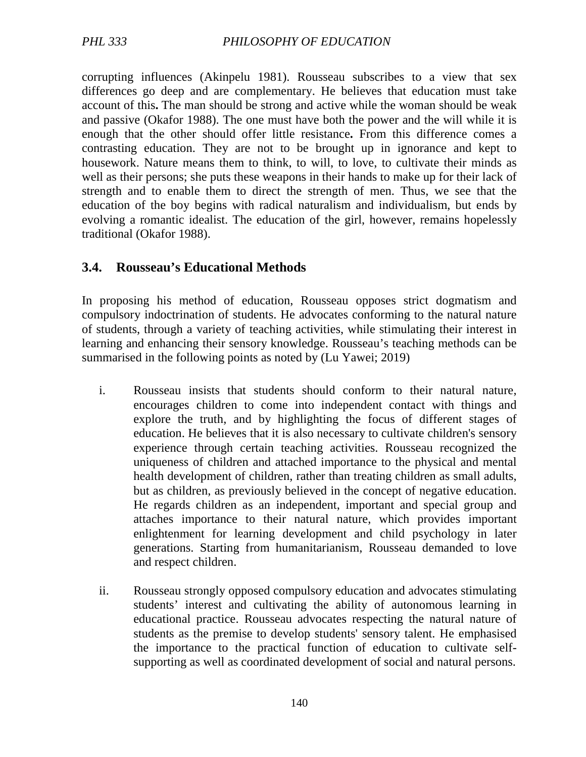corrupting influences (Akinpelu 1981). Rousseau subscribes to a view that sex differences go deep and are complementary. He believes that education must take account of this**.** The man should be strong and active while the woman should be weak and passive (Okafor 1988). The one must have both the power and the will while it is enough that the other should offer little resistance**.** From this difference comes a contrasting education. They are not to be brought up in ignorance and kept to housework. Nature means them to think, to will, to love, to cultivate their minds as well as their persons; she puts these weapons in their hands to make up for their lack of strength and to enable them to direct the strength of men. Thus, we see that the education of the boy begins with radical naturalism and individualism, but ends by evolving a romantic idealist. The education of the girl, however, remains hopelessly traditional (Okafor 1988).

### **3.4. Rousseau's Educational Methods**

In proposing his method of education, Rousseau opposes strict dogmatism and compulsory indoctrination of students. He advocates conforming to the natural nature of students, through a variety of teaching activities, while stimulating their interest in learning and enhancing their sensory knowledge. Rousseau's teaching methods can be summarised in the following points as noted by (Lu Yawei; 2019)

- i. Rousseau insists that students should conform to their natural nature, encourages children to come into independent contact with things and explore the truth, and by highlighting the focus of different stages of education. He believes that it is also necessary to cultivate children's sensory experience through certain teaching activities. Rousseau recognized the uniqueness of children and attached importance to the physical and mental health development of children, rather than treating children as small adults, but as children, as previously believed in the concept of negative education. He regards children as an independent, important and special group and attaches importance to their natural nature, which provides important enlightenment for learning development and child psychology in later generations. Starting from humanitarianism, Rousseau demanded to love and respect children.
- ii. Rousseau strongly opposed compulsory education and advocates stimulating students' interest and cultivating the ability of autonomous learning in educational practice. Rousseau advocates respecting the natural nature of students as the premise to develop students' sensory talent. He emphasised the importance to the practical function of education to cultivate selfsupporting as well as coordinated development of social and natural persons.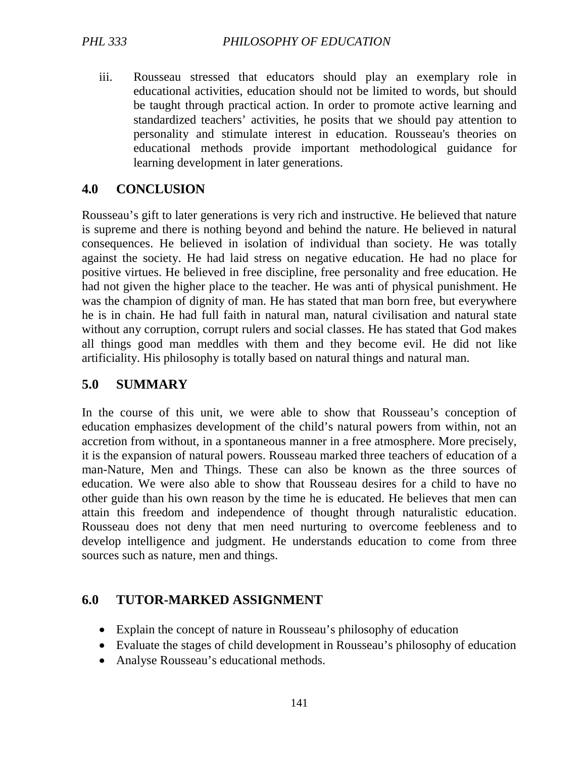iii. Rousseau stressed that educators should play an exemplary role in educational activities, education should not be limited to words, but should be taught through practical action. In order to promote active learning and standardized teachers' activities, he posits that we should pay attention to personality and stimulate interest in education. Rousseau's theories on educational methods provide important methodological guidance for learning development in later generations.

## **4.0 CONCLUSION**

Rousseau's gift to later generations is very rich and instructive. He believed that nature is supreme and there is nothing beyond and behind the nature. He believed in natural consequences. He believed in isolation of individual than society. He was totally against the society. He had laid stress on negative education. He had no place for positive virtues. He believed in free discipline, free personality and free education. He had not given the higher place to the teacher. He was anti of physical punishment. He was the champion of dignity of man. He has stated that man born free, but everywhere he is in chain. He had full faith in natural man, natural civilisation and natural state without any corruption, corrupt rulers and social classes. He has stated that God makes all things good man meddles with them and they become evil. He did not like artificiality. His philosophy is totally based on natural things and natural man.

### **5.0 SUMMARY**

In the course of this unit, we were able to show that Rousseau's conception of education emphasizes development of the child's natural powers from within, not an accretion from without, in a spontaneous manner in a free atmosphere. More precisely, it is the expansion of natural powers. Rousseau marked three teachers of education of a man-Nature, Men and Things. These can also be known as the three sources of education. We were also able to show that Rousseau desires for a child to have no other guide than his own reason by the time he is educated. He believes that men can attain this freedom and independence of thought through naturalistic education. Rousseau does not deny that men need nurturing to overcome feebleness and to develop intelligence and judgment. He understands education to come from three sources such as nature, men and things.

### **6.0 TUTOR-MARKED ASSIGNMENT**

- Explain the concept of nature in Rousseau's philosophy of education
- Evaluate the stages of child development in Rousseau's philosophy of education
- Analyse Rousseau's educational methods.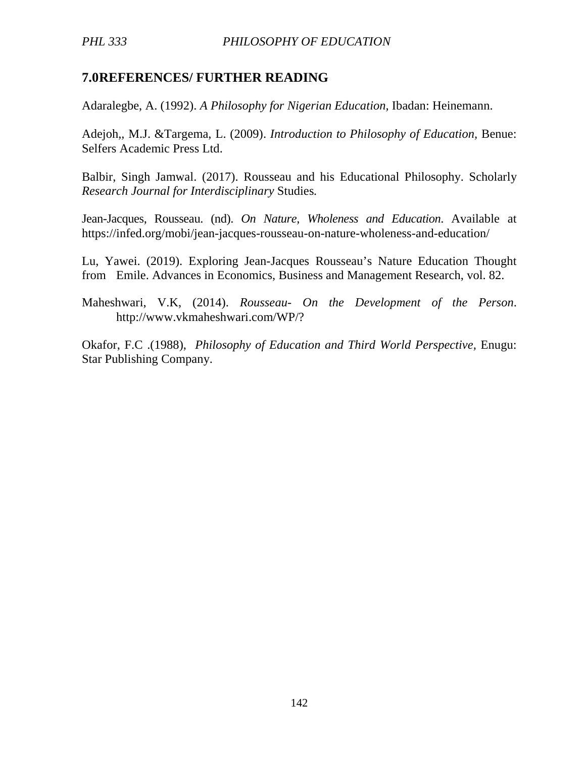## **7.0REFERENCES/ FURTHER READING**

Adaralegbe, A. (1992). *A Philosophy for Nigerian Education,* Ibadan: Heinemann.

Adejoh,, M.J. &Targema, L. (2009). *Introduction to Philosophy of Education,* Benue: Selfers Academic Press Ltd.

Balbir, Singh Jamwal. (2017). Rousseau and his Educational Philosophy. Scholarly *Research Journal for Interdisciplinary* Studies*.*

Jean-Jacques, Rousseau. (nd). *On Nature, Wholeness and Education*. Available at https://infed.org/mobi/jean-jacques-rousseau-on-nature-wholeness-and-education/

Lu, Yawei. (2019). Exploring Jean-Jacques Rousseau's Nature Education Thought from Emile. Advances in Economics, Business and Management Research, vol. 82.

Maheshwari, V.K, (2014). *Rousseau- On the Development of the Person*. http://www.vkmaheshwari.com/WP/?

Okafor, F.C .(1988), *Philosophy of Education and Third World Perspective,* Enugu: Star Publishing Company.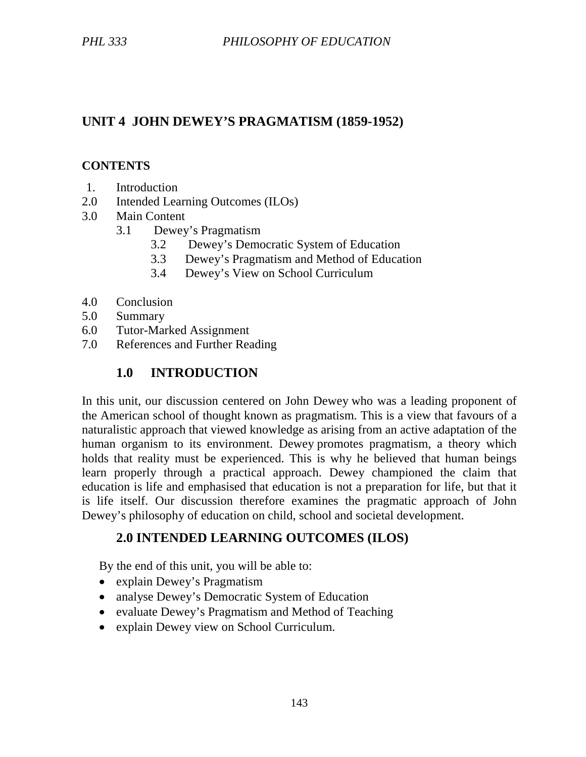# **UNIT 4 JOHN DEWEY'S PRAGMATISM (1859-1952)**

### **CONTENTS**

- 1. Introduction
- 2.0 Intended Learning Outcomes (ILOs)
- 3.0 Main Content
	- 3.1 Dewey's Pragmatism
		- 3.2 Dewey's Democratic System of Education
		- 3.3 Dewey's Pragmatism and Method of Education
		- 3.4 Dewey's View on School Curriculum
- 4.0 Conclusion
- 5.0 Summary
- 6.0 Tutor-Marked Assignment
- 7.0 References and Further Reading

## **1.0 INTRODUCTION**

In this unit, our discussion centered on John Dewey who was a leading proponent of the American school of thought known as pragmatism. This is a view that favours of a naturalistic approach that viewed knowledge as arising from an active adaptation of the human organism to its environment. Dewey promotes pragmatism, a theory which holds that reality must be experienced. This is why he believed that human beings learn properly through a practical approach. Dewey championed the claim that education is life and emphasised that education is not a preparation for life, but that it is life itself. Our discussion therefore examines the pragmatic approach of John Dewey's philosophy of education on child, school and societal development.

# **2.0 INTENDED LEARNING OUTCOMES (ILOS)**

By the end of this unit, you will be able to:

- explain Dewey's Pragmatism
- analyse Dewey's Democratic System of Education
- evaluate Dewey's Pragmatism and Method of Teaching
- explain Dewey view on School Curriculum.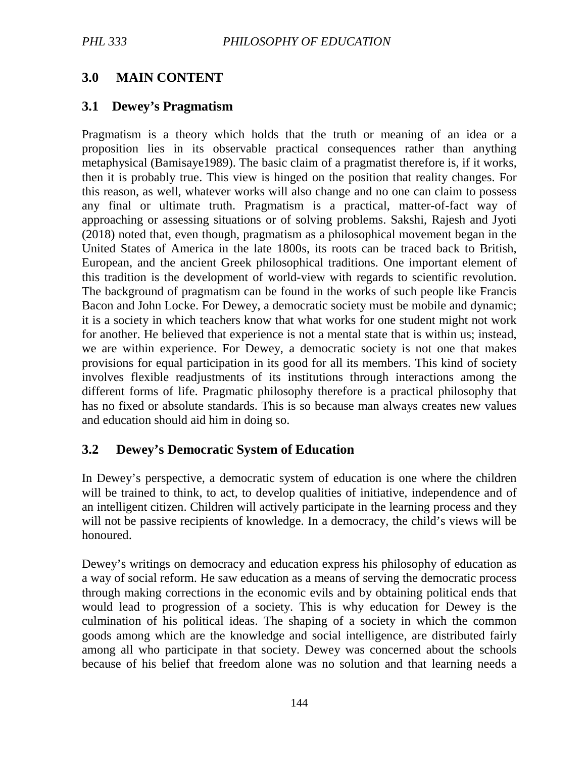# **3.0 MAIN CONTENT**

### **3.1 Dewey's Pragmatism**

Pragmatism is a theory which holds that the truth or meaning of an idea or a proposition lies in its observable practical consequences rather than anything metaphysical (Bamisaye1989). The basic claim of a pragmatist therefore is, if it works, then it is probably true. This view is hinged on the position that reality changes. For this reason, as well, whatever works will also change and no one can claim to possess any final or ultimate truth. Pragmatism is a practical, matter-of-fact way of approaching or assessing situations or of solving problems. Sakshi, Rajesh and Jyoti (2018) noted that, even though, pragmatism as a philosophical movement began in the United States of America in the late 1800s, its roots can be traced back to British, European, and the ancient Greek philosophical traditions. One important element of this tradition is the development of world-view with regards to scientific revolution. The background of pragmatism can be found in the works of such people like Francis Bacon and John Locke. For Dewey, a democratic society must be mobile and dynamic; it is a society in which teachers know that what works for one student might not work for another. He believed that experience is not a mental state that is within us; instead, we are within experience. For Dewey, a democratic society is not one that makes provisions for equal participation in its good for all its members. This kind of society involves flexible readjustments of its institutions through interactions among the different forms of life. Pragmatic philosophy therefore is a practical philosophy that has no fixed or absolute standards. This is so because man always creates new values and education should aid him in doing so.

# **3.2 Dewey's Democratic System of Education**

In Dewey's perspective, a democratic system of education is one where the children will be trained to think, to act, to develop qualities of initiative, independence and of an intelligent citizen. Children will actively participate in the learning process and they will not be passive recipients of knowledge. In a democracy, the child's views will be honoured.

Dewey's writings on democracy and education express his philosophy of education as a way of social reform. He saw education as a means of serving the democratic process through making corrections in the economic evils and by obtaining political ends that would lead to progression of a society. This is why education for Dewey is the culmination of his political ideas. The shaping of a society in which the common goods among which are the knowledge and social intelligence, are distributed fairly among all who participate in that society. Dewey was concerned about the schools because of his belief that freedom alone was no solution and that learning needs a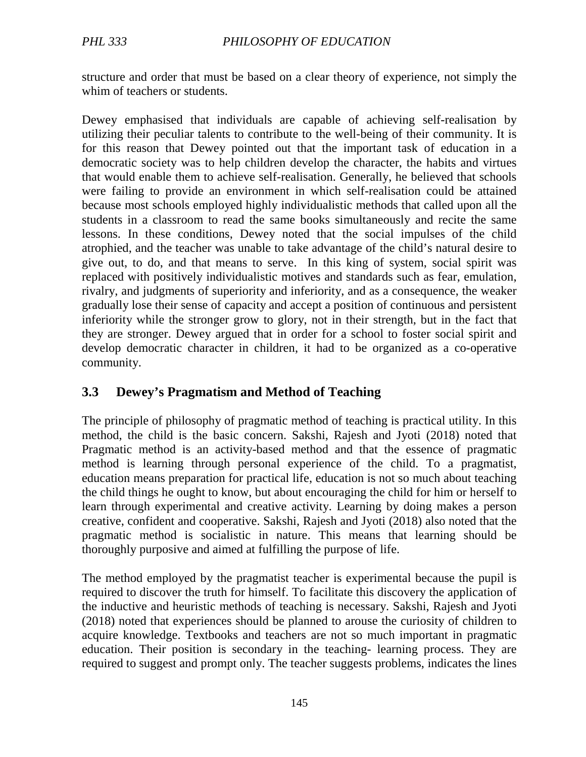structure and order that must be based on a clear theory of experience, not simply the whim of teachers or students.

Dewey emphasised that individuals are capable of achieving self-realisation by utilizing their peculiar talents to contribute to the well-being of their community. It is for this reason that Dewey pointed out that the important task of education in a democratic society was to help children develop the character, the habits and virtues that would enable them to achieve self-realisation. Generally, he believed that schools were failing to provide an environment in which self-realisation could be attained because most schools employed highly individualistic methods that called upon all the students in a classroom to read the same books simultaneously and recite the same lessons. In these conditions, Dewey noted that the social impulses of the child atrophied, and the teacher was unable to take advantage of the child's natural desire to give out, to do, and that means to serve. In this king of system, social spirit was replaced with positively individualistic motives and standards such as fear, emulation, rivalry, and judgments of superiority and inferiority, and as a consequence, the weaker gradually lose their sense of capacity and accept a position of continuous and persistent inferiority while the stronger grow to glory, not in their strength, but in the fact that they are stronger. Dewey argued that in order for a school to foster social spirit and develop democratic character in children, it had to be organized as a co-operative community.

### **3.3 Dewey's Pragmatism and Method of Teaching**

The principle of philosophy of pragmatic method of teaching is practical utility. In this method, the child is the basic concern. Sakshi, Rajesh and Jyoti (2018) noted that Pragmatic method is an activity-based method and that the essence of pragmatic method is learning through personal experience of the child. To a pragmatist, education means preparation for practical life, education is not so much about teaching the child things he ought to know, but about encouraging the child for him or herself to learn through experimental and creative activity. Learning by doing makes a person creative, confident and cooperative. Sakshi, Rajesh and Jyoti (2018) also noted that the pragmatic method is socialistic in nature. This means that learning should be thoroughly purposive and aimed at fulfilling the purpose of life.

The method employed by the pragmatist teacher is experimental because the pupil is required to discover the truth for himself. To facilitate this discovery the application of the inductive and heuristic methods of teaching is necessary. Sakshi, Rajesh and Jyoti (2018) noted that experiences should be planned to arouse the curiosity of children to acquire knowledge. Textbooks and teachers are not so much important in pragmatic education. Their position is secondary in the teaching- learning process. They are required to suggest and prompt only. The teacher suggests problems, indicates the lines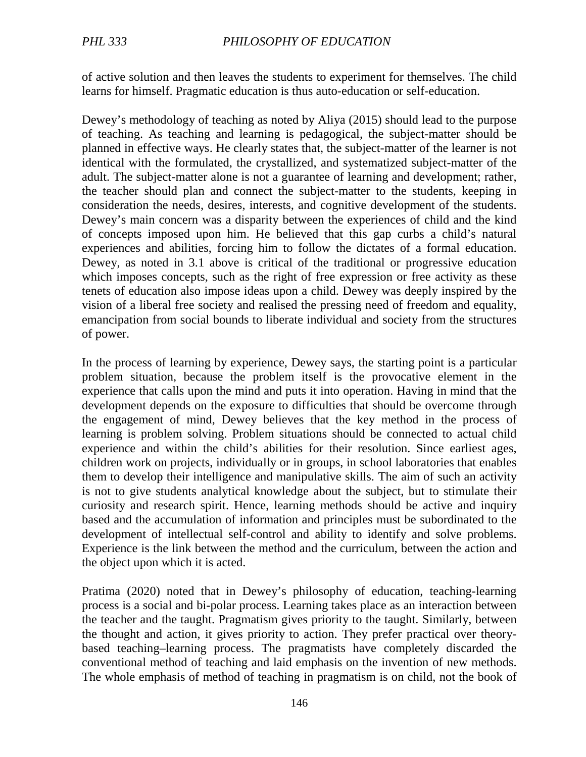of active solution and then leaves the students to experiment for themselves. The child learns for himself. Pragmatic education is thus auto-education or self-education.

Dewey's methodology of teaching as noted by Aliya (2015) should lead to the purpose of teaching. As teaching and learning is pedagogical, the subject-matter should be planned in effective ways. He clearly states that, the subject-matter of the learner is not identical with the formulated, the crystallized, and systematized subject-matter of the adult. The subject-matter alone is not a guarantee of learning and development; rather, the teacher should plan and connect the subject-matter to the students, keeping in consideration the needs, desires, interests, and cognitive development of the students. Dewey's main concern was a disparity between the experiences of child and the kind of concepts imposed upon him. He believed that this gap curbs a child's natural experiences and abilities, forcing him to follow the dictates of a formal education. Dewey, as noted in 3.1 above is critical of the traditional or progressive education which imposes concepts, such as the right of free expression or free activity as these tenets of education also impose ideas upon a child. Dewey was deeply inspired by the vision of a liberal free society and realised the pressing need of freedom and equality, emancipation from social bounds to liberate individual and society from the structures of power.

In the process of learning by experience, Dewey says, the starting point is a particular problem situation, because the problem itself is the provocative element in the experience that calls upon the mind and puts it into operation. Having in mind that the development depends on the exposure to difficulties that should be overcome through the engagement of mind, Dewey believes that the key method in the process of learning is problem solving. Problem situations should be connected to actual child experience and within the child's abilities for their resolution. Since earliest ages, children work on projects, individually or in groups, in school laboratories that enables them to develop their intelligence and manipulative skills. The aim of such an activity is not to give students analytical knowledge about the subject, but to stimulate their curiosity and research spirit. Hence, learning methods should be active and inquiry based and the accumulation of information and principles must be subordinated to the development of intellectual self-control and ability to identify and solve problems. Experience is the link between the method and the curriculum, between the action and the object upon which it is acted.

Pratima (2020) noted that in Dewey's philosophy of education, teaching-learning process is a social and bi-polar process. Learning takes place as an interaction between the teacher and the taught. Pragmatism gives priority to the taught. Similarly, between the thought and action, it gives priority to action. They prefer practical over theorybased teaching–learning process. The pragmatists have completely discarded the conventional method of teaching and laid emphasis on the invention of new methods. The whole emphasis of method of teaching in pragmatism is on child, not the book of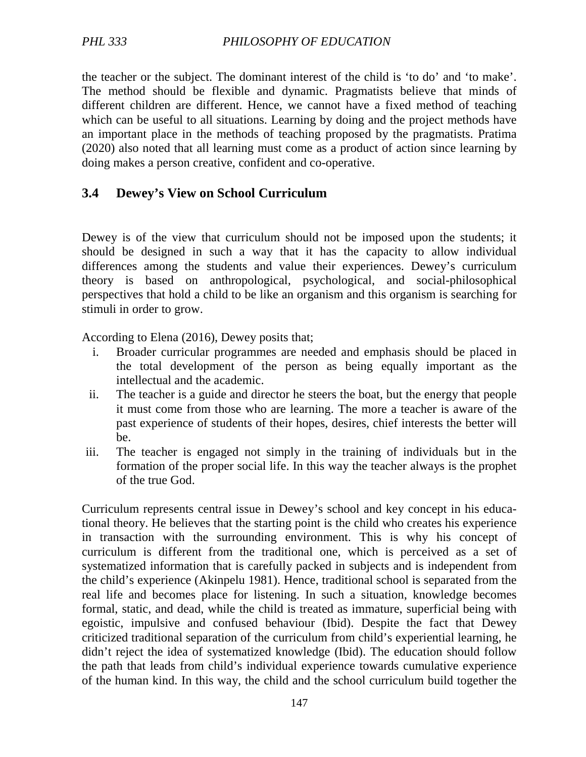the teacher or the subject. The dominant interest of the child is 'to do' and 'to make'. The method should be flexible and dynamic. Pragmatists believe that minds of different children are different. Hence, we cannot have a fixed method of teaching which can be useful to all situations. Learning by doing and the project methods have an important place in the methods of teaching proposed by the pragmatists. Pratima (2020) also noted that all learning must come as a product of action since learning by doing makes a person creative, confident and co-operative.

### **3.4 Dewey's View on School Curriculum**

Dewey is of the view that curriculum should not be imposed upon the students; it should be designed in such a way that it has the capacity to allow individual differences among the students and value their experiences. Dewey's curriculum theory is based on anthropological, psychological, and social-philosophical perspectives that hold a child to be like an organism and this organism is searching for stimuli in order to grow.

According to Elena (2016), Dewey posits that;

- i. Broader curricular programmes are needed and emphasis should be placed in the total development of the person as being equally important as the intellectual and the academic.
- ii. The teacher is a guide and director he steers the boat, but the energy that people it must come from those who are learning. The more a teacher is aware of the past experience of students of their hopes, desires, chief interests the better will be.
- iii. The teacher is engaged not simply in the training of individuals but in the formation of the proper social life. In this way the teacher always is the prophet of the true God.

Curriculum represents central issue in Dewey's school and key concept in his educational theory. He believes that the starting point is the child who creates his experience in transaction with the surrounding environment. This is why his concept of curriculum is different from the traditional one, which is perceived as a set of systematized information that is carefully packed in subjects and is independent from the child's experience (Akinpelu 1981). Hence, traditional school is separated from the real life and becomes place for listening. In such a situation, knowledge becomes formal, static, and dead, while the child is treated as immature, superficial being with egoistic, impulsive and confused behaviour (Ibid). Despite the fact that Dewey criticized traditional separation of the curriculum from child's experiential learning, he didn't reject the idea of systematized knowledge (Ibid). The education should follow the path that leads from child's individual experience towards cumulative experience of the human kind. In this way, the child and the school curriculum build together the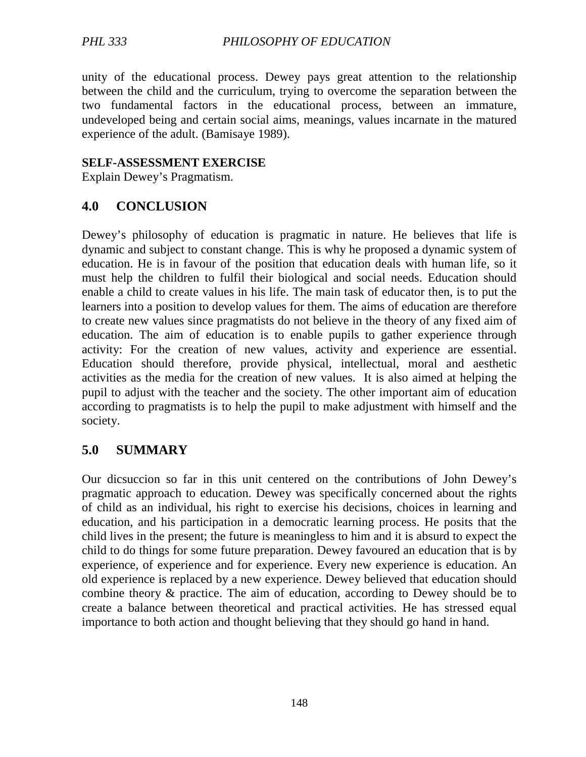unity of the educational process. Dewey pays great attention to the relationship between the child and the curriculum, trying to overcome the separation between the two fundamental factors in the educational process, between an immature, undeveloped being and certain social aims, meanings, values incarnate in the matured experience of the adult. (Bamisaye 1989).

#### **SELF-ASSESSMENT EXERCISE**

Explain Dewey's Pragmatism.

### **4.0 CONCLUSION**

Dewey's philosophy of education is pragmatic in nature. He believes that life is dynamic and subject to constant change. This is why he proposed a dynamic system of education. He is in favour of the position that education deals with human life, so it must help the children to fulfil their biological and social needs. Education should enable a child to create values in his life. The main task of educator then, is to put the learners into a position to develop values for them. The aims of education are therefore to create new values since pragmatists do not believe in the theory of any fixed aim of education. The aim of education is to enable pupils to gather experience through activity: For the creation of new values, activity and experience are essential. Education should therefore, provide physical, intellectual, moral and aesthetic activities as the media for the creation of new values. It is also aimed at helping the pupil to adjust with the teacher and the society. The other important aim of education according to pragmatists is to help the pupil to make adjustment with himself and the society.

### **5.0 SUMMARY**

Our dicsuccion so far in this unit centered on the contributions of John Dewey's pragmatic approach to education. Dewey was specifically concerned about the rights of child as an individual, his right to exercise his decisions, choices in learning and education, and his participation in a democratic learning process. He posits that the child lives in the present; the future is meaningless to him and it is absurd to expect the child to do things for some future preparation. Dewey favoured an education that is by experience, of experience and for experience. Every new experience is education. An old experience is replaced by a new experience. Dewey believed that education should combine theory & practice. The aim of education, according to Dewey should be to create a balance between theoretical and practical activities. He has stressed equal importance to both action and thought believing that they should go hand in hand.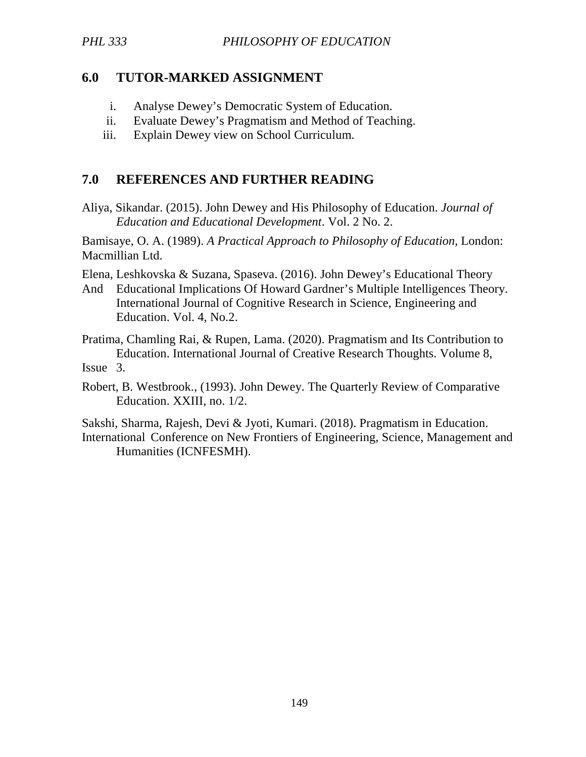### **6.0 TUTOR-MARKED ASSIGNMENT**

- i. Analyse Dewey's Democratic System of Education.
- ii. Evaluate Dewey's Pragmatism and Method of Teaching.
- iii. Explain Dewey view on School Curriculum.

### **7.0 REFERENCES AND FURTHER READING**

Aliya, Sikandar. (2015). John Dewey and His Philosophy of Education. *Journal of Education and Educational Development*. Vol. 2 No. 2.

Bamisaye, O. A. (1989). *A Practical Approach to Philosophy of Education,* London: Macmillian Ltd.

Elena, Leshkovska & Suzana, Spaseva. (2016). John Dewey's Educational Theory

And Educational Implications Of Howard Gardner's Multiple Intelligences Theory. International Journal of Cognitive Research in Science, Engineering and Education. Vol. 4, No.2.

Pratima, Chamling Rai, & Rupen, Lama. (2020). Pragmatism and Its Contribution to Education. International Journal of Creative Research Thoughts. Volume 8,

Issue 3.

Robert, B. Westbrook., (1993). John Dewey. The Quarterly Review of Comparative Education. XXIII, no. 1/2.

Sakshi, Sharma, Rajesh, Devi & Jyoti, Kumari. (2018). Pragmatism in Education. International Conference on New Frontiers of Engineering, Science, Management and Humanities (ICNFESMH).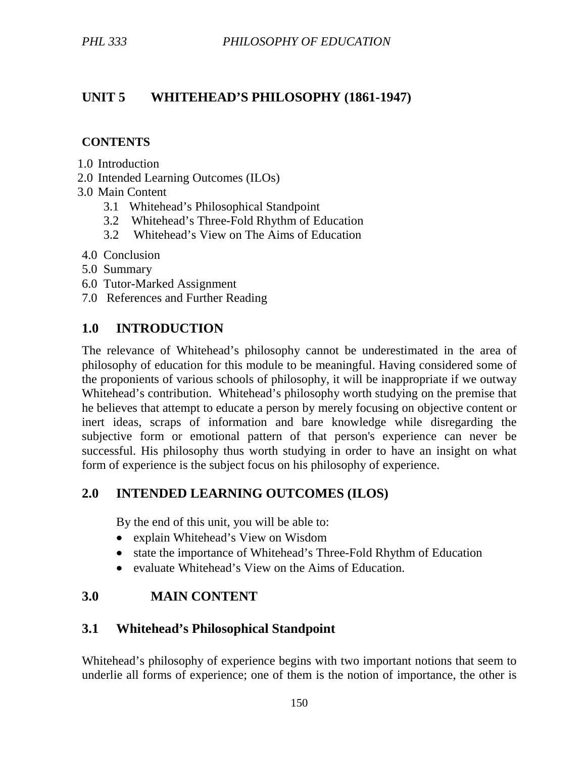# **UNIT 5 WHITEHEAD'S PHILOSOPHY (1861-1947)**

#### **CONTENTS**

- 1.0 Introduction
- 2.0 Intended Learning Outcomes (ILOs)
- 3.0 Main Content
	- 3.1 Whitehead's Philosophical Standpoint
	- 3.2 Whitehead's Three-Fold Rhythm of Education
	- 3.2 Whitehead's View on The Aims of Education
- 4.0 Conclusion
- 5.0 Summary
- 6.0 Tutor-Marked Assignment
- 7.0 References and Further Reading

## **1.0 INTRODUCTION**

The relevance of Whitehead's philosophy cannot be underestimated in the area of philosophy of education for this module to be meaningful. Having considered some of the proponients of various schools of philosophy, it will be inappropriate if we outway Whitehead's contribution. Whitehead's philosophy worth studying on the premise that he believes that attempt to educate a person by merely focusing on objective content or inert ideas, scraps of information and bare knowledge while disregarding the subjective form or emotional pattern of that person's experience can never be successful. His philosophy thus worth studying in order to have an insight on what form of experience is the subject focus on his philosophy of experience.

## **2.0 INTENDED LEARNING OUTCOMES (ILOS)**

By the end of this unit, you will be able to:

- explain Whitehead's View on Wisdom
- state the importance of Whitehead's Three-Fold Rhythm of Education
- evaluate Whitehead's View on the Aims of Education.

## **3.0 MAIN CONTENT**

### **3.1 Whitehead's Philosophical Standpoint**

Whitehead's philosophy of experience begins with two important notions that seem to underlie all forms of experience; one of them is the notion of importance, the other is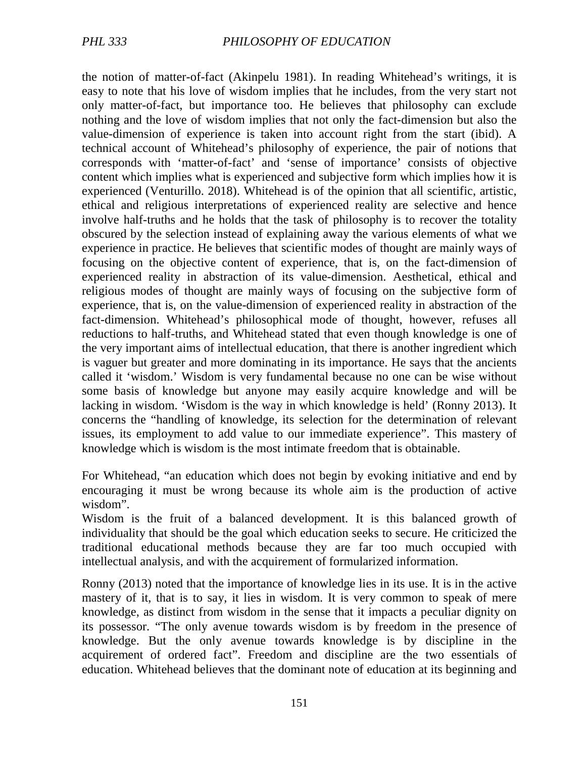the notion of matter-of-fact (Akinpelu 1981). In reading Whitehead's writings, it is easy to note that his love of wisdom implies that he includes, from the very start not only matter-of-fact, but importance too. He believes that philosophy can exclude nothing and the love of wisdom implies that not only the fact-dimension but also the value-dimension of experience is taken into account right from the start (ibid). A technical account of Whitehead's philosophy of experience, the pair of notions that corresponds with 'matter-of-fact' and 'sense of importance' consists of objective content which implies what is experienced and subjective form which implies how it is experienced (Venturillo. 2018). Whitehead is of the opinion that all scientific, artistic, ethical and religious interpretations of experienced reality are selective and hence involve half-truths and he holds that the task of philosophy is to recover the totality obscured by the selection instead of explaining away the various elements of what we experience in practice. He believes that scientific modes of thought are mainly ways of focusing on the objective content of experience, that is, on the fact-dimension of experienced reality in abstraction of its value-dimension. Aesthetical, ethical and religious modes of thought are mainly ways of focusing on the subjective form of experience, that is, on the value-dimension of experienced reality in abstraction of the fact-dimension. Whitehead's philosophical mode of thought, however, refuses all reductions to half-truths, and Whitehead stated that even though knowledge is one of the very important aims of intellectual education, that there is another ingredient which is vaguer but greater and more dominating in its importance. He says that the ancients called it 'wisdom.' Wisdom is very fundamental because no one can be wise without some basis of knowledge but anyone may easily acquire knowledge and will be lacking in wisdom. 'Wisdom is the way in which knowledge is held' (Ronny 2013). It concerns the "handling of knowledge, its selection for the determination of relevant issues, its employment to add value to our immediate experience". This mastery of knowledge which is wisdom is the most intimate freedom that is obtainable.

For Whitehead, "an education which does not begin by evoking initiative and end by encouraging it must be wrong because its whole aim is the production of active wisdom".

Wisdom is the fruit of a balanced development. It is this balanced growth of individuality that should be the goal which education seeks to secure. He criticized the traditional educational methods because they are far too much occupied with intellectual analysis, and with the acquirement of formularized information.

Ronny (2013) noted that the importance of knowledge lies in its use. It is in the active mastery of it, that is to say, it lies in wisdom. It is very common to speak of mere knowledge, as distinct from wisdom in the sense that it impacts a peculiar dignity on its possessor. "The only avenue towards wisdom is by freedom in the presence of knowledge. But the only avenue towards knowledge is by discipline in the acquirement of ordered fact". Freedom and discipline are the two essentials of education. Whitehead believes that the dominant note of education at its beginning and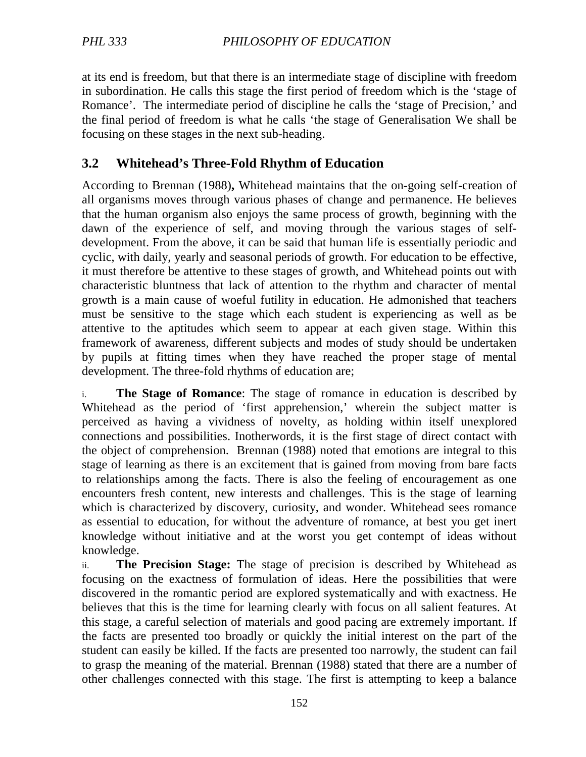at its end is freedom, but that there is an intermediate stage of discipline with freedom in subordination. He calls this stage the first period of freedom which is the 'stage of Romance'. The intermediate period of discipline he calls the 'stage of Precision,' and the final period of freedom is what he calls 'the stage of Generalisation We shall be focusing on these stages in the next sub-heading.

# **3.2 Whitehead's Three-Fold Rhythm of Education**

According to Brennan (1988)**,** Whitehead maintains that the on-going self-creation of all organisms moves through various phases of change and permanence. He believes that the human organism also enjoys the same process of growth, beginning with the dawn of the experience of self, and moving through the various stages of selfdevelopment. From the above, it can be said that human life is essentially periodic and cyclic, with daily, yearly and seasonal periods of growth. For education to be effective, it must therefore be attentive to these stages of growth, and Whitehead points out with characteristic bluntness that lack of attention to the rhythm and character of mental growth is a main cause of woeful futility in education. He admonished that teachers must be sensitive to the stage which each student is experiencing as well as be attentive to the aptitudes which seem to appear at each given stage. Within this framework of awareness, different subjects and modes of study should be undertaken by pupils at fitting times when they have reached the proper stage of mental development. The three-fold rhythms of education are;

i. **The Stage of Romance**: The stage of romance in education is described by Whitehead as the period of 'first apprehension,' wherein the subject matter is perceived as having a vividness of novelty, as holding within itself unexplored connections and possibilities. Inotherwords, it is the first stage of direct contact with the object of comprehension. Brennan (1988) noted that emotions are integral to this stage of learning as there is an excitement that is gained from moving from bare facts to relationships among the facts. There is also the feeling of encouragement as one encounters fresh content, new interests and challenges. This is the stage of learning which is characterized by discovery, curiosity, and wonder. Whitehead sees romance as essential to education, for without the adventure of romance, at best you get inert knowledge without initiative and at the worst you get contempt of ideas without knowledge.

ii. **The Precision Stage:** The stage of precision is described by Whitehead as focusing on the exactness of formulation of ideas. Here the possibilities that were discovered in the romantic period are explored systematically and with exactness. He believes that this is the time for learning clearly with focus on all salient features. At this stage, a careful selection of materials and good pacing are extremely important. If the facts are presented too broadly or quickly the initial interest on the part of the student can easily be killed. If the facts are presented too narrowly, the student can fail to grasp the meaning of the material. Brennan (1988) stated that there are a number of other challenges connected with this stage. The first is attempting to keep a balance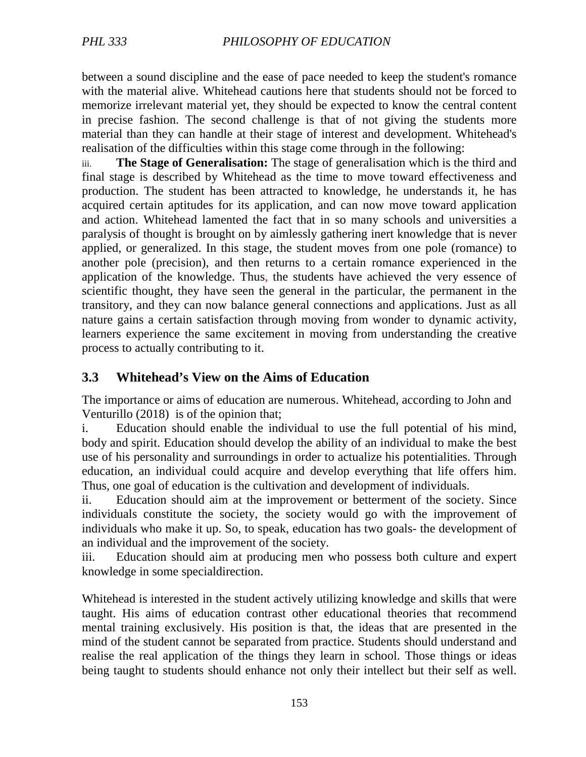between a sound discipline and the ease of pace needed to keep the student's romance with the material alive. Whitehead cautions here that students should not be forced to memorize irrelevant material yet, they should be expected to know the central content in precise fashion. The second challenge is that of not giving the students more material than they can handle at their stage of interest and development. Whitehead's realisation of the difficulties within this stage come through in the following:

iii. **The Stage of Generalisation:** The stage of generalisation which is the third and final stage is described by Whitehead as the time to move toward effectiveness and production. The student has been attracted to knowledge, he understands it, he has acquired certain aptitudes for its application, and can now move toward application and action. Whitehead lamented the fact that in so many schools and universities a paralysis of thought is brought on by aimlessly gathering inert knowledge that is never applied, or generalized. In this stage, the student moves from one pole (romance) to another pole (precision), and then returns to a certain romance experienced in the application of the knowledge. Thus, the students have achieved the very essence of scientific thought, they have seen the general in the particular, the permanent in the transitory, and they can now balance general connections and applications. Just as all nature gains a certain satisfaction through moving from wonder to dynamic activity, learners experience the same excitement in moving from understanding the creative process to actually contributing to it.

### **3.3 Whitehead's View on the Aims of Education**

The importance or aims of education are numerous. Whitehead, according to John and Venturillo (2018) is of the opinion that;

i. Education should enable the individual to use the full potential of his mind, body and spirit. Education should develop the ability of an individual to make the best use of his personality and surroundings in order to actualize his potentialities. Through education, an individual could acquire and develop everything that life offers him. Thus, one goal of education is the cultivation and development of individuals.

ii. Education should aim at the improvement or betterment of the society. Since individuals constitute the society, the society would go with the improvement of individuals who make it up. So, to speak, education has two goals- the development of an individual and the improvement of the society.

iii. Education should aim at producing men who possess both culture and expert knowledge in some specialdirection.

Whitehead is interested in the student actively utilizing knowledge and skills that were taught. His aims of education contrast other educational theories that recommend mental training exclusively. His position is that, the ideas that are presented in the mind of the student cannot be separated from practice. Students should understand and realise the real application of the things they learn in school. Those things or ideas being taught to students should enhance not only their intellect but their self as well.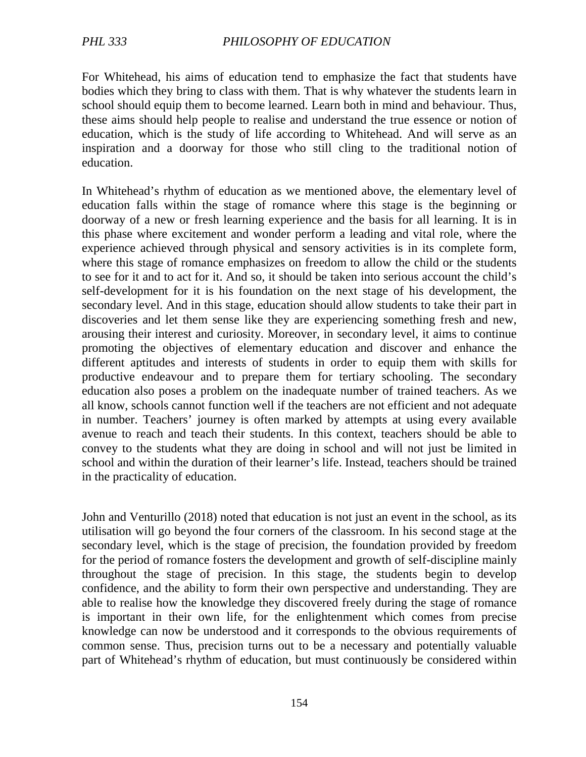For Whitehead, his aims of education tend to emphasize the fact that students have bodies which they bring to class with them. That is why whatever the students learn in school should equip them to become learned. Learn both in mind and behaviour. Thus, these aims should help people to realise and understand the true essence or notion of education, which is the study of life according to Whitehead. And will serve as an inspiration and a doorway for those who still cling to the traditional notion of education.

In Whitehead's rhythm of education as we mentioned above, the elementary level of education falls within the stage of romance where this stage is the beginning or doorway of a new or fresh learning experience and the basis for all learning. It is in this phase where excitement and wonder perform a leading and vital role, where the experience achieved through physical and sensory activities is in its complete form, where this stage of romance emphasizes on freedom to allow the child or the students to see for it and to act for it. And so, it should be taken into serious account the child's self-development for it is his foundation on the next stage of his development, the secondary level. And in this stage, education should allow students to take their part in discoveries and let them sense like they are experiencing something fresh and new, arousing their interest and curiosity. Moreover, in secondary level, it aims to continue promoting the objectives of elementary education and discover and enhance the different aptitudes and interests of students in order to equip them with skills for productive endeavour and to prepare them for tertiary schooling. The secondary education also poses a problem on the inadequate number of trained teachers. As we all know, schools cannot function well if the teachers are not efficient and not adequate in number. Teachers' journey is often marked by attempts at using every available avenue to reach and teach their students. In this context, teachers should be able to convey to the students what they are doing in school and will not just be limited in school and within the duration of their learner's life. Instead, teachers should be trained in the practicality of education.

John and Venturillo (2018) noted that education is not just an event in the school, as its utilisation will go beyond the four corners of the classroom. In his second stage at the secondary level, which is the stage of precision, the foundation provided by freedom for the period of romance fosters the development and growth of self-discipline mainly throughout the stage of precision. In this stage, the students begin to develop confidence, and the ability to form their own perspective and understanding. They are able to realise how the knowledge they discovered freely during the stage of romance is important in their own life, for the enlightenment which comes from precise knowledge can now be understood and it corresponds to the obvious requirements of common sense. Thus, precision turns out to be a necessary and potentially valuable part of Whitehead's rhythm of education, but must continuously be considered within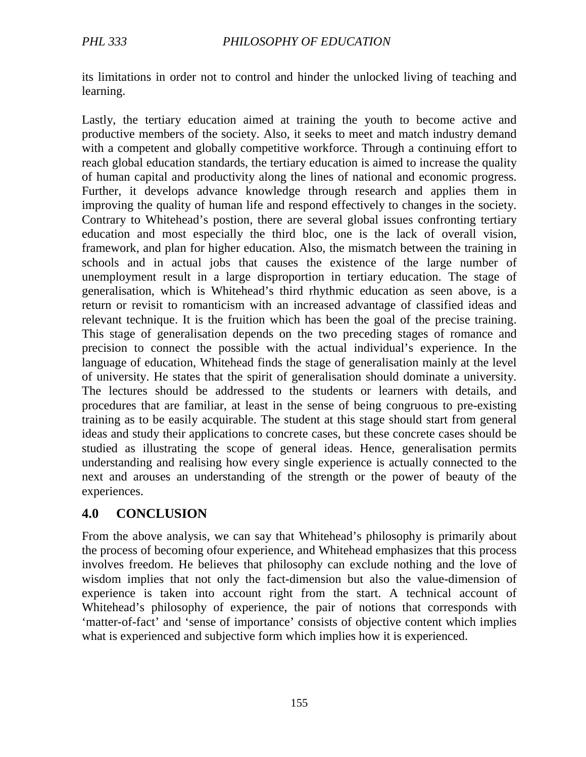its limitations in order not to control and hinder the unlocked living of teaching and learning.

Lastly, the tertiary education aimed at training the youth to become active and productive members of the society. Also, it seeks to meet and match industry demand with a competent and globally competitive workforce. Through a continuing effort to reach global education standards, the tertiary education is aimed to increase the quality of human capital and productivity along the lines of national and economic progress. Further, it develops advance knowledge through research and applies them in improving the quality of human life and respond effectively to changes in the society. Contrary to Whitehead's postion, there are several global issues confronting tertiary education and most especially the third bloc, one is the lack of overall vision, framework, and plan for higher education. Also, the mismatch between the training in schools and in actual jobs that causes the existence of the large number of unemployment result in a large disproportion in tertiary education. The stage of generalisation, which is Whitehead's third rhythmic education as seen above, is a return or revisit to romanticism with an increased advantage of classified ideas and relevant technique. It is the fruition which has been the goal of the precise training. This stage of generalisation depends on the two preceding stages of romance and precision to connect the possible with the actual individual's experience. In the language of education, Whitehead finds the stage of generalisation mainly at the level of university. He states that the spirit of generalisation should dominate a university. The lectures should be addressed to the students or learners with details, and procedures that are familiar, at least in the sense of being congruous to pre-existing training as to be easily acquirable. The student at this stage should start from general ideas and study their applications to concrete cases, but these concrete cases should be studied as illustrating the scope of general ideas. Hence, generalisation permits understanding and realising how every single experience is actually connected to the next and arouses an understanding of the strength or the power of beauty of the experiences.

### **4.0 CONCLUSION**

From the above analysis, we can say that Whitehead's philosophy is primarily about the process of becoming ofour experience, and Whitehead emphasizes that this process involves freedom. He believes that philosophy can exclude nothing and the love of wisdom implies that not only the fact-dimension but also the value-dimension of experience is taken into account right from the start. A technical account of Whitehead's philosophy of experience, the pair of notions that corresponds with 'matter-of-fact' and 'sense of importance' consists of objective content which implies what is experienced and subjective form which implies how it is experienced.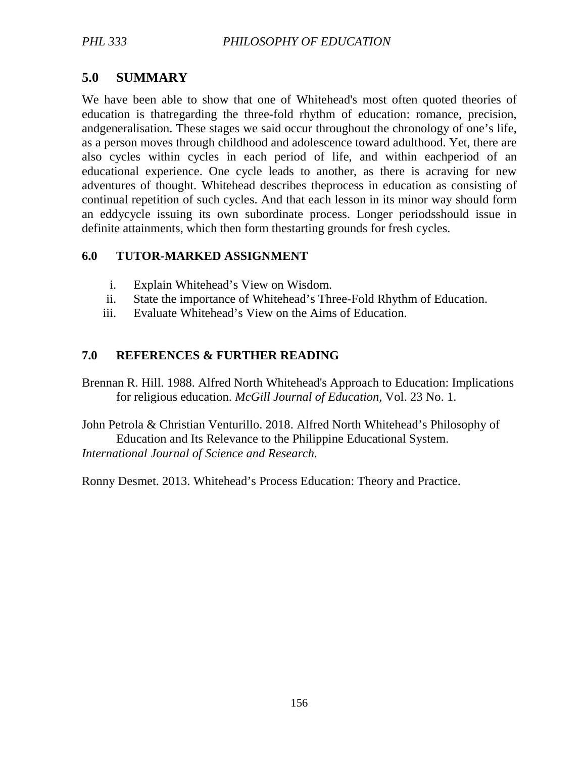# **5.0 SUMMARY**

We have been able to show that one of Whitehead's most often quoted theories of education is thatregarding the three-fold rhythm of education: romance, precision, andgeneralisation. These stages we said occur throughout the chronology of one's life, as a person moves through childhood and adolescence toward adulthood. Yet, there are also cycles within cycles in each period of life, and within eachperiod of an educational experience. One cycle leads to another, as there is acraving for new adventures of thought. Whitehead describes theprocess in education as consisting of continual repetition of such cycles. And that each lesson in its minor way should form an eddycycle issuing its own subordinate process. Longer periodsshould issue in definite attainments, which then form thestarting grounds for fresh cycles.

#### **6.0 TUTOR-MARKED ASSIGNMENT**

- i. Explain Whitehead's View on Wisdom.
- ii. State the importance of Whitehead's Three-Fold Rhythm of Education.
- iii. Evaluate Whitehead's View on the Aims of Education.

### **7.0 REFERENCES & FURTHER READING**

Brennan R. Hill. 1988. Alfred North Whitehead's Approach to Education: Implications for religious education. *McGill Journal of Education,* Vol. 23 No. 1.

John Petrola & Christian Venturillo. 2018. Alfred North Whitehead's Philosophy of Education and Its Relevance to the Philippine Educational System. *International Journal of Science and Research.*

Ronny Desmet. 2013. Whitehead's Process Education: Theory and Practice.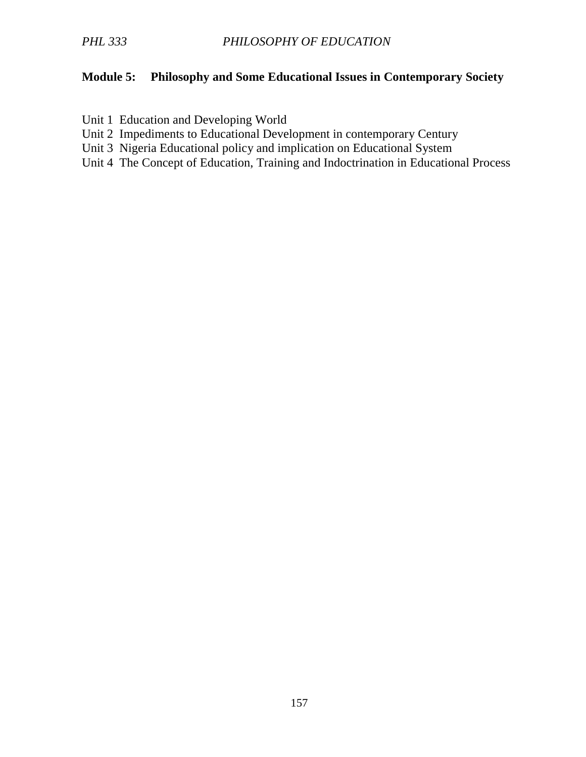### **Module 5: Philosophy and Some Educational Issues in Contemporary Society**

- Unit 1 Education and Developing World
- Unit 2 Impediments to Educational Development in contemporary Century
- Unit 3 Nigeria Educational policy and implication on Educational System
- Unit 4 The Concept of Education, Training and Indoctrination in Educational Process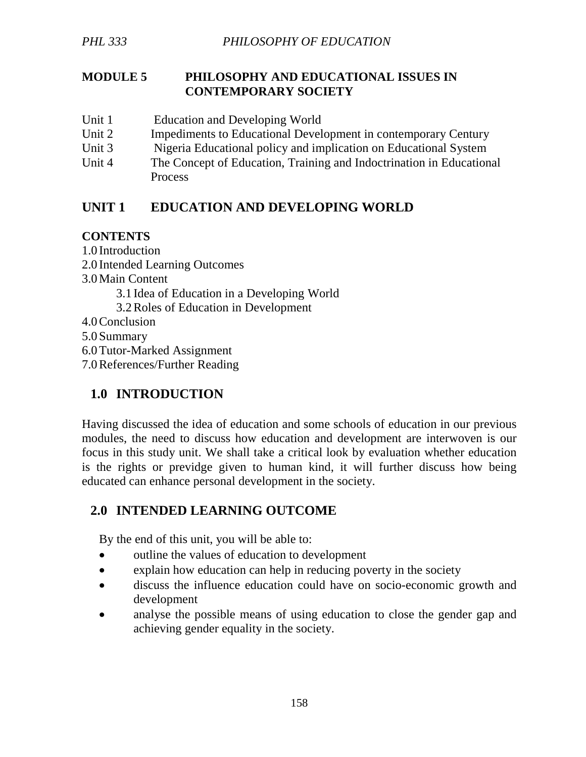#### **MODULE 5 PHILOSOPHY AND EDUCATIONAL ISSUES IN CONTEMPORARY SOCIETY**

- Unit 1 Education and Developing World
- Unit 2 Impediments to Educational Development in contemporary Century
- Unit 3 Nigeria Educational policy and implication on Educational System
- Unit 4 The Concept of Education, Training and Indoctrination in Educational **Process**

# **UNIT 1 EDUCATION AND DEVELOPING WORLD**

### **CONTENTS**

1.0 Introduction 2.0 Intended Learning Outcomes 3.0Main Content 3.1 Idea of Education in a Developing World 3.2Roles of Education in Development 4.0Conclusion 5.0 Summary 6.0Tutor-Marked Assignment 7.0References/Further Reading

# **1.0 INTRODUCTION**

Having discussed the idea of education and some schools of education in our previous modules, the need to discuss how education and development are interwoven is our focus in this study unit. We shall take a critical look by evaluation whether education is the rights or previdge given to human kind, it will further discuss how being educated can enhance personal development in the society.

# **2.0 INTENDED LEARNING OUTCOME**

By the end of this unit, you will be able to:

- outline the values of education to development
- explain how education can help in reducing poverty in the society
- discuss the influence education could have on socio-economic growth and development
- analyse the possible means of using education to close the gender gap and achieving gender equality in the society.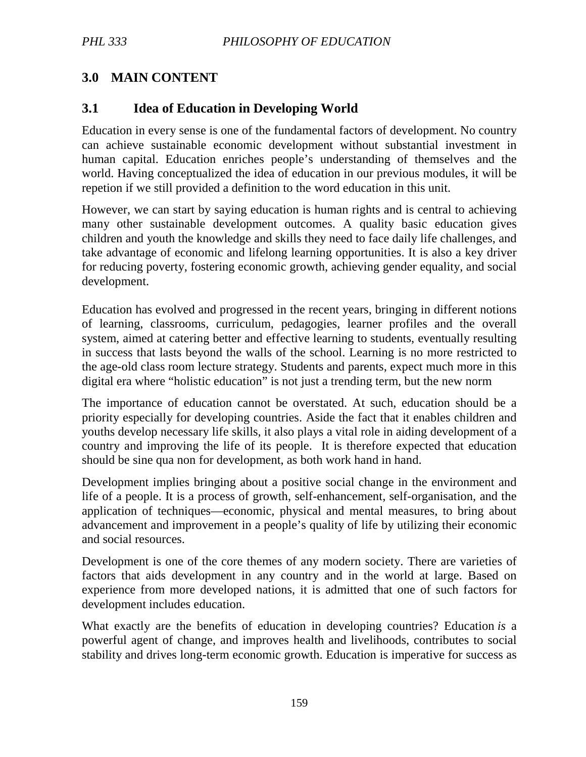# **3.0 MAIN CONTENT**

### **3.1 Idea of Education in Developing World**

Education in every sense is one of the fundamental factors of development. No country can achieve sustainable economic development without substantial investment in human capital. Education enriches people's understanding of themselves and the world. Having conceptualized the idea of education in our previous modules, it will be repetion if we still provided a definition to the word education in this unit.

However, we can start by saying education is human rights and is central to achieving many other sustainable development outcomes. A quality basic education gives children and youth the knowledge and skills they need to face daily life challenges, and take advantage of economic and lifelong learning opportunities. It is also a key driver for reducing poverty, fostering economic growth, achieving gender equality, and social development.

Education has evolved and progressed in the recent years, bringing in different notions of learning, classrooms, curriculum, pedagogies, learner profiles and the overall system, aimed at catering better and effective learning to students, eventually resulting in success that lasts beyond the walls of the school. Learning is no more restricted to the age-old class room lecture strategy. Students and parents, expect much more in this digital era where "holistic education" is not just a trending term, but the new norm

The importance of education cannot be overstated. At such, education should be a priority especially for developing countries. Aside the fact that it enables children and youths develop necessary life skills, it also plays a vital role in aiding development of a country and improving the life of its people. It is therefore expected that education should be sine qua non for development, as both work hand in hand.

Development implies bringing about a positive social change in the environment and life of a people. It is a process of growth, self-enhancement, self-organisation, and the application of techniques—economic, physical and mental measures, to bring about advancement and improvement in a people's quality of life by utilizing their economic and social resources.

Development is one of the core themes of any modern society. There are varieties of factors that aids development in any country and in the world at large. Based on experience from more developed nations, it is admitted that one of such factors for development includes education.

What exactly are the benefits of education in developing countries? Education *is* a powerful agent of change, and improves health and livelihoods, contributes to social stability and drives long-term economic growth. Education is imperative for success as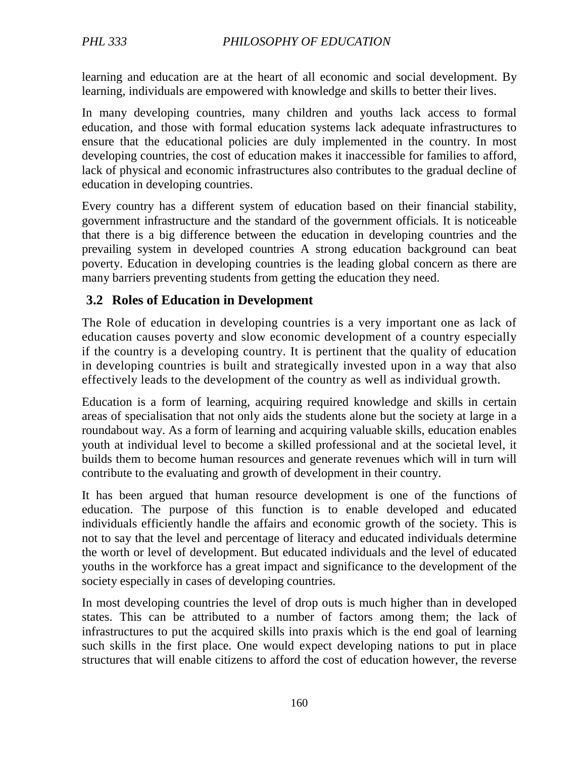learning and education are at the heart of all economic and social development. By learning, individuals are empowered with knowledge and skills to better their lives.

In many developing countries, many children and youths lack access to formal education, and those with formal education systems lack adequate infrastructures to ensure that the educational policies are duly implemented in the country. In most developing countries, the cost of education makes it inaccessible for families to afford, lack of physical and economic infrastructures also contributes to the gradual decline of education in developing countries.

Every country has a different system of education based on their financial stability, government infrastructure and the standard of the government officials. It is noticeable that there is a big difference between the education in developing countries and the prevailing system in developed countries A strong education background can beat poverty. Education in developing countries is the leading global concern as there are many barriers preventing students from getting the education they need.

### **3.2 Roles of Education in Development**

The Role of education in developing countries is a very important one as lack of education causes poverty and slow economic development of a country especially if the country is a developing country. It is pertinent that the quality of education in developing countries is built and strategically invested upon in a way that also effectively leads to the development of the country as well as individual growth.

Education is a form of learning, acquiring required knowledge and skills in certain areas of specialisation that not only aids the students alone but the society at large in a roundabout way. As a form of learning and acquiring valuable skills, education enables youth at individual level to become a skilled professional and at the societal level, it builds them to become human resources and generate revenues which will in turn will contribute to the evaluating and growth of development in their country.

It has been argued that human resource development is one of the functions of education. The purpose of this function is to enable developed and educated individuals efficiently handle the affairs and economic growth of the society. This is not to say that the level and percentage of literacy and educated individuals determine the worth or level of development. But educated individuals and the level of educated youths in the workforce has a great impact and significance to the development of the society especially in cases of developing countries.

In most developing countries the level of drop outs is much higher than in developed states. This can be attributed to a number of factors among them; the lack of infrastructures to put the acquired skills into praxis which is the end goal of learning such skills in the first place. One would expect developing nations to put in place structures that will enable citizens to afford the cost of education however, the reverse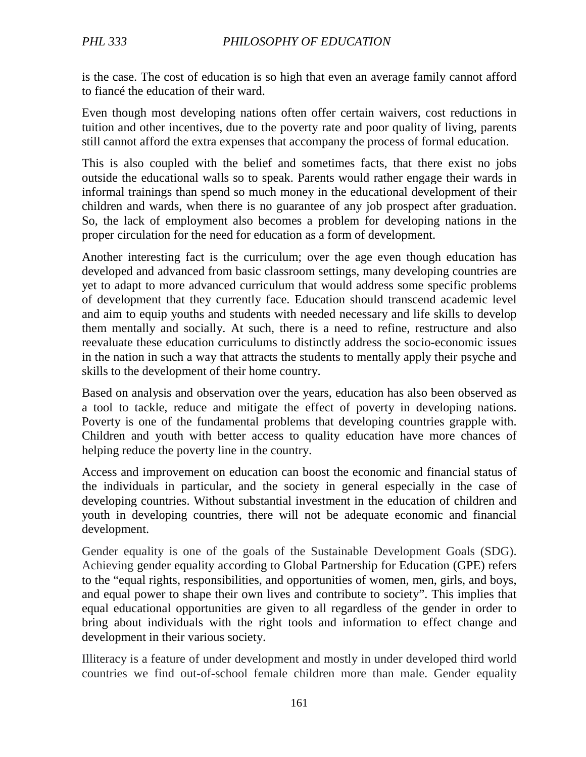is the case. The cost of education is so high that even an average family cannot afford to fiancé the education of their ward.

Even though most developing nations often offer certain waivers, cost reductions in tuition and other incentives, due to the poverty rate and poor quality of living, parents still cannot afford the extra expenses that accompany the process of formal education.

This is also coupled with the belief and sometimes facts, that there exist no jobs outside the educational walls so to speak. Parents would rather engage their wards in informal trainings than spend so much money in the educational development of their children and wards, when there is no guarantee of any job prospect after graduation. So, the lack of employment also becomes a problem for developing nations in the proper circulation for the need for education as a form of development.

Another interesting fact is the curriculum; over the age even though education has developed and advanced from basic classroom settings, many developing countries are yet to adapt to more advanced curriculum that would address some specific problems of development that they currently face. Education should transcend academic level and aim to equip youths and students with needed necessary and life skills to develop them mentally and socially. At such, there is a need to refine, restructure and also reevaluate these education curriculums to distinctly address the socio-economic issues in the nation in such a way that attracts the students to mentally apply their psyche and skills to the development of their home country.

Based on analysis and observation over the years, education has also been observed as a tool to tackle, reduce and mitigate the effect of poverty in developing nations. Poverty is one of the fundamental problems that developing countries grapple with. Children and youth with better access to quality education have more chances of helping reduce the poverty line in the country.

Access and improvement on education can boost the economic and financial status of the individuals in particular, and the society in general especially in the case of developing countries. Without substantial investment in the education of children and youth in developing countries, there will not be adequate economic and financial development.

Gender equality is one of the goals of the Sustainable Development Goals (SDG). Achieving gender equality according to Global Partnership for Education (GPE) refers to the "equal rights, responsibilities, and opportunities of women, men, girls, and boys, and equal power to shape their own lives and contribute to society". This implies that equal educational opportunities are given to all regardless of the gender in order to bring about individuals with the right tools and information to effect change and development in their various society.

Illiteracy is a feature of under development and mostly in under developed third world countries we find out-of-school female children more than male. Gender equality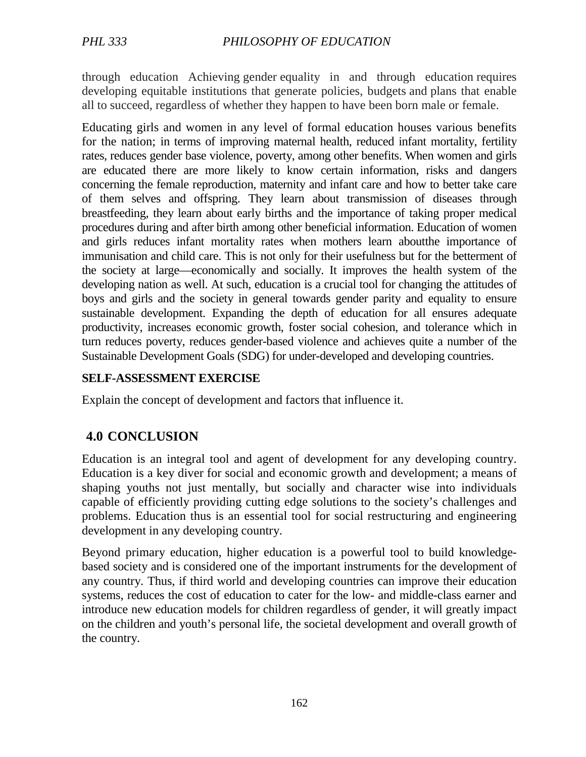through education Achieving gender equality in and through education requires developing equitable institutions that generate policies, budgets and plans that enable all to succeed, regardless of whether they happen to have been born male or female.

Educating girls and women in any level of formal education houses various benefits for the nation; in terms of improving maternal health, reduced infant mortality, fertility rates, reduces gender base violence, poverty, among other benefits. When women and girls are educated there are more likely to know certain information, risks and dangers concerning the female reproduction, maternity and infant care and how to better take care of them selves and offspring. They learn about transmission of diseases through breastfeeding, they learn about early births and the importance of taking proper medical procedures during and after birth among other beneficial information. Education of women and girls reduces infant mortality rates when mothers learn aboutthe importance of immunisation and child care. This is not only for their usefulness but for the betterment of the society at large—economically and socially. It improves the health system of the developing nation as well. At such, education is a crucial tool for changing the attitudes of boys and girls and the society in general towards gender parity and equality to ensure sustainable development. Expanding the depth of education for all ensures adequate productivity, increases economic growth, foster social cohesion, and tolerance which in turn reduces poverty, reduces gender-based violence and achieves quite a number of the Sustainable Development Goals (SDG) for under-developed and developing countries.

#### **SELF-ASSESSMENT EXERCISE**

Explain the concept of development and factors that influence it.

## **4.0 CONCLUSION**

Education is an integral tool and agent of development for any developing country. Education is a key diver for social and economic growth and development; a means of shaping youths not just mentally, but socially and character wise into individuals capable of efficiently providing cutting edge solutions to the society's challenges and problems. Education thus is an essential tool for social restructuring and engineering development in any developing country.

Beyond primary education*,* higher education is a powerful tool to build knowledgebased society and is considered one of the important instruments for the development of any country. Thus, if third world and developing countries can improve their education systems, reduces the cost of education to cater for the low- and middle-class earner and introduce new education models for children regardless of gender, it will greatly impact on the children and youth's personal life, the societal development and overall growth of the country.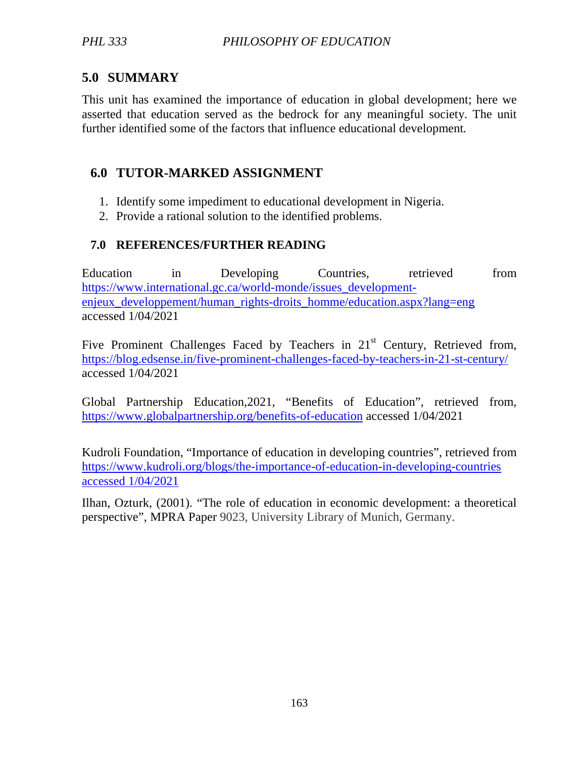# **5.0 SUMMARY**

This unit has examined the importance of education in global development; here we asserted that education served as the bedrock for any meaningful society. The unit further identified some of the factors that influence educational development*.* 

# **6.0 TUTOR-MARKED ASSIGNMENT**

- 1. Identify some impediment to educational development in Nigeria.
- 2. Provide a rational solution to the identified problems.

# **7.0 REFERENCES/FURTHER READING**

Education in Developing Countries, retrieved from https://www.international.gc.ca/world-monde/issues\_developmentenjeux\_developpement/human\_rights-droits\_homme/education.aspx?lang=eng accessed 1/04/2021

Five Prominent Challenges Faced by Teachers in 21<sup>st</sup> Century, Retrieved from, https://blog.edsense.in/five-prominent-challenges-faced-by-teachers-in-21-st-century/ accessed 1/04/2021

Global Partnership Education,2021, "Benefits of Education", retrieved from, https://www.globalpartnership.org/benefits-of-education accessed 1/04/2021

Kudroli Foundation, "Importance of education in developing countries", retrieved from https://www.kudroli.org/blogs/the-importance-of-education-in-developing-countries accessed 1/04/2021

Ilhan, Ozturk, (2001). "The role of education in economic development: a theoretical perspective", MPRA Paper 9023, University Library of Munich, Germany.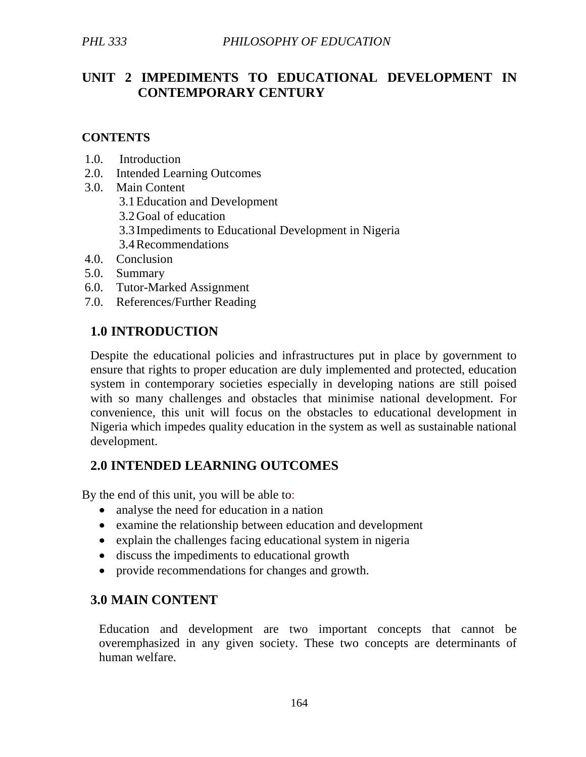# **UNIT 2 IMPEDIMENTS TO EDUCATIONAL DEVELOPMENT IN CONTEMPORARY CENTURY**

#### **CONTENTS**

- 1.0. Introduction
- 2.0. Intended Learning Outcomes
- 3.0. Main Content
	- 3.1Education and Development
	- 3.2Goal of education
	- 3.3 Impediments to Educational Development in Nigeria
	- 3.4Recommendations
- 4.0. Conclusion
- 5.0. Summary
- 6.0. Tutor-Marked Assignment
- 7.0. References/Further Reading

## **1.0 INTRODUCTION**

Despite the educational policies and infrastructures put in place by government to ensure that rights to proper education are duly implemented and protected, education system in contemporary societies especially in developing nations are still poised with so many challenges and obstacles that minimise national development. For convenience, this unit will focus on the obstacles to educational development in Nigeria which impedes quality education in the system as well as sustainable national development.

## **2.0 INTENDED LEARNING OUTCOMES**

By the end of this unit, you will be able to:

- analyse the need for education in a nation
- examine the relationship between education and development
- explain the challenges facing educational system in nigeria
- discuss the impediments to educational growth
- provide recommendations for changes and growth.

## **3.0 MAIN CONTENT**

Education and development are two important concepts that cannot be overemphasized in any given society. These two concepts are determinants of human welfare.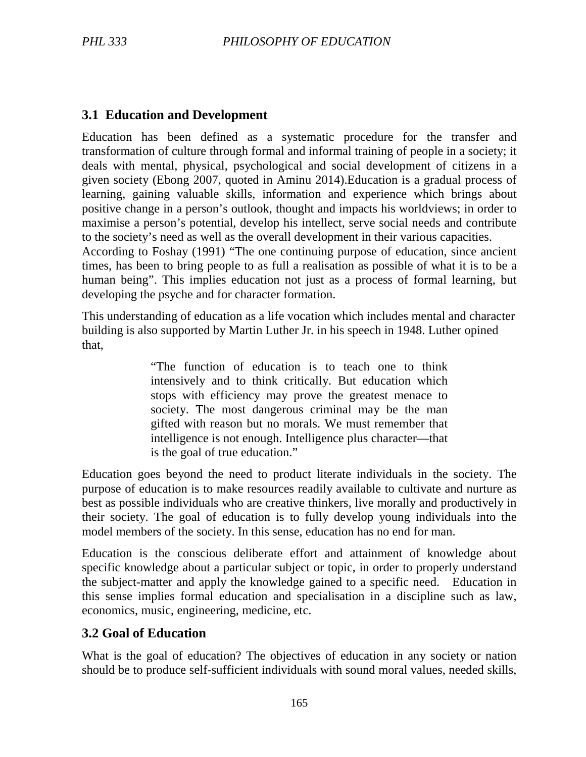### **3.1 Education and Development**

Education has been defined as a systematic procedure for the transfer and transformation of culture through formal and informal training of people in a society; it deals with mental, physical, psychological and social development of citizens in a given society (Ebong 2007, quoted in Aminu 2014).Education is a gradual process of learning, gaining valuable skills, information and experience which brings about positive change in a person's outlook, thought and impacts his worldviews; in order to maximise a person's potential, develop his intellect, serve social needs and contribute to the society's need as well as the overall development in their various capacities. According to Foshay (1991) "The one continuing purpose of education, since ancient times, has been to bring people to as full a realisation as possible of what it is to be a

human being". This implies education not just as a process of formal learning, but developing the psyche and for character formation.

This understanding of education as a life vocation which includes mental and character building is also supported by Martin Luther Jr. in his speech in 1948. Luther opined that,

> "The function of education is to teach one to think intensively and to think critically. But education which stops with efficiency may prove the greatest menace to society. The most dangerous criminal may be the man gifted with reason but no morals. We must remember that intelligence is not enough. Intelligence plus character—that is the goal of true education."

Education goes beyond the need to product literate individuals in the society. The purpose of education is to make resources readily available to cultivate and nurture as best as possible individuals who are creative thinkers, live morally and productively in their society. The goal of education is to fully develop young individuals into the model members of the society. In this sense, education has no end for man.

Education is the conscious deliberate effort and attainment of knowledge about specific knowledge about a particular subject or topic, in order to properly understand the subject-matter and apply the knowledge gained to a specific need. Education in this sense implies formal education and specialisation in a discipline such as law, economics, music, engineering, medicine, etc.

### **3.2 Goal of Education**

What is the goal of education? The objectives of education in any society or nation should be to produce self-sufficient individuals with sound moral values, needed skills,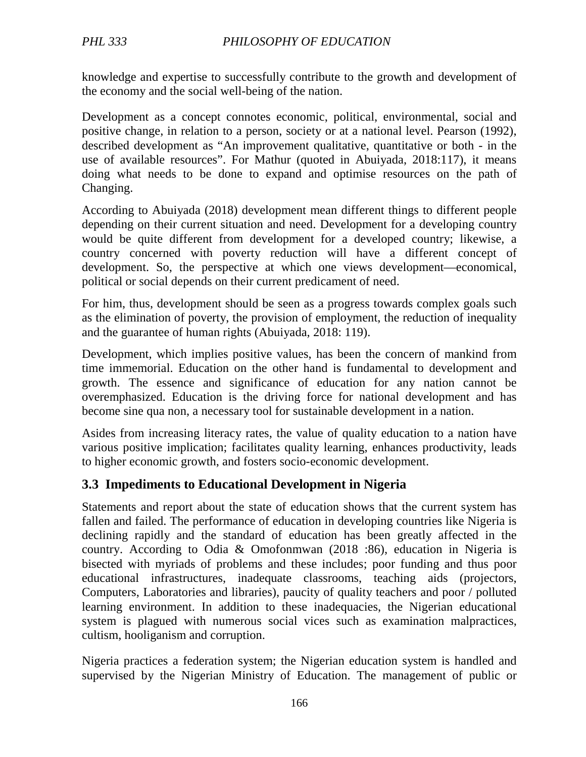knowledge and expertise to successfully contribute to the growth and development of the economy and the social well-being of the nation.

Development as a concept connotes economic, political, environmental, social and positive change, in relation to a person, society or at a national level. Pearson (1992), described development as "An improvement qualitative, quantitative or both - in the use of available resources". For Mathur (quoted in Abuiyada, 2018:117), it means doing what needs to be done to expand and optimise resources on the path of Changing.

According to Abuiyada (2018) development mean different things to different people depending on their current situation and need. Development for a developing country would be quite different from development for a developed country; likewise, a country concerned with poverty reduction will have a different concept of development. So, the perspective at which one views development—economical, political or social depends on their current predicament of need.

For him, thus, development should be seen as a progress towards complex goals such as the elimination of poverty, the provision of employment, the reduction of inequality and the guarantee of human rights (Abuiyada, 2018: 119).

Development, which implies positive values, has been the concern of mankind from time immemorial. Education on the other hand is fundamental to development and growth. The essence and significance of education for any nation cannot be overemphasized. Education is the driving force for national development and has become sine qua non, a necessary tool for sustainable development in a nation.

Asides from increasing literacy rates, the value of quality education to a nation have various positive implication; facilitates quality learning, enhances productivity, leads to higher economic growth, and fosters socio-economic development.

## **3.3 Impediments to Educational Development in Nigeria**

Statements and report about the state of education shows that the current system has fallen and failed. The performance of education in developing countries like Nigeria is declining rapidly and the standard of education has been greatly affected in the country. According to Odia & Omofonmwan (2018 :86), education in Nigeria is bisected with myriads of problems and these includes; poor funding and thus poor educational infrastructures, inadequate classrooms, teaching aids (projectors, Computers, Laboratories and libraries), paucity of quality teachers and poor / polluted learning environment. In addition to these inadequacies, the Nigerian educational system is plagued with numerous social vices such as examination malpractices, cultism, hooliganism and corruption.

Nigeria practices a federation system; the Nigerian education system is handled and supervised by the Nigerian Ministry of Education. The management of public or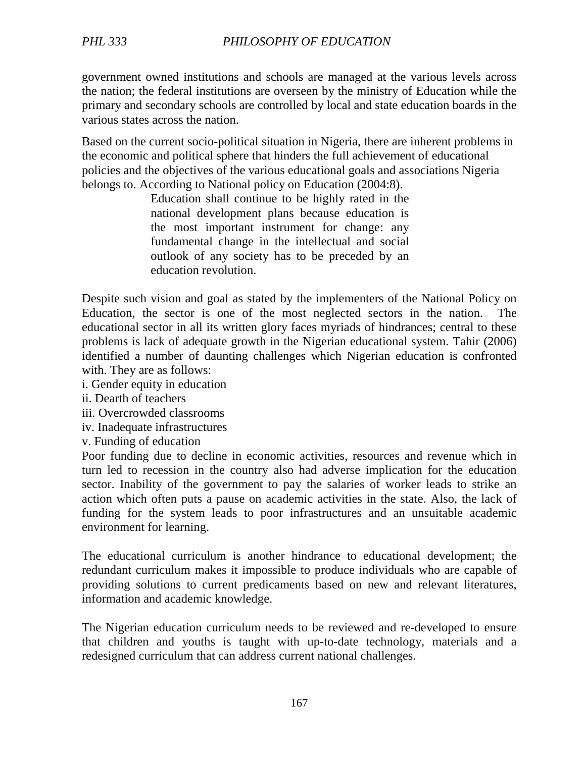government owned institutions and schools are managed at the various levels across the nation; the federal institutions are overseen by the ministry of Education while the primary and secondary schools are controlled by local and state education boards in the various states across the nation.

Based on the current socio-political situation in Nigeria, there are inherent problems in the economic and political sphere that hinders the full achievement of educational policies and the objectives of the various educational goals and associations Nigeria belongs to. According to National policy on Education (2004:8).

> Education shall continue to be highly rated in the national development plans because education is the most important instrument for change: any fundamental change in the intellectual and social outlook of any society has to be preceded by an education revolution.

Despite such vision and goal as stated by the implementers of the National Policy on Education, the sector is one of the most neglected sectors in the nation. The educational sector in all its written glory faces myriads of hindrances; central to these problems is lack of adequate growth in the Nigerian educational system. Tahir (2006) identified a number of daunting challenges which Nigerian education is confronted with. They are as follows:

- i. Gender equity in education
- ii. Dearth of teachers
- iii. Overcrowded classrooms
- iv. Inadequate infrastructures
- v. Funding of education

Poor funding due to decline in economic activities, resources and revenue which in turn led to recession in the country also had adverse implication for the education sector. Inability of the government to pay the salaries of worker leads to strike an action which often puts a pause on academic activities in the state. Also, the lack of funding for the system leads to poor infrastructures and an unsuitable academic environment for learning.

The educational curriculum is another hindrance to educational development; the redundant curriculum makes it impossible to produce individuals who are capable of providing solutions to current predicaments based on new and relevant literatures, information and academic knowledge.

The Nigerian education curriculum needs to be reviewed and re-developed to ensure that children and youths is taught with up-to-date technology, materials and a redesigned curriculum that can address current national challenges.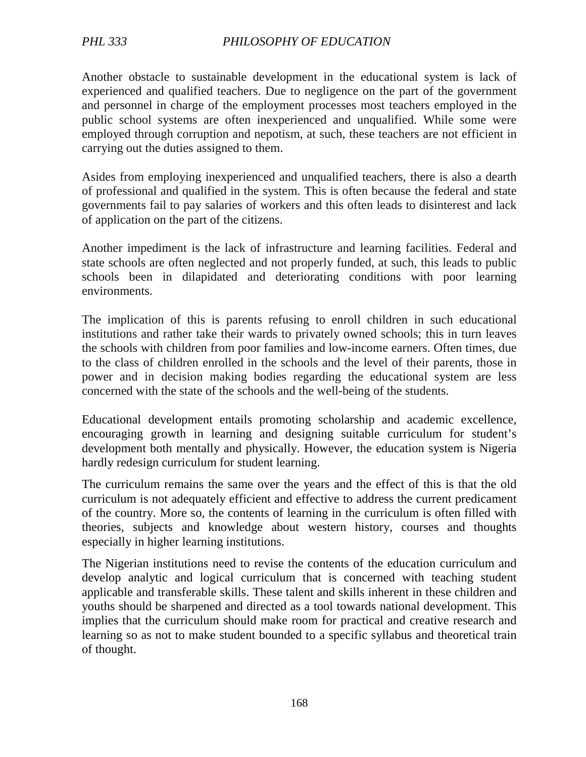Another obstacle to sustainable development in the educational system is lack of experienced and qualified teachers. Due to negligence on the part of the government and personnel in charge of the employment processes most teachers employed in the public school systems are often inexperienced and unqualified. While some were employed through corruption and nepotism, at such, these teachers are not efficient in carrying out the duties assigned to them.

Asides from employing inexperienced and unqualified teachers, there is also a dearth of professional and qualified in the system. This is often because the federal and state governments fail to pay salaries of workers and this often leads to disinterest and lack of application on the part of the citizens.

Another impediment is the lack of infrastructure and learning facilities. Federal and state schools are often neglected and not properly funded, at such, this leads to public schools been in dilapidated and deteriorating conditions with poor learning environments.

The implication of this is parents refusing to enroll children in such educational institutions and rather take their wards to privately owned schools; this in turn leaves the schools with children from poor families and low-income earners. Often times, due to the class of children enrolled in the schools and the level of their parents, those in power and in decision making bodies regarding the educational system are less concerned with the state of the schools and the well-being of the students.

Educational development entails promoting scholarship and academic excellence, encouraging growth in learning and designing suitable curriculum for student's development both mentally and physically. However, the education system is Nigeria hardly redesign curriculum for student learning.

The curriculum remains the same over the years and the effect of this is that the old curriculum is not adequately efficient and effective to address the current predicament of the country. More so, the contents of learning in the curriculum is often filled with theories, subjects and knowledge about western history, courses and thoughts especially in higher learning institutions.

The Nigerian institutions need to revise the contents of the education curriculum and develop analytic and logical curriculum that is concerned with teaching student applicable and transferable skills. These talent and skills inherent in these children and youths should be sharpened and directed as a tool towards national development. This implies that the curriculum should make room for practical and creative research and learning so as not to make student bounded to a specific syllabus and theoretical train of thought.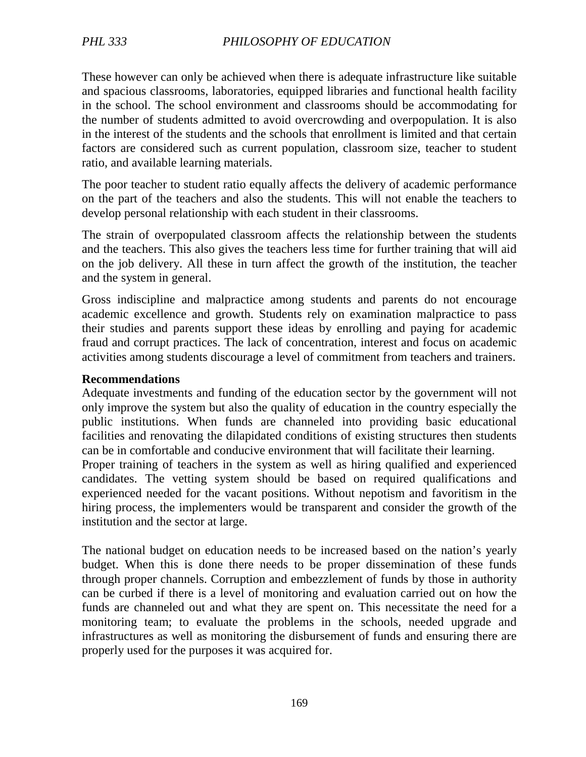These however can only be achieved when there is adequate infrastructure like suitable and spacious classrooms, laboratories, equipped libraries and functional health facility in the school. The school environment and classrooms should be accommodating for the number of students admitted to avoid overcrowding and overpopulation. It is also in the interest of the students and the schools that enrollment is limited and that certain factors are considered such as current population, classroom size, teacher to student ratio, and available learning materials.

The poor teacher to student ratio equally affects the delivery of academic performance on the part of the teachers and also the students. This will not enable the teachers to develop personal relationship with each student in their classrooms.

The strain of overpopulated classroom affects the relationship between the students and the teachers. This also gives the teachers less time for further training that will aid on the job delivery. All these in turn affect the growth of the institution, the teacher and the system in general.

Gross indiscipline and malpractice among students and parents do not encourage academic excellence and growth. Students rely on examination malpractice to pass their studies and parents support these ideas by enrolling and paying for academic fraud and corrupt practices. The lack of concentration, interest and focus on academic activities among students discourage a level of commitment from teachers and trainers.

#### **Recommendations**

Adequate investments and funding of the education sector by the government will not only improve the system but also the quality of education in the country especially the public institutions. When funds are channeled into providing basic educational facilities and renovating the dilapidated conditions of existing structures then students can be in comfortable and conducive environment that will facilitate their learning.

Proper training of teachers in the system as well as hiring qualified and experienced candidates. The vetting system should be based on required qualifications and experienced needed for the vacant positions. Without nepotism and favoritism in the hiring process, the implementers would be transparent and consider the growth of the institution and the sector at large.

The national budget on education needs to be increased based on the nation's yearly budget. When this is done there needs to be proper dissemination of these funds through proper channels. Corruption and embezzlement of funds by those in authority can be curbed if there is a level of monitoring and evaluation carried out on how the funds are channeled out and what they are spent on. This necessitate the need for a monitoring team; to evaluate the problems in the schools, needed upgrade and infrastructures as well as monitoring the disbursement of funds and ensuring there are properly used for the purposes it was acquired for.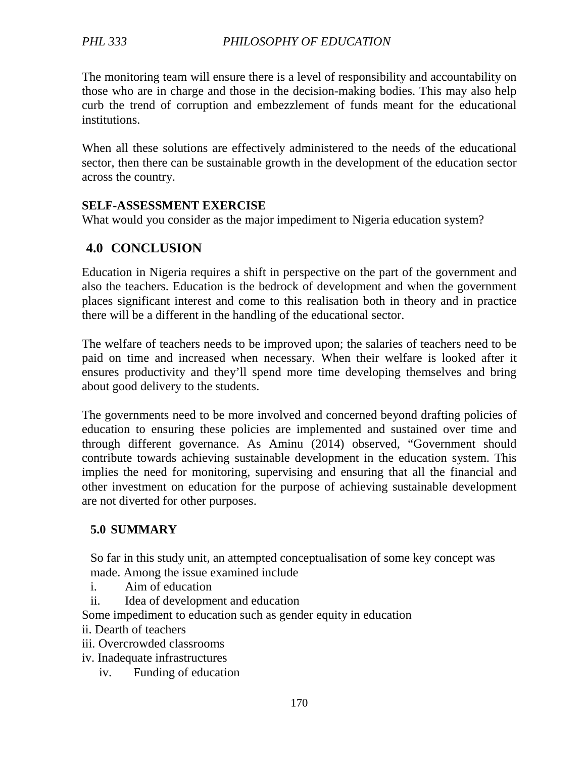The monitoring team will ensure there is a level of responsibility and accountability on those who are in charge and those in the decision-making bodies. This may also help curb the trend of corruption and embezzlement of funds meant for the educational institutions.

When all these solutions are effectively administered to the needs of the educational sector, then there can be sustainable growth in the development of the education sector across the country.

#### **SELF-ASSESSMENT EXERCISE**

What would you consider as the major impediment to Nigeria education system?

# **4.0 CONCLUSION**

Education in Nigeria requires a shift in perspective on the part of the government and also the teachers. Education is the bedrock of development and when the government places significant interest and come to this realisation both in theory and in practice there will be a different in the handling of the educational sector.

The welfare of teachers needs to be improved upon; the salaries of teachers need to be paid on time and increased when necessary. When their welfare is looked after it ensures productivity and they'll spend more time developing themselves and bring about good delivery to the students.

The governments need to be more involved and concerned beyond drafting policies of education to ensuring these policies are implemented and sustained over time and through different governance. As Aminu (2014) observed, "Government should contribute towards achieving sustainable development in the education system. This implies the need for monitoring, supervising and ensuring that all the financial and other investment on education for the purpose of achieving sustainable development are not diverted for other purposes.

### **5.0 SUMMARY**

So far in this study unit, an attempted conceptualisation of some key concept was made. Among the issue examined include

- i. Aim of education
- ii. Idea of development and education

Some impediment to education such as gender equity in education

- ii. Dearth of teachers
- iii. Overcrowded classrooms
- iv. Inadequate infrastructures
	- iv. Funding of education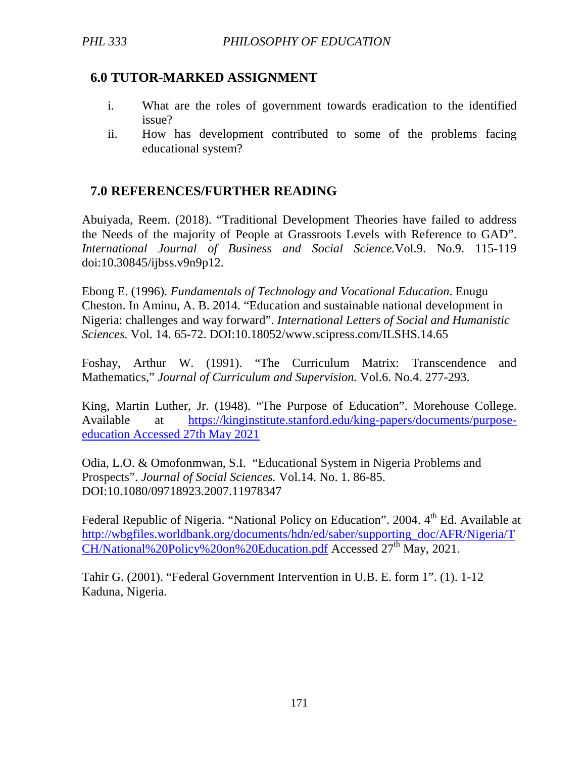### **6.0 TUTOR-MARKED ASSIGNMENT**

- i. What are the roles of government towards eradication to the identified issue?
- ii. How has development contributed to some of the problems facing educational system?

# **7.0 REFERENCES/FURTHER READING**

Abuiyada, Reem. (2018). "Traditional Development Theories have failed to address the Needs of the majority of People at Grassroots Levels with Reference to GAD". *International Journal of Business and Social Science.*Vol.9. No.9. 115-119 doi:10.30845/ijbss.v9n9p12.

Ebong E. (1996). *Fundamentals of Technology and Vocational Education*. Enugu Cheston. In Aminu, A. B. 2014. "Education and sustainable national development in Nigeria: challenges and way forward". *International Letters of Social and Humanistic Sciences.* Vol. 14. 65-72. DOI:10.18052/www.scipress.com/ILSHS.14.65

Foshay, Arthur W. (1991). "The Curriculum Matrix: Transcendence and Mathematics," *Journal of Curriculum and Supervision.* Vol.6. No.4. 277-293.

King, Martin Luther, Jr. (1948). "The Purpose of Education". Morehouse College. Available at https://kinginstitute.stanford.edu/king-papers/documents/purposeeducation Accessed 27th May 2021

Odia, L.O. & Omofonmwan, S.I. "Educational System in Nigeria Problems and Prospects". *Journal of Social Sciences.* Vol.14. No. 1. 86-85. DOI:10.1080/09718923.2007.11978347

Federal Republic of Nigeria. "National Policy on Education". 2004. 4<sup>th</sup> Ed. Available at http://wbgfiles.worldbank.org/documents/hdn/ed/saber/supporting\_doc/AFR/Nigeria/T CH/National%20Policy%20on%20Education.pdf Accessed 27<sup>th</sup> May, 2021.

Tahir G. (2001). "Federal Government Intervention in U.B. E. form 1". (1). 1-12 Kaduna, Nigeria.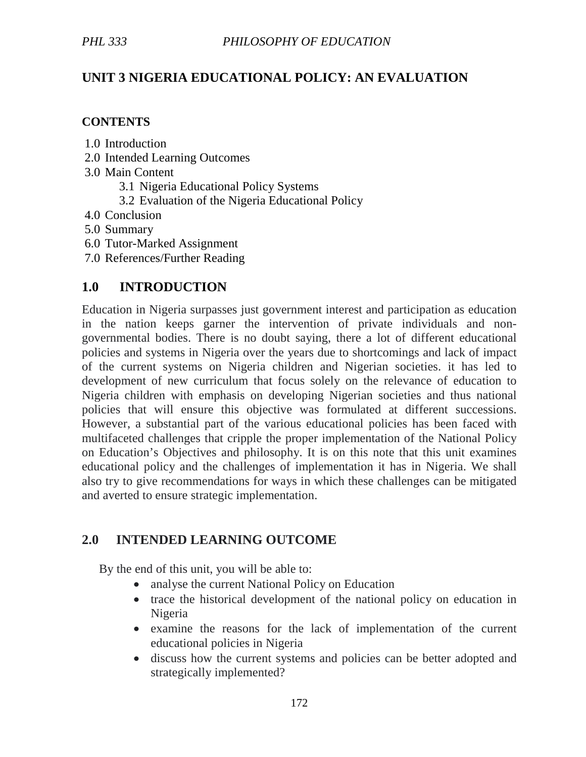# **UNIT 3 NIGERIA EDUCATIONAL POLICY: AN EVALUATION**

#### **CONTENTS**

- 1.0 Introduction
- 2.0 Intended Learning Outcomes
- 3.0 Main Content
	- 3.1 Nigeria Educational Policy Systems
	- 3.2 Evaluation of the Nigeria Educational Policy
- 4.0 Conclusion
- 5.0 Summary
- 6.0 Tutor-Marked Assignment
- 7.0 References/Further Reading

### **1.0 INTRODUCTION**

Education in Nigeria surpasses just government interest and participation as education in the nation keeps garner the intervention of private individuals and nongovernmental bodies. There is no doubt saying, there a lot of different educational policies and systems in Nigeria over the years due to shortcomings and lack of impact of the current systems on Nigeria children and Nigerian societies. it has led to development of new curriculum that focus solely on the relevance of education to Nigeria children with emphasis on developing Nigerian societies and thus national policies that will ensure this objective was formulated at different successions. However, a substantial part of the various educational policies has been faced with multifaceted challenges that cripple the proper implementation of the National Policy on Education's Objectives and philosophy. It is on this note that this unit examines educational policy and the challenges of implementation it has in Nigeria. We shall also try to give recommendations for ways in which these challenges can be mitigated and averted to ensure strategic implementation.

### **2.0 INTENDED LEARNING OUTCOME**

By the end of this unit, you will be able to:

- analyse the current National Policy on Education
- trace the historical development of the national policy on education in Nigeria
- examine the reasons for the lack of implementation of the current educational policies in Nigeria
- discuss how the current systems and policies can be better adopted and strategically implemented?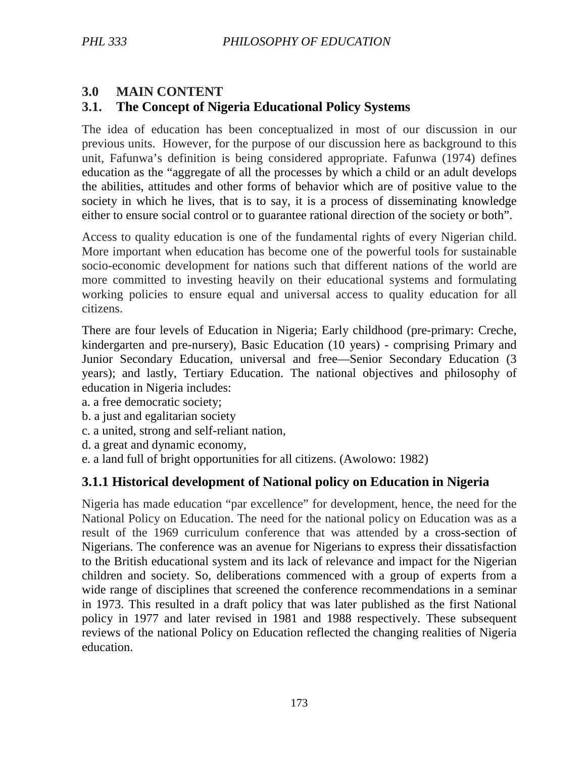# **3.0 MAIN CONTENT**

# **3.1. The Concept of Nigeria Educational Policy Systems**

The idea of education has been conceptualized in most of our discussion in our previous units. However, for the purpose of our discussion here as background to this unit, Fafunwa's definition is being considered appropriate. Fafunwa (1974) defines education as the "aggregate of all the processes by which a child or an adult develops the abilities, attitudes and other forms of behavior which are of positive value to the society in which he lives, that is to say, it is a process of disseminating knowledge either to ensure social control or to guarantee rational direction of the society or both".

Access to quality education is one of the fundamental rights of every Nigerian child. More important when education has become one of the powerful tools for sustainable socio-economic development for nations such that different nations of the world are more committed to investing heavily on their educational systems and formulating working policies to ensure equal and universal access to quality education for all citizens.

There are four levels of Education in Nigeria; Early childhood (pre-primary: Creche, kindergarten and pre-nursery), Basic Education (10 years) - comprising Primary and Junior Secondary Education, universal and free—Senior Secondary Education (3 years); and lastly, Tertiary Education. The national objectives and philosophy of education in Nigeria includes:

a. a free democratic society;

- b. a just and egalitarian society
- c. a united, strong and self-reliant nation,
- d. a great and dynamic economy,
- e. a land full of bright opportunities for all citizens. (Awolowo: 1982)

## **3.1.1 Historical development of National policy on Education in Nigeria**

Nigeria has made education "par excellence" for development, hence, the need for the National Policy on Education. The need for the national policy on Education was as a result of the 1969 curriculum conference that was attended by a cross-section of Nigerians. The conference was an avenue for Nigerians to express their dissatisfaction to the British educational system and its lack of relevance and impact for the Nigerian children and society. So, deliberations commenced with a group of experts from a wide range of disciplines that screened the conference recommendations in a seminar in 1973. This resulted in a draft policy that was later published as the first National policy in 1977 and later revised in 1981 and 1988 respectively. These subsequent reviews of the national Policy on Education reflected the changing realities of Nigeria education.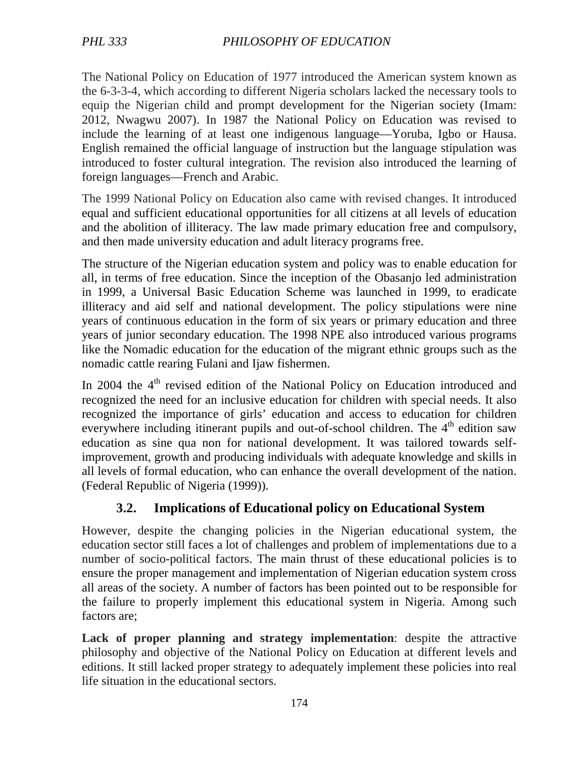The National Policy on Education of 1977 introduced the American system known as the 6-3-3-4, which according to different Nigeria scholars lacked the necessary tools to equip the Nigerian child and prompt development for the Nigerian society (Imam: 2012, Nwagwu 2007). In 1987 the National Policy on Education was revised to include the learning of at least one indigenous language—Yoruba, Igbo or Hausa. English remained the official language of instruction but the language stipulation was introduced to foster cultural integration. The revision also introduced the learning of foreign languages—French and Arabic.

The 1999 National Policy on Education also came with revised changes. It introduced equal and sufficient educational opportunities for all citizens at all levels of education and the abolition of illiteracy. The law made primary education free and compulsory, and then made university education and adult literacy programs free.

The structure of the Nigerian education system and policy was to enable education for all, in terms of free education. Since the inception of the Obasanjo led administration in 1999, a Universal Basic Education Scheme was launched in 1999, to eradicate illiteracy and aid self and national development. The policy stipulations were nine years of continuous education in the form of six years or primary education and three years of junior secondary education. The 1998 NPE also introduced various programs like the Nomadic education for the education of the migrant ethnic groups such as the nomadic cattle rearing Fulani and Ijaw fishermen.

In 2004 the 4<sup>th</sup> revised edition of the National Policy on Education introduced and recognized the need for an inclusive education for children with special needs. It also recognized the importance of girls' education and access to education for children everywhere including itinerant pupils and out-of-school children. The 4<sup>th</sup> edition saw education as sine qua non for national development. It was tailored towards selfimprovement, growth and producing individuals with adequate knowledge and skills in all levels of formal education, who can enhance the overall development of the nation. (Federal Republic of Nigeria (1999)).

## **3.2. Implications of Educational policy on Educational System**

However, despite the changing policies in the Nigerian educational system, the education sector still faces a lot of challenges and problem of implementations due to a number of socio-political factors. The main thrust of these educational policies is to ensure the proper management and implementation of Nigerian education system cross all areas of the society. A number of factors has been pointed out to be responsible for the failure to properly implement this educational system in Nigeria. Among such factors are;

**Lack of proper planning and strategy implementation**: despite the attractive philosophy and objective of the National Policy on Education at different levels and editions. It still lacked proper strategy to adequately implement these policies into real life situation in the educational sectors.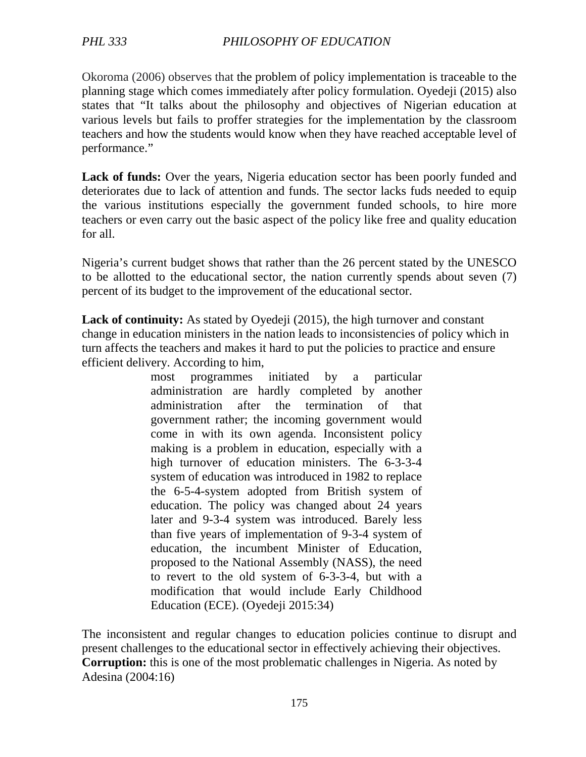Okoroma (2006) observes that the problem of policy implementation is traceable to the planning stage which comes immediately after policy formulation. Oyedeji (2015) also states that "It talks about the philosophy and objectives of Nigerian education at various levels but fails to proffer strategies for the implementation by the classroom teachers and how the students would know when they have reached acceptable level of performance."

**Lack of funds:** Over the years, Nigeria education sector has been poorly funded and deteriorates due to lack of attention and funds. The sector lacks fuds needed to equip the various institutions especially the government funded schools, to hire more teachers or even carry out the basic aspect of the policy like free and quality education for all.

Nigeria's current budget shows that rather than the 26 percent stated by the UNESCO to be allotted to the educational sector, the nation currently spends about seven (7) percent of its budget to the improvement of the educational sector.

**Lack of continuity:** As stated by Oyedeji (2015), the high turnover and constant change in education ministers in the nation leads to inconsistencies of policy which in turn affects the teachers and makes it hard to put the policies to practice and ensure efficient delivery. According to him,

> most programmes initiated by a particular administration are hardly completed by another administration after the termination of that government rather; the incoming government would come in with its own agenda. Inconsistent policy making is a problem in education, especially with a high turnover of education ministers. The 6-3-3-4 system of education was introduced in 1982 to replace the 6-5-4-system adopted from British system of education. The policy was changed about 24 years later and 9-3-4 system was introduced. Barely less than five years of implementation of 9-3-4 system of education, the incumbent Minister of Education, proposed to the National Assembly (NASS), the need to revert to the old system of 6-3-3-4, but with a modification that would include Early Childhood Education (ECE). (Oyedeji 2015:34)

The inconsistent and regular changes to education policies continue to disrupt and present challenges to the educational sector in effectively achieving their objectives. **Corruption:** this is one of the most problematic challenges in Nigeria. As noted by Adesina (2004:16)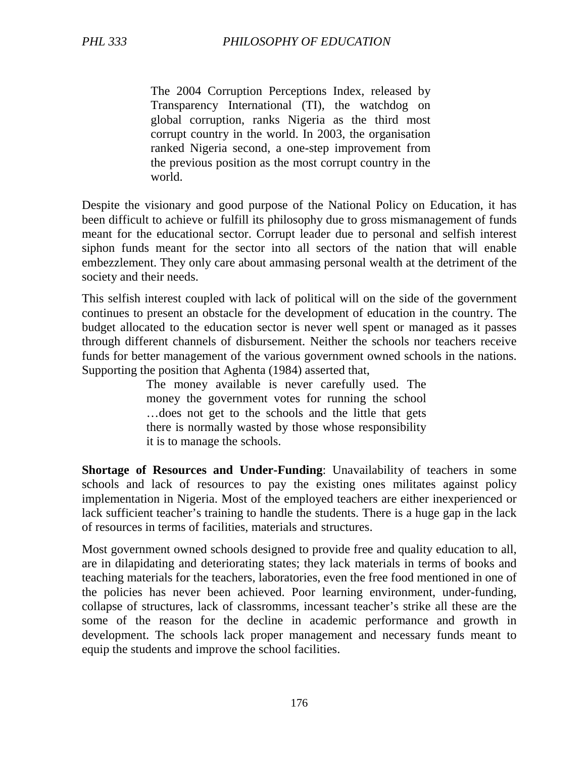The 2004 Corruption Perceptions Index, released by Transparency International (TI), the watchdog on global corruption, ranks Nigeria as the third most corrupt country in the world. In 2003, the organisation ranked Nigeria second, a one-step improvement from the previous position as the most corrupt country in the world.

Despite the visionary and good purpose of the National Policy on Education, it has been difficult to achieve or fulfill its philosophy due to gross mismanagement of funds meant for the educational sector. Corrupt leader due to personal and selfish interest siphon funds meant for the sector into all sectors of the nation that will enable embezzlement. They only care about ammasing personal wealth at the detriment of the society and their needs.

This selfish interest coupled with lack of political will on the side of the government continues to present an obstacle for the development of education in the country. The budget allocated to the education sector is never well spent or managed as it passes through different channels of disbursement. Neither the schools nor teachers receive funds for better management of the various government owned schools in the nations. Supporting the position that Aghenta (1984) asserted that,

> The money available is never carefully used. The money the government votes for running the school …does not get to the schools and the little that gets there is normally wasted by those whose responsibility it is to manage the schools.

**Shortage of Resources and Under-Funding**: Unavailability of teachers in some schools and lack of resources to pay the existing ones militates against policy implementation in Nigeria. Most of the employed teachers are either inexperienced or lack sufficient teacher's training to handle the students. There is a huge gap in the lack of resources in terms of facilities, materials and structures.

Most government owned schools designed to provide free and quality education to all, are in dilapidating and deteriorating states; they lack materials in terms of books and teaching materials for the teachers, laboratories, even the free food mentioned in one of the policies has never been achieved. Poor learning environment, under-funding, collapse of structures, lack of classromms, incessant teacher's strike all these are the some of the reason for the decline in academic performance and growth in development. The schools lack proper management and necessary funds meant to equip the students and improve the school facilities.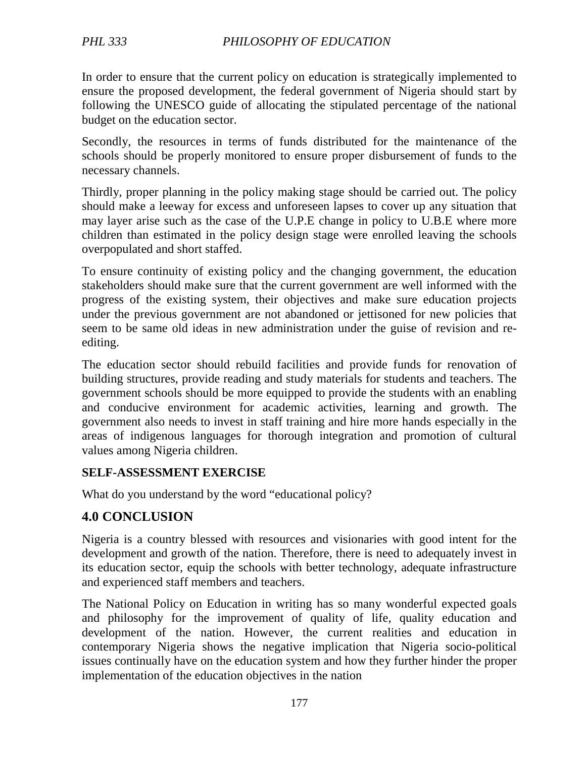In order to ensure that the current policy on education is strategically implemented to ensure the proposed development, the federal government of Nigeria should start by following the UNESCO guide of allocating the stipulated percentage of the national budget on the education sector.

Secondly, the resources in terms of funds distributed for the maintenance of the schools should be properly monitored to ensure proper disbursement of funds to the necessary channels.

Thirdly, proper planning in the policy making stage should be carried out. The policy should make a leeway for excess and unforeseen lapses to cover up any situation that may layer arise such as the case of the U.P.E change in policy to U.B.E where more children than estimated in the policy design stage were enrolled leaving the schools overpopulated and short staffed.

To ensure continuity of existing policy and the changing government, the education stakeholders should make sure that the current government are well informed with the progress of the existing system, their objectives and make sure education projects under the previous government are not abandoned or jettisoned for new policies that seem to be same old ideas in new administration under the guise of revision and reediting.

The education sector should rebuild facilities and provide funds for renovation of building structures, provide reading and study materials for students and teachers. The government schools should be more equipped to provide the students with an enabling and conducive environment for academic activities, learning and growth. The government also needs to invest in staff training and hire more hands especially in the areas of indigenous languages for thorough integration and promotion of cultural values among Nigeria children.

#### **SELF-ASSESSMENT EXERCISE**

What do you understand by the word "educational policy?

### **4.0 CONCLUSION**

Nigeria is a country blessed with resources and visionaries with good intent for the development and growth of the nation. Therefore, there is need to adequately invest in its education sector, equip the schools with better technology, adequate infrastructure and experienced staff members and teachers.

The National Policy on Education in writing has so many wonderful expected goals and philosophy for the improvement of quality of life, quality education and development of the nation. However, the current realities and education in contemporary Nigeria shows the negative implication that Nigeria socio-political issues continually have on the education system and how they further hinder the proper implementation of the education objectives in the nation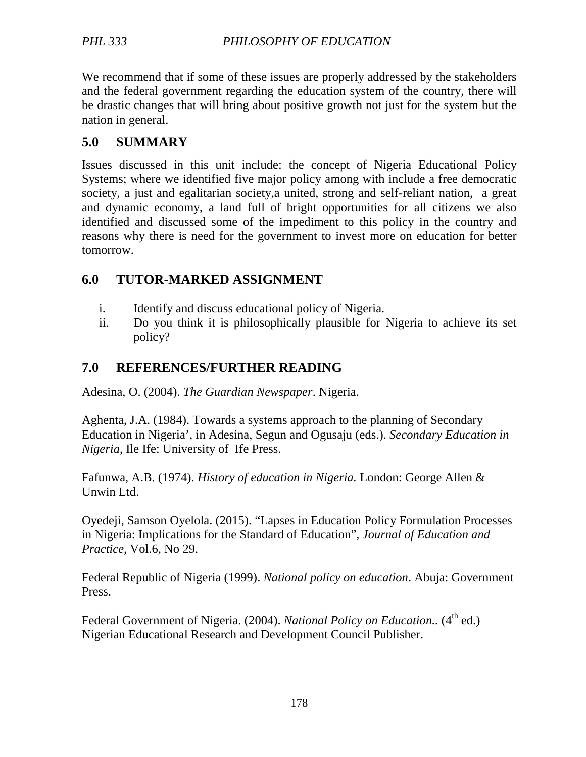We recommend that if some of these issues are properly addressed by the stakeholders and the federal government regarding the education system of the country, there will be drastic changes that will bring about positive growth not just for the system but the nation in general.

### **5.0 SUMMARY**

Issues discussed in this unit include: the concept of Nigeria Educational Policy Systems; where we identified five major policy among with include a free democratic society, a just and egalitarian society,a united, strong and self-reliant nation, a great and dynamic economy, a land full of bright opportunities for all citizens we also identified and discussed some of the impediment to this policy in the country and reasons why there is need for the government to invest more on education for better tomorrow.

### **6.0 TUTOR-MARKED ASSIGNMENT**

- i. Identify and discuss educational policy of Nigeria.
- ii. Do you think it is philosophically plausible for Nigeria to achieve its set policy?

### **7.0 REFERENCES/FURTHER READING**

Adesina, O. (2004). *The Guardian Newspaper*. Nigeria.

Aghenta, J.A. (1984). Towards a systems approach to the planning of Secondary Education in Nigeria', in Adesina, Segun and Ogusaju (eds.). *Secondary Education in Nigeria*, Ile Ife: University of Ife Press.

Fafunwa, A.B. (1974). *History of education in Nigeria.* London: George Allen & Unwin Ltd.

Oyedeji, Samson Oyelola. (2015). "Lapses in Education Policy Formulation Processes in Nigeria: Implications for the Standard of Education", *Journal of Education and Practice,* Vol.6, No 29.

Federal Republic of Nigeria (1999). *National policy on education*. Abuja: Government Press.

Federal Government of Nigeria. (2004). *National Policy on Education.*. (4<sup>th</sup> ed.) Nigerian Educational Research and Development Council Publisher.